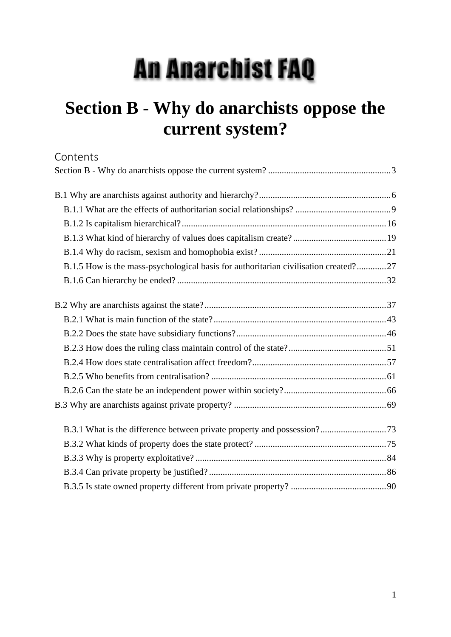# **An Anarchist FAQ**

# **Section B - Why do anarchists oppose the current system?**

#### Contents

| B.1.5 How is the mass-psychological basis for authoritarian civilisation created?27 |  |
|-------------------------------------------------------------------------------------|--|
|                                                                                     |  |
|                                                                                     |  |
|                                                                                     |  |
|                                                                                     |  |
|                                                                                     |  |
|                                                                                     |  |
|                                                                                     |  |
|                                                                                     |  |
|                                                                                     |  |
|                                                                                     |  |
|                                                                                     |  |
|                                                                                     |  |
|                                                                                     |  |
|                                                                                     |  |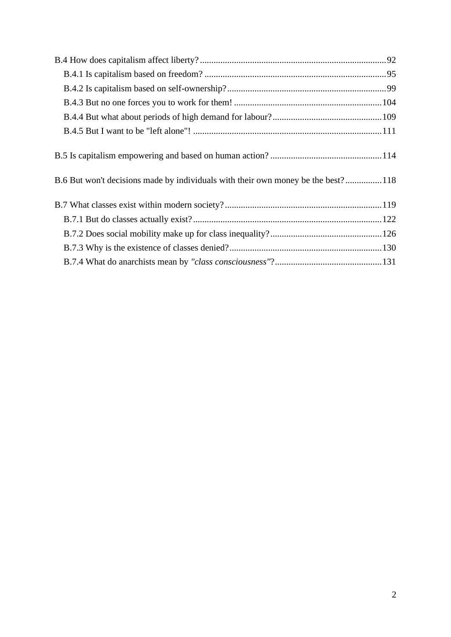| B.6 But won't decisions made by individuals with their own money be the best?118 |  |
|----------------------------------------------------------------------------------|--|
|                                                                                  |  |
|                                                                                  |  |
|                                                                                  |  |
|                                                                                  |  |
|                                                                                  |  |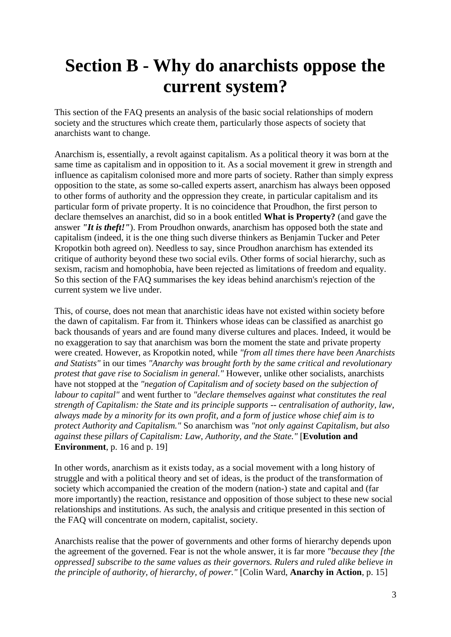## <span id="page-2-0"></span>**Section B - Why do anarchists oppose the current system?**

This section of the FAQ presents an analysis of the basic social relationships of modern society and the structures which create them, particularly those aspects of society that anarchists want to change.

Anarchism is, essentially, a revolt against capitalism. As a political theory it was born at the same time as capitalism and in opposition to it. As a social movement it grew in strength and influence as capitalism colonised more and more parts of society. Rather than simply express opposition to the state, as some so-called experts assert, anarchism has always been opposed to other forms of authority and the oppression they create, in particular capitalism and its particular form of private property. It is no coincidence that Proudhon, the first person to declare themselves an anarchist, did so in a book entitled **What is Property?** (and gave the answer *"It is theft!"*). From Proudhon onwards, anarchism has opposed both the state and capitalism (indeed, it is the one thing such diverse thinkers as Benjamin Tucker and Peter Kropotkin both agreed on). Needless to say, since Proudhon anarchism has extended its critique of authority beyond these two social evils. Other forms of social hierarchy, such as sexism, racism and homophobia, have been rejected as limitations of freedom and equality. So this section of the FAQ summarises the key ideas behind anarchism's rejection of the current system we live under.

This, of course, does not mean that anarchistic ideas have not existed within society before the dawn of capitalism. Far from it. Thinkers whose ideas can be classified as anarchist go back thousands of years and are found many diverse cultures and places. Indeed, it would be no exaggeration to say that anarchism was born the moment the state and private property were created. However, as Kropotkin noted, while *"from all times there have been Anarchists and Statists"* in our times *"Anarchy was brought forth by the same critical and revolutionary protest that gave rise to Socialism in general."* However, unlike other socialists, anarchists have not stopped at the *"negation of Capitalism and of society based on the subjection of labour to capital"* and went further to *"declare themselves against what constitutes the real strength of Capitalism: the State and its principle supports -- centralisation of authority, law, always made by a minority for its own profit, and a form of justice whose chief aim is to protect Authority and Capitalism."* So anarchism was *"not only against Capitalism, but also against these pillars of Capitalism: Law, Authority, and the State."* [**Evolution and Environment**, p. 16 and p. 19]

In other words, anarchism as it exists today, as a social movement with a long history of struggle and with a political theory and set of ideas, is the product of the transformation of society which accompanied the creation of the modern (nation-) state and capital and (far more importantly) the reaction, resistance and opposition of those subject to these new social relationships and institutions. As such, the analysis and critique presented in this section of the FAQ will concentrate on modern, capitalist, society.

Anarchists realise that the power of governments and other forms of hierarchy depends upon the agreement of the governed. Fear is not the whole answer, it is far more *"because they [the oppressed] subscribe to the same values as their governors. Rulers and ruled alike believe in the principle of authority, of hierarchy, of power."* [Colin Ward, **Anarchy in Action**, p. 15]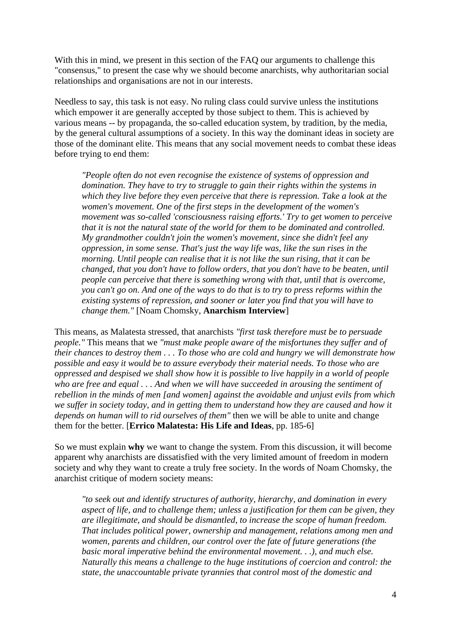With this in mind, we present in this section of the FAQ our arguments to challenge this "consensus," to present the case why we should become anarchists, why authoritarian social relationships and organisations are not in our interests.

Needless to say, this task is not easy. No ruling class could survive unless the institutions which empower it are generally accepted by those subject to them. This is achieved by various means -- by propaganda, the so-called education system, by tradition, by the media, by the general cultural assumptions of a society. In this way the dominant ideas in society are those of the dominant elite. This means that any social movement needs to combat these ideas before trying to end them:

*"People often do not even recognise the existence of systems of oppression and domination. They have to try to struggle to gain their rights within the systems in which they live before they even perceive that there is repression. Take a look at the women's movement. One of the first steps in the development of the women's movement was so-called 'consciousness raising efforts.' Try to get women to perceive that it is not the natural state of the world for them to be dominated and controlled. My grandmother couldn't join the women's movement, since she didn't feel any oppression, in some sense. That's just the way life was, like the sun rises in the morning. Until people can realise that it is not like the sun rising, that it can be changed, that you don't have to follow orders, that you don't have to be beaten, until people can perceive that there is something wrong with that, until that is overcome, you can't go on. And one of the ways to do that is to try to press reforms within the existing systems of repression, and sooner or later you find that you will have to change them."* [Noam Chomsky, **Anarchism Interview**]

This means, as Malatesta stressed, that anarchists *"first task therefore must be to persuade people."* This means that we *"must make people aware of the misfortunes they suffer and of their chances to destroy them . . . To those who are cold and hungry we will demonstrate how possible and easy it would be to assure everybody their material needs. To those who are oppressed and despised we shall show how it is possible to live happily in a world of people who are free and equal . . . And when we will have succeeded in arousing the sentiment of rebellion in the minds of men [and women] against the avoidable and unjust evils from which we suffer in society today, and in getting them to understand how they are caused and how it depends on human will to rid ourselves of them"* then we will be able to unite and change them for the better. [**Errico Malatesta: His Life and Ideas**, pp. 185-6]

So we must explain **why** we want to change the system. From this discussion, it will become apparent why anarchists are dissatisfied with the very limited amount of freedom in modern society and why they want to create a truly free society. In the words of Noam Chomsky, the anarchist critique of modern society means:

*"to seek out and identify structures of authority, hierarchy, and domination in every aspect of life, and to challenge them; unless a justification for them can be given, they are illegitimate, and should be dismantled, to increase the scope of human freedom. That includes political power, ownership and management, relations among men and women, parents and children, our control over the fate of future generations (the basic moral imperative behind the environmental movement. . .), and much else. Naturally this means a challenge to the huge institutions of coercion and control: the state, the unaccountable private tyrannies that control most of the domestic and*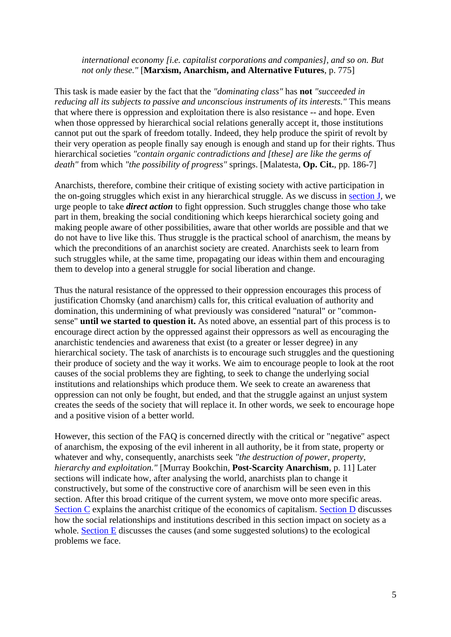#### *international economy [i.e. capitalist corporations and companies], and so on. But not only these."* [**Marxism, Anarchism, and Alternative Futures**, p. 775]

This task is made easier by the fact that the *"dominating class"* has **not** *"succeeded in reducing all its subjects to passive and unconscious instruments of its interests."* This means that where there is oppression and exploitation there is also resistance -- and hope. Even when those oppressed by hierarchical social relations generally accept it, those institutions cannot put out the spark of freedom totally. Indeed, they help produce the spirit of revolt by their very operation as people finally say enough is enough and stand up for their rights. Thus hierarchical societies *"contain organic contradictions and [these] are like the germs of death"* from which *"the possibility of progress"* springs. [Malatesta, **Op. Cit.**, pp. 186-7]

Anarchists, therefore, combine their critique of existing society with active participation in the on-going struggles which exist in any hierarchical struggle. As we discuss in [section J,](sectionJ.html) we urge people to take *direct action* to fight oppression. Such struggles change those who take part in them, breaking the social conditioning which keeps hierarchical society going and making people aware of other possibilities, aware that other worlds are possible and that we do not have to live like this. Thus struggle is the practical school of anarchism, the means by which the preconditions of an anarchist society are created. Anarchists seek to learn from such struggles while, at the same time, propagating our ideas within them and encouraging them to develop into a general struggle for social liberation and change.

Thus the natural resistance of the oppressed to their oppression encourages this process of justification Chomsky (and anarchism) calls for, this critical evaluation of authority and domination, this undermining of what previously was considered "natural" or "commonsense" **until we started to question it.** As noted above, an essential part of this process is to encourage direct action by the oppressed against their oppressors as well as encouraging the anarchistic tendencies and awareness that exist (to a greater or lesser degree) in any hierarchical society. The task of anarchists is to encourage such struggles and the questioning their produce of society and the way it works. We aim to encourage people to look at the root causes of the social problems they are fighting, to seek to change the underlying social institutions and relationships which produce them. We seek to create an awareness that oppression can not only be fought, but ended, and that the struggle against an unjust system creates the seeds of the society that will replace it. In other words, we seek to encourage hope and a positive vision of a better world.

However, this section of the FAQ is concerned directly with the critical or "negative" aspect of anarchism, the exposing of the evil inherent in all authority, be it from state, property or whatever and why, consequently, anarchists seek *"the destruction of power, property, hierarchy and exploitation."* [Murray Bookchin, **Post-Scarcity Anarchism**, p. 11] Later sections will indicate how, after analysing the world, anarchists plan to change it constructively, but some of the constructive core of anarchism will be seen even in this section. After this broad critique of the current system, we move onto more specific areas. [Section C](sectionC.html) explains the anarchist critique of the economics of capitalism. [Section D](sectionD.html) discusses how the social relationships and institutions described in this section impact on society as a whole. [Section E](sectionE.html) discusses the causes (and some suggested solutions) to the ecological problems we face.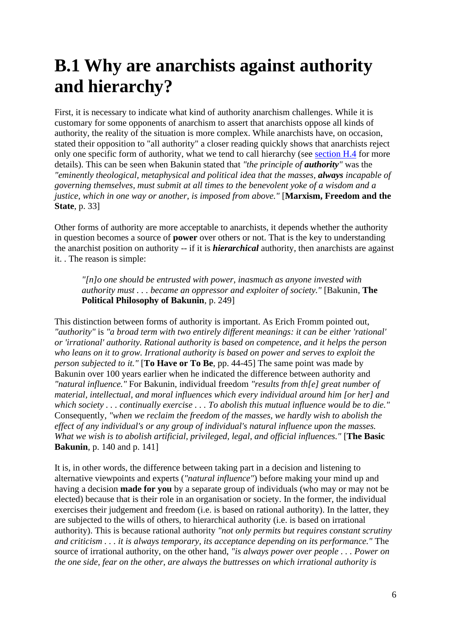# <span id="page-5-0"></span>**B.1 Why are anarchists against authority and hierarchy?**

First, it is necessary to indicate what kind of authority anarchism challenges. While it is customary for some opponents of anarchism to assert that anarchists oppose all kinds of authority, the reality of the situation is more complex. While anarchists have, on occasion, stated their opposition to "all authority" a closer reading quickly shows that anarchists reject only one specific form of authority, what we tend to call hierarchy (see [section H.4](sectionH.html#sech4) for more details). This can be seen when Bakunin stated that *"the principle of authority"* was the *"eminently theological, metaphysical and political idea that the masses, always incapable of governing themselves, must submit at all times to the benevolent yoke of a wisdom and a justice, which in one way or another, is imposed from above."* [**Marxism, Freedom and the State**, p. 33]

Other forms of authority are more acceptable to anarchists, it depends whether the authority in question becomes a source of **power** over others or not. That is the key to understanding the anarchist position on authority -- if it is *hierarchical* authority, then anarchists are against it. . The reason is simple:

*"[n]o one should be entrusted with power, inasmuch as anyone invested with authority must . . . became an oppressor and exploiter of society."* [Bakunin, **The Political Philosophy of Bakunin**, p. 249]

This distinction between forms of authority is important. As Erich Fromm pointed out, *"authority"* is *"a broad term with two entirely different meanings: it can be either 'rational' or 'irrational' authority. Rational authority is based on competence, and it helps the person who leans on it to grow. Irrational authority is based on power and serves to exploit the person subjected to it."* [**To Have or To Be**, pp. 44-45] The same point was made by Bakunin over 100 years earlier when he indicated the difference between authority and *"natural influence."* For Bakunin, individual freedom *"results from th[e] great number of material, intellectual, and moral influences which every individual around him [or her] and which society . . . continually exercise . . . To abolish this mutual influence would be to die."* Consequently, *"when we reclaim the freedom of the masses, we hardly wish to abolish the effect of any individual's or any group of individual's natural influence upon the masses. What we wish is to abolish artificial, privileged, legal, and official influences."* [**The Basic Bakunin**, p. 140 and p. 141]

It is, in other words, the difference between taking part in a decision and listening to alternative viewpoints and experts (*"natural influence"*) before making your mind up and having a decision **made for you** by a separate group of individuals (who may or may not be elected) because that is their role in an organisation or society. In the former, the individual exercises their judgement and freedom (i.e. is based on rational authority). In the latter, they are subjected to the wills of others, to hierarchical authority (i.e. is based on irrational authority). This is because rational authority *"not only permits but requires constant scrutiny and criticism . . . it is always temporary, its acceptance depending on its performance."* The source of irrational authority, on the other hand, *"is always power over people . . . Power on the one side, fear on the other, are always the buttresses on which irrational authority is*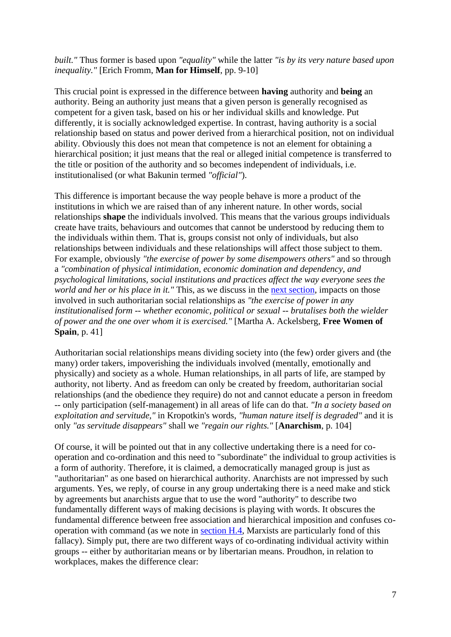*built."* Thus former is based upon *"equality"* while the latter *"is by its very nature based upon inequality."* [Erich Fromm, **Man for Himself**, pp. 9-10]

This crucial point is expressed in the difference between **having** authority and **being** an authority. Being an authority just means that a given person is generally recognised as competent for a given task, based on his or her individual skills and knowledge. Put differently, it is socially acknowledged expertise. In contrast, having authority is a social relationship based on status and power derived from a hierarchical position, not on individual ability. Obviously this does not mean that competence is not an element for obtaining a hierarchical position; it just means that the real or alleged initial competence is transferred to the title or position of the authority and so becomes independent of individuals, i.e. institutionalised (or what Bakunin termed *"official"*).

This difference is important because the way people behave is more a product of the institutions in which we are raised than of any inherent nature. In other words, social relationships **shape** the individuals involved. This means that the various groups individuals create have traits, behaviours and outcomes that cannot be understood by reducing them to the individuals within them. That is, groups consist not only of individuals, but also relationships between individuals and these relationships will affect those subject to them. For example, obviously *"the exercise of power by some disempowers others"* and so through a *"combination of physical intimidation, economic domination and dependency, and psychological limitations, social institutions and practices affect the way everyone sees the world and her or his place in it."* This, as we discuss in the [next section,](sectionB.html#secb11) impacts on those involved in such authoritarian social relationships as *"the exercise of power in any institutionalised form -- whether economic, political or sexual -- brutalises both the wielder of power and the one over whom it is exercised."* [Martha A. Ackelsberg, **Free Women of Spain**, p. 41]

Authoritarian social relationships means dividing society into (the few) order givers and (the many) order takers, impoverishing the individuals involved (mentally, emotionally and physically) and society as a whole. Human relationships, in all parts of life, are stamped by authority, not liberty. And as freedom can only be created by freedom, authoritarian social relationships (and the obedience they require) do not and cannot educate a person in freedom -- only participation (self-management) in all areas of life can do that. *"In a society based on exploitation and servitude,"* in Kropotkin's words, *"human nature itself is degraded"* and it is only *"as servitude disappears"* shall we *"regain our rights."* [**Anarchism**, p. 104]

Of course, it will be pointed out that in any collective undertaking there is a need for cooperation and co-ordination and this need to "subordinate" the individual to group activities is a form of authority. Therefore, it is claimed, a democratically managed group is just as "authoritarian" as one based on hierarchical authority. Anarchists are not impressed by such arguments. Yes, we reply, of course in any group undertaking there is a need make and stick by agreements but anarchists argue that to use the word "authority" to describe two fundamentally different ways of making decisions is playing with words. It obscures the fundamental difference between free association and hierarchical imposition and confuses cooperation with command (as we note in [section H.4,](sectionH.html#sech4) Marxists are particularly fond of this fallacy). Simply put, there are two different ways of co-ordinating individual activity within groups -- either by authoritarian means or by libertarian means. Proudhon, in relation to workplaces, makes the difference clear: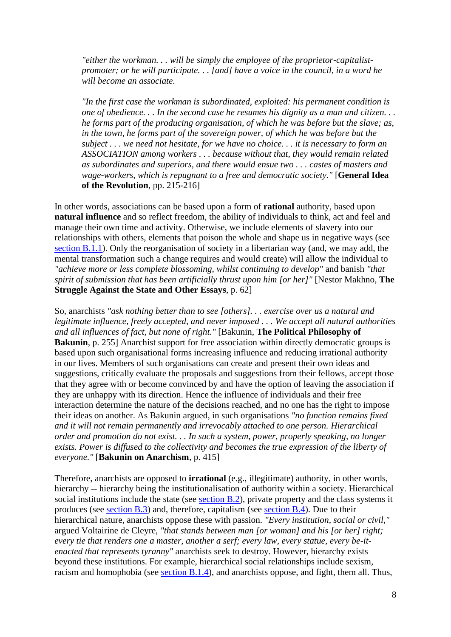*"either the workman. . . will be simply the employee of the proprietor-capitalistpromoter; or he will participate. . . [and] have a voice in the council, in a word he will become an associate.*

*"In the first case the workman is subordinated, exploited: his permanent condition is one of obedience. . . In the second case he resumes his dignity as a man and citizen. . . he forms part of the producing organisation, of which he was before but the slave; as, in the town, he forms part of the sovereign power, of which he was before but the subject . . . we need not hesitate, for we have no choice. . . it is necessary to form an ASSOCIATION among workers . . . because without that, they would remain related as subordinates and superiors, and there would ensue two . . . castes of masters and wage-workers, which is repugnant to a free and democratic society."* [**General Idea of the Revolution**, pp. 215-216]

In other words, associations can be based upon a form of **rational** authority, based upon **natural influence** and so reflect freedom, the ability of individuals to think, act and feel and manage their own time and activity. Otherwise, we include elements of slavery into our relationships with others, elements that poison the whole and shape us in negative ways (see [section B.1.1\)](sectionB.html#secb11). Only the reorganisation of society in a libertarian way (and, we may add, the mental transformation such a change requires and would create) will allow the individual to *"achieve more or less complete blossoming, whilst continuing to develop"* and banish *"that spirit of submission that has been artificially thrust upon him [or her]"* [Nestor Makhno, **The Struggle Against the State and Other Essays**, p. 62]

So, anarchists *"ask nothing better than to see [others]. . . exercise over us a natural and legitimate influence, freely accepted, and never imposed . . . We accept all natural authorities and all influences of fact, but none of right."* [Bakunin, **The Political Philosophy of Bakunin**, p. 255] Anarchist support for free association within directly democratic groups is based upon such organisational forms increasing influence and reducing irrational authority in our lives. Members of such organisations can create and present their own ideas and suggestions, critically evaluate the proposals and suggestions from their fellows, accept those that they agree with or become convinced by and have the option of leaving the association if they are unhappy with its direction. Hence the influence of individuals and their free interaction determine the nature of the decisions reached, and no one has the right to impose their ideas on another. As Bakunin argued, in such organisations *"no function remains fixed and it will not remain permanently and irrevocably attached to one person. Hierarchical order and promotion do not exist. . . In such a system, power, properly speaking, no longer exists. Power is diffused to the collectivity and becomes the true expression of the liberty of everyone."* [**Bakunin on Anarchism**, p. 415]

Therefore, anarchists are opposed to **irrational** (e.g., illegitimate) authority, in other words, hierarchy -- hierarchy being the institutionalisation of authority within a society. Hierarchical social institutions include the state (see [section B.2\)](sectionB.html#secb2), private property and the class systems it produces (see [section B.3\)](sectionB.html#secb3) and, therefore, capitalism (see [section B.4\)](sectionB.html#secb4). Due to their hierarchical nature, anarchists oppose these with passion. *"Every institution, social or civil,"* argued Voltairine de Cleyre, *"that stands between man [or woman] and his [or her] right; every tie that renders one a master, another a serf; every law, every statue, every be-itenacted that represents tyranny"* anarchists seek to destroy. However, hierarchy exists beyond these institutions. For example, hierarchical social relationships include sexism, racism and homophobia (see [section B.1.4\)](sectionB.html#secb14), and anarchists oppose, and fight, them all. Thus,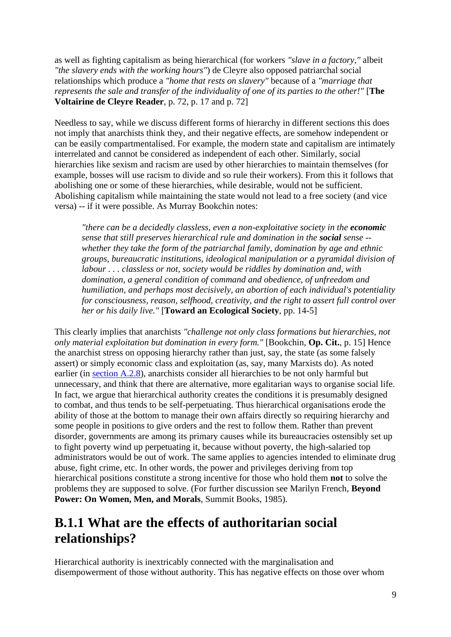as well as fighting capitalism as being hierarchical (for workers *"slave in a factory,"* albeit *"the slavery ends with the working hours"*) de Cleyre also opposed patriarchal social relationships which produce a *"home that rests on slavery"* because of a *"marriage that represents the sale and transfer of the individuality of one of its parties to the other!"* [**The Voltairine de Cleyre Reader**, p. 72, p. 17 and p. 72]

Needless to say, while we discuss different forms of hierarchy in different sections this does not imply that anarchists think they, and their negative effects, are somehow independent or can be easily compartmentalised. For example, the modern state and capitalism are intimately interrelated and cannot be considered as independent of each other. Similarly, social hierarchies like sexism and racism are used by other hierarchies to maintain themselves (for example, bosses will use racism to divide and so rule their workers). From this it follows that abolishing one or some of these hierarchies, while desirable, would not be sufficient. Abolishing capitalism while maintaining the state would not lead to a free society (and vice versa) -- if it were possible. As Murray Bookchin notes:

*"there can be a decidedly classless, even a non-exploitative society in the economic sense that still preserves hierarchical rule and domination in the social sense - whether they take the form of the patriarchal family, domination by age and ethnic groups, bureaucratic institutions, ideological manipulation or a pyramidal division of labour . . . classless or not, society would be riddles by domination and, with domination, a general condition of command and obedience, of unfreedom and humiliation, and perhaps most decisively, an abortion of each individual's potentiality for consciousness, reason, selfhood, creativity, and the right to assert full control over her or his daily live."* [**Toward an Ecological Society**, pp. 14-5]

This clearly implies that anarchists *"challenge not only class formations but hierarchies, not only material exploitation but domination in every form."* [Bookchin, **Op. Cit.**, p. 15] Hence the anarchist stress on opposing hierarchy rather than just, say, the state (as some falsely assert) or simply economic class and exploitation (as, say, many Marxists do). As noted earlier (in [section A.2.8\)](sectionA.html#seca28), anarchists consider all hierarchies to be not only harmful but unnecessary, and think that there are alternative, more egalitarian ways to organise social life. In fact, we argue that hierarchical authority creates the conditions it is presumably designed to combat, and thus tends to be self-perpetuating. Thus hierarchical organisations erode the ability of those at the bottom to manage their own affairs directly so requiring hierarchy and some people in positions to give orders and the rest to follow them. Rather than prevent disorder, governments are among its primary causes while its bureaucracies ostensibly set up to fight poverty wind up perpetuating it, because without poverty, the high-salaried top administrators would be out of work. The same applies to agencies intended to eliminate drug abuse, fight crime, etc. In other words, the power and privileges deriving from top hierarchical positions constitute a strong incentive for those who hold them **not** to solve the problems they are supposed to solve. (For further discussion see Marilyn French, **Beyond Power: On Women, Men, and Morals**, Summit Books, 1985).

### <span id="page-8-0"></span>**B.1.1 What are the effects of authoritarian social relationships?**

Hierarchical authority is inextricably connected with the marginalisation and disempowerment of those without authority. This has negative effects on those over whom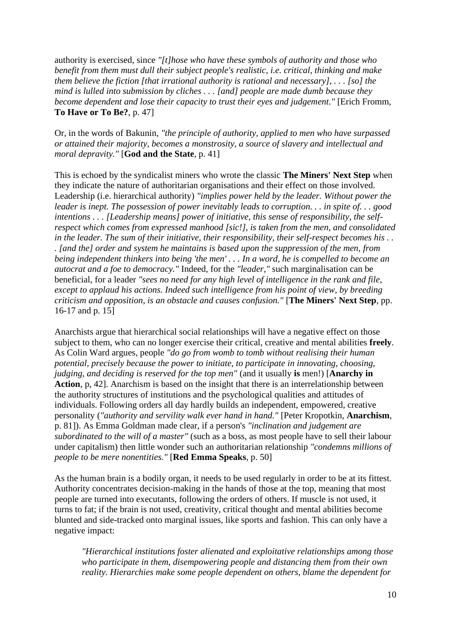authority is exercised, since *"[t]hose who have these symbols of authority and those who benefit from them must dull their subject people's realistic, i.e. critical, thinking and make them believe the fiction [that irrational authority is rational and necessary], . . . [so] the mind is lulled into submission by cliches . . . [and] people are made dumb because they become dependent and lose their capacity to trust their eyes and judgement."* [Erich Fromm, **To Have or To Be?**, p. 47]

Or, in the words of Bakunin, *"the principle of authority, applied to men who have surpassed or attained their majority, becomes a monstrosity, a source of slavery and intellectual and moral depravity."* [**God and the State**, p. 41]

This is echoed by the syndicalist miners who wrote the classic **The Miners' Next Step** when they indicate the nature of authoritarian organisations and their effect on those involved. Leadership (i.e. hierarchical authority) *"implies power held by the leader. Without power the leader is inept. The possession of power inevitably leads to corruption. . . in spite of. . . good intentions . . . [Leadership means] power of initiative, this sense of responsibility, the selfrespect which comes from expressed manhood [sic!], is taken from the men, and consolidated in the leader. The sum of their initiative, their responsibility, their self-respect becomes his . . . [and the] order and system he maintains is based upon the suppression of the men, from being independent thinkers into being 'the men' . . . In a word, he is compelled to become an autocrat and a foe to democracy."* Indeed, for the *"leader,"* such marginalisation can be beneficial, for a leader *"sees no need for any high level of intelligence in the rank and file, except to applaud his actions. Indeed such intelligence from his point of view, by breeding criticism and opposition, is an obstacle and causes confusion."* [**The Miners' Next Step**, pp. 16-17 and p. 15]

Anarchists argue that hierarchical social relationships will have a negative effect on those subject to them, who can no longer exercise their critical, creative and mental abilities **freely**. As Colin Ward argues, people *"do go from womb to tomb without realising their human potential, precisely because the power to initiate, to participate in innovating, choosing, judging, and deciding is reserved for the top men"* (and it usually **is** men!) [**Anarchy in Action**, p, 42]. Anarchism is based on the insight that there is an interrelationship between the authority structures of institutions and the psychological qualities and attitudes of individuals. Following orders all day hardly builds an independent, empowered, creative personality (*"authority and servility walk ever hand in hand."* [Peter Kropotkin, **Anarchism**, p. 81]). As Emma Goldman made clear, if a person's *"inclination and judgement are subordinated to the will of a master"* (such as a boss, as most people have to sell their labour under capitalism) then little wonder such an authoritarian relationship *"condemns millions of people to be mere nonentities."* [**Red Emma Speaks**, p. 50]

As the human brain is a bodily organ, it needs to be used regularly in order to be at its fittest. Authority concentrates decision-making in the hands of those at the top, meaning that most people are turned into executants, following the orders of others. If muscle is not used, it turns to fat; if the brain is not used, creativity, critical thought and mental abilities become blunted and side-tracked onto marginal issues, like sports and fashion. This can only have a negative impact:

*"Hierarchical institutions foster alienated and exploitative relationships among those who participate in them, disempowering people and distancing them from their own reality. Hierarchies make some people dependent on others, blame the dependent for*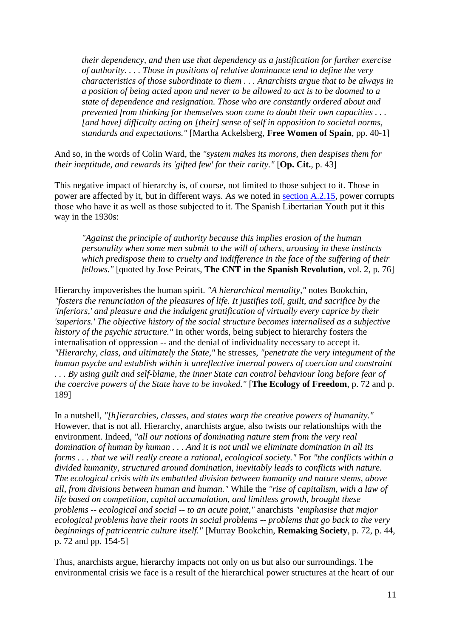*their dependency, and then use that dependency as a justification for further exercise of authority. . . . Those in positions of relative dominance tend to define the very characteristics of those subordinate to them . . . Anarchists argue that to be always in a position of being acted upon and never to be allowed to act is to be doomed to a state of dependence and resignation. Those who are constantly ordered about and prevented from thinking for themselves soon come to doubt their own capacities . . . [and have] difficulty acting on [their] sense of self in opposition to societal norms, standards and expectations."* [Martha Ackelsberg, **Free Women of Spain**, pp. 40-1]

And so, in the words of Colin Ward, the *"system makes its morons, then despises them for their ineptitude, and rewards its 'gifted few' for their rarity."* [**Op. Cit.**, p. 43]

This negative impact of hierarchy is, of course, not limited to those subject to it. Those in power are affected by it, but in different ways. As we noted in [section A.2.15,](sectionA.html#seca215) power corrupts those who have it as well as those subjected to it. The Spanish Libertarian Youth put it this way in the 1930s:

*"Against the principle of authority because this implies erosion of the human personality when some men submit to the will of others, arousing in these instincts which predispose them to cruelty and indifference in the face of the suffering of their fellows."* [quoted by Jose Peirats, **The CNT in the Spanish Revolution**, vol. 2, p. 76]

Hierarchy impoverishes the human spirit. *"A hierarchical mentality,"* notes Bookchin, *"fosters the renunciation of the pleasures of life. It justifies toil, guilt, and sacrifice by the 'inferiors,' and pleasure and the indulgent gratification of virtually every caprice by their 'superiors.' The objective history of the social structure becomes internalised as a subjective history of the psychic structure."* In other words, being subject to hierarchy fosters the internalisation of oppression -- and the denial of individuality necessary to accept it. *"Hierarchy, class, and ultimately the State,"* he stresses, *"penetrate the very integument of the human psyche and establish within it unreflective internal powers of coercion and constraint . . . By using guilt and self-blame, the inner State can control behaviour long before fear of the coercive powers of the State have to be invoked."* [**The Ecology of Freedom**, p. 72 and p. 189]

In a nutshell, *"[h]ierarchies, classes, and states warp the creative powers of humanity."* However, that is not all. Hierarchy, anarchists argue, also twists our relationships with the environment. Indeed, *"all our notions of dominating nature stem from the very real domination of human by human . . . And it is not until we eliminate domination in all its forms . . . that we will really create a rational, ecological society."* For *"the conflicts within a divided humanity, structured around domination, inevitably leads to conflicts with nature. The ecological crisis with its embattled division between humanity and nature stems, above all, from divisions between human and human."* While the *"rise of capitalism, with a law of life based on competition, capital accumulation, and limitless growth, brought these problems -- ecological and social -- to an acute point,"* anarchists *"emphasise that major ecological problems have their roots in social problems -- problems that go back to the very beginnings of patricentric culture itself."* [Murray Bookchin, **Remaking Society**, p. 72, p. 44, p. 72 and pp. 154-5]

Thus, anarchists argue, hierarchy impacts not only on us but also our surroundings. The environmental crisis we face is a result of the hierarchical power structures at the heart of our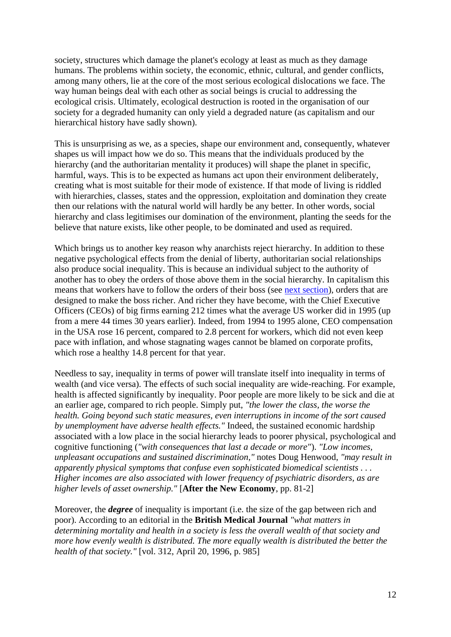society, structures which damage the planet's ecology at least as much as they damage humans. The problems within society, the economic, ethnic, cultural, and gender conflicts, among many others, lie at the core of the most serious ecological dislocations we face. The way human beings deal with each other as social beings is crucial to addressing the ecological crisis. Ultimately, ecological destruction is rooted in the organisation of our society for a degraded humanity can only yield a degraded nature (as capitalism and our hierarchical history have sadly shown).

This is unsurprising as we, as a species, shape our environment and, consequently, whatever shapes us will impact how we do so. This means that the individuals produced by the hierarchy (and the authoritarian mentality it produces) will shape the planet in specific, harmful, ways. This is to be expected as humans act upon their environment deliberately, creating what is most suitable for their mode of existence. If that mode of living is riddled with hierarchies, classes, states and the oppression, exploitation and domination they create then our relations with the natural world will hardly be any better. In other words, social hierarchy and class legitimises our domination of the environment, planting the seeds for the believe that nature exists, like other people, to be dominated and used as required.

Which brings us to another key reason why anarchists reject hierarchy. In addition to these negative psychological effects from the denial of liberty, authoritarian social relationships also produce social inequality. This is because an individual subject to the authority of another has to obey the orders of those above them in the social hierarchy. In capitalism this means that workers have to follow the orders of their boss (see [next section\)](sectionB.html#secb12), orders that are designed to make the boss richer. And richer they have become, with the Chief Executive Officers (CEOs) of big firms earning 212 times what the average US worker did in 1995 (up from a mere 44 times 30 years earlier). Indeed, from 1994 to 1995 alone, CEO compensation in the USA rose 16 percent, compared to 2.8 percent for workers, which did not even keep pace with inflation, and whose stagnating wages cannot be blamed on corporate profits, which rose a healthy 14.8 percent for that year.

Needless to say, inequality in terms of power will translate itself into inequality in terms of wealth (and vice versa). The effects of such social inequality are wide-reaching. For example, health is affected significantly by inequality. Poor people are more likely to be sick and die at an earlier age, compared to rich people. Simply put, *"the lower the class, the worse the health. Going beyond such static measures, even interruptions in income of the sort caused by unemployment have adverse health effects."* Indeed, the sustained economic hardship associated with a low place in the social hierarchy leads to poorer physical, psychological and cognitive functioning (*"with consequences that last a decade or more"*). *"Low incomes, unpleasant occupations and sustained discrimination,"* notes Doug Henwood, *"may result in apparently physical symptoms that confuse even sophisticated biomedical scientists . . . Higher incomes are also associated with lower frequency of psychiatric disorders, as are higher levels of asset ownership."* [**After the New Economy**, pp. 81-2]

Moreover, the *degree* of inequality is important (i.e. the size of the gap between rich and poor). According to an editorial in the **British Medical Journal** *"what matters in determining mortality and health in a society is less the overall wealth of that society and more how evenly wealth is distributed. The more equally wealth is distributed the better the health of that society."* [vol. 312, April 20, 1996, p. 985]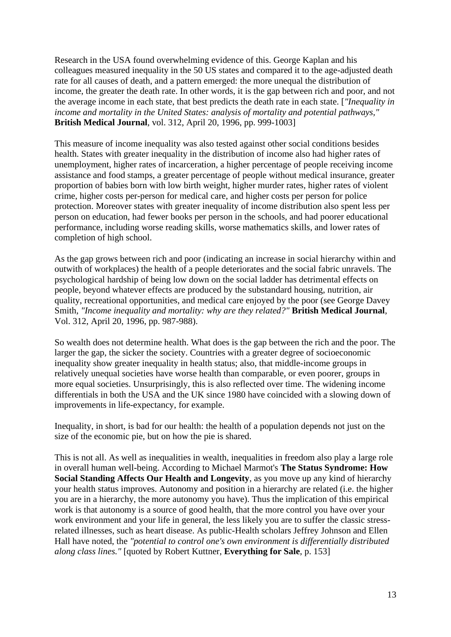Research in the USA found overwhelming evidence of this. George Kaplan and his colleagues measured inequality in the 50 US states and compared it to the age-adjusted death rate for all causes of death, and a pattern emerged: the more unequal the distribution of income, the greater the death rate. In other words, it is the gap between rich and poor, and not the average income in each state, that best predicts the death rate in each state. [*"Inequality in income and mortality in the United States: analysis of mortality and potential pathways,"* **British Medical Journal**, vol. 312, April 20, 1996, pp. 999-1003]

This measure of income inequality was also tested against other social conditions besides health. States with greater inequality in the distribution of income also had higher rates of unemployment, higher rates of incarceration, a higher percentage of people receiving income assistance and food stamps, a greater percentage of people without medical insurance, greater proportion of babies born with low birth weight, higher murder rates, higher rates of violent crime, higher costs per-person for medical care, and higher costs per person for police protection. Moreover states with greater inequality of income distribution also spent less per person on education, had fewer books per person in the schools, and had poorer educational performance, including worse reading skills, worse mathematics skills, and lower rates of completion of high school.

As the gap grows between rich and poor (indicating an increase in social hierarchy within and outwith of workplaces) the health of a people deteriorates and the social fabric unravels. The psychological hardship of being low down on the social ladder has detrimental effects on people, beyond whatever effects are produced by the substandard housing, nutrition, air quality, recreational opportunities, and medical care enjoyed by the poor (see George Davey Smith, *"Income inequality and mortality: why are they related?"* **British Medical Journal**, Vol. 312, April 20, 1996, pp. 987-988).

So wealth does not determine health. What does is the gap between the rich and the poor. The larger the gap, the sicker the society. Countries with a greater degree of socioeconomic inequality show greater inequality in health status; also, that middle-income groups in relatively unequal societies have worse health than comparable, or even poorer, groups in more equal societies. Unsurprisingly, this is also reflected over time. The widening income differentials in both the USA and the UK since 1980 have coincided with a slowing down of improvements in life-expectancy, for example.

Inequality, in short, is bad for our health: the health of a population depends not just on the size of the economic pie, but on how the pie is shared.

This is not all. As well as inequalities in wealth, inequalities in freedom also play a large role in overall human well-being. According to Michael Marmot's **The Status Syndrome: How Social Standing Affects Our Health and Longevity**, as you move up any kind of hierarchy your health status improves. Autonomy and position in a hierarchy are related (i.e. the higher you are in a hierarchy, the more autonomy you have). Thus the implication of this empirical work is that autonomy is a source of good health, that the more control you have over your work environment and your life in general, the less likely you are to suffer the classic stressrelated illnesses, such as heart disease. As public-Health scholars Jeffrey Johnson and Ellen Hall have noted, the *"potential to control one's own environment is differentially distributed along class lines."* [quoted by Robert Kuttner, **Everything for Sale**, p. 153]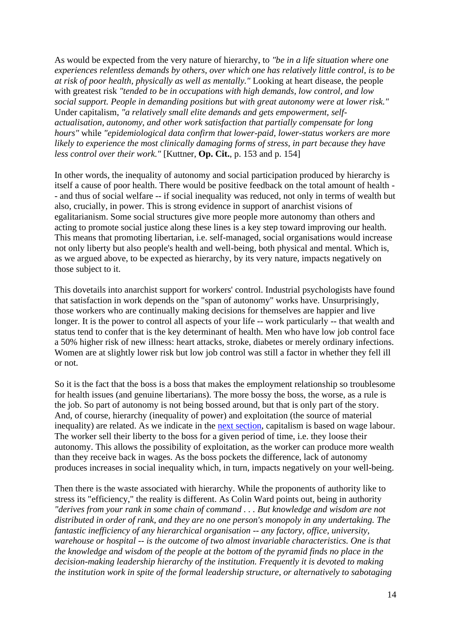As would be expected from the very nature of hierarchy, to *"be in a life situation where one experiences relentless demands by others, over which one has relatively little control, is to be at risk of poor health, physically as well as mentally."* Looking at heart disease, the people with greatest risk *"tended to be in occupations with high demands, low control, and low social support. People in demanding positions but with great autonomy were at lower risk."* Under capitalism, *"a relatively small elite demands and gets empowerment, selfactualisation, autonomy, and other work satisfaction that partially compensate for long hours"* while *"epidemiological data confirm that lower-paid, lower-status workers are more likely to experience the most clinically damaging forms of stress, in part because they have less control over their work."* [Kuttner, **Op. Cit.**, p. 153 and p. 154]

In other words, the inequality of autonomy and social participation produced by hierarchy is itself a cause of poor health. There would be positive feedback on the total amount of health - - and thus of social welfare -- if social inequality was reduced, not only in terms of wealth but also, crucially, in power. This is strong evidence in support of anarchist visions of egalitarianism. Some social structures give more people more autonomy than others and acting to promote social justice along these lines is a key step toward improving our health. This means that promoting libertarian, i.e. self-managed, social organisations would increase not only liberty but also people's health and well-being, both physical and mental. Which is, as we argued above, to be expected as hierarchy, by its very nature, impacts negatively on those subject to it.

This dovetails into anarchist support for workers' control. Industrial psychologists have found that satisfaction in work depends on the "span of autonomy" works have. Unsurprisingly, those workers who are continually making decisions for themselves are happier and live longer. It is the power to control all aspects of your life -- work particularly -- that wealth and status tend to confer that is the key determinant of health. Men who have low job control face a 50% higher risk of new illness: heart attacks, stroke, diabetes or merely ordinary infections. Women are at slightly lower risk but low job control was still a factor in whether they fell ill or not.

So it is the fact that the boss is a boss that makes the employment relationship so troublesome for health issues (and genuine libertarians). The more bossy the boss, the worse, as a rule is the job. So part of autonomy is not being bossed around, but that is only part of the story. And, of course, hierarchy (inequality of power) and exploitation (the source of material inequality) are related. As we indicate in the [next section,](sectionB.html#secb12) capitalism is based on wage labour. The worker sell their liberty to the boss for a given period of time, i.e. they loose their autonomy. This allows the possibility of exploitation, as the worker can produce more wealth than they receive back in wages. As the boss pockets the difference, lack of autonomy produces increases in social inequality which, in turn, impacts negatively on your well-being.

Then there is the waste associated with hierarchy. While the proponents of authority like to stress its "efficiency," the reality is different. As Colin Ward points out, being in authority *"derives from your rank in some chain of command . . . But knowledge and wisdom are not distributed in order of rank, and they are no one person's monopoly in any undertaking. The fantastic inefficiency of any hierarchical organisation -- any factory, office, university, warehouse or hospital -- is the outcome of two almost invariable characteristics. One is that the knowledge and wisdom of the people at the bottom of the pyramid finds no place in the decision-making leadership hierarchy of the institution. Frequently it is devoted to making the institution work in spite of the formal leadership structure, or alternatively to sabotaging*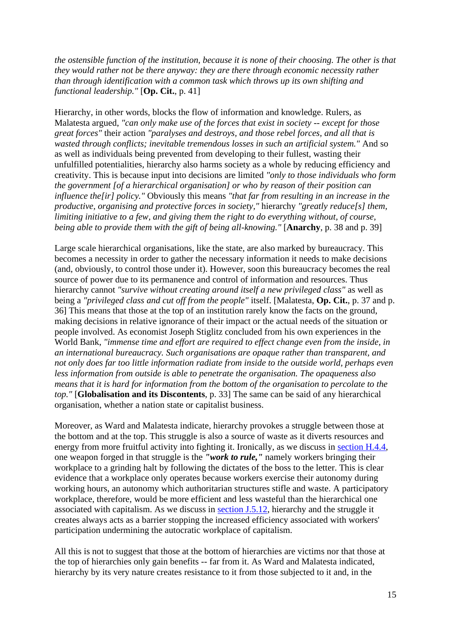*the ostensible function of the institution, because it is none of their choosing. The other is that they would rather not be there anyway: they are there through economic necessity rather than through identification with a common task which throws up its own shifting and functional leadership."* [**Op. Cit.**, p. 41]

Hierarchy, in other words, blocks the flow of information and knowledge. Rulers, as Malatesta argued, *"can only make use of the forces that exist in society -- except for those great forces"* their action *"paralyses and destroys, and those rebel forces, and all that is wasted through conflicts; inevitable tremendous losses in such an artificial system."* And so as well as individuals being prevented from developing to their fullest, wasting their unfulfilled potentialities, hierarchy also harms society as a whole by reducing efficiency and creativity. This is because input into decisions are limited *"only to those individuals who form the government [of a hierarchical organisation] or who by reason of their position can influence the[ir] policy."* Obviously this means *"that far from resulting in an increase in the productive, organising and protective forces in society,"* hierarchy *"greatly reduce[s] them, limiting initiative to a few, and giving them the right to do everything without, of course, being able to provide them with the gift of being all-knowing."* [**Anarchy**, p. 38 and p. 39]

Large scale hierarchical organisations, like the state, are also marked by bureaucracy. This becomes a necessity in order to gather the necessary information it needs to make decisions (and, obviously, to control those under it). However, soon this bureaucracy becomes the real source of power due to its permanence and control of information and resources. Thus hierarchy cannot *"survive without creating around itself a new privileged class"* as well as being a *"privileged class and cut off from the people"* itself. [Malatesta, **Op. Cit.**, p. 37 and p. 36] This means that those at the top of an institution rarely know the facts on the ground, making decisions in relative ignorance of their impact or the actual needs of the situation or people involved. As economist Joseph Stiglitz concluded from his own experiences in the World Bank, *"immense time and effort are required to effect change even from the inside, in an international bureaucracy. Such organisations are opaque rather than transparent, and not only does far too little information radiate from inside to the outside world, perhaps even less information from outside is able to penetrate the organisation. The opaqueness also means that it is hard for information from the bottom of the organisation to percolate to the top."* [**Globalisation and its Discontents**, p. 33] The same can be said of any hierarchical organisation, whether a nation state or capitalist business.

Moreover, as Ward and Malatesta indicate, hierarchy provokes a struggle between those at the bottom and at the top. This struggle is also a source of waste as it diverts resources and energy from more fruitful activity into fighting it. Ironically, as we discuss in [section H.4.4,](sectionH.html#sech44) one weapon forged in that struggle is the *"work to rule,"* namely workers bringing their workplace to a grinding halt by following the dictates of the boss to the letter. This is clear evidence that a workplace only operates because workers exercise their autonomy during working hours, an autonomy which authoritarian structures stifle and waste. A participatory workplace, therefore, would be more efficient and less wasteful than the hierarchical one associated with capitalism. As we discuss in [section J.5.12,](sectionJ.html#secj512) hierarchy and the struggle it creates always acts as a barrier stopping the increased efficiency associated with workers' participation undermining the autocratic workplace of capitalism.

All this is not to suggest that those at the bottom of hierarchies are victims nor that those at the top of hierarchies only gain benefits -- far from it. As Ward and Malatesta indicated, hierarchy by its very nature creates resistance to it from those subjected to it and, in the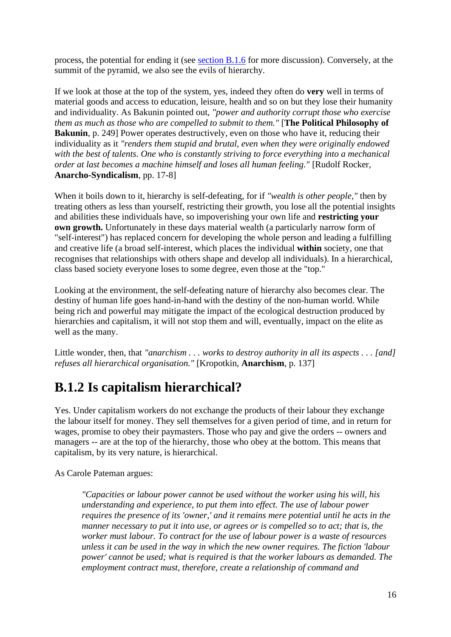process, the potential for ending it (see [section B.1.6](sectionB.html#secb16) for more discussion). Conversely, at the summit of the pyramid, we also see the evils of hierarchy.

If we look at those at the top of the system, yes, indeed they often do **very** well in terms of material goods and access to education, leisure, health and so on but they lose their humanity and individuality. As Bakunin pointed out, *"power and authority corrupt those who exercise them as much as those who are compelled to submit to them."* [**The Political Philosophy of Bakunin**, p. 249] Power operates destructively, even on those who have it, reducing their individuality as it *"renders them stupid and brutal, even when they were originally endowed with the best of talents. One who is constantly striving to force everything into a mechanical order at last becomes a machine himself and loses all human feeling."* [Rudolf Rocker, **Anarcho-Syndicalism**, pp. 17-8]

When it boils down to it, hierarchy is self-defeating, for if *"wealth is other people,"* then by treating others as less than yourself, restricting their growth, you lose all the potential insights and abilities these individuals have, so impoverishing your own life and **restricting your own growth.** Unfortunately in these days material wealth (a particularly narrow form of "self-interest") has replaced concern for developing the whole person and leading a fulfilling and creative life (a broad self-interest, which places the individual **within** society, one that recognises that relationships with others shape and develop all individuals). In a hierarchical, class based society everyone loses to some degree, even those at the "top."

Looking at the environment, the self-defeating nature of hierarchy also becomes clear. The destiny of human life goes hand-in-hand with the destiny of the non-human world. While being rich and powerful may mitigate the impact of the ecological destruction produced by hierarchies and capitalism, it will not stop them and will, eventually, impact on the elite as well as the many.

Little wonder, then, that *"anarchism . . . works to destroy authority in all its aspects . . . [and] refuses all hierarchical organisation."* [Kropotkin, **Anarchism**, p. 137]

## <span id="page-15-0"></span>**B.1.2 Is capitalism hierarchical?**

Yes. Under capitalism workers do not exchange the products of their labour they exchange the labour itself for money. They sell themselves for a given period of time, and in return for wages, promise to obey their paymasters. Those who pay and give the orders -- owners and managers -- are at the top of the hierarchy, those who obey at the bottom. This means that capitalism, by its very nature, is hierarchical.

As Carole Pateman argues:

*"Capacities or labour power cannot be used without the worker using his will, his understanding and experience, to put them into effect. The use of labour power requires the presence of its 'owner,' and it remains mere potential until he acts in the manner necessary to put it into use, or agrees or is compelled so to act; that is, the worker must labour. To contract for the use of labour power is a waste of resources unless it can be used in the way in which the new owner requires. The fiction 'labour power' cannot be used; what is required is that the worker labours as demanded. The employment contract must, therefore, create a relationship of command and*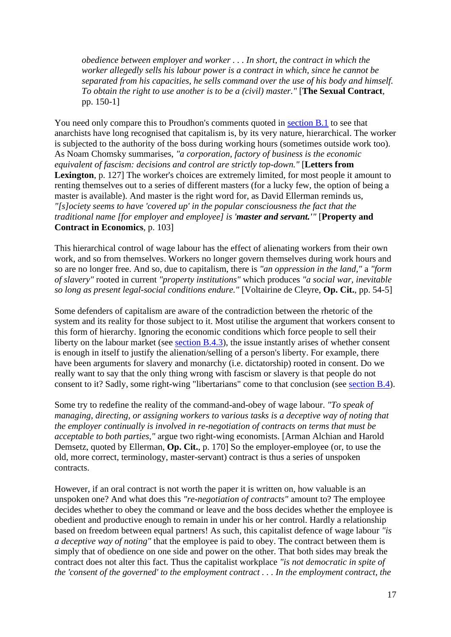*obedience between employer and worker . . . In short, the contract in which the worker allegedly sells his labour power is a contract in which, since he cannot be separated from his capacities, he sells command over the use of his body and himself. To obtain the right to use another is to be a (civil) master."* [**The Sexual Contract**, pp. 150-1]

You need only compare this to Proudhon's comments quoted in [section B.1](sectionB.html#secb1) to see that anarchists have long recognised that capitalism is, by its very nature, hierarchical. The worker is subjected to the authority of the boss during working hours (sometimes outside work too). As Noam Chomsky summarises, *"a corporation, factory of business is the economic equivalent of fascism: decisions and control are strictly top-down."* [**Letters from Lexington**, p. 127] The worker's choices are extremely limited, for most people it amount to renting themselves out to a series of different masters (for a lucky few, the option of being a master is available). And master is the right word for, as David Ellerman reminds us, *"[s]ociety seems to have 'covered up' in the popular consciousness the fact that the traditional name [for employer and employee] is 'master and servant.'"* [**Property and Contract in Economics**, p. 103]

This hierarchical control of wage labour has the effect of alienating workers from their own work, and so from themselves. Workers no longer govern themselves during work hours and so are no longer free. And so, due to capitalism, there is *"an oppression in the land,"* a *"form of slavery"* rooted in current *"property institutions"* which produces *"a social war, inevitable so long as present legal-social conditions endure."* [Voltairine de Cleyre, **Op. Cit.**, pp. 54-5]

Some defenders of capitalism are aware of the contradiction between the rhetoric of the system and its reality for those subject to it. Most utilise the argument that workers consent to this form of hierarchy. Ignoring the economic conditions which force people to sell their liberty on the labour market (see [section B.4.3\)](sectionB.html#secb43), the issue instantly arises of whether consent is enough in itself to justify the alienation/selling of a person's liberty. For example, there have been arguments for slavery and monarchy (i.e. dictatorship) rooted in consent. Do we really want to say that the only thing wrong with fascism or slavery is that people do not consent to it? Sadly, some right-wing "libertarians" come to that conclusion (see [section B.4\)](sectionB.html#secb4).

Some try to redefine the reality of the command-and-obey of wage labour. *"To speak of managing, directing, or assigning workers to various tasks is a deceptive way of noting that the employer continually is involved in re-negotiation of contracts on terms that must be acceptable to both parties,"* argue two right-wing economists. [Arman Alchian and Harold Demsetz, quoted by Ellerman, **Op. Cit.**, p. 170] So the employer-employee (or, to use the old, more correct, terminology, master-servant) contract is thus a series of unspoken contracts.

However, if an oral contract is not worth the paper it is written on, how valuable is an unspoken one? And what does this *"re-negotiation of contracts"* amount to? The employee decides whether to obey the command or leave and the boss decides whether the employee is obedient and productive enough to remain in under his or her control. Hardly a relationship based on freedom between equal partners! As such, this capitalist defence of wage labour *"is a deceptive way of noting"* that the employee is paid to obey. The contract between them is simply that of obedience on one side and power on the other. That both sides may break the contract does not alter this fact. Thus the capitalist workplace *"is not democratic in spite of the 'consent of the governed' to the employment contract . . . In the employment contract, the*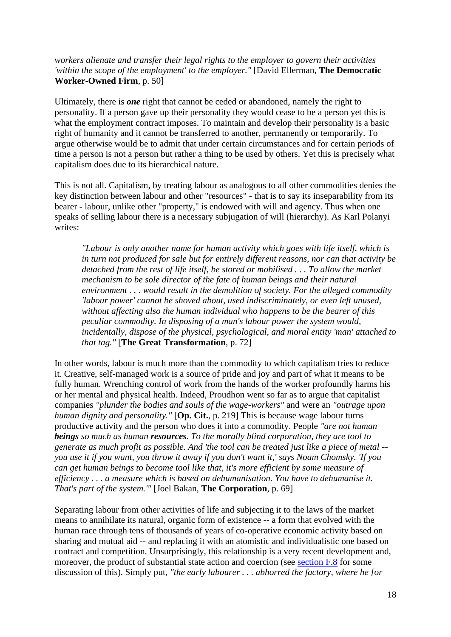#### *workers alienate and transfer their legal rights to the employer to govern their activities 'within the scope of the employment' to the employer."* [David Ellerman, **The Democratic Worker-Owned Firm**, p. 50]

Ultimately, there is *one* right that cannot be ceded or abandoned, namely the right to personality. If a person gave up their personality they would cease to be a person yet this is what the employment contract imposes. To maintain and develop their personality is a basic right of humanity and it cannot be transferred to another, permanently or temporarily. To argue otherwise would be to admit that under certain circumstances and for certain periods of time a person is not a person but rather a thing to be used by others. Yet this is precisely what capitalism does due to its hierarchical nature.

This is not all. Capitalism, by treating labour as analogous to all other commodities denies the key distinction between labour and other "resources" - that is to say its inseparability from its bearer - labour, unlike other "property," is endowed with will and agency. Thus when one speaks of selling labour there is a necessary subjugation of will (hierarchy). As Karl Polanyi writes:

*"Labour is only another name for human activity which goes with life itself, which is in turn not produced for sale but for entirely different reasons, nor can that activity be detached from the rest of life itself, be stored or mobilised . . . To allow the market mechanism to be sole director of the fate of human beings and their natural environment . . . would result in the demolition of society. For the alleged commodity 'labour power' cannot be shoved about, used indiscriminately, or even left unused, without affecting also the human individual who happens to be the bearer of this peculiar commodity. In disposing of a man's labour power the system would, incidentally, dispose of the physical, psychological, and moral entity 'man' attached to that tag."* [**The Great Transformation**, p. 72]

In other words, labour is much more than the commodity to which capitalism tries to reduce it. Creative, self-managed work is a source of pride and joy and part of what it means to be fully human. Wrenching control of work from the hands of the worker profoundly harms his or her mental and physical health. Indeed, Proudhon went so far as to argue that capitalist companies *"plunder the bodies and souls of the wage-workers"* and were an *"outrage upon human dignity and personality."* [**Op. Cit.**, p. 219] This is because wage labour turns productive activity and the person who does it into a commodity. People *"are not human beings so much as human resources. To the morally blind corporation, they are tool to generate as much profit as possible. And 'the tool can be treated just like a piece of metal - you use it if you want, you throw it away if you don't want it,' says Noam Chomsky. 'If you can get human beings to become tool like that, it's more efficient by some measure of efficiency . . . a measure which is based on dehumanisation. You have to dehumanise it. That's part of the system.'"* [Joel Bakan, **The Corporation**, p. 69]

Separating labour from other activities of life and subjecting it to the laws of the market means to annihilate its natural, organic form of existence -- a form that evolved with the human race through tens of thousands of years of co-operative economic activity based on sharing and mutual aid -- and replacing it with an atomistic and individualistic one based on contract and competition. Unsurprisingly, this relationship is a very recent development and, moreover, the product of substantial state action and coercion (see [section F.8](sectionF.html#secf8) for some discussion of this). Simply put, *"the early labourer . . . abhorred the factory, where he [or*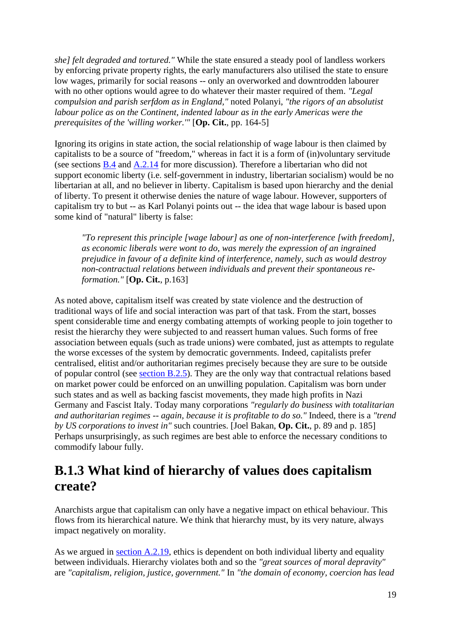*she] felt degraded and tortured."* While the state ensured a steady pool of landless workers by enforcing private property rights, the early manufacturers also utilised the state to ensure low wages, primarily for social reasons -- only an overworked and downtrodden labourer with no other options would agree to do whatever their master required of them. *"Legal compulsion and parish serfdom as in England,"* noted Polanyi, *"the rigors of an absolutist labour police as on the Continent, indented labour as in the early Americas were the prerequisites of the 'willing worker.'"* [**Op. Cit.**, pp. 164-5]

Ignoring its origins in state action, the social relationship of wage labour is then claimed by capitalists to be a source of "freedom," whereas in fact it is a form of (in)voluntary servitude (see sections [B.4](sectionB.html#secb4) and [A.2.14](sectionA.html#seca14) for more discussion). Therefore a libertarian who did not support economic liberty (i.e. self-government in industry, libertarian socialism) would be no libertarian at all, and no believer in liberty. Capitalism is based upon hierarchy and the denial of liberty. To present it otherwise denies the nature of wage labour. However, supporters of capitalism try to but -- as Karl Polanyi points out -- the idea that wage labour is based upon some kind of "natural" liberty is false:

*"To represent this principle [wage labour] as one of non-interference [with freedom], as economic liberals were wont to do, was merely the expression of an ingrained prejudice in favour of a definite kind of interference, namely, such as would destroy non-contractual relations between individuals and prevent their spontaneous reformation."* [**Op. Cit.**, p.163]

As noted above, capitalism itself was created by state violence and the destruction of traditional ways of life and social interaction was part of that task. From the start, bosses spent considerable time and energy combating attempts of working people to join together to resist the hierarchy they were subjected to and reassert human values. Such forms of free association between equals (such as trade unions) were combated, just as attempts to regulate the worse excesses of the system by democratic governments. Indeed, capitalists prefer centralised, elitist and/or authoritarian regimes precisely because they are sure to be outside of popular control (see [section B.2.5\)](sectionB.html#secb25). They are the only way that contractual relations based on market power could be enforced on an unwilling population. Capitalism was born under such states and as well as backing fascist movements, they made high profits in Nazi Germany and Fascist Italy. Today many corporations *"regularly do business with totalitarian and authoritarian regimes -- again, because it is profitable to do so."* Indeed, there is a *"trend by US corporations to invest in"* such countries. [Joel Bakan, **Op. Cit.**, p. 89 and p. 185] Perhaps unsurprisingly, as such regimes are best able to enforce the necessary conditions to commodify labour fully.

### <span id="page-18-0"></span>**B.1.3 What kind of hierarchy of values does capitalism create?**

Anarchists argue that capitalism can only have a negative impact on ethical behaviour. This flows from its hierarchical nature. We think that hierarchy must, by its very nature, always impact negatively on morality.

As we argued in [section A.2.19,](sectionA.html#seca219) ethics is dependent on both individual liberty and equality between individuals. Hierarchy violates both and so the *"great sources of moral depravity"* are *"capitalism, religion, justice, government."* In *"the domain of economy, coercion has lead*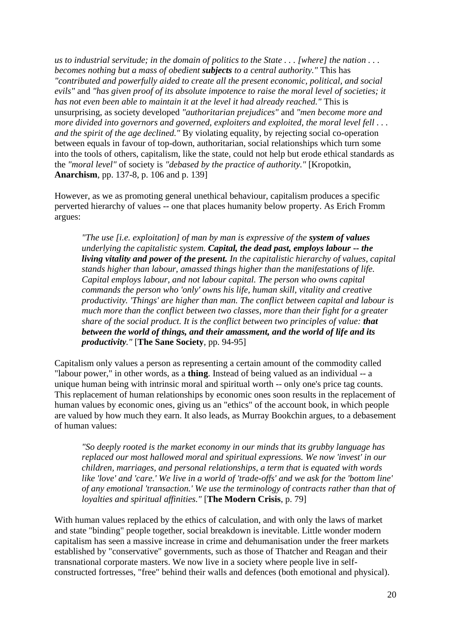*us to industrial servitude; in the domain of politics to the State . . . [where] the nation . . . becomes nothing but a mass of obedient subjects to a central authority."* This has *"contributed and powerfully aided to create all the present economic, political, and social evils"* and *"has given proof of its absolute impotence to raise the moral level of societies; it has not even been able to maintain it at the level it had already reached."* This is unsurprising, as society developed *"authoritarian prejudices"* and *"men become more and more divided into governors and governed, exploiters and exploited, the moral level fell . . . and the spirit of the age declined."* By violating equality, by rejecting social co-operation between equals in favour of top-down, authoritarian, social relationships which turn some into the tools of others, capitalism, like the state, could not help but erode ethical standards as the *"moral level"* of society is *"debased by the practice of authority."* [Kropotkin, **Anarchism**, pp. 137-8, p. 106 and p. 139]

However, as we as promoting general unethical behaviour, capitalism produces a specific perverted hierarchy of values -- one that places humanity below property. As Erich Fromm argues:

*"The use [i.e. exploitation] of man by man is expressive of the system of values underlying the capitalistic system. Capital, the dead past, employs labour -- the living vitality and power of the present. In the capitalistic hierarchy of values, capital stands higher than labour, amassed things higher than the manifestations of life. Capital employs labour, and not labour capital. The person who owns capital commands the person who 'only' owns his life, human skill, vitality and creative productivity. 'Things' are higher than man. The conflict between capital and labour is much more than the conflict between two classes, more than their fight for a greater share of the social product. It is the conflict between two principles of value: that between the world of things, and their amassment, and the world of life and its productivity."* [**The Sane Society**, pp. 94-95]

Capitalism only values a person as representing a certain amount of the commodity called "labour power," in other words, as a **thing**. Instead of being valued as an individual -- a unique human being with intrinsic moral and spiritual worth -- only one's price tag counts. This replacement of human relationships by economic ones soon results in the replacement of human values by economic ones, giving us an "ethics" of the account book, in which people are valued by how much they earn. It also leads, as Murray Bookchin argues, to a debasement of human values:

*"So deeply rooted is the market economy in our minds that its grubby language has replaced our most hallowed moral and spiritual expressions. We now 'invest' in our children, marriages, and personal relationships, a term that is equated with words like 'love' and 'care.' We live in a world of 'trade-offs' and we ask for the 'bottom line' of any emotional 'transaction.' We use the terminology of contracts rather than that of loyalties and spiritual affinities."* [**The Modern Crisis**, p. 79]

With human values replaced by the ethics of calculation, and with only the laws of market and state "binding" people together, social breakdown is inevitable. Little wonder modern capitalism has seen a massive increase in crime and dehumanisation under the freer markets established by "conservative" governments, such as those of Thatcher and Reagan and their transnational corporate masters. We now live in a society where people live in selfconstructed fortresses, "free" behind their walls and defences (both emotional and physical).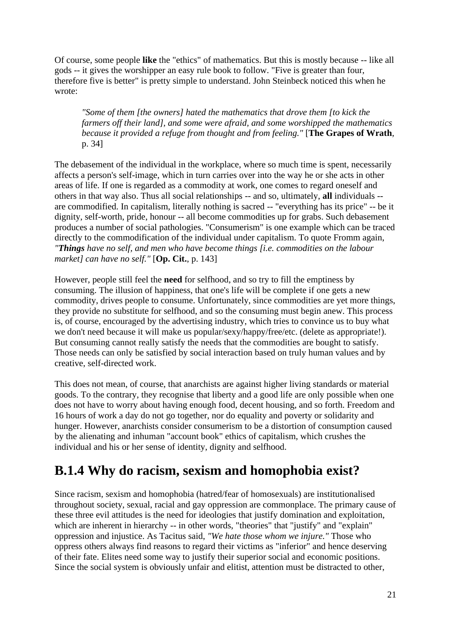Of course, some people **like** the "ethics" of mathematics. But this is mostly because -- like all gods -- it gives the worshipper an easy rule book to follow. "Five is greater than four, therefore five is better" is pretty simple to understand. John Steinbeck noticed this when he wrote:

*"Some of them [the owners] hated the mathematics that drove them [to kick the farmers off their land], and some were afraid, and some worshipped the mathematics because it provided a refuge from thought and from feeling."* [**The Grapes of Wrath**, p. 34]

The debasement of the individual in the workplace, where so much time is spent, necessarily affects a person's self-image, which in turn carries over into the way he or she acts in other areas of life. If one is regarded as a commodity at work, one comes to regard oneself and others in that way also. Thus all social relationships -- and so, ultimately, **all** individuals - are commodified. In capitalism, literally nothing is sacred -- "everything has its price" -- be it dignity, self-worth, pride, honour -- all become commodities up for grabs. Such debasement produces a number of social pathologies. "Consumerism" is one example which can be traced directly to the commodification of the individual under capitalism. To quote Fromm again, *"Things have no self, and men who have become things [i.e. commodities on the labour market] can have no self."* [**Op. Cit.**, p. 143]

However, people still feel the **need** for selfhood, and so try to fill the emptiness by consuming. The illusion of happiness, that one's life will be complete if one gets a new commodity, drives people to consume. Unfortunately, since commodities are yet more things, they provide no substitute for selfhood, and so the consuming must begin anew. This process is, of course, encouraged by the advertising industry, which tries to convince us to buy what we don't need because it will make us popular/sexy/happy/free/etc. (delete as appropriate!). But consuming cannot really satisfy the needs that the commodities are bought to satisfy. Those needs can only be satisfied by social interaction based on truly human values and by creative, self-directed work.

This does not mean, of course, that anarchists are against higher living standards or material goods. To the contrary, they recognise that liberty and a good life are only possible when one does not have to worry about having enough food, decent housing, and so forth. Freedom and 16 hours of work a day do not go together, nor do equality and poverty or solidarity and hunger. However, anarchists consider consumerism to be a distortion of consumption caused by the alienating and inhuman "account book" ethics of capitalism, which crushes the individual and his or her sense of identity, dignity and selfhood.

#### <span id="page-20-0"></span>**B.1.4 Why do racism, sexism and homophobia exist?**

Since racism, sexism and homophobia (hatred/fear of homosexuals) are institutionalised throughout society, sexual, racial and gay oppression are commonplace. The primary cause of these three evil attitudes is the need for ideologies that justify domination and exploitation, which are inherent in hierarchy -- in other words, "theories" that "justify" and "explain" oppression and injustice. As Tacitus said, *"We hate those whom we injure."* Those who oppress others always find reasons to regard their victims as "inferior" and hence deserving of their fate. Elites need some way to justify their superior social and economic positions. Since the social system is obviously unfair and elitist, attention must be distracted to other,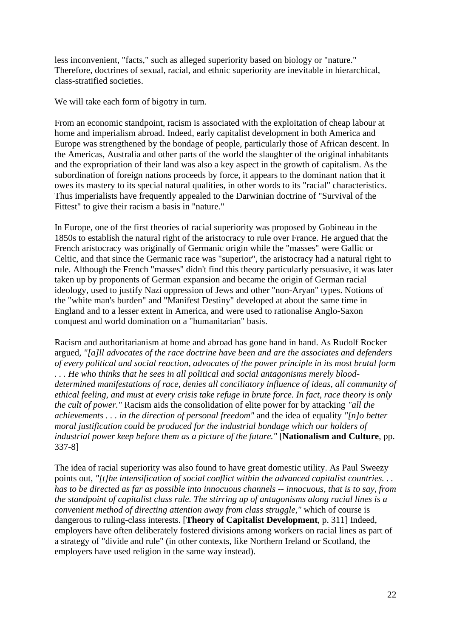less inconvenient, "facts," such as alleged superiority based on biology or "nature." Therefore, doctrines of sexual, racial, and ethnic superiority are inevitable in hierarchical, class-stratified societies.

We will take each form of bigotry in turn.

From an economic standpoint, racism is associated with the exploitation of cheap labour at home and imperialism abroad. Indeed, early capitalist development in both America and Europe was strengthened by the bondage of people, particularly those of African descent. In the Americas, Australia and other parts of the world the slaughter of the original inhabitants and the expropriation of their land was also a key aspect in the growth of capitalism. As the subordination of foreign nations proceeds by force, it appears to the dominant nation that it owes its mastery to its special natural qualities, in other words to its "racial" characteristics. Thus imperialists have frequently appealed to the Darwinian doctrine of "Survival of the Fittest" to give their racism a basis in "nature."

In Europe, one of the first theories of racial superiority was proposed by Gobineau in the 1850s to establish the natural right of the aristocracy to rule over France. He argued that the French aristocracy was originally of Germanic origin while the "masses" were Gallic or Celtic, and that since the Germanic race was "superior", the aristocracy had a natural right to rule. Although the French "masses" didn't find this theory particularly persuasive, it was later taken up by proponents of German expansion and became the origin of German racial ideology, used to justify Nazi oppression of Jews and other "non-Aryan" types. Notions of the "white man's burden" and "Manifest Destiny" developed at about the same time in England and to a lesser extent in America, and were used to rationalise Anglo-Saxon conquest and world domination on a "humanitarian" basis.

Racism and authoritarianism at home and abroad has gone hand in hand. As Rudolf Rocker argued, *"[a]ll advocates of the race doctrine have been and are the associates and defenders of every political and social reaction, advocates of the power principle in its most brutal form . . . He who thinks that he sees in all political and social antagonisms merely blooddetermined manifestations of race, denies all conciliatory influence of ideas, all community of ethical feeling, and must at every crisis take refuge in brute force. In fact, race theory is only the cult of power."* Racism aids the consolidation of elite power for by attacking *"all the achievements . . . in the direction of personal freedom"* and the idea of equality *"[n]o better moral justification could be produced for the industrial bondage which our holders of industrial power keep before them as a picture of the future."* [**Nationalism and Culture**, pp. 337-8]

The idea of racial superiority was also found to have great domestic utility. As Paul Sweezy points out, *"[t]he intensification of social conflict within the advanced capitalist countries. . . has to be directed as far as possible into innocuous channels -- innocuous, that is to say, from the standpoint of capitalist class rule. The stirring up of antagonisms along racial lines is a convenient method of directing attention away from class struggle,"* which of course is dangerous to ruling-class interests. [**Theory of Capitalist Development**, p. 311] Indeed, employers have often deliberately fostered divisions among workers on racial lines as part of a strategy of "divide and rule" (in other contexts, like Northern Ireland or Scotland, the employers have used religion in the same way instead).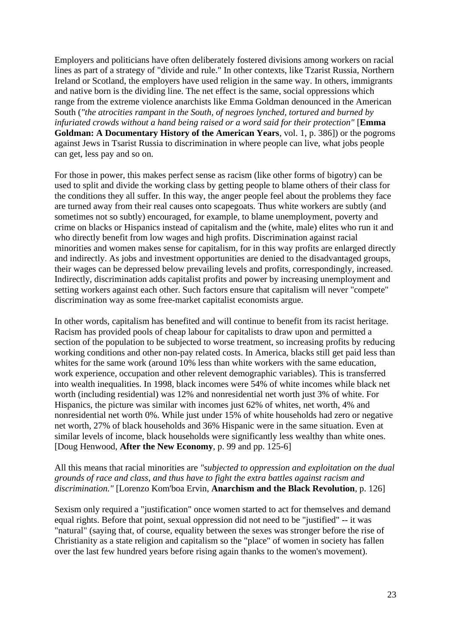Employers and politicians have often deliberately fostered divisions among workers on racial lines as part of a strategy of "divide and rule." In other contexts, like Tzarist Russia, Northern Ireland or Scotland, the employers have used religion in the same way. In others, immigrants and native born is the dividing line. The net effect is the same, social oppressions which range from the extreme violence anarchists like Emma Goldman denounced in the American South (*"the atrocities rampant in the South, of negroes lynched, tortured and burned by infuriated crowds without a hand being raised or a word said for their protection"* [**Emma Goldman: A Documentary History of the American Years**, vol. 1, p. 386]) or the pogroms against Jews in Tsarist Russia to discrimination in where people can live, what jobs people can get, less pay and so on.

For those in power, this makes perfect sense as racism (like other forms of bigotry) can be used to split and divide the working class by getting people to blame others of their class for the conditions they all suffer. In this way, the anger people feel about the problems they face are turned away from their real causes onto scapegoats. Thus white workers are subtly (and sometimes not so subtly) encouraged, for example, to blame unemployment, poverty and crime on blacks or Hispanics instead of capitalism and the (white, male) elites who run it and who directly benefit from low wages and high profits. Discrimination against racial minorities and women makes sense for capitalism, for in this way profits are enlarged directly and indirectly. As jobs and investment opportunities are denied to the disadvantaged groups, their wages can be depressed below prevailing levels and profits, correspondingly, increased. Indirectly, discrimination adds capitalist profits and power by increasing unemployment and setting workers against each other. Such factors ensure that capitalism will never "compete" discrimination way as some free-market capitalist economists argue.

In other words, capitalism has benefited and will continue to benefit from its racist heritage. Racism has provided pools of cheap labour for capitalists to draw upon and permitted a section of the population to be subjected to worse treatment, so increasing profits by reducing working conditions and other non-pay related costs. In America, blacks still get paid less than whites for the same work (around 10% less than white workers with the same education, work experience, occupation and other relevent demographic variables). This is transferred into wealth inequalities. In 1998, black incomes were 54% of white incomes while black net worth (including residential) was 12% and nonresidential net worth just 3% of white. For Hispanics, the picture was similar with incomes just 62% of whites, net worth, 4% and nonresidential net worth 0%. While just under 15% of white households had zero or negative net worth, 27% of black households and 36% Hispanic were in the same situation. Even at similar levels of income, black households were significantly less wealthy than white ones. [Doug Henwood, **After the New Economy**, p. 99 and pp. 125-6]

#### All this means that racial minorities are *"subjected to oppression and exploitation on the dual grounds of race and class, and thus have to fight the extra battles against racism and discrimination."* [Lorenzo Kom'boa Ervin, **Anarchism and the Black Revolution**, p. 126]

Sexism only required a "justification" once women started to act for themselves and demand equal rights. Before that point, sexual oppression did not need to be "justified" -- it was "natural" (saying that, of course, equality between the sexes was stronger before the rise of Christianity as a state religion and capitalism so the "place" of women in society has fallen over the last few hundred years before rising again thanks to the women's movement).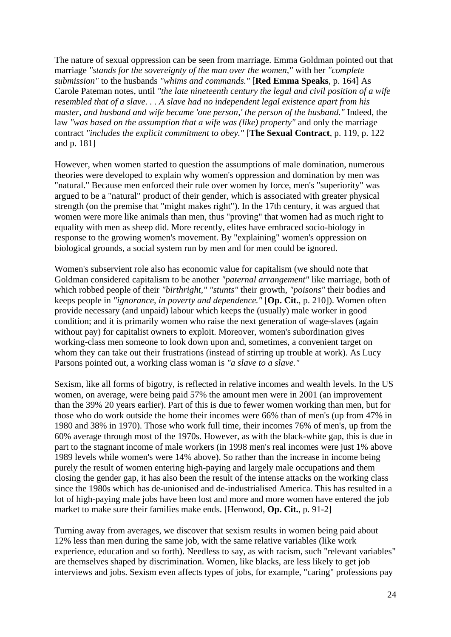The nature of sexual oppression can be seen from marriage. Emma Goldman pointed out that marriage *"stands for the sovereignty of the man over the women,"* with her *"complete submission"* to the husbands *"whims and commands."* [**Red Emma Speaks**, p. 164] As Carole Pateman notes, until *"the late nineteenth century the legal and civil position of a wife resembled that of a slave. . . A slave had no independent legal existence apart from his master, and husband and wife became 'one person,' the person of the husband."* Indeed, the law *"was based on the assumption that a wife was (like) property"* and only the marriage contract *"includes the explicit commitment to obey."* [**The Sexual Contract**, p. 119, p. 122 and p. 181]

However, when women started to question the assumptions of male domination, numerous theories were developed to explain why women's oppression and domination by men was "natural." Because men enforced their rule over women by force, men's "superiority" was argued to be a "natural" product of their gender, which is associated with greater physical strength (on the premise that "might makes right"). In the 17th century, it was argued that women were more like animals than men, thus "proving" that women had as much right to equality with men as sheep did. More recently, elites have embraced socio-biology in response to the growing women's movement. By "explaining" women's oppression on biological grounds, a social system run by men and for men could be ignored.

Women's subservient role also has economic value for capitalism (we should note that Goldman considered capitalism to be another *"paternal arrangement"* like marriage, both of which robbed people of their *"birthright," "stunts"* their growth, *"poisons"* their bodies and keeps people in *"ignorance, in poverty and dependence."* [**Op. Cit.**, p. 210]). Women often provide necessary (and unpaid) labour which keeps the (usually) male worker in good condition; and it is primarily women who raise the next generation of wage-slaves (again without pay) for capitalist owners to exploit. Moreover, women's subordination gives working-class men someone to look down upon and, sometimes, a convenient target on whom they can take out their frustrations (instead of stirring up trouble at work). As Lucy Parsons pointed out, a working class woman is *"a slave to a slave."*

Sexism, like all forms of bigotry, is reflected in relative incomes and wealth levels. In the US women, on average, were being paid 57% the amount men were in 2001 (an improvement than the 39% 20 years earlier). Part of this is due to fewer women working than men, but for those who do work outside the home their incomes were 66% than of men's (up from 47% in 1980 and 38% in 1970). Those who work full time, their incomes 76% of men's, up from the 60% average through most of the 1970s. However, as with the black-white gap, this is due in part to the stagnant income of male workers (in 1998 men's real incomes were just 1% above 1989 levels while women's were 14% above). So rather than the increase in income being purely the result of women entering high-paying and largely male occupations and them closing the gender gap, it has also been the result of the intense attacks on the working class since the 1980s which has de-unionised and de-industrialised America. This has resulted in a lot of high-paying male jobs have been lost and more and more women have entered the job market to make sure their families make ends. [Henwood, **Op. Cit.**, p. 91-2]

Turning away from averages, we discover that sexism results in women being paid about 12% less than men during the same job, with the same relative variables (like work experience, education and so forth). Needless to say, as with racism, such "relevant variables" are themselves shaped by discrimination. Women, like blacks, are less likely to get job interviews and jobs. Sexism even affects types of jobs, for example, "caring" professions pay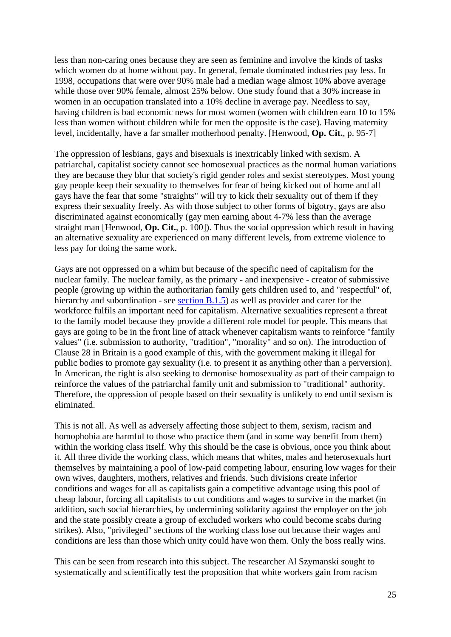less than non-caring ones because they are seen as feminine and involve the kinds of tasks which women do at home without pay. In general, female dominated industries pay less. In 1998, occupations that were over 90% male had a median wage almost 10% above average while those over 90% female, almost 25% below. One study found that a 30% increase in women in an occupation translated into a 10% decline in average pay. Needless to say, having children is bad economic news for most women (women with children earn 10 to 15% less than women without children while for men the opposite is the case). Having maternity level, incidentally, have a far smaller motherhood penalty. [Henwood, **Op. Cit.**, p. 95-7]

The oppression of lesbians, gays and bisexuals is inextricably linked with sexism. A patriarchal, capitalist society cannot see homosexual practices as the normal human variations they are because they blur that society's rigid gender roles and sexist stereotypes. Most young gay people keep their sexuality to themselves for fear of being kicked out of home and all gays have the fear that some "straights" will try to kick their sexuality out of them if they express their sexuality freely. As with those subject to other forms of bigotry, gays are also discriminated against economically (gay men earning about 4-7% less than the average straight man [Henwood, **Op. Cit.**, p. 100]). Thus the social oppression which result in having an alternative sexuality are experienced on many different levels, from extreme violence to less pay for doing the same work.

Gays are not oppressed on a whim but because of the specific need of capitalism for the nuclear family. The nuclear family, as the primary - and inexpensive - creator of submissive people (growing up within the authoritarian family gets children used to, and "respectful" of, hierarchy and subordination - see [section B.1.5\)](sectionB.html#secb15) as well as provider and carer for the workforce fulfils an important need for capitalism. Alternative sexualities represent a threat to the family model because they provide a different role model for people. This means that gays are going to be in the front line of attack whenever capitalism wants to reinforce "family values" (i.e. submission to authority, "tradition", "morality" and so on). The introduction of Clause 28 in Britain is a good example of this, with the government making it illegal for public bodies to promote gay sexuality (i.e. to present it as anything other than a perversion). In American, the right is also seeking to demonise homosexuality as part of their campaign to reinforce the values of the patriarchal family unit and submission to "traditional" authority. Therefore, the oppression of people based on their sexuality is unlikely to end until sexism is eliminated.

This is not all. As well as adversely affecting those subject to them, sexism, racism and homophobia are harmful to those who practice them (and in some way benefit from them) within the working class itself. Why this should be the case is obvious, once you think about it. All three divide the working class, which means that whites, males and heterosexuals hurt themselves by maintaining a pool of low-paid competing labour, ensuring low wages for their own wives, daughters, mothers, relatives and friends. Such divisions create inferior conditions and wages for all as capitalists gain a competitive advantage using this pool of cheap labour, forcing all capitalists to cut conditions and wages to survive in the market (in addition, such social hierarchies, by undermining solidarity against the employer on the job and the state possibly create a group of excluded workers who could become scabs during strikes). Also, "privileged" sections of the working class lose out because their wages and conditions are less than those which unity could have won them. Only the boss really wins.

This can be seen from research into this subject. The researcher Al Szymanski sought to systematically and scientifically test the proposition that white workers gain from racism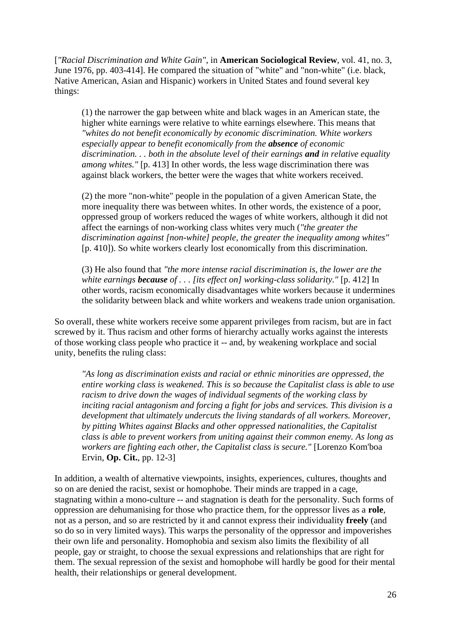[*"Racial Discrimination and White Gain"*, in **American Sociological Review**, vol. 41, no. 3, June 1976, pp. 403-414]. He compared the situation of "white" and "non-white" (i.e. black, Native American, Asian and Hispanic) workers in United States and found several key things:

(1) the narrower the gap between white and black wages in an American state, the higher white earnings were relative to white earnings elsewhere. This means that *"whites do not benefit economically by economic discrimination. White workers especially appear to benefit economically from the absence of economic discrimination. . . both in the absolute level of their earnings and in relative equality among whites."* [p. 413] In other words, the less wage discrimination there was against black workers, the better were the wages that white workers received.

(2) the more "non-white" people in the population of a given American State, the more inequality there was between whites. In other words, the existence of a poor, oppressed group of workers reduced the wages of white workers, although it did not affect the earnings of non-working class whites very much (*"the greater the discrimination against [non-white] people, the greater the inequality among whites"* [p. 410]). So white workers clearly lost economically from this discrimination.

(3) He also found that *"the more intense racial discrimination is, the lower are the white earnings because of . . . [its effect on] working-class solidarity."* [p. 412] In other words, racism economically disadvantages white workers because it undermines the solidarity between black and white workers and weakens trade union organisation.

So overall, these white workers receive some apparent privileges from racism, but are in fact screwed by it. Thus racism and other forms of hierarchy actually works against the interests of those working class people who practice it -- and, by weakening workplace and social unity, benefits the ruling class:

*"As long as discrimination exists and racial or ethnic minorities are oppressed, the entire working class is weakened. This is so because the Capitalist class is able to use racism to drive down the wages of individual segments of the working class by inciting racial antagonism and forcing a fight for jobs and services. This division is a development that ultimately undercuts the living standards of all workers. Moreover, by pitting Whites against Blacks and other oppressed nationalities, the Capitalist class is able to prevent workers from uniting against their common enemy. As long as workers are fighting each other, the Capitalist class is secure."* [Lorenzo Kom'boa Ervin, **Op. Cit.**, pp. 12-3]

In addition, a wealth of alternative viewpoints, insights, experiences, cultures, thoughts and so on are denied the racist, sexist or homophobe. Their minds are trapped in a cage, stagnating within a mono-culture -- and stagnation is death for the personality. Such forms of oppression are dehumanising for those who practice them, for the oppressor lives as a **role**, not as a person, and so are restricted by it and cannot express their individuality **freely** (and so do so in very limited ways). This warps the personality of the oppressor and impoverishes their own life and personality. Homophobia and sexism also limits the flexibility of all people, gay or straight, to choose the sexual expressions and relationships that are right for them. The sexual repression of the sexist and homophobe will hardly be good for their mental health, their relationships or general development.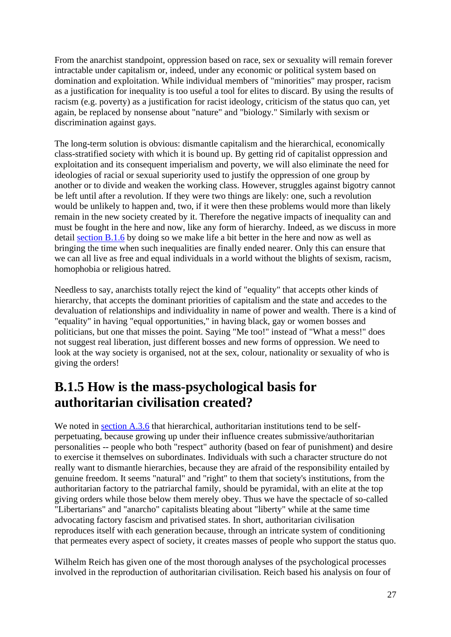From the anarchist standpoint, oppression based on race, sex or sexuality will remain forever intractable under capitalism or, indeed, under any economic or political system based on domination and exploitation. While individual members of "minorities" may prosper, racism as a justification for inequality is too useful a tool for elites to discard. By using the results of racism (e.g. poverty) as a justification for racist ideology, criticism of the status quo can, yet again, be replaced by nonsense about "nature" and "biology." Similarly with sexism or discrimination against gays.

The long-term solution is obvious: dismantle capitalism and the hierarchical, economically class-stratified society with which it is bound up. By getting rid of capitalist oppression and exploitation and its consequent imperialism and poverty, we will also eliminate the need for ideologies of racial or sexual superiority used to justify the oppression of one group by another or to divide and weaken the working class. However, struggles against bigotry cannot be left until after a revolution. If they were two things are likely: one, such a revolution would be unlikely to happen and, two, if it were then these problems would more than likely remain in the new society created by it. Therefore the negative impacts of inequality can and must be fought in the here and now, like any form of hierarchy. Indeed, as we discuss in more detail [section B.1.6](sectionB.html#secb16) by doing so we make life a bit better in the here and now as well as bringing the time when such inequalities are finally ended nearer. Only this can ensure that we can all live as free and equal individuals in a world without the blights of sexism, racism, homophobia or religious hatred.

Needless to say, anarchists totally reject the kind of "equality" that accepts other kinds of hierarchy, that accepts the dominant priorities of capitalism and the state and accedes to the devaluation of relationships and individuality in name of power and wealth. There is a kind of "equality" in having "equal opportunities," in having black, gay or women bosses and politicians, but one that misses the point. Saying "Me too!" instead of "What a mess!" does not suggest real liberation, just different bosses and new forms of oppression. We need to look at the way society is organised, not at the sex, colour, nationality or sexuality of who is giving the orders!

### <span id="page-26-0"></span>**B.1.5 How is the mass-psychological basis for authoritarian civilisation created?**

We noted in [section A.3.6](sectionA.html#seca36) that hierarchical, authoritarian institutions tend to be selfperpetuating, because growing up under their influence creates submissive/authoritarian personalities -- people who both "respect" authority (based on fear of punishment) and desire to exercise it themselves on subordinates. Individuals with such a character structure do not really want to dismantle hierarchies, because they are afraid of the responsibility entailed by genuine freedom. It seems "natural" and "right" to them that society's institutions, from the authoritarian factory to the patriarchal family, should be pyramidal, with an elite at the top giving orders while those below them merely obey. Thus we have the spectacle of so-called "Libertarians" and "anarcho" capitalists bleating about "liberty" while at the same time advocating factory fascism and privatised states. In short, authoritarian civilisation reproduces itself with each generation because, through an intricate system of conditioning that permeates every aspect of society, it creates masses of people who support the status quo.

Wilhelm Reich has given one of the most thorough analyses of the psychological processes involved in the reproduction of authoritarian civilisation. Reich based his analysis on four of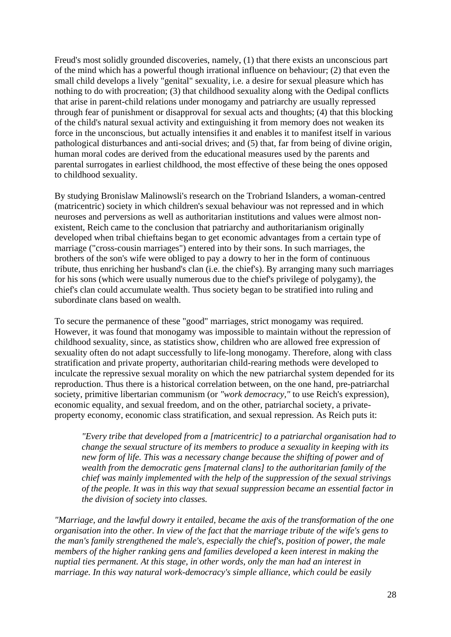Freud's most solidly grounded discoveries, namely, (1) that there exists an unconscious part of the mind which has a powerful though irrational influence on behaviour; (2) that even the small child develops a lively "genital" sexuality, i.e. a desire for sexual pleasure which has nothing to do with procreation; (3) that childhood sexuality along with the Oedipal conflicts that arise in parent-child relations under monogamy and patriarchy are usually repressed through fear of punishment or disapproval for sexual acts and thoughts; (4) that this blocking of the child's natural sexual activity and extinguishing it from memory does not weaken its force in the unconscious, but actually intensifies it and enables it to manifest itself in various pathological disturbances and anti-social drives; and (5) that, far from being of divine origin, human moral codes are derived from the educational measures used by the parents and parental surrogates in earliest childhood, the most effective of these being the ones opposed to childhood sexuality.

By studying Bronislaw Malinowsli's research on the Trobriand Islanders, a woman-centred (matricentric) society in which children's sexual behaviour was not repressed and in which neuroses and perversions as well as authoritarian institutions and values were almost nonexistent, Reich came to the conclusion that patriarchy and authoritarianism originally developed when tribal chieftains began to get economic advantages from a certain type of marriage ("cross-cousin marriages") entered into by their sons. In such marriages, the brothers of the son's wife were obliged to pay a dowry to her in the form of continuous tribute, thus enriching her husband's clan (i.e. the chief's). By arranging many such marriages for his sons (which were usually numerous due to the chief's privilege of polygamy), the chief's clan could accumulate wealth. Thus society began to be stratified into ruling and subordinate clans based on wealth.

To secure the permanence of these "good" marriages, strict monogamy was required. However, it was found that monogamy was impossible to maintain without the repression of childhood sexuality, since, as statistics show, children who are allowed free expression of sexuality often do not adapt successfully to life-long monogamy. Therefore, along with class stratification and private property, authoritarian child-rearing methods were developed to inculcate the repressive sexual morality on which the new patriarchal system depended for its reproduction. Thus there is a historical correlation between, on the one hand, pre-patriarchal society, primitive libertarian communism (or *"work democracy,"* to use Reich's expression), economic equality, and sexual freedom, and on the other, patriarchal society, a privateproperty economy, economic class stratification, and sexual repression. As Reich puts it:

*"Every tribe that developed from a [matricentric] to a patriarchal organisation had to change the sexual structure of its members to produce a sexuality in keeping with its new form of life. This was a necessary change because the shifting of power and of wealth from the democratic gens [maternal clans] to the authoritarian family of the chief was mainly implemented with the help of the suppression of the sexual strivings of the people. It was in this way that sexual suppression became an essential factor in the division of society into classes.* 

*"Marriage, and the lawful dowry it entailed, became the axis of the transformation of the one organisation into the other. In view of the fact that the marriage tribute of the wife's gens to the man's family strengthened the male's, especially the chief's, position of power, the male members of the higher ranking gens and families developed a keen interest in making the nuptial ties permanent. At this stage, in other words, only the man had an interest in marriage. In this way natural work-democracy's simple alliance, which could be easily*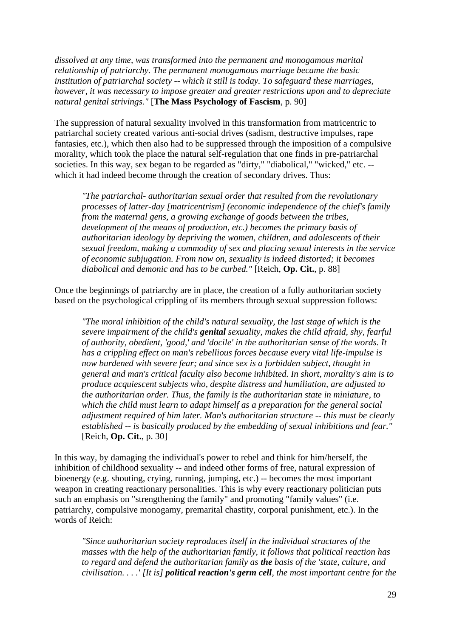*dissolved at any time, was transformed into the permanent and monogamous marital relationship of patriarchy. The permanent monogamous marriage became the basic institution of patriarchal society -- which it still is today. To safeguard these marriages, however, it was necessary to impose greater and greater restrictions upon and to depreciate natural genital strivings."* [**The Mass Psychology of Fascism**, p. 90]

The suppression of natural sexuality involved in this transformation from matricentric to patriarchal society created various anti-social drives (sadism, destructive impulses, rape fantasies, etc.), which then also had to be suppressed through the imposition of a compulsive morality, which took the place the natural self-regulation that one finds in pre-patriarchal societies. In this way, sex began to be regarded as "dirty," "diabolical," "wicked," etc. - which it had indeed become through the creation of secondary drives. Thus:

*"The patriarchal- authoritarian sexual order that resulted from the revolutionary processes of latter-day [matricentrism] (economic independence of the chief's family from the maternal gens, a growing exchange of goods between the tribes, development of the means of production, etc.) becomes the primary basis of authoritarian ideology by depriving the women, children, and adolescents of their sexual freedom, making a commodity of sex and placing sexual interests in the service of economic subjugation. From now on, sexuality is indeed distorted; it becomes diabolical and demonic and has to be curbed."* [Reich, **Op. Cit.**, p. 88]

Once the beginnings of patriarchy are in place, the creation of a fully authoritarian society based on the psychological crippling of its members through sexual suppression follows:

*"The moral inhibition of the child's natural sexuality, the last stage of which is the severe impairment of the child's genital sexuality, makes the child afraid, shy, fearful of authority, obedient, 'good,' and 'docile' in the authoritarian sense of the words. It has a crippling effect on man's rebellious forces because every vital life-impulse is now burdened with severe fear; and since sex is a forbidden subject, thought in general and man's critical faculty also become inhibited. In short, morality's aim is to produce acquiescent subjects who, despite distress and humiliation, are adjusted to the authoritarian order. Thus, the family is the authoritarian state in miniature, to which the child must learn to adapt himself as a preparation for the general social adjustment required of him later. Man's authoritarian structure -- this must be clearly established -- is basically produced by the embedding of sexual inhibitions and fear."* [Reich, **Op. Cit.**, p. 30]

In this way, by damaging the individual's power to rebel and think for him/herself, the inhibition of childhood sexuality -- and indeed other forms of free, natural expression of bioenergy (e.g. shouting, crying, running, jumping, etc.) -- becomes the most important weapon in creating reactionary personalities. This is why every reactionary politician puts such an emphasis on "strengthening the family" and promoting "family values" (i.e. patriarchy, compulsive monogamy, premarital chastity, corporal punishment, etc.). In the words of Reich:

*"Since authoritarian society reproduces itself in the individual structures of the masses with the help of the authoritarian family, it follows that political reaction has to regard and defend the authoritarian family as the basis of the 'state, culture, and civilisation. . . .' [It is] political reaction's germ cell, the most important centre for the*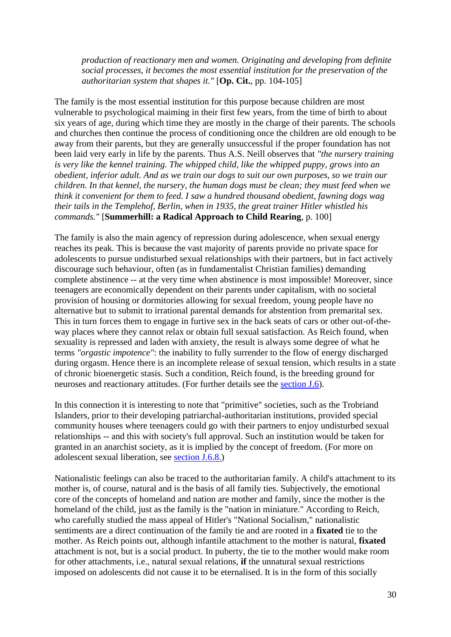*production of reactionary men and women. Originating and developing from definite social processes, it becomes the most essential institution for the preservation of the authoritarian system that shapes it."* [**Op. Cit.**, pp. 104-105]

The family is the most essential institution for this purpose because children are most vulnerable to psychological maiming in their first few years, from the time of birth to about six years of age, during which time they are mostly in the charge of their parents. The schools and churches then continue the process of conditioning once the children are old enough to be away from their parents, but they are generally unsuccessful if the proper foundation has not been laid very early in life by the parents. Thus A.S. Neill observes that *"the nursery training is very like the kennel training. The whipped child, like the whipped puppy, grows into an obedient, inferior adult. And as we train our dogs to suit our own purposes, so we train our children. In that kennel, the nursery, the human dogs must be clean; they must feed when we think it convenient for them to feed. I saw a hundred thousand obedient, fawning dogs wag their tails in the Templehof, Berlin, when in 1935, the great trainer Hitler whistled his commands."* [**Summerhill: a Radical Approach to Child Rearing**, p. 100]

The family is also the main agency of repression during adolescence, when sexual energy reaches its peak. This is because the vast majority of parents provide no private space for adolescents to pursue undisturbed sexual relationships with their partners, but in fact actively discourage such behaviour, often (as in fundamentalist Christian families) demanding complete abstinence -- at the very time when abstinence is most impossible! Moreover, since teenagers are economically dependent on their parents under capitalism, with no societal provision of housing or dormitories allowing for sexual freedom, young people have no alternative but to submit to irrational parental demands for abstention from premarital sex. This in turn forces them to engage in furtive sex in the back seats of cars or other out-of-theway places where they cannot relax or obtain full sexual satisfaction. As Reich found, when sexuality is repressed and laden with anxiety, the result is always some degree of what he terms *"orgastic impotence"*: the inability to fully surrender to the flow of energy discharged during orgasm. Hence there is an incomplete release of sexual tension, which results in a state of chronic bioenergetic stasis. Such a condition, Reich found, is the breeding ground for neuroses and reactionary attitudes. (For further details see the [section J.6\)](sectionJ.html#secj6).

In this connection it is interesting to note that "primitive" societies, such as the Trobriand Islanders, prior to their developing patriarchal-authoritarian institutions, provided special community houses where teenagers could go with their partners to enjoy undisturbed sexual relationships -- and this with society's full approval. Such an institution would be taken for granted in an anarchist society, as it is implied by the concept of freedom. (For more on adolescent sexual liberation, see [section J.6.8.\)](sectionJ.html#secj68)

Nationalistic feelings can also be traced to the authoritarian family. A child's attachment to its mother is, of course, natural and is the basis of all family ties. Subjectively, the emotional core of the concepts of homeland and nation are mother and family, since the mother is the homeland of the child, just as the family is the "nation in miniature." According to Reich, who carefully studied the mass appeal of Hitler's "National Socialism," nationalistic sentiments are a direct continuation of the family tie and are rooted in a **fixated** tie to the mother. As Reich points out, although infantile attachment to the mother is natural, **fixated** attachment is not, but is a social product. In puberty, the tie to the mother would make room for other attachments, i.e., natural sexual relations, **if** the unnatural sexual restrictions imposed on adolescents did not cause it to be eternalised. It is in the form of this socially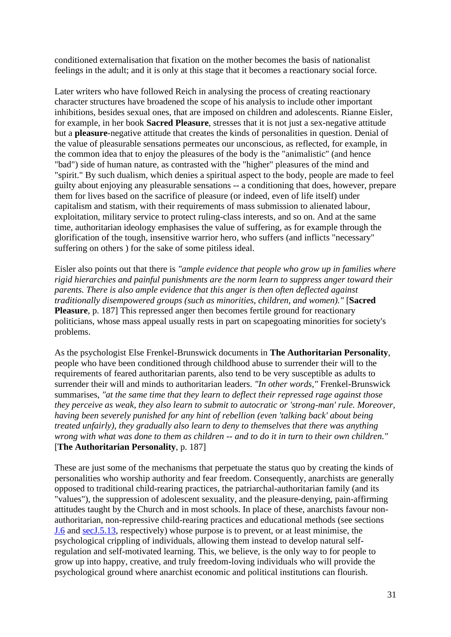conditioned externalisation that fixation on the mother becomes the basis of nationalist feelings in the adult; and it is only at this stage that it becomes a reactionary social force.

Later writers who have followed Reich in analysing the process of creating reactionary character structures have broadened the scope of his analysis to include other important inhibitions, besides sexual ones, that are imposed on children and adolescents. Rianne Eisler, for example, in her book **Sacred Pleasure**, stresses that it is not just a sex-negative attitude but a **pleasure**-negative attitude that creates the kinds of personalities in question. Denial of the value of pleasurable sensations permeates our unconscious, as reflected, for example, in the common idea that to enjoy the pleasures of the body is the "animalistic" (and hence "bad") side of human nature, as contrasted with the "higher" pleasures of the mind and "spirit." By such dualism, which denies a spiritual aspect to the body, people are made to feel guilty about enjoying any pleasurable sensations -- a conditioning that does, however, prepare them for lives based on the sacrifice of pleasure (or indeed, even of life itself) under capitalism and statism, with their requirements of mass submission to alienated labour, exploitation, military service to protect ruling-class interests, and so on. And at the same time, authoritarian ideology emphasises the value of suffering, as for example through the glorification of the tough, insensitive warrior hero, who suffers (and inflicts "necessary" suffering on others ) for the sake of some pitiless ideal.

Eisler also points out that there is *"ample evidence that people who grow up in families where rigid hierarchies and painful punishments are the norm learn to suppress anger toward their parents. There is also ample evidence that this anger is then often deflected against traditionally disempowered groups (such as minorities, children, and women)."* [**Sacred Pleasure**, p. 187] This repressed anger then becomes fertile ground for reactionary politicians, whose mass appeal usually rests in part on scapegoating minorities for society's problems.

As the psychologist Else Frenkel-Brunswick documents in **The Authoritarian Personality**, people who have been conditioned through childhood abuse to surrender their will to the requirements of feared authoritarian parents, also tend to be very susceptible as adults to surrender their will and minds to authoritarian leaders. *"In other words,"* Frenkel-Brunswick summarises, *"at the same time that they learn to deflect their repressed rage against those they perceive as weak, they also learn to submit to autocratic or 'strong-man' rule. Moreover, having been severely punished for any hint of rebellion (even 'talking back' about being treated unfairly), they gradually also learn to deny to themselves that there was anything wrong with what was done to them as children -- and to do it in turn to their own children."* [**The Authoritarian Personality**, p. 187]

These are just some of the mechanisms that perpetuate the status quo by creating the kinds of personalities who worship authority and fear freedom. Consequently, anarchists are generally opposed to traditional child-rearing practices, the patriarchal-authoritarian family (and its "values"), the suppression of adolescent sexuality, and the pleasure-denying, pain-affirming attitudes taught by the Church and in most schools. In place of these, anarchists favour nonauthoritarian, non-repressive child-rearing practices and educational methods (see sections [J.6](sectionJ.html#secj6) and [secJ.5.13,](sectionJ.html#secJ513) respectively) whose purpose is to prevent, or at least minimise, the psychological crippling of individuals, allowing them instead to develop natural selfregulation and self-motivated learning. This, we believe, is the only way to for people to grow up into happy, creative, and truly freedom-loving individuals who will provide the psychological ground where anarchist economic and political institutions can flourish.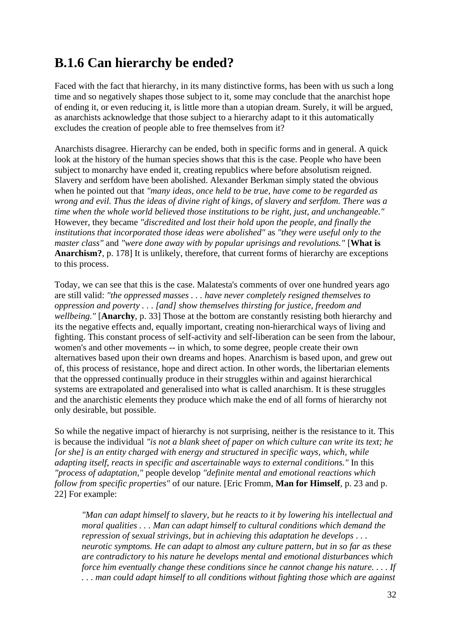## <span id="page-31-0"></span>**B.1.6 Can hierarchy be ended?**

Faced with the fact that hierarchy, in its many distinctive forms, has been with us such a long time and so negatively shapes those subject to it, some may conclude that the anarchist hope of ending it, or even reducing it, is little more than a utopian dream. Surely, it will be argued, as anarchists acknowledge that those subject to a hierarchy adapt to it this automatically excludes the creation of people able to free themselves from it?

Anarchists disagree. Hierarchy can be ended, both in specific forms and in general. A quick look at the history of the human species shows that this is the case. People who have been subject to monarchy have ended it, creating republics where before absolutism reigned. Slavery and serfdom have been abolished. Alexander Berkman simply stated the obvious when he pointed out that *"many ideas, once held to be true, have come to be regarded as wrong and evil. Thus the ideas of divine right of kings, of slavery and serfdom. There was a time when the whole world believed those institutions to be right, just, and unchangeable."* However, they became *"discredited and lost their hold upon the people, and finally the institutions that incorporated those ideas were abolished"* as *"they were useful only to the master class"* and *"were done away with by popular uprisings and revolutions."* [**What is Anarchism?**, p. 178] It is unlikely, therefore, that current forms of hierarchy are exceptions to this process.

Today, we can see that this is the case. Malatesta's comments of over one hundred years ago are still valid: *"the oppressed masses . . . have never completely resigned themselves to oppression and poverty . . . [and] show themselves thirsting for justice, freedom and wellbeing."* [**Anarchy**, p. 33] Those at the bottom are constantly resisting both hierarchy and its the negative effects and, equally important, creating non-hierarchical ways of living and fighting. This constant process of self-activity and self-liberation can be seen from the labour, women's and other movements -- in which, to some degree, people create their own alternatives based upon their own dreams and hopes. Anarchism is based upon, and grew out of, this process of resistance, hope and direct action. In other words, the libertarian elements that the oppressed continually produce in their struggles within and against hierarchical systems are extrapolated and generalised into what is called anarchism. It is these struggles and the anarchistic elements they produce which make the end of all forms of hierarchy not only desirable, but possible.

So while the negative impact of hierarchy is not surprising, neither is the resistance to it. This is because the individual *"is not a blank sheet of paper on which culture can write its text; he [or she] is an entity charged with energy and structured in specific ways, which, while adapting itself, reacts in specific and ascertainable ways to external conditions."* In this *"process of adaptation,"* people develop *"definite mental and emotional reactions which follow from specific properties"* of our nature. [Eric Fromm, **Man for Himself**, p. 23 and p. 22] For example:

*"Man can adapt himself to slavery, but he reacts to it by lowering his intellectual and moral qualities . . . Man can adapt himself to cultural conditions which demand the repression of sexual strivings, but in achieving this adaptation he develops . . . neurotic symptoms. He can adapt to almost any culture pattern, but in so far as these are contradictory to his nature he develops mental and emotional disturbances which force him eventually change these conditions since he cannot change his nature. . . . If . . . man could adapt himself to all conditions without fighting those which are against*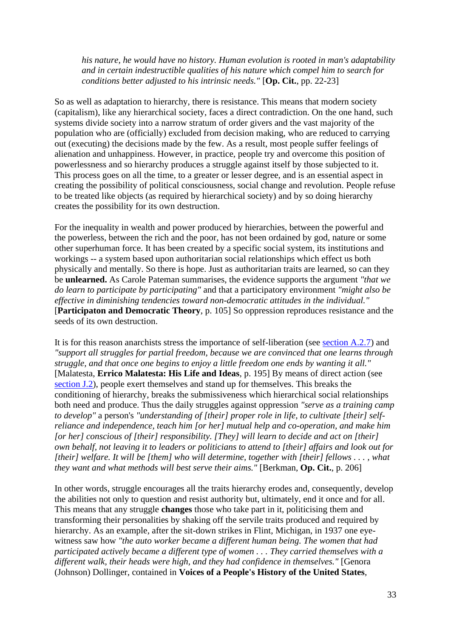*his nature, he would have no history. Human evolution is rooted in man's adaptability and in certain indestructible qualities of his nature which compel him to search for conditions better adjusted to his intrinsic needs."* [**Op. Cit.**, pp. 22-23]

So as well as adaptation to hierarchy, there is resistance. This means that modern society (capitalism), like any hierarchical society, faces a direct contradiction. On the one hand, such systems divide society into a narrow stratum of order givers and the vast majority of the population who are (officially) excluded from decision making, who are reduced to carrying out (executing) the decisions made by the few. As a result, most people suffer feelings of alienation and unhappiness. However, in practice, people try and overcome this position of powerlessness and so hierarchy produces a struggle against itself by those subjected to it. This process goes on all the time, to a greater or lesser degree, and is an essential aspect in creating the possibility of political consciousness, social change and revolution. People refuse to be treated like objects (as required by hierarchical society) and by so doing hierarchy creates the possibility for its own destruction.

For the inequality in wealth and power produced by hierarchies, between the powerful and the powerless, between the rich and the poor, has not been ordained by god, nature or some other superhuman force. It has been created by a specific social system, its institutions and workings -- a system based upon authoritarian social relationships which effect us both physically and mentally. So there is hope. Just as authoritarian traits are learned, so can they be **unlearned.** As Carole Pateman summarises, the evidence supports the argument *"that we do learn to participate by participating"* and that a participatory environment *"might also be effective in diminishing tendencies toward non-democratic attitudes in the individual."* [**Participaton and Democratic Theory**, p. 105] So oppression reproduces resistance and the seeds of its own destruction.

It is for this reason anarchists stress the importance of self-liberation (see [section A.2.7\)](sectionA.html#seca27) and *"support all struggles for partial freedom, because we are convinced that one learns through struggle, and that once one begins to enjoy a little freedom one ends by wanting it all."* [Malatesta, **Errico Malatesta: His Life and Ideas**, p. 195] By means of direct action (see [section J.2\)](sectionJ.html#secj2), people exert themselves and stand up for themselves. This breaks the conditioning of hierarchy, breaks the submissiveness which hierarchical social relationships both need and produce. Thus the daily struggles against oppression *"serve as a training camp to develop"* a person's *"understanding of [their] proper role in life, to cultivate [their] selfreliance and independence, teach him [or her] mutual help and co-operation, and make him [or her] conscious of [their] responsibility. [They] will learn to decide and act on [their] own behalf, not leaving it to leaders or politicians to attend to [their] affairs and look out for [their] welfare. It will be [them] who will determine, together with [their] fellows . . . , what they want and what methods will best serve their aims."* [Berkman, **Op. Cit.**, p. 206]

In other words, struggle encourages all the traits hierarchy erodes and, consequently, develop the abilities not only to question and resist authority but, ultimately, end it once and for all. This means that any struggle **changes** those who take part in it, politicising them and transforming their personalities by shaking off the servile traits produced and required by hierarchy. As an example, after the sit-down strikes in Flint, Michigan, in 1937 one eyewitness saw how *"the auto worker became a different human being. The women that had participated actively became a different type of women . . . They carried themselves with a different walk, their heads were high, and they had confidence in themselves."* [Genora (Johnson) Dollinger, contained in **Voices of a People's History of the United States**,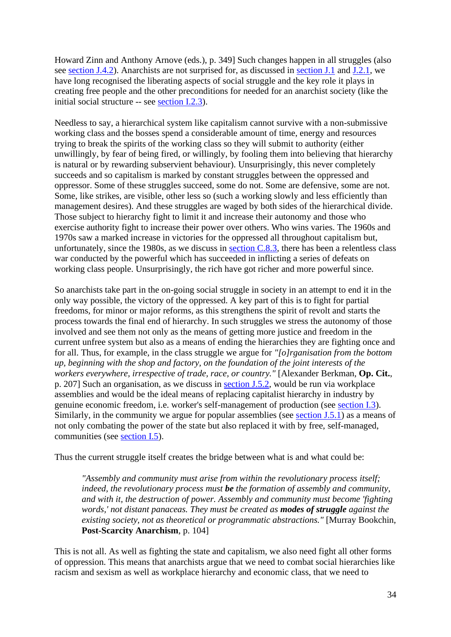Howard Zinn and Anthony Arnove (eds.), p. 349] Such changes happen in all struggles (also see [section J.4.2\)](sectionJ.html#secj42). Anarchists are not surprised for, as discussed in [section J.1](sectionJ.html#secj1) and [J.2.1,](sectionJ.html#secj21) we have long recognised the liberating aspects of social struggle and the key role it plays in creating free people and the other preconditions for needed for an anarchist society (like the initial social structure -- see [section I.2.3\)](sectionI.html#seci23).

Needless to say, a hierarchical system like capitalism cannot survive with a non-submissive working class and the bosses spend a considerable amount of time, energy and resources trying to break the spirits of the working class so they will submit to authority (either unwillingly, by fear of being fired, or willingly, by fooling them into believing that hierarchy is natural or by rewarding subservient behaviour). Unsurprisingly, this never completely succeeds and so capitalism is marked by constant struggles between the oppressed and oppressor. Some of these struggles succeed, some do not. Some are defensive, some are not. Some, like strikes, are visible, other less so (such a working slowly and less efficiently than management desires). And these struggles are waged by both sides of the hierarchical divide. Those subject to hierarchy fight to limit it and increase their autonomy and those who exercise authority fight to increase their power over others. Who wins varies. The 1960s and 1970s saw a marked increase in victories for the oppressed all throughout capitalism but, unfortunately, since the 1980s, as we discuss in [section C.8.3,](sectionC.html#secc83) there has been a relentless class war conducted by the powerful which has succeeded in inflicting a series of defeats on working class people. Unsurprisingly, the rich have got richer and more powerful since.

So anarchists take part in the on-going social struggle in society in an attempt to end it in the only way possible, the victory of the oppressed. A key part of this is to fight for partial freedoms, for minor or major reforms, as this strengthens the spirit of revolt and starts the process towards the final end of hierarchy. In such struggles we stress the autonomy of those involved and see them not only as the means of getting more justice and freedom in the current unfree system but also as a means of ending the hierarchies they are fighting once and for all. Thus, for example, in the class struggle we argue for *"[o]rganisation from the bottom up, beginning with the shop and factory, on the foundation of the joint interests of the workers everywhere, irrespective of trade, race, or country."* [Alexander Berkman, **Op. Cit.**, p. 207] Such an organisation, as we discuss in [section J.5.2,](sectionJ.html#secj52) would be run via workplace assemblies and would be the ideal means of replacing capitalist hierarchy in industry by genuine economic freedom, i.e. worker's self-management of production (see [section I.3\)](sectionI.html#seci3). Similarly, in the community we argue for popular assemblies (see [section J.5.1\)](sectionJ.html#secj51) as a means of not only combating the power of the state but also replaced it with by free, self-managed, communities (see [section I.5\)](sectionI.html#seci5).

Thus the current struggle itself creates the bridge between what is and what could be:

*"Assembly and community must arise from within the revolutionary process itself; indeed, the revolutionary process must be the formation of assembly and community, and with it, the destruction of power. Assembly and community must become 'fighting words,' not distant panaceas. They must be created as modes of struggle against the existing society, not as theoretical or programmatic abstractions."* [Murray Bookchin, **Post-Scarcity Anarchism**, p. 104]

This is not all. As well as fighting the state and capitalism, we also need fight all other forms of oppression. This means that anarchists argue that we need to combat social hierarchies like racism and sexism as well as workplace hierarchy and economic class, that we need to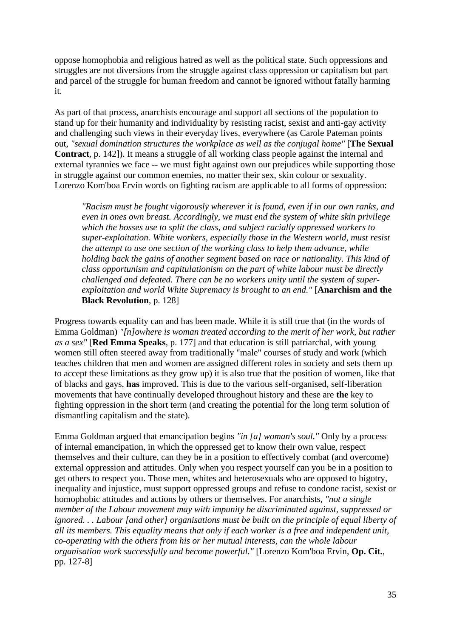oppose homophobia and religious hatred as well as the political state. Such oppressions and struggles are not diversions from the struggle against class oppression or capitalism but part and parcel of the struggle for human freedom and cannot be ignored without fatally harming it.

As part of that process, anarchists encourage and support all sections of the population to stand up for their humanity and individuality by resisting racist, sexist and anti-gay activity and challenging such views in their everyday lives, everywhere (as Carole Pateman points out, *"sexual domination structures the workplace as well as the conjugal home"* [**The Sexual Contract**, p. 142]). It means a struggle of all working class people against the internal and external tyrannies we face -- we must fight against own our prejudices while supporting those in struggle against our common enemies, no matter their sex, skin colour or sexuality. Lorenzo Kom'boa Ervin words on fighting racism are applicable to all forms of oppression:

*"Racism must be fought vigorously wherever it is found, even if in our own ranks, and even in ones own breast. Accordingly, we must end the system of white skin privilege which the bosses use to split the class, and subject racially oppressed workers to super-exploitation. White workers, especially those in the Western world, must resist the attempt to use one section of the working class to help them advance, while holding back the gains of another segment based on race or nationality. This kind of class opportunism and capitulationism on the part of white labour must be directly challenged and defeated. There can be no workers unity until the system of superexploitation and world White Supremacy is brought to an end."* [**Anarchism and the Black Revolution**, p. 128]

Progress towards equality can and has been made. While it is still true that (in the words of Emma Goldman) *"[n]owhere is woman treated according to the merit of her work, but rather as a sex"* [**Red Emma Speaks**, p. 177] and that education is still patriarchal, with young women still often steered away from traditionally "male" courses of study and work (which teaches children that men and women are assigned different roles in society and sets them up to accept these limitations as they grow up) it is also true that the position of women, like that of blacks and gays, **has** improved. This is due to the various self-organised, self-liberation movements that have continually developed throughout history and these are **the** key to fighting oppression in the short term (and creating the potential for the long term solution of dismantling capitalism and the state).

Emma Goldman argued that emancipation begins *"in [a] woman's soul."* Only by a process of internal emancipation, in which the oppressed get to know their own value, respect themselves and their culture, can they be in a position to effectively combat (and overcome) external oppression and attitudes. Only when you respect yourself can you be in a position to get others to respect you. Those men, whites and heterosexuals who are opposed to bigotry, inequality and injustice, must support oppressed groups and refuse to condone racist, sexist or homophobic attitudes and actions by others or themselves. For anarchists, *"not a single member of the Labour movement may with impunity be discriminated against, suppressed or ignored. . . Labour [and other] organisations must be built on the principle of equal liberty of all its members. This equality means that only if each worker is a free and independent unit, co-operating with the others from his or her mutual interests, can the whole labour organisation work successfully and become powerful."* [Lorenzo Kom'boa Ervin, **Op. Cit.**, pp. 127-8]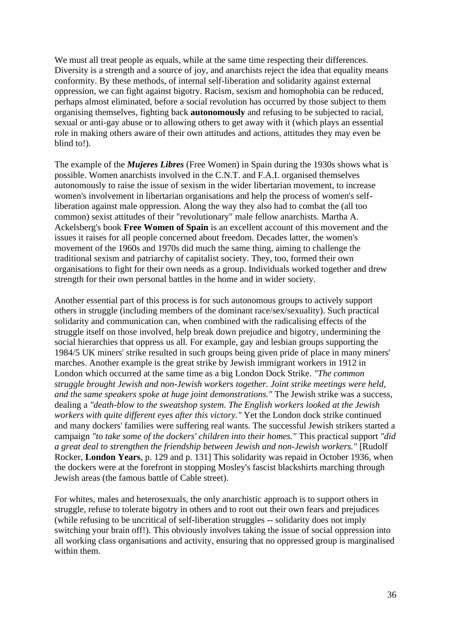We must all treat people as equals, while at the same time respecting their differences. Diversity is a strength and a source of joy, and anarchists reject the idea that equality means conformity. By these methods, of internal self-liberation and solidarity against external oppression, we can fight against bigotry. Racism, sexism and homophobia can be reduced, perhaps almost eliminated, before a social revolution has occurred by those subject to them organising themselves, fighting back **autonomously** and refusing to be subjected to racial, sexual or anti-gay abuse or to allowing others to get away with it (which plays an essential role in making others aware of their own attitudes and actions, attitudes they may even be blind to!).

The example of the *Mujeres Libres* (Free Women) in Spain during the 1930s shows what is possible. Women anarchists involved in the C.N.T. and F.A.I. organised themselves autonomously to raise the issue of sexism in the wider libertarian movement, to increase women's involvement in libertarian organisations and help the process of women's selfliberation against male oppression. Along the way they also had to combat the (all too common) sexist attitudes of their "revolutionary" male fellow anarchists. Martha A. Ackelsberg's book **Free Women of Spain** is an excellent account of this movement and the issues it raises for all people concerned about freedom. Decades latter, the women's movement of the 1960s and 1970s did much the same thing, aiming to challenge the traditional sexism and patriarchy of capitalist society. They, too, formed their own organisations to fight for their own needs as a group. Individuals worked together and drew strength for their own personal battles in the home and in wider society.

Another essential part of this process is for such autonomous groups to actively support others in struggle (including members of the dominant race/sex/sexuality). Such practical solidarity and communication can, when combined with the radicalising effects of the struggle itself on those involved, help break down prejudice and bigotry, undermining the social hierarchies that oppress us all. For example, gay and lesbian groups supporting the 1984/5 UK miners' strike resulted in such groups being given pride of place in many miners' marches. Another example is the great strike by Jewish immigrant workers in 1912 in London which occurred at the same time as a big London Dock Strike. *"The common struggle brought Jewish and non-Jewish workers together. Joint strike meetings were held, and the same speakers spoke at huge joint demonstrations."* The Jewish strike was a success, dealing a *"death-blow to the sweatshop system. The English workers looked at the Jewish workers with quite different eyes after this victory."* Yet the London dock strike continued and many dockers' families were suffering real wants. The successful Jewish strikers started a campaign *"to take some of the dockers' children into their homes."* This practical support *"did a great deal to strengthen the friendship between Jewish and non-Jewish workers."* [Rudolf Rocker, **London Years**, p. 129 and p. 131] This solidarity was repaid in October 1936, when the dockers were at the forefront in stopping Mosley's fascist blackshirts marching through Jewish areas (the famous battle of Cable street).

For whites, males and heterosexuals, the only anarchistic approach is to support others in struggle, refuse to tolerate bigotry in others and to root out their own fears and prejudices (while refusing to be uncritical of self-liberation struggles -- solidarity does not imply switching your brain off!). This obviously involves taking the issue of social oppression into all working class organisations and activity, ensuring that no oppressed group is marginalised within them.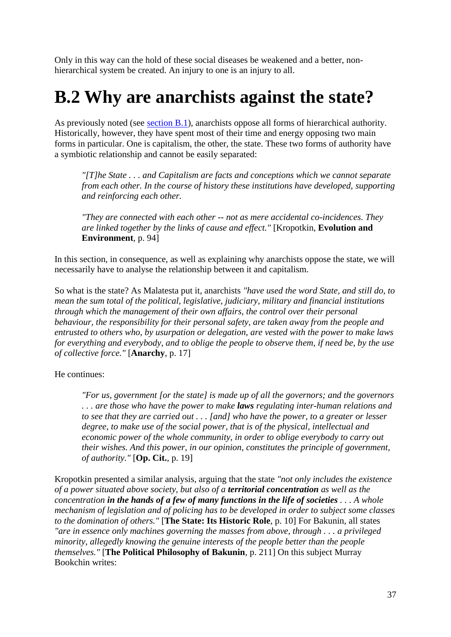Only in this way can the hold of these social diseases be weakened and a better, nonhierarchical system be created. An injury to one is an injury to all.

# **B.2 Why are anarchists against the state?**

As previously noted (see [section B.1\)](sectionB.html#secb1), anarchists oppose all forms of hierarchical authority. Historically, however, they have spent most of their time and energy opposing two main forms in particular. One is capitalism, the other, the state. These two forms of authority have a symbiotic relationship and cannot be easily separated:

*"[T]he State . . . and Capitalism are facts and conceptions which we cannot separate from each other. In the course of history these institutions have developed, supporting and reinforcing each other.* 

*"They are connected with each other -- not as mere accidental co-incidences. They are linked together by the links of cause and effect."* [Kropotkin, **Evolution and Environment**, p. 94]

In this section, in consequence, as well as explaining why anarchists oppose the state, we will necessarily have to analyse the relationship between it and capitalism.

So what is the state? As Malatesta put it, anarchists *"have used the word State, and still do, to mean the sum total of the political, legislative, judiciary, military and financial institutions through which the management of their own affairs, the control over their personal behaviour, the responsibility for their personal safety, are taken away from the people and entrusted to others who, by usurpation or delegation, are vested with the power to make laws for everything and everybody, and to oblige the people to observe them, if need be, by the use of collective force."* [**Anarchy**, p. 17]

He continues:

*"For us, government [or the state] is made up of all the governors; and the governors . . . are those who have the power to make laws regulating inter-human relations and to see that they are carried out . . . [and] who have the power, to a greater or lesser degree, to make use of the social power, that is of the physical, intellectual and economic power of the whole community, in order to oblige everybody to carry out their wishes. And this power, in our opinion, constitutes the principle of government, of authority."* [**Op. Cit.**, p. 19]

Kropotkin presented a similar analysis, arguing that the state *"not only includes the existence of a power situated above society, but also of a territorial concentration as well as the concentration in the hands of a few of many functions in the life of societies . . . A whole mechanism of legislation and of policing has to be developed in order to subject some classes to the domination of others."* [**The State: Its Historic Role**, p. 10] For Bakunin, all states *"are in essence only machines governing the masses from above, through . . . a privileged minority, allegedly knowing the genuine interests of the people better than the people themselves."* [**The Political Philosophy of Bakunin**, p. 211] On this subject Murray Bookchin writes: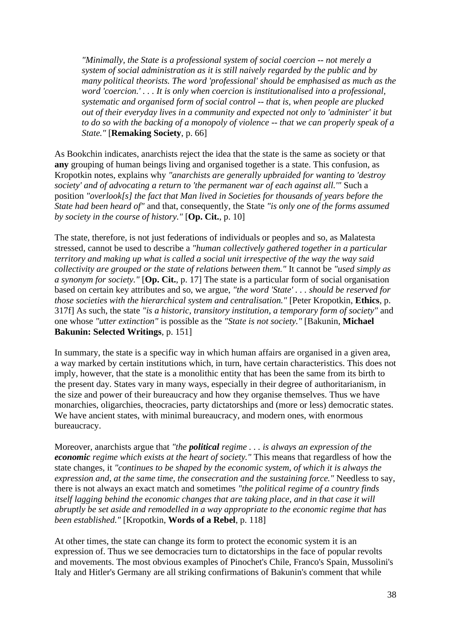*"Minimally, the State is a professional system of social coercion -- not merely a system of social administration as it is still naively regarded by the public and by many political theorists. The word 'professional' should be emphasised as much as the word 'coercion.' . . . It is only when coercion is institutionalised into a professional, systematic and organised form of social control -- that is, when people are plucked out of their everyday lives in a community and expected not only to 'administer' it but to do so with the backing of a monopoly of violence -- that we can properly speak of a State."* [**Remaking Society**, p. 66]

As Bookchin indicates, anarchists reject the idea that the state is the same as society or that **any** grouping of human beings living and organised together is a state. This confusion, as Kropotkin notes, explains why *"anarchists are generally upbraided for wanting to 'destroy society' and of advocating a return to 'the permanent war of each against all.'"* Such a position *"overlook[s] the fact that Man lived in Societies for thousands of years before the State had been heard of"* and that, consequently, the State *"is only one of the forms assumed by society in the course of history."* [**Op. Cit.**, p. 10]

The state, therefore, is not just federations of individuals or peoples and so, as Malatesta stressed, cannot be used to describe a *"human collectively gathered together in a particular territory and making up what is called a social unit irrespective of the way the way said collectivity are grouped or the state of relations between them."* It cannot be *"used simply as a synonym for society."* [**Op. Cit.**, p. 17] The state is a particular form of social organisation based on certain key attributes and so, we argue, *"the word 'State' . . . should be reserved for those societies with the hierarchical system and centralisation."* [Peter Kropotkin, **Ethics**, p. 317f] As such, the state *"is a historic, transitory institution, a temporary form of society"* and one whose *"utter extinction"* is possible as the *"State is not society."* [Bakunin, **Michael Bakunin: Selected Writings**, p. 151]

In summary, the state is a specific way in which human affairs are organised in a given area, a way marked by certain institutions which, in turn, have certain characteristics. This does not imply, however, that the state is a monolithic entity that has been the same from its birth to the present day. States vary in many ways, especially in their degree of authoritarianism, in the size and power of their bureaucracy and how they organise themselves. Thus we have monarchies, oligarchies, theocracies, party dictatorships and (more or less) democratic states. We have ancient states, with minimal bureaucracy, and modern ones, with enormous bureaucracy.

Moreover, anarchists argue that *"the political regime . . . is always an expression of the economic regime which exists at the heart of society."* This means that regardless of how the state changes, it *"continues to be shaped by the economic system, of which it is always the expression and, at the same time, the consecration and the sustaining force."* Needless to say, there is not always an exact match and sometimes *"the political regime of a country finds itself lagging behind the economic changes that are taking place, and in that case it will abruptly be set aside and remodelled in a way appropriate to the economic regime that has been established."* [Kropotkin, **Words of a Rebel**, p. 118]

At other times, the state can change its form to protect the economic system it is an expression of. Thus we see democracies turn to dictatorships in the face of popular revolts and movements. The most obvious examples of Pinochet's Chile, Franco's Spain, Mussolini's Italy and Hitler's Germany are all striking confirmations of Bakunin's comment that while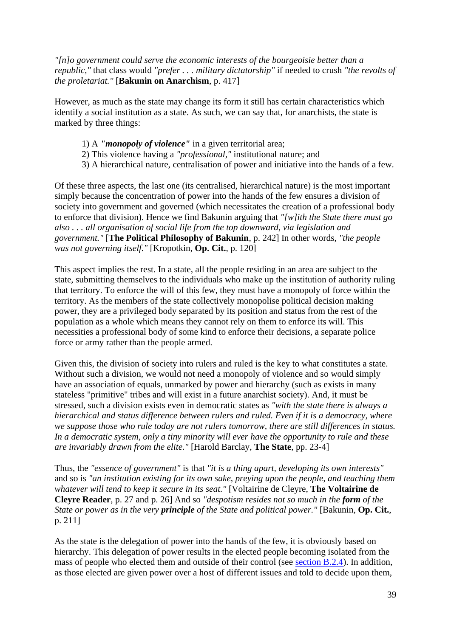*"[n]o government could serve the economic interests of the bourgeoisie better than a republic,"* that class would *"prefer . . . military dictatorship"* if needed to crush *"the revolts of the proletariat."* [**Bakunin on Anarchism**, p. 417]

However, as much as the state may change its form it still has certain characteristics which identify a social institution as a state. As such, we can say that, for anarchists, the state is marked by three things:

- 1) A *"monopoly of violence"* in a given territorial area;
- 2) This violence having a *"professional,"* institutional nature; and
- 3) A hierarchical nature, centralisation of power and initiative into the hands of a few.

Of these three aspects, the last one (its centralised, hierarchical nature) is the most important simply because the concentration of power into the hands of the few ensures a division of society into government and governed (which necessitates the creation of a professional body to enforce that division). Hence we find Bakunin arguing that *"[w]ith the State there must go also . . . all organisation of social life from the top downward, via legislation and government."* [**The Political Philosophy of Bakunin**, p. 242] In other words, *"the people was not governing itself."* [Kropotkin, **Op. Cit.**, p. 120]

This aspect implies the rest. In a state, all the people residing in an area are subject to the state, submitting themselves to the individuals who make up the institution of authority ruling that territory. To enforce the will of this few, they must have a monopoly of force within the territory. As the members of the state collectively monopolise political decision making power, they are a privileged body separated by its position and status from the rest of the population as a whole which means they cannot rely on them to enforce its will. This necessities a professional body of some kind to enforce their decisions, a separate police force or army rather than the people armed.

Given this, the division of society into rulers and ruled is the key to what constitutes a state. Without such a division, we would not need a monopoly of violence and so would simply have an association of equals, unmarked by power and hierarchy (such as exists in many stateless "primitive" tribes and will exist in a future anarchist society). And, it must be stressed, such a division exists even in democratic states as *"with the state there is always a hierarchical and status difference between rulers and ruled. Even if it is a democracy, where we suppose those who rule today are not rulers tomorrow, there are still differences in status. In a democratic system, only a tiny minority will ever have the opportunity to rule and these are invariably drawn from the elite."* [Harold Barclay, **The State**, pp. 23-4]

Thus, the *"essence of government"* is that *"it is a thing apart, developing its own interests"* and so is *"an institution existing for its own sake, preying upon the people, and teaching them whatever will tend to keep it secure in its seat."* [Voltairine de Cleyre, **The Voltairine de Cleyre Reader**, p. 27 and p. 26] And so *"despotism resides not so much in the form of the State or power as in the very principle of the State and political power."* [Bakunin, **Op. Cit.**, p. 211]

As the state is the delegation of power into the hands of the few, it is obviously based on hierarchy. This delegation of power results in the elected people becoming isolated from the mass of people who elected them and outside of their control (see [section B.2.4\)](sectionB.html#secb24). In addition, as those elected are given power over a host of different issues and told to decide upon them,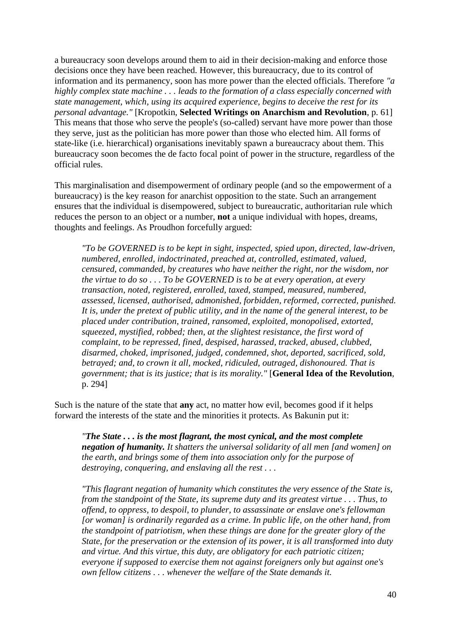a bureaucracy soon develops around them to aid in their decision-making and enforce those decisions once they have been reached. However, this bureaucracy, due to its control of information and its permanency, soon has more power than the elected officials. Therefore *"a highly complex state machine . . . leads to the formation of a class especially concerned with state management, which, using its acquired experience, begins to deceive the rest for its personal advantage."* [Kropotkin, **Selected Writings on Anarchism and Revolution**, p. 61] This means that those who serve the people's (so-called) servant have more power than those they serve, just as the politician has more power than those who elected him. All forms of state-like (i.e. hierarchical) organisations inevitably spawn a bureaucracy about them. This bureaucracy soon becomes the de facto focal point of power in the structure, regardless of the official rules.

This marginalisation and disempowerment of ordinary people (and so the empowerment of a bureaucracy) is the key reason for anarchist opposition to the state. Such an arrangement ensures that the individual is disempowered, subject to bureaucratic, authoritarian rule which reduces the person to an object or a number, **not** a unique individual with hopes, dreams, thoughts and feelings. As Proudhon forcefully argued:

*"To be GOVERNED is to be kept in sight, inspected, spied upon, directed, law-driven, numbered, enrolled, indoctrinated, preached at, controlled, estimated, valued, censured, commanded, by creatures who have neither the right, nor the wisdom, nor the virtue to do so . . . To be GOVERNED is to be at every operation, at every transaction, noted, registered, enrolled, taxed, stamped, measured, numbered, assessed, licensed, authorised, admonished, forbidden, reformed, corrected, punished. It is, under the pretext of public utility, and in the name of the general interest, to be placed under contribution, trained, ransomed, exploited, monopolised, extorted, squeezed, mystified, robbed; then, at the slightest resistance, the first word of complaint, to be repressed, fined, despised, harassed, tracked, abused, clubbed, disarmed, choked, imprisoned, judged, condemned, shot, deported, sacrificed, sold, betrayed; and, to crown it all, mocked, ridiculed, outraged, dishonoured. That is government; that is its justice; that is its morality."* [**General Idea of the Revolution**, p. 294]

Such is the nature of the state that **any** act, no matter how evil, becomes good if it helps forward the interests of the state and the minorities it protects. As Bakunin put it:

*"The State . . . is the most flagrant, the most cynical, and the most complete negation of humanity. It shatters the universal solidarity of all men [and women] on the earth, and brings some of them into association only for the purpose of destroying, conquering, and enslaving all the rest . . .* 

*"This flagrant negation of humanity which constitutes the very essence of the State is, from the standpoint of the State, its supreme duty and its greatest virtue . . . Thus, to offend, to oppress, to despoil, to plunder, to assassinate or enslave one's fellowman [or woman] is ordinarily regarded as a crime. In public life, on the other hand, from the standpoint of patriotism, when these things are done for the greater glory of the State, for the preservation or the extension of its power, it is all transformed into duty and virtue. And this virtue, this duty, are obligatory for each patriotic citizen; everyone if supposed to exercise them not against foreigners only but against one's own fellow citizens . . . whenever the welfare of the State demands it.*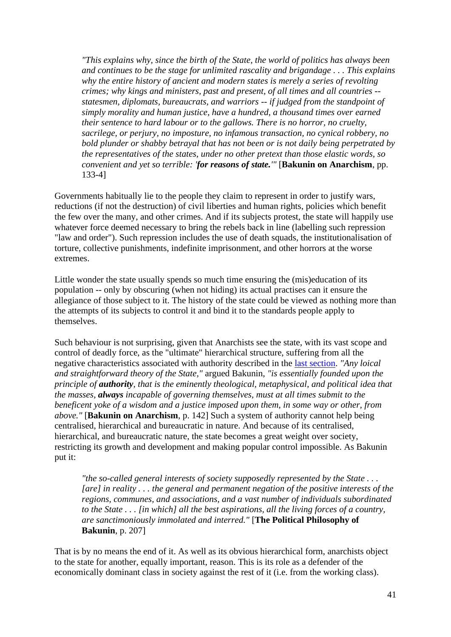*"This explains why, since the birth of the State, the world of politics has always been and continues to be the stage for unlimited rascality and brigandage . . . This explains why the entire history of ancient and modern states is merely a series of revolting crimes; why kings and ministers, past and present, of all times and all countries - statesmen, diplomats, bureaucrats, and warriors -- if judged from the standpoint of simply morality and human justice, have a hundred, a thousand times over earned their sentence to hard labour or to the gallows. There is no horror, no cruelty, sacrilege, or perjury, no imposture, no infamous transaction, no cynical robbery, no bold plunder or shabby betrayal that has not been or is not daily being perpetrated by the representatives of the states, under no other pretext than those elastic words, so convenient and yet so terrible: 'for reasons of state.'"* [**Bakunin on Anarchism**, pp. 133-4]

Governments habitually lie to the people they claim to represent in order to justify wars, reductions (if not the destruction) of civil liberties and human rights, policies which benefit the few over the many, and other crimes. And if its subjects protest, the state will happily use whatever force deemed necessary to bring the rebels back in line (labelling such repression "law and order"). Such repression includes the use of death squads, the institutionalisation of torture, collective punishments, indefinite imprisonment, and other horrors at the worse extremes.

Little wonder the state usually spends so much time ensuring the (mis)education of its population -- only by obscuring (when not hiding) its actual practises can it ensure the allegiance of those subject to it. The history of the state could be viewed as nothing more than the attempts of its subjects to control it and bind it to the standards people apply to themselves.

Such behaviour is not surprising, given that Anarchists see the state, with its vast scope and control of deadly force, as the "ultimate" hierarchical structure, suffering from all the negative characteristics associated with authority described in the [last section.](sectionB.html#secb1) *"Any loical and straightforward theory of the State,"* argued Bakunin, *"is essentially founded upon the principle of authority, that is the eminently theological, metaphysical, and political idea that the masses, always incapable of governing themselves, must at all times submit to the beneficent yoke of a wisdom and a justice imposed upon them, in some way or other, from above."* [**Bakunin on Anarchism**, p. 142] Such a system of authority cannot help being centralised, hierarchical and bureaucratic in nature. And because of its centralised, hierarchical, and bureaucratic nature, the state becomes a great weight over society, restricting its growth and development and making popular control impossible. As Bakunin put it:

*"the so-called general interests of society supposedly represented by the State . . . [are] in reality . . . the general and permanent negation of the positive interests of the regions, communes, and associations, and a vast number of individuals subordinated to the State . . . [in which] all the best aspirations, all the living forces of a country, are sanctimoniously immolated and interred."* [**The Political Philosophy of Bakunin**, p. 207]

That is by no means the end of it. As well as its obvious hierarchical form, anarchists object to the state for another, equally important, reason. This is its role as a defender of the economically dominant class in society against the rest of it (i.e. from the working class).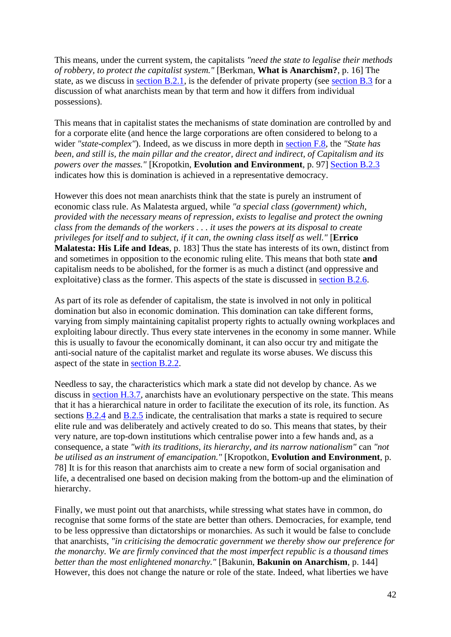This means, under the current system, the capitalists *"need the state to legalise their methods of robbery, to protect the capitalist system."* [Berkman, **What is Anarchism?**, p. 16] The state, as we discuss in <u>section B.2.1</u>, is the defender of private property (see [section B.3](sectionB.html#secb3) for a discussion of what anarchists mean by that term and how it differs from individual possessions).

This means that in capitalist states the mechanisms of state domination are controlled by and for a corporate elite (and hence the large corporations are often considered to belong to a wider *"state-complex"*). Indeed, as we discuss in more depth in [section F.8,](sectionF.html#secf8) the *"State has been, and still is, the main pillar and the creator, direct and indirect, of Capitalism and its powers over the masses."* [Kropotkin, **Evolution and Environment**, p. 97] [Section B.2.3](sectionB.html#secb23) indicates how this is domination is achieved in a representative democracy.

However this does not mean anarchists think that the state is purely an instrument of economic class rule. As Malatesta argued, while *"a special class (government) which, provided with the necessary means of repression, exists to legalise and protect the owning class from the demands of the workers . . . it uses the powers at its disposal to create privileges for itself and to subject, if it can, the owning class itself as well."* [**Errico Malatesta: His Life and Ideas**, p. 183] Thus the state has interests of its own, distinct from and sometimes in opposition to the economic ruling elite. This means that both state **and** capitalism needs to be abolished, for the former is as much a distinct (and oppressive and exploitative) class as the former. This aspects of the state is discussed in [section B.2.6.](sectionB.html#secb26)

As part of its role as defender of capitalism, the state is involved in not only in political domination but also in economic domination. This domination can take different forms, varying from simply maintaining capitalist property rights to actually owning workplaces and exploiting labour directly. Thus every state intervenes in the economy in some manner. While this is usually to favour the economically dominant, it can also occur try and mitigate the anti-social nature of the capitalist market and regulate its worse abuses. We discuss this aspect of the state in [section B.2.2.](sectionB.html#secb22)

Needless to say, the characteristics which mark a state did not develop by chance. As we discuss in [section H.3.7,](sectionH.html#sech37) anarchists have an evolutionary perspective on the state. This means that it has a hierarchical nature in order to facilitate the execution of its role, its function. As sections [B.2.4](sectionB.html#secb24) and [B.2.5](sectionB.html#secb25) indicate, the centralisation that marks a state is required to secure elite rule and was deliberately and actively created to do so. This means that states, by their very nature, are top-down institutions which centralise power into a few hands and, as a consequence, a state *"with its traditions, its hierarchy, and its narrow nationalism"* can *"not be utilised as an instrument of emancipation."* [Kropotkon, **Evolution and Environment**, p. 78] It is for this reason that anarchists aim to create a new form of social organisation and life, a decentralised one based on decision making from the bottom-up and the elimination of hierarchy.

Finally, we must point out that anarchists, while stressing what states have in common, do recognise that some forms of the state are better than others. Democracies, for example, tend to be less oppressive than dictatorships or monarchies. As such it would be false to conclude that anarchists, *"in criticising the democratic government we thereby show our preference for the monarchy. We are firmly convinced that the most imperfect republic is a thousand times better than the most enlightened monarchy."* [Bakunin, **Bakunin on Anarchism**, p. 144] However, this does not change the nature or role of the state. Indeed, what liberties we have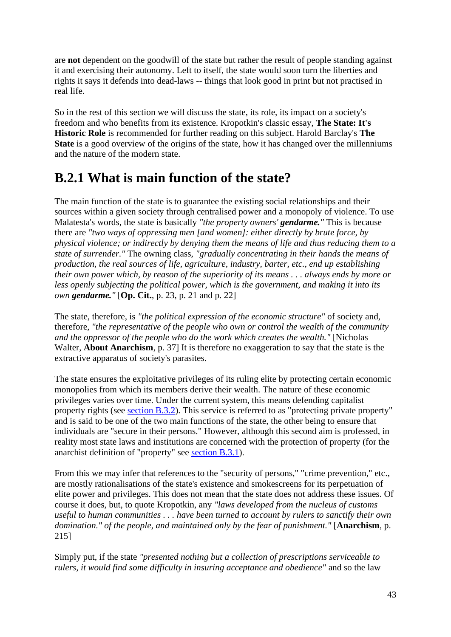are **not** dependent on the goodwill of the state but rather the result of people standing against it and exercising their autonomy. Left to itself, the state would soon turn the liberties and rights it says it defends into dead-laws -- things that look good in print but not practised in real life.

So in the rest of this section we will discuss the state, its role, its impact on a society's freedom and who benefits from its existence. Kropotkin's classic essay, **The State: It's Historic Role** is recommended for further reading on this subject. Harold Barclay's **The State** is a good overview of the origins of the state, how it has changed over the millenniums and the nature of the modern state.

### **B.2.1 What is main function of the state?**

The main function of the state is to guarantee the existing social relationships and their sources within a given society through centralised power and a monopoly of violence. To use Malatesta's words, the state is basically *"the property owners' gendarme."* This is because there are *"two ways of oppressing men [and women]: either directly by brute force, by physical violence; or indirectly by denying them the means of life and thus reducing them to a state of surrender."* The owning class, *"gradually concentrating in their hands the means of production, the real sources of life, agriculture, industry, barter, etc., end up establishing their own power which, by reason of the superiority of its means . . . always ends by more or less openly subjecting the political power, which is the government, and making it into its own gendarme."* [**Op. Cit.**, p. 23, p. 21 and p. 22]

The state, therefore, is *"the political expression of the economic structure"* of society and, therefore, *"the representative of the people who own or control the wealth of the community and the oppressor of the people who do the work which creates the wealth."* [Nicholas Walter, **About Anarchism**, p. 37] It is therefore no exaggeration to say that the state is the extractive apparatus of society's parasites.

The state ensures the exploitative privileges of its ruling elite by protecting certain economic monopolies from which its members derive their wealth. The nature of these economic privileges varies over time. Under the current system, this means defending capitalist property rights (see [section B.3.2\)](sectionB.html#secb32). This service is referred to as "protecting private property" and is said to be one of the two main functions of the state, the other being to ensure that individuals are "secure in their persons." However, although this second aim is professed, in reality most state laws and institutions are concerned with the protection of property (for the anarchist definition of "property" see [section B.3.1\)](sectionB.html#secb31).

From this we may infer that references to the "security of persons," "crime prevention," etc., are mostly rationalisations of the state's existence and smokescreens for its perpetuation of elite power and privileges. This does not mean that the state does not address these issues. Of course it does, but, to quote Kropotkin, any *"laws developed from the nucleus of customs useful to human communities . . . have been turned to account by rulers to sanctify their own domination." of the people, and maintained only by the fear of punishment."* [**Anarchism**, p. 215]

Simply put, if the state *"presented nothing but a collection of prescriptions serviceable to rulers, it would find some difficulty in insuring acceptance and obedience"* and so the law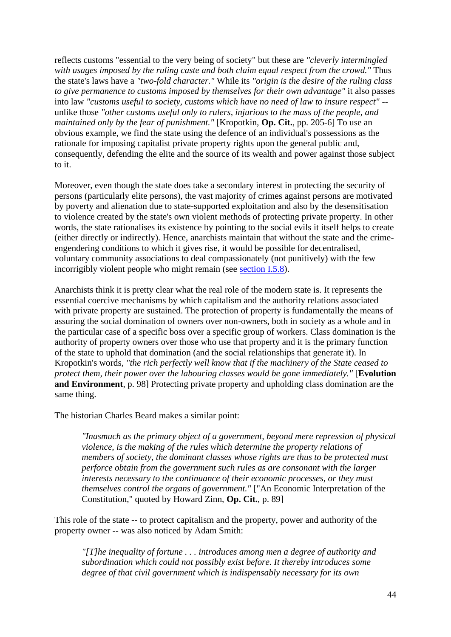reflects customs "essential to the very being of society" but these are *"cleverly intermingled with usages imposed by the ruling caste and both claim equal respect from the crowd."* Thus the state's laws have a *"two-fold character."* While its *"origin is the desire of the ruling class to give permanence to customs imposed by themselves for their own advantage"* it also passes into law *"customs useful to society, customs which have no need of law to insure respect"* - unlike those *"other customs useful only to rulers, injurious to the mass of the people, and maintained only by the fear of punishment."* [Kropotkin, **Op. Cit.**, pp. 205-6] To use an obvious example, we find the state using the defence of an individual's possessions as the rationale for imposing capitalist private property rights upon the general public and, consequently, defending the elite and the source of its wealth and power against those subject to it.

Moreover, even though the state does take a secondary interest in protecting the security of persons (particularly elite persons), the vast majority of crimes against persons are motivated by poverty and alienation due to state-supported exploitation and also by the desensitisation to violence created by the state's own violent methods of protecting private property. In other words, the state rationalises its existence by pointing to the social evils it itself helps to create (either directly or indirectly). Hence, anarchists maintain that without the state and the crimeengendering conditions to which it gives rise, it would be possible for decentralised, voluntary community associations to deal compassionately (not punitively) with the few incorrigibly violent people who might remain (see [section I.5.8\)](sectionI.html#seci58).

Anarchists think it is pretty clear what the real role of the modern state is. It represents the essential coercive mechanisms by which capitalism and the authority relations associated with private property are sustained. The protection of property is fundamentally the means of assuring the social domination of owners over non-owners, both in society as a whole and in the particular case of a specific boss over a specific group of workers. Class domination is the authority of property owners over those who use that property and it is the primary function of the state to uphold that domination (and the social relationships that generate it). In Kropotkin's words, *"the rich perfectly well know that if the machinery of the State ceased to protect them, their power over the labouring classes would be gone immediately."* [**Evolution and Environment**, p. 98] Protecting private property and upholding class domination are the same thing.

The historian Charles Beard makes a similar point:

*"Inasmuch as the primary object of a government, beyond mere repression of physical violence, is the making of the rules which determine the property relations of members of society, the dominant classes whose rights are thus to be protected must perforce obtain from the government such rules as are consonant with the larger interests necessary to the continuance of their economic processes, or they must themselves control the organs of government."* ["An Economic Interpretation of the Constitution," quoted by Howard Zinn, **Op. Cit.**, p. 89]

This role of the state -- to protect capitalism and the property, power and authority of the property owner -- was also noticed by Adam Smith:

*"[T]he inequality of fortune . . . introduces among men a degree of authority and subordination which could not possibly exist before. It thereby introduces some degree of that civil government which is indispensably necessary for its own*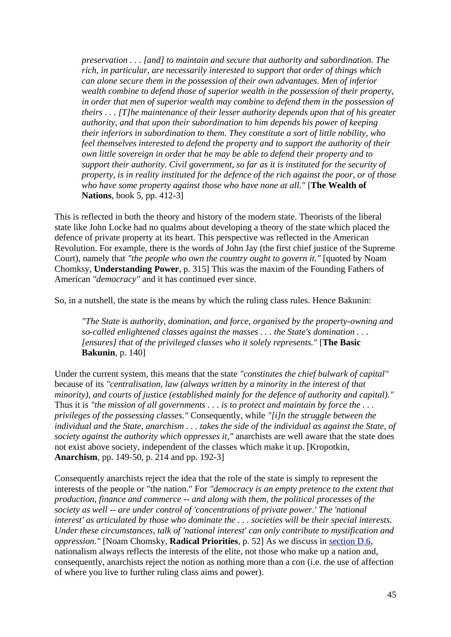*preservation . . . [and] to maintain and secure that authority and subordination. The rich, in particular, are necessarily interested to support that order of things which can alone secure them in the possession of their own advantages. Men of inferior wealth combine to defend those of superior wealth in the possession of their property, in order that men of superior wealth may combine to defend them in the possession of theirs . . . [T]he maintenance of their lesser authority depends upon that of his greater authority, and that upon their subordination to him depends his power of keeping their inferiors in subordination to them. They constitute a sort of little nobility, who feel themselves interested to defend the property and to support the authority of their own little sovereign in order that he may be able to defend their property and to support their authority. Civil government, so far as it is instituted for the security of property, is in reality instituted for the defence of the rich against the poor, or of those who have some property against those who have none at all."* [**The Wealth of Nations**, book 5, pp. 412-3]

This is reflected in both the theory and history of the modern state. Theorists of the liberal state like John Locke had no qualms about developing a theory of the state which placed the defence of private property at its heart. This perspective was reflected in the American Revolution. For example, there is the words of John Jay (the first chief justice of the Supreme Court), namely that *"the people who own the country ought to govern it."* [quoted by Noam Chomksy, **Understanding Power**, p. 315] This was the maxim of the Founding Fathers of American *"democracy"* and it has continued ever since.

So, in a nutshell, the state is the means by which the ruling class rules. Hence Bakunin:

*"The State is authority, domination, and force, organised by the property-owning and so-called enlightened classes against the masses . . . the State's domination . . . [ensures] that of the privileged classes who it solely represents."* [**The Basic Bakunin**, p. 140]

Under the current system, this means that the state *"constitutes the chief bulwark of capital"* because of its *"centralisation, law (always written by a minority in the interest of that minority), and courts of justice (established mainly for the defence of authority and capital)."* Thus it is *"the mission of all governments . . . is to protect and maintain by force the . . . privileges of the possessing classes."* Consequently, while *"[i]n the struggle between the individual and the State, anarchism . . . takes the side of the individual as against the State, of society against the authority which oppresses it,"* anarchists are well aware that the state does not exist above society, independent of the classes which make it up. [Kropotkin, **Anarchism**, pp. 149-50, p. 214 and pp. 192-3]

Consequently anarchists reject the idea that the role of the state is simply to represent the interests of the people or "the nation." For *"democracy is an empty pretence to the extent that production, finance and commerce -- and along with them, the political processes of the society as well -- are under control of 'concentrations of private power.' The 'national interest' as articulated by those who dominate the . . . societies will be their special interests. Under these circumstances, talk of 'national interest' can only contribute to mystification and oppression."* [Noam Chomsky, **Radical Priorities**, p. 52] As we discuss in [section D.6,](sectionD.html#secd6) nationalism always reflects the interests of the elite, not those who make up a nation and, consequently, anarchists reject the notion as nothing more than a con (i.e. the use of affection of where you live to further ruling class aims and power).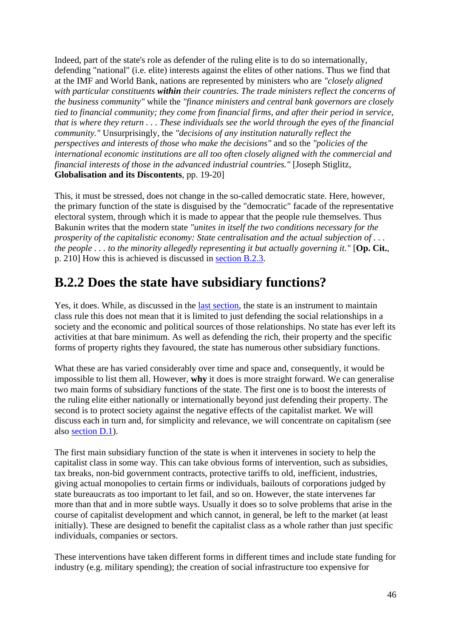Indeed, part of the state's role as defender of the ruling elite is to do so internationally, defending "national" (i.e. elite) interests against the elites of other nations. Thus we find that at the IMF and World Bank, nations are represented by ministers who are *"closely aligned with particular constituents within their countries. The trade ministers reflect the concerns of the business community"* while the *"finance ministers and central bank governors are closely tied to financial community; they come from financial firms, and after their period in service, that is where they return . . . These individuals see the world through the eyes of the financial community."* Unsurprisingly, the *"decisions of any institution naturally reflect the perspectives and interests of those who make the decisions"* and so the *"policies of the international economic institutions are all too often closely aligned with the commercial and financial interests of those in the advanced industrial countries."* [Joseph Stiglitz, **Globalisation and its Discontents**, pp. 19-20]

This, it must be stressed, does not change in the so-called democratic state. Here, however, the primary function of the state is disguised by the "democratic" facade of the representative electoral system, through which it is made to appear that the people rule themselves. Thus Bakunin writes that the modern state *"unites in itself the two conditions necessary for the prosperity of the capitalistic economy: State centralisation and the actual subjection of . . . the people . . . to the minority allegedly representing it but actually governing it."* [**Op. Cit.**, p. 210] How this is achieved is discussed in [section B.2.3.](sectionB.html#secb23)

### **B.2.2 Does the state have subsidiary functions?**

Yes, it does. While, as discussed in the [last section,](sectionB.html#secb21) the state is an instrument to maintain class rule this does not mean that it is limited to just defending the social relationships in a society and the economic and political sources of those relationships. No state has ever left its activities at that bare minimum. As well as defending the rich, their property and the specific forms of property rights they favoured, the state has numerous other subsidiary functions.

What these are has varied considerably over time and space and, consequently, it would be impossible to list them all. However, **why** it does is more straight forward. We can generalise two main forms of subsidiary functions of the state. The first one is to boost the interests of the ruling elite either nationally or internationally beyond just defending their property. The second is to protect society against the negative effects of the capitalist market. We will discuss each in turn and, for simplicity and relevance, we will concentrate on capitalism (see also [section D.1\)](sectionD.html#secd1).

The first main subsidiary function of the state is when it intervenes in society to help the capitalist class in some way. This can take obvious forms of intervention, such as subsidies, tax breaks, non-bid government contracts, protective tariffs to old, inefficient, industries, giving actual monopolies to certain firms or individuals, bailouts of corporations judged by state bureaucrats as too important to let fail, and so on. However, the state intervenes far more than that and in more subtle ways. Usually it does so to solve problems that arise in the course of capitalist development and which cannot, in general, be left to the market (at least initially). These are designed to benefit the capitalist class as a whole rather than just specific individuals, companies or sectors.

These interventions have taken different forms in different times and include state funding for industry (e.g. military spending); the creation of social infrastructure too expensive for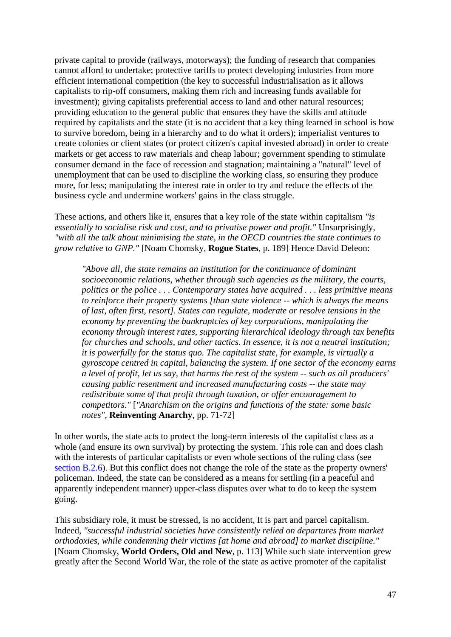private capital to provide (railways, motorways); the funding of research that companies cannot afford to undertake; protective tariffs to protect developing industries from more efficient international competition (the key to successful industrialisation as it allows capitalists to rip-off consumers, making them rich and increasing funds available for investment); giving capitalists preferential access to land and other natural resources; providing education to the general public that ensures they have the skills and attitude required by capitalists and the state (it is no accident that a key thing learned in school is how to survive boredom, being in a hierarchy and to do what it orders); imperialist ventures to create colonies or client states (or protect citizen's capital invested abroad) in order to create markets or get access to raw materials and cheap labour; government spending to stimulate consumer demand in the face of recession and stagnation; maintaining a "natural" level of unemployment that can be used to discipline the working class, so ensuring they produce more, for less; manipulating the interest rate in order to try and reduce the effects of the business cycle and undermine workers' gains in the class struggle.

These actions, and others like it, ensures that a key role of the state within capitalism *"is essentially to socialise risk and cost, and to privatise power and profit."* Unsurprisingly, *"with all the talk about minimising the state, in the OECD countries the state continues to grow relative to GNP."* [Noam Chomsky, **Rogue States**, p. 189] Hence David Deleon:

*"Above all, the state remains an institution for the continuance of dominant socioeconomic relations, whether through such agencies as the military, the courts, politics or the police . . . Contemporary states have acquired . . . less primitive means to reinforce their property systems [than state violence -- which is always the means of last, often first, resort]. States can regulate, moderate or resolve tensions in the economy by preventing the bankruptcies of key corporations, manipulating the economy through interest rates, supporting hierarchical ideology through tax benefits for churches and schools, and other tactics. In essence, it is not a neutral institution; it is powerfully for the status quo. The capitalist state, for example, is virtually a gyroscope centred in capital, balancing the system. If one sector of the economy earns a level of profit, let us say, that harms the rest of the system -- such as oil producers' causing public resentment and increased manufacturing costs -- the state may redistribute some of that profit through taxation, or offer encouragement to competitors."* [*"Anarchism on the origins and functions of the state: some basic notes"*, **Reinventing Anarchy**, pp. 71-72]

In other words, the state acts to protect the long-term interests of the capitalist class as a whole (and ensure its own survival) by protecting the system. This role can and does clash with the interests of particular capitalists or even whole sections of the ruling class (see [section B.2.6\)](sectionB.html#secb26). But this conflict does not change the role of the state as the property owners' policeman. Indeed, the state can be considered as a means for settling (in a peaceful and apparently independent manner) upper-class disputes over what to do to keep the system going.

This subsidiary role, it must be stressed, is no accident, It is part and parcel capitalism. Indeed, *"successful industrial societies have consistently relied on departures from market orthodoxies, while condemning their victims [at home and abroad] to market discipline."* [Noam Chomsky, **World Orders, Old and New**, p. 113] While such state intervention grew greatly after the Second World War, the role of the state as active promoter of the capitalist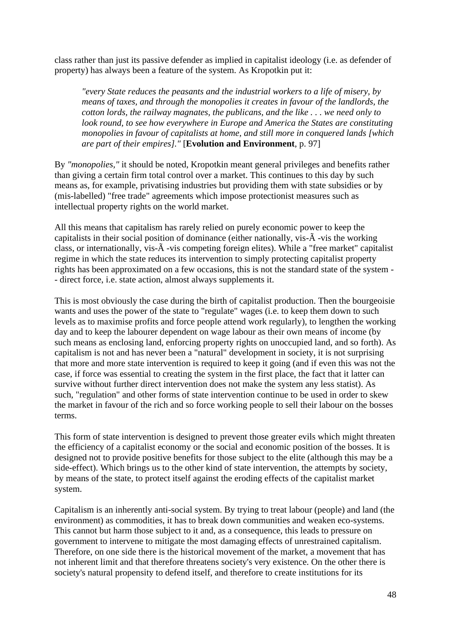class rather than just its passive defender as implied in capitalist ideology (i.e. as defender of property) has always been a feature of the system. As Kropotkin put it:

*"every State reduces the peasants and the industrial workers to a life of misery, by means of taxes, and through the monopolies it creates in favour of the landlords, the cotton lords, the railway magnates, the publicans, and the like . . . we need only to look round, to see how everywhere in Europe and America the States are constituting monopolies in favour of capitalists at home, and still more in conquered lands [which are part of their empires]."* [**Evolution and Environment**, p. 97]

By *"monopolies,"* it should be noted, Kropotkin meant general privileges and benefits rather than giving a certain firm total control over a market. This continues to this day by such means as, for example, privatising industries but providing them with state subsidies or by (mis-labelled) "free trade" agreements which impose protectionist measures such as intellectual property rights on the world market.

All this means that capitalism has rarely relied on purely economic power to keep the capitalists in their social position of dominance (either nationally, vis-Ã -vis the working class, or internationally, vis-Ã -vis competing foreign elites). While a "free market" capitalist regime in which the state reduces its intervention to simply protecting capitalist property rights has been approximated on a few occasions, this is not the standard state of the system - - direct force, i.e. state action, almost always supplements it.

This is most obviously the case during the birth of capitalist production. Then the bourgeoisie wants and uses the power of the state to "regulate" wages (i.e. to keep them down to such levels as to maximise profits and force people attend work regularly), to lengthen the working day and to keep the labourer dependent on wage labour as their own means of income (by such means as enclosing land, enforcing property rights on unoccupied land, and so forth). As capitalism is not and has never been a "natural" development in society, it is not surprising that more and more state intervention is required to keep it going (and if even this was not the case, if force was essential to creating the system in the first place, the fact that it latter can survive without further direct intervention does not make the system any less statist). As such, "regulation" and other forms of state intervention continue to be used in order to skew the market in favour of the rich and so force working people to sell their labour on the bosses terms.

This form of state intervention is designed to prevent those greater evils which might threaten the efficiency of a capitalist economy or the social and economic position of the bosses. It is designed not to provide positive benefits for those subject to the elite (although this may be a side-effect). Which brings us to the other kind of state intervention, the attempts by society, by means of the state, to protect itself against the eroding effects of the capitalist market system.

Capitalism is an inherently anti-social system. By trying to treat labour (people) and land (the environment) as commodities, it has to break down communities and weaken eco-systems. This cannot but harm those subject to it and, as a consequence, this leads to pressure on government to intervene to mitigate the most damaging effects of unrestrained capitalism. Therefore, on one side there is the historical movement of the market, a movement that has not inherent limit and that therefore threatens society's very existence. On the other there is society's natural propensity to defend itself, and therefore to create institutions for its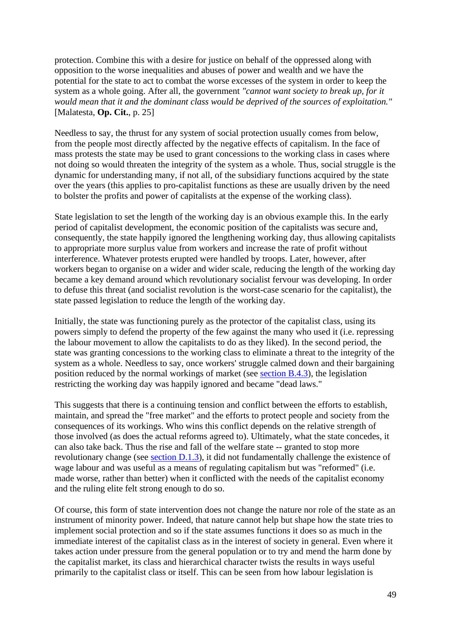protection. Combine this with a desire for justice on behalf of the oppressed along with opposition to the worse inequalities and abuses of power and wealth and we have the potential for the state to act to combat the worse excesses of the system in order to keep the system as a whole going. After all, the government *"cannot want society to break up, for it would mean that it and the dominant class would be deprived of the sources of exploitation."* [Malatesta, **Op. Cit.**, p. 25]

Needless to say, the thrust for any system of social protection usually comes from below, from the people most directly affected by the negative effects of capitalism. In the face of mass protests the state may be used to grant concessions to the working class in cases where not doing so would threaten the integrity of the system as a whole. Thus, social struggle is the dynamic for understanding many, if not all, of the subsidiary functions acquired by the state over the years (this applies to pro-capitalist functions as these are usually driven by the need to bolster the profits and power of capitalists at the expense of the working class).

State legislation to set the length of the working day is an obvious example this. In the early period of capitalist development, the economic position of the capitalists was secure and, consequently, the state happily ignored the lengthening working day, thus allowing capitalists to appropriate more surplus value from workers and increase the rate of profit without interference. Whatever protests erupted were handled by troops. Later, however, after workers began to organise on a wider and wider scale, reducing the length of the working day became a key demand around which revolutionary socialist fervour was developing. In order to defuse this threat (and socialist revolution is the worst-case scenario for the capitalist), the state passed legislation to reduce the length of the working day.

Initially, the state was functioning purely as the protector of the capitalist class, using its powers simply to defend the property of the few against the many who used it (i.e. repressing the labour movement to allow the capitalists to do as they liked). In the second period, the state was granting concessions to the working class to eliminate a threat to the integrity of the system as a whole. Needless to say, once workers' struggle calmed down and their bargaining position reduced by the normal workings of market (see [section B.4.3\)](sectionB.html#secb43), the legislation restricting the working day was happily ignored and became "dead laws."

This suggests that there is a continuing tension and conflict between the efforts to establish, maintain, and spread the "free market" and the efforts to protect people and society from the consequences of its workings. Who wins this conflict depends on the relative strength of those involved (as does the actual reforms agreed to). Ultimately, what the state concedes, it can also take back. Thus the rise and fall of the welfare state -- granted to stop more revolutionary change (see [section D.1.3\)](sectionD.html#secd13), it did not fundamentally challenge the existence of wage labour and was useful as a means of regulating capitalism but was "reformed" (i.e. made worse, rather than better) when it conflicted with the needs of the capitalist economy and the ruling elite felt strong enough to do so.

Of course, this form of state intervention does not change the nature nor role of the state as an instrument of minority power. Indeed, that nature cannot help but shape how the state tries to implement social protection and so if the state assumes functions it does so as much in the immediate interest of the capitalist class as in the interest of society in general. Even where it takes action under pressure from the general population or to try and mend the harm done by the capitalist market, its class and hierarchical character twists the results in ways useful primarily to the capitalist class or itself. This can be seen from how labour legislation is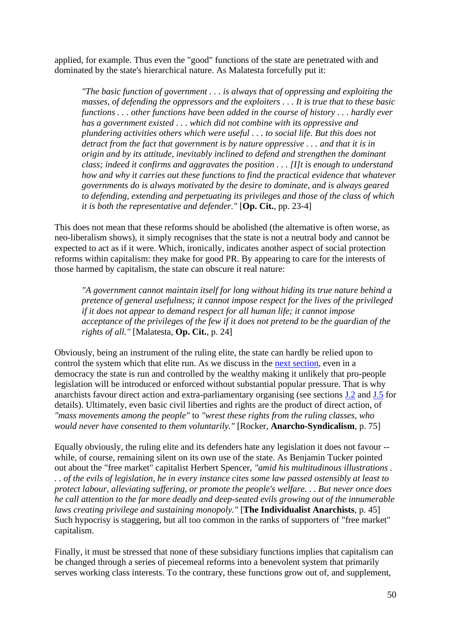applied, for example. Thus even the "good" functions of the state are penetrated with and dominated by the state's hierarchical nature. As Malatesta forcefully put it:

*"The basic function of government . . . is always that of oppressing and exploiting the masses, of defending the oppressors and the exploiters . . . It is true that to these basic functions . . . other functions have been added in the course of history . . . hardly ever has a government existed . . . which did not combine with its oppressive and plundering activities others which were useful . . . to social life. But this does not detract from the fact that government is by nature oppressive . . . and that it is in origin and by its attitude, inevitably inclined to defend and strengthen the dominant class; indeed it confirms and aggravates the position . . . [I]t is enough to understand how and why it carries out these functions to find the practical evidence that whatever governments do is always motivated by the desire to dominate, and is always geared to defending, extending and perpetuating its privileges and those of the class of which it is both the representative and defender."* [**Op. Cit.**, pp. 23-4]

This does not mean that these reforms should be abolished (the alternative is often worse, as neo-liberalism shows), it simply recognises that the state is not a neutral body and cannot be expected to act as if it were. Which, ironically, indicates another aspect of social protection reforms within capitalism: they make for good PR. By appearing to care for the interests of those harmed by capitalism, the state can obscure it real nature:

*"A government cannot maintain itself for long without hiding its true nature behind a pretence of general usefulness; it cannot impose respect for the lives of the privileged if it does not appear to demand respect for all human life; it cannot impose acceptance of the privileges of the few if it does not pretend to be the guardian of the rights of all."* [Malatesta, **Op. Cit.**, p. 24]

Obviously, being an instrument of the ruling elite, the state can hardly be relied upon to control the system which that elite run. As we discuss in the [next section,](sectionB.html#secb23) even in a democracy the state is run and controlled by the wealthy making it unlikely that pro-people legislation will be introduced or enforced without substantial popular pressure. That is why anarchists favour direct action and extra-parliamentary organising (see sections [J.2](sectionJ.html#secj2) and [J.5](sectionJ.html#secj5) for details). Ultimately, even basic civil liberties and rights are the product of direct action, of *"mass movements among the people"* to *"wrest these rights from the ruling classes, who would never have consented to them voluntarily."* [Rocker, **Anarcho-Syndicalism**, p. 75]

Equally obviously, the ruling elite and its defenders hate any legislation it does not favour - while, of course, remaining silent on its own use of the state. As Benjamin Tucker pointed out about the "free market" capitalist Herbert Spencer, *"amid his multitudinous illustrations . . . of the evils of legislation, he in every instance cites some law passed ostensibly at least to protect labour, alleviating suffering, or promote the people's welfare. . . But never once does he call attention to the far more deadly and deep-seated evils growing out of the innumerable laws creating privilege and sustaining monopoly."* [**The Individualist Anarchists**, p. 45] Such hypocrisy is staggering, but all too common in the ranks of supporters of "free market" capitalism.

Finally, it must be stressed that none of these subsidiary functions implies that capitalism can be changed through a series of piecemeal reforms into a benevolent system that primarily serves working class interests. To the contrary, these functions grow out of, and supplement,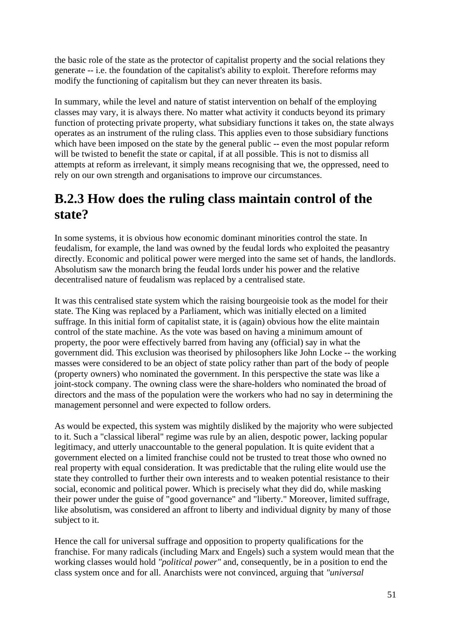the basic role of the state as the protector of capitalist property and the social relations they generate -- i.e. the foundation of the capitalist's ability to exploit. Therefore reforms may modify the functioning of capitalism but they can never threaten its basis.

In summary, while the level and nature of statist intervention on behalf of the employing classes may vary, it is always there. No matter what activity it conducts beyond its primary function of protecting private property, what subsidiary functions it takes on, the state always operates as an instrument of the ruling class. This applies even to those subsidiary functions which have been imposed on the state by the general public -- even the most popular reform will be twisted to benefit the state or capital, if at all possible. This is not to dismiss all attempts at reform as irrelevant, it simply means recognising that we, the oppressed, need to rely on our own strength and organisations to improve our circumstances.

## **B.2.3 How does the ruling class maintain control of the state?**

In some systems, it is obvious how economic dominant minorities control the state. In feudalism, for example, the land was owned by the feudal lords who exploited the peasantry directly. Economic and political power were merged into the same set of hands, the landlords. Absolutism saw the monarch bring the feudal lords under his power and the relative decentralised nature of feudalism was replaced by a centralised state.

It was this centralised state system which the raising bourgeoisie took as the model for their state. The King was replaced by a Parliament, which was initially elected on a limited suffrage. In this initial form of capitalist state, it is (again) obvious how the elite maintain control of the state machine. As the vote was based on having a minimum amount of property, the poor were effectively barred from having any (official) say in what the government did. This exclusion was theorised by philosophers like John Locke -- the working masses were considered to be an object of state policy rather than part of the body of people (property owners) who nominated the government. In this perspective the state was like a joint-stock company. The owning class were the share-holders who nominated the broad of directors and the mass of the population were the workers who had no say in determining the management personnel and were expected to follow orders.

As would be expected, this system was mightily disliked by the majority who were subjected to it. Such a "classical liberal" regime was rule by an alien, despotic power, lacking popular legitimacy, and utterly unaccountable to the general population. It is quite evident that a government elected on a limited franchise could not be trusted to treat those who owned no real property with equal consideration. It was predictable that the ruling elite would use the state they controlled to further their own interests and to weaken potential resistance to their social, economic and political power. Which is precisely what they did do, while masking their power under the guise of "good governance" and "liberty." Moreover, limited suffrage, like absolutism, was considered an affront to liberty and individual dignity by many of those subject to it.

Hence the call for universal suffrage and opposition to property qualifications for the franchise. For many radicals (including Marx and Engels) such a system would mean that the working classes would hold *"political power"* and, consequently, be in a position to end the class system once and for all. Anarchists were not convinced, arguing that *"universal*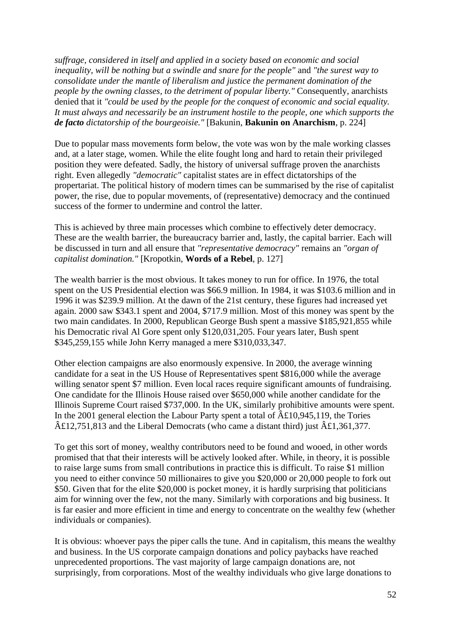*suffrage, considered in itself and applied in a society based on economic and social inequality, will be nothing but a swindle and snare for the people"* and *"the surest way to consolidate under the mantle of liberalism and justice the permanent domination of the people by the owning classes, to the detriment of popular liberty."* Consequently, anarchists denied that it *"could be used by the people for the conquest of economic and social equality. It must always and necessarily be an instrument hostile to the people, one which supports the de facto dictatorship of the bourgeoisie."* [Bakunin, **Bakunin on Anarchism**, p. 224]

Due to popular mass movements form below, the vote was won by the male working classes and, at a later stage, women. While the elite fought long and hard to retain their privileged position they were defeated. Sadly, the history of universal suffrage proven the anarchists right. Even allegedly *"democratic"* capitalist states are in effect dictatorships of the propertariat. The political history of modern times can be summarised by the rise of capitalist power, the rise, due to popular movements, of (representative) democracy and the continued success of the former to undermine and control the latter.

This is achieved by three main processes which combine to effectively deter democracy. These are the wealth barrier, the bureaucracy barrier and, lastly, the capital barrier. Each will be discussed in turn and all ensure that *"representative democracy"* remains an *"organ of capitalist domination."* [Kropotkin, **Words of a Rebel**, p. 127]

The wealth barrier is the most obvious. It takes money to run for office. In 1976, the total spent on the US Presidential election was \$66.9 million. In 1984, it was \$103.6 million and in 1996 it was \$239.9 million. At the dawn of the 21st century, these figures had increased yet again. 2000 saw \$343.1 spent and 2004, \$717.9 million. Most of this money was spent by the two main candidates. In 2000, Republican George Bush spent a massive \$185,921,855 while his Democratic rival Al Gore spent only \$120,031,205. Four years later, Bush spent \$345,259,155 while John Kerry managed a mere \$310,033,347.

Other election campaigns are also enormously expensive. In 2000, the average winning candidate for a seat in the US House of Representatives spent \$816,000 while the average willing senator spent \$7 million. Even local races require significant amounts of fundraising. One candidate for the Illinois House raised over \$650,000 while another candidate for the Illinois Supreme Court raised \$737,000. In the UK, similarly prohibitive amounts were spent. In the 2001 general election the Labour Party spent a total of  $\hat{A} \text{£}10,945,119$ , the Tories  $\hat{A}$ £12,751,813 and the Liberal Democrats (who came a distant third) just  $\hat{A}$ £1,361,377.

To get this sort of money, wealthy contributors need to be found and wooed, in other words promised that that their interests will be actively looked after. While, in theory, it is possible to raise large sums from small contributions in practice this is difficult. To raise \$1 million you need to either convince 50 millionaires to give you \$20,000 or 20,000 people to fork out \$50. Given that for the elite \$20,000 is pocket money, it is hardly surprising that politicians aim for winning over the few, not the many. Similarly with corporations and big business. It is far easier and more efficient in time and energy to concentrate on the wealthy few (whether individuals or companies).

It is obvious: whoever pays the piper calls the tune. And in capitalism, this means the wealthy and business. In the US corporate campaign donations and policy paybacks have reached unprecedented proportions. The vast majority of large campaign donations are, not surprisingly, from corporations. Most of the wealthy individuals who give large donations to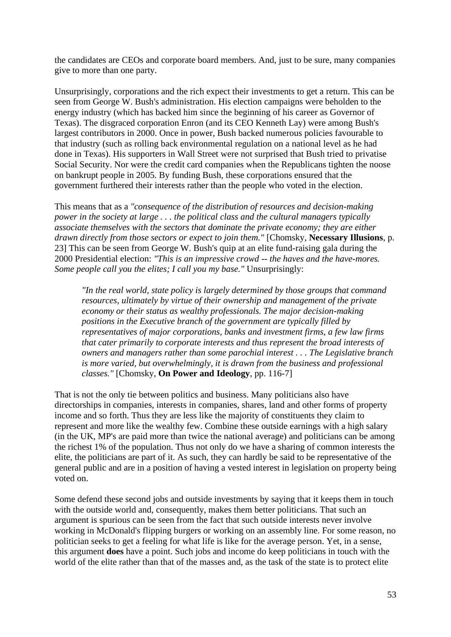the candidates are CEOs and corporate board members. And, just to be sure, many companies give to more than one party.

Unsurprisingly, corporations and the rich expect their investments to get a return. This can be seen from George W. Bush's administration. His election campaigns were beholden to the energy industry (which has backed him since the beginning of his career as Governor of Texas). The disgraced corporation Enron (and its CEO Kenneth Lay) were among Bush's largest contributors in 2000. Once in power, Bush backed numerous policies favourable to that industry (such as rolling back environmental regulation on a national level as he had done in Texas). His supporters in Wall Street were not surprised that Bush tried to privatise Social Security. Nor were the credit card companies when the Republicans tighten the noose on bankrupt people in 2005. By funding Bush, these corporations ensured that the government furthered their interests rather than the people who voted in the election.

This means that as a *"consequence of the distribution of resources and decision-making power in the society at large . . . the political class and the cultural managers typically associate themselves with the sectors that dominate the private economy; they are either drawn directly from those sectors or expect to join them."* [Chomsky, **Necessary Illusions**, p. 23] This can be seen from George W. Bush's quip at an elite fund-raising gala during the 2000 Presidential election: *"This is an impressive crowd -- the haves and the have-mores. Some people call you the elites; I call you my base."* Unsurprisingly:

*"In the real world, state policy is largely determined by those groups that command resources, ultimately by virtue of their ownership and management of the private economy or their status as wealthy professionals. The major decision-making positions in the Executive branch of the government are typically filled by representatives of major corporations, banks and investment firms, a few law firms that cater primarily to corporate interests and thus represent the broad interests of owners and managers rather than some parochial interest . . . The Legislative branch is more varied, but overwhelmingly, it is drawn from the business and professional classes."* [Chomsky, **On Power and Ideology**, pp. 116-7]

That is not the only tie between politics and business. Many politicians also have directorships in companies, interests in companies, shares, land and other forms of property income and so forth. Thus they are less like the majority of constituents they claim to represent and more like the wealthy few. Combine these outside earnings with a high salary (in the UK, MP's are paid more than twice the national average) and politicians can be among the richest 1% of the population. Thus not only do we have a sharing of common interests the elite, the politicians are part of it. As such, they can hardly be said to be representative of the general public and are in a position of having a vested interest in legislation on property being voted on.

Some defend these second jobs and outside investments by saying that it keeps them in touch with the outside world and, consequently, makes them better politicians. That such an argument is spurious can be seen from the fact that such outside interests never involve working in McDonald's flipping burgers or working on an assembly line. For some reason, no politician seeks to get a feeling for what life is like for the average person. Yet, in a sense, this argument **does** have a point. Such jobs and income do keep politicians in touch with the world of the elite rather than that of the masses and, as the task of the state is to protect elite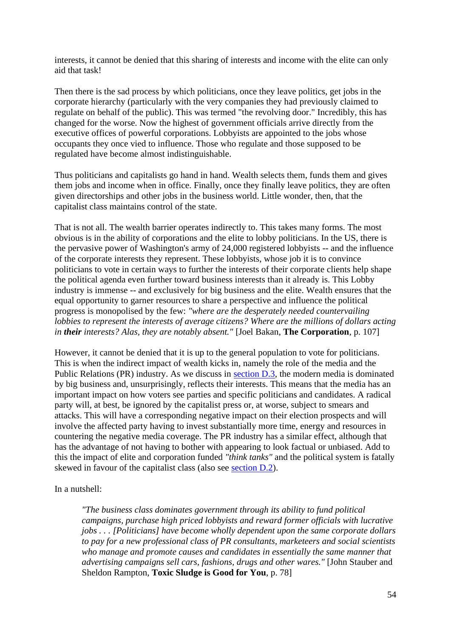interests, it cannot be denied that this sharing of interests and income with the elite can only aid that task!

Then there is the sad process by which politicians, once they leave politics, get jobs in the corporate hierarchy (particularly with the very companies they had previously claimed to regulate on behalf of the public). This was termed "the revolving door." Incredibly, this has changed for the worse. Now the highest of government officials arrive directly from the executive offices of powerful corporations. Lobbyists are appointed to the jobs whose occupants they once vied to influence. Those who regulate and those supposed to be regulated have become almost indistinguishable.

Thus politicians and capitalists go hand in hand. Wealth selects them, funds them and gives them jobs and income when in office. Finally, once they finally leave politics, they are often given directorships and other jobs in the business world. Little wonder, then, that the capitalist class maintains control of the state.

That is not all. The wealth barrier operates indirectly to. This takes many forms. The most obvious is in the ability of corporations and the elite to lobby politicians. In the US, there is the pervasive power of Washington's army of 24,000 registered lobbyists -- and the influence of the corporate interests they represent. These lobbyists, whose job it is to convince politicians to vote in certain ways to further the interests of their corporate clients help shape the political agenda even further toward business interests than it already is. This Lobby industry is immense -- and exclusively for big business and the elite. Wealth ensures that the equal opportunity to garner resources to share a perspective and influence the political progress is monopolised by the few: *"where are the desperately needed countervailing lobbies to represent the interests of average citizens? Where are the millions of dollars acting in their interests? Alas, they are notably absent."* [Joel Bakan, **The Corporation**, p. 107]

However, it cannot be denied that it is up to the general population to vote for politicians. This is when the indirect impact of wealth kicks in, namely the role of the media and the Public Relations (PR) industry. As we discuss in [section D.3,](sectionD.html#secd3) the modern media is dominated by big business and, unsurprisingly, reflects their interests. This means that the media has an important impact on how voters see parties and specific politicians and candidates. A radical party will, at best, be ignored by the capitalist press or, at worse, subject to smears and attacks. This will have a corresponding negative impact on their election prospects and will involve the affected party having to invest substantially more time, energy and resources in countering the negative media coverage. The PR industry has a similar effect, although that has the advantage of not having to bother with appearing to look factual or unbiased. Add to this the impact of elite and corporation funded *"think tanks"* and the political system is fatally skewed in favour of the capitalist class (also see [section D.2\)](sectionD.html#secd2).

In a nutshell:

*"The business class dominates government through its ability to fund political campaigns, purchase high priced lobbyists and reward former officials with lucrative jobs . . . [Politicians] have become wholly dependent upon the same corporate dollars to pay for a new professional class of PR consultants, marketeers and social scientists who manage and promote causes and candidates in essentially the same manner that advertising campaigns sell cars, fashions, drugs and other wares."* [John Stauber and Sheldon Rampton, **Toxic Sludge is Good for You**, p. 78]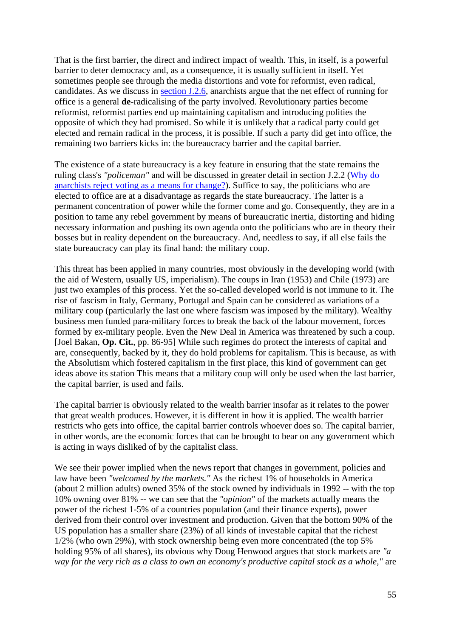That is the first barrier, the direct and indirect impact of wealth. This, in itself, is a powerful barrier to deter democracy and, as a consequence, it is usually sufficient in itself. Yet sometimes people see through the media distortions and vote for reformist, even radical, candidates. As we discuss in [section J.2.6,](sectionJ.html#secj26) anarchists argue that the net effect of running for office is a general **de**-radicalising of the party involved. Revolutionary parties become reformist, reformist parties end up maintaining capitalism and introducing polities the opposite of which they had promised. So while it is unlikely that a radical party could get elected and remain radical in the process, it is possible. If such a party did get into office, the remaining two barriers kicks in: the bureaucracy barrier and the capital barrier.

The existence of a state bureaucracy is a key feature in ensuring that the state remains the ruling class's *"policeman"* and will be discussed in greater detail in section J.2.2 [\(Why do](sectionJ.html#secj22)  [anarchists reject voting as a means for change?\)](sectionJ.html#secj22). Suffice to say, the politicians who are elected to office are at a disadvantage as regards the state bureaucracy. The latter is a permanent concentration of power while the former come and go. Consequently, they are in a position to tame any rebel government by means of bureaucratic inertia, distorting and hiding necessary information and pushing its own agenda onto the politicians who are in theory their bosses but in reality dependent on the bureaucracy. And, needless to say, if all else fails the state bureaucracy can play its final hand: the military coup.

This threat has been applied in many countries, most obviously in the developing world (with the aid of Western, usually US, imperialism). The coups in Iran (1953) and Chile (1973) are just two examples of this process. Yet the so-called developed world is not immune to it. The rise of fascism in Italy, Germany, Portugal and Spain can be considered as variations of a military coup (particularly the last one where fascism was imposed by the military). Wealthy business men funded para-military forces to break the back of the labour movement, forces formed by ex-military people. Even the New Deal in America was threatened by such a coup. [Joel Bakan, **Op. Cit.**, pp. 86-95] While such regimes do protect the interests of capital and are, consequently, backed by it, they do hold problems for capitalism. This is because, as with the Absolutism which fostered capitalism in the first place, this kind of government can get ideas above its station This means that a military coup will only be used when the last barrier, the capital barrier, is used and fails.

The capital barrier is obviously related to the wealth barrier insofar as it relates to the power that great wealth produces. However, it is different in how it is applied. The wealth barrier restricts who gets into office, the capital barrier controls whoever does so. The capital barrier, in other words, are the economic forces that can be brought to bear on any government which is acting in ways disliked of by the capitalist class.

We see their power implied when the news report that changes in government, policies and law have been *"welcomed by the markets."* As the richest 1% of households in America (about 2 million adults) owned 35% of the stock owned by individuals in 1992 -- with the top 10% owning over 81% -- we can see that the *"opinion"* of the markets actually means the power of the richest 1-5% of a countries population (and their finance experts), power derived from their control over investment and production. Given that the bottom 90% of the US population has a smaller share (23%) of all kinds of investable capital that the richest 1/2% (who own 29%), with stock ownership being even more concentrated (the top 5% holding 95% of all shares), its obvious why Doug Henwood argues that stock markets are *"a way for the very rich as a class to own an economy's productive capital stock as a whole,"* are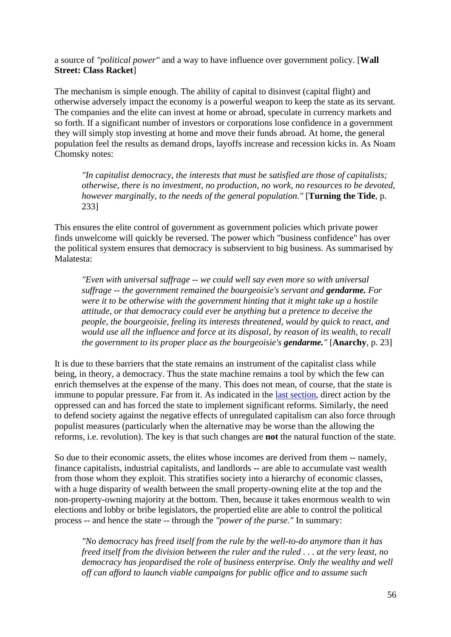a source of *"political power"* and a way to have influence over government policy. [**Wall Street: Class Racket**]

The mechanism is simple enough. The ability of capital to disinvest (capital flight) and otherwise adversely impact the economy is a powerful weapon to keep the state as its servant. The companies and the elite can invest at home or abroad, speculate in currency markets and so forth. If a significant number of investors or corporations lose confidence in a government they will simply stop investing at home and move their funds abroad. At home, the general population feel the results as demand drops, layoffs increase and recession kicks in. As Noam Chomsky notes:

*"In capitalist democracy, the interests that must be satisfied are those of capitalists; otherwise, there is no investment, no production, no work, no resources to be devoted, however marginally, to the needs of the general population."* [**Turning the Tide**, p. 233]

This ensures the elite control of government as government policies which private power finds unwelcome will quickly be reversed. The power which "business confidence" has over the political system ensures that democracy is subservient to big business. As summarised by Malatesta:

*"Even with universal suffrage -- we could well say even more so with universal suffrage -- the government remained the bourgeoisie's servant and gendarme. For were it to be otherwise with the government hinting that it might take up a hostile attitude, or that democracy could ever be anything but a pretence to deceive the people, the bourgeoisie, feeling its interests threatened, would by quick to react, and would use all the influence and force at its disposal, by reason of its wealth, to recall the government to its proper place as the bourgeoisie's gendarme."* [**Anarchy**, p. 23]

It is due to these barriers that the state remains an instrument of the capitalist class while being, in theory, a democracy. Thus the state machine remains a tool by which the few can enrich themselves at the expense of the many. This does not mean, of course, that the state is immune to popular pressure. Far from it. As indicated in the [last section,](sectionB.html#secb22) direct action by the oppressed can and has forced the state to implement significant reforms. Similarly, the need to defend society against the negative effects of unregulated capitalism can also force through populist measures (particularly when the alternative may be worse than the allowing the reforms, i.e. revolution). The key is that such changes are **not** the natural function of the state.

So due to their economic assets, the elites whose incomes are derived from them -- namely, finance capitalists, industrial capitalists, and landlords -- are able to accumulate vast wealth from those whom they exploit. This stratifies society into a hierarchy of economic classes, with a huge disparity of wealth between the small property-owning elite at the top and the non-property-owning majority at the bottom. Then, because it takes enormous wealth to win elections and lobby or bribe legislators, the propertied elite are able to control the political process -- and hence the state -- through the *"power of the purse."* In summary:

*"No democracy has freed itself from the rule by the well-to-do anymore than it has freed itself from the division between the ruler and the ruled . . . at the very least, no democracy has jeopardised the role of business enterprise. Only the wealthy and well off can afford to launch viable campaigns for public office and to assume such*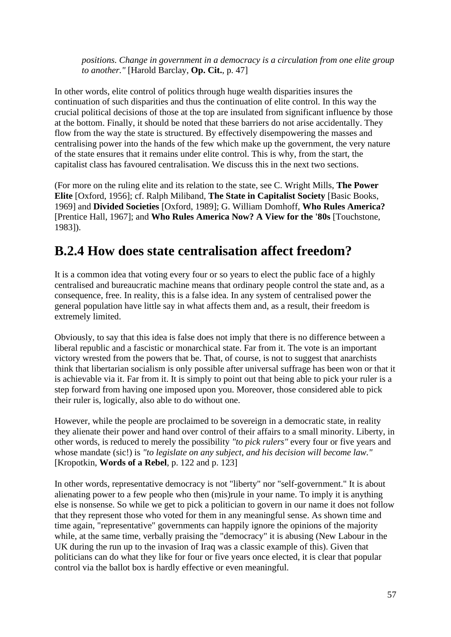*positions. Change in government in a democracy is a circulation from one elite group to another."* [Harold Barclay, **Op. Cit.**, p. 47]

In other words, elite control of politics through huge wealth disparities insures the continuation of such disparities and thus the continuation of elite control. In this way the crucial political decisions of those at the top are insulated from significant influence by those at the bottom. Finally, it should be noted that these barriers do not arise accidentally. They flow from the way the state is structured. By effectively disempowering the masses and centralising power into the hands of the few which make up the government, the very nature of the state ensures that it remains under elite control. This is why, from the start, the capitalist class has favoured centralisation. We discuss this in the next two sections.

(For more on the ruling elite and its relation to the state, see C. Wright Mills, **The Power Elite** [Oxford, 1956]; cf. Ralph Miliband, **The State in Capitalist Society** [Basic Books, 1969] and **Divided Societies** [Oxford, 1989]; G. William Domhoff, **Who Rules America?** [Prentice Hall, 1967]; and **Who Rules America Now? A View for the '80s** [Touchstone, 1983]).

## **B.2.4 How does state centralisation affect freedom?**

It is a common idea that voting every four or so years to elect the public face of a highly centralised and bureaucratic machine means that ordinary people control the state and, as a consequence, free. In reality, this is a false idea. In any system of centralised power the general population have little say in what affects them and, as a result, their freedom is extremely limited.

Obviously, to say that this idea is false does not imply that there is no difference between a liberal republic and a fascistic or monarchical state. Far from it. The vote is an important victory wrested from the powers that be. That, of course, is not to suggest that anarchists think that libertarian socialism is only possible after universal suffrage has been won or that it is achievable via it. Far from it. It is simply to point out that being able to pick your ruler is a step forward from having one imposed upon you. Moreover, those considered able to pick their ruler is, logically, also able to do without one.

However, while the people are proclaimed to be sovereign in a democratic state, in reality they alienate their power and hand over control of their affairs to a small minority. Liberty, in other words, is reduced to merely the possibility *"to pick rulers"* every four or five years and whose mandate (sic!) is *"to legislate on any subject, and his decision will become law."* [Kropotkin, **Words of a Rebel**, p. 122 and p. 123]

In other words, representative democracy is not "liberty" nor "self-government." It is about alienating power to a few people who then (mis)rule in your name. To imply it is anything else is nonsense. So while we get to pick a politician to govern in our name it does not follow that they represent those who voted for them in any meaningful sense. As shown time and time again, "representative" governments can happily ignore the opinions of the majority while, at the same time, verbally praising the "democracy" it is abusing (New Labour in the UK during the run up to the invasion of Iraq was a classic example of this). Given that politicians can do what they like for four or five years once elected, it is clear that popular control via the ballot box is hardly effective or even meaningful.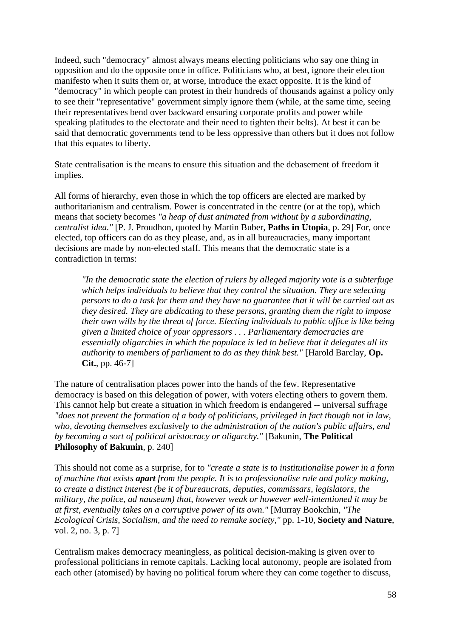Indeed, such "democracy" almost always means electing politicians who say one thing in opposition and do the opposite once in office. Politicians who, at best, ignore their election manifesto when it suits them or, at worse, introduce the exact opposite. It is the kind of "democracy" in which people can protest in their hundreds of thousands against a policy only to see their "representative" government simply ignore them (while, at the same time, seeing their representatives bend over backward ensuring corporate profits and power while speaking platitudes to the electorate and their need to tighten their belts). At best it can be said that democratic governments tend to be less oppressive than others but it does not follow that this equates to liberty.

State centralisation is the means to ensure this situation and the debasement of freedom it implies.

All forms of hierarchy, even those in which the top officers are elected are marked by authoritarianism and centralism. Power is concentrated in the centre (or at the top), which means that society becomes *"a heap of dust animated from without by a subordinating, centralist idea."* [P. J. Proudhon, quoted by Martin Buber, **Paths in Utopia**, p. 29] For, once elected, top officers can do as they please, and, as in all bureaucracies, many important decisions are made by non-elected staff. This means that the democratic state is a contradiction in terms:

*"In the democratic state the election of rulers by alleged majority vote is a subterfuge which helps individuals to believe that they control the situation. They are selecting persons to do a task for them and they have no guarantee that it will be carried out as they desired. They are abdicating to these persons, granting them the right to impose their own wills by the threat of force. Electing individuals to public office is like being given a limited choice of your oppressors . . . Parliamentary democracies are essentially oligarchies in which the populace is led to believe that it delegates all its authority to members of parliament to do as they think best."* [Harold Barclay, **Op. Cit.**, pp. 46-7]

The nature of centralisation places power into the hands of the few. Representative democracy is based on this delegation of power, with voters electing others to govern them. This cannot help but create a situation in which freedom is endangered -- universal suffrage *"does not prevent the formation of a body of politicians, privileged in fact though not in law, who, devoting themselves exclusively to the administration of the nation's public affairs, end by becoming a sort of political aristocracy or oligarchy."* [Bakunin, **The Political Philosophy of Bakunin**, p. 240]

This should not come as a surprise, for to *"create a state is to institutionalise power in a form of machine that exists apart from the people. It is to professionalise rule and policy making, to create a distinct interest (be it of bureaucrats, deputies, commissars, legislators, the military, the police, ad nauseam) that, however weak or however well-intentioned it may be at first, eventually takes on a corruptive power of its own."* [Murray Bookchin, *"The Ecological Crisis, Socialism, and the need to remake society,"* pp. 1-10, **Society and Nature**, vol. 2, no. 3, p. 7]

Centralism makes democracy meaningless, as political decision-making is given over to professional politicians in remote capitals. Lacking local autonomy, people are isolated from each other (atomised) by having no political forum where they can come together to discuss,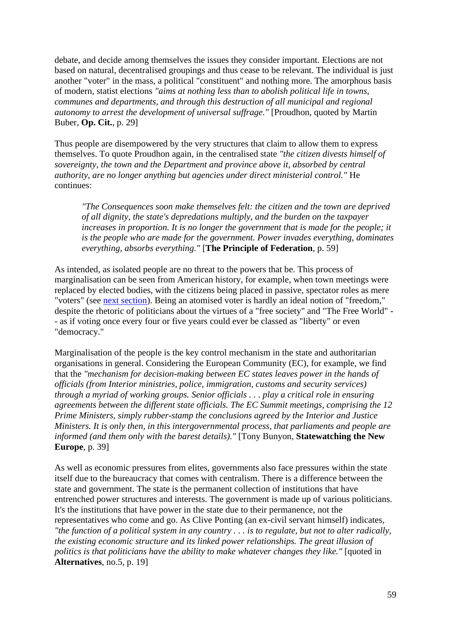debate, and decide among themselves the issues they consider important. Elections are not based on natural, decentralised groupings and thus cease to be relevant. The individual is just another "voter" in the mass, a political "constituent" and nothing more. The amorphous basis of modern, statist elections *"aims at nothing less than to abolish political life in towns, communes and departments, and through this destruction of all municipal and regional autonomy to arrest the development of universal suffrage."* [Proudhon, quoted by Martin Buber, **Op. Cit.**, p. 29]

Thus people are disempowered by the very structures that claim to allow them to express themselves. To quote Proudhon again, in the centralised state *"the citizen divests himself of sovereignty, the town and the Department and province above it, absorbed by central authority, are no longer anything but agencies under direct ministerial control."* He continues:

*"The Consequences soon make themselves felt: the citizen and the town are deprived of all dignity, the state's depredations multiply, and the burden on the taxpayer increases in proportion. It is no longer the government that is made for the people; it is the people who are made for the government. Power invades everything, dominates everything, absorbs everything."* [**The Principle of Federation**, p. 59]

As intended, as isolated people are no threat to the powers that be. This process of marginalisation can be seen from American history, for example, when town meetings were replaced by elected bodies, with the citizens being placed in passive, spectator roles as mere "voters" (see [next section\)](sectionB.html#secb25). Being an atomised voter is hardly an ideal notion of "freedom," despite the rhetoric of politicians about the virtues of a "free society" and "The Free World" - - as if voting once every four or five years could ever be classed as "liberty" or even "democracy."

Marginalisation of the people is the key control mechanism in the state and authoritarian organisations in general. Considering the European Community (EC), for example, we find that the *"mechanism for decision-making between EC states leaves power in the hands of officials (from Interior ministries, police, immigration, customs and security services) through a myriad of working groups. Senior officials . . . play a critical role in ensuring agreements between the different state officials. The EC Summit meetings, comprising the 12 Prime Ministers, simply rubber-stamp the conclusions agreed by the Interior and Justice Ministers. It is only then, in this intergovernmental process, that parliaments and people are informed (and them only with the barest details)."* [Tony Bunyon, **Statewatching the New Europe**, p. 39]

As well as economic pressures from elites, governments also face pressures within the state itself due to the bureaucracy that comes with centralism. There is a difference between the state and government. The state is the permanent collection of institutions that have entrenched power structures and interests. The government is made up of various politicians. It's the institutions that have power in the state due to their permanence, not the representatives who come and go. As Clive Ponting (an ex-civil servant himself) indicates, *"the function of a political system in any country . . . is to regulate, but not to alter radically, the existing economic structure and its linked power relationships. The great illusion of politics is that politicians have the ability to make whatever changes they like."* [quoted in **Alternatives**, no.5, p. 19]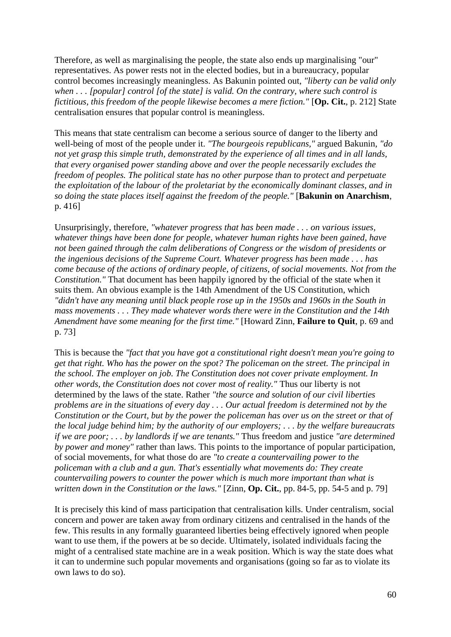Therefore, as well as marginalising the people, the state also ends up marginalising "our" representatives. As power rests not in the elected bodies, but in a bureaucracy, popular control becomes increasingly meaningless. As Bakunin pointed out, *"liberty can be valid only when . . . [popular] control [of the state] is valid. On the contrary, where such control is fictitious, this freedom of the people likewise becomes a mere fiction."* [**Op. Cit.**, p. 212] State centralisation ensures that popular control is meaningless.

This means that state centralism can become a serious source of danger to the liberty and well-being of most of the people under it. *"The bourgeois republicans,"* argued Bakunin, *"do not yet grasp this simple truth, demonstrated by the experience of all times and in all lands, that every organised power standing above and over the people necessarily excludes the freedom of peoples. The political state has no other purpose than to protect and perpetuate the exploitation of the labour of the proletariat by the economically dominant classes, and in so doing the state places itself against the freedom of the people."* [**Bakunin on Anarchism**, p. 416]

Unsurprisingly, therefore, *"whatever progress that has been made . . . on various issues, whatever things have been done for people, whatever human rights have been gained, have not been gained through the calm deliberations of Congress or the wisdom of presidents or the ingenious decisions of the Supreme Court. Whatever progress has been made . . . has come because of the actions of ordinary people, of citizens, of social movements. Not from the Constitution."* That document has been happily ignored by the official of the state when it suits them. An obvious example is the 14th Amendment of the US Constitution, which *"didn't have any meaning until black people rose up in the 1950s and 1960s in the South in mass movements . . . They made whatever words there were in the Constitution and the 14th Amendment have some meaning for the first time."* [Howard Zinn, **Failure to Quit**, p. 69 and p. 73]

This is because the *"fact that you have got a constitutional right doesn't mean you're going to get that right. Who has the power on the spot? The policeman on the street. The principal in the school. The employer on job. The Constitution does not cover private employment. In other words, the Constitution does not cover most of reality."* Thus our liberty is not determined by the laws of the state. Rather *"the source and solution of our civil liberties problems are in the situations of every day . . . Our actual freedom is determined not by the Constitution or the Court, but by the power the policeman has over us on the street or that of the local judge behind him; by the authority of our employers; . . . by the welfare bureaucrats if we are poor; . . . by landlords if we are tenants."* Thus freedom and justice *"are determined by power and money"* rather than laws. This points to the importance of popular participation, of social movements, for what those do are *"to create a countervailing power to the policeman with a club and a gun. That's essentially what movements do: They create countervailing powers to counter the power which is much more important than what is written down in the Constitution or the laws."* [Zinn, **Op. Cit.**, pp. 84-5, pp. 54-5 and p. 79]

It is precisely this kind of mass participation that centralisation kills. Under centralism, social concern and power are taken away from ordinary citizens and centralised in the hands of the few. This results in any formally guaranteed liberties being effectively ignored when people want to use them, if the powers at be so decide. Ultimately, isolated individuals facing the might of a centralised state machine are in a weak position. Which is way the state does what it can to undermine such popular movements and organisations (going so far as to violate its own laws to do so).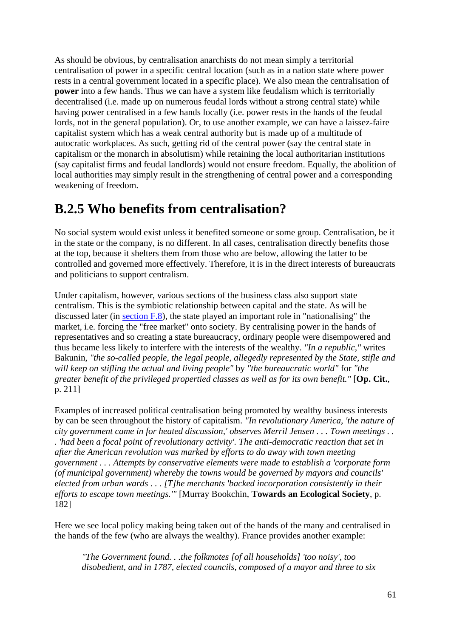As should be obvious, by centralisation anarchists do not mean simply a territorial centralisation of power in a specific central location (such as in a nation state where power rests in a central government located in a specific place). We also mean the centralisation of **power** into a few hands. Thus we can have a system like feudalism which is territorially decentralised (i.e. made up on numerous feudal lords without a strong central state) while having power centralised in a few hands locally (i.e. power rests in the hands of the feudal lords, not in the general population). Or, to use another example, we can have a laissez-faire capitalist system which has a weak central authority but is made up of a multitude of autocratic workplaces. As such, getting rid of the central power (say the central state in capitalism or the monarch in absolutism) while retaining the local authoritarian institutions (say capitalist firms and feudal landlords) would not ensure freedom. Equally, the abolition of local authorities may simply result in the strengthening of central power and a corresponding weakening of freedom.

### **B.2.5 Who benefits from centralisation?**

No social system would exist unless it benefited someone or some group. Centralisation, be it in the state or the company, is no different. In all cases, centralisation directly benefits those at the top, because it shelters them from those who are below, allowing the latter to be controlled and governed more effectively. Therefore, it is in the direct interests of bureaucrats and politicians to support centralism.

Under capitalism, however, various sections of the business class also support state centralism. This is the symbiotic relationship between capital and the state. As will be discussed later (in section  $F(8)$ , the state played an important role in "nationalising" the market, i.e. forcing the "free market" onto society. By centralising power in the hands of representatives and so creating a state bureaucracy, ordinary people were disempowered and thus became less likely to interfere with the interests of the wealthy. *"In a republic,"* writes Bakunin, *"the so-called people, the legal people, allegedly represented by the State, stifle and will keep on stifling the actual and living people"* by *"the bureaucratic world"* for *"the greater benefit of the privileged propertied classes as well as for its own benefit."* [**Op. Cit.**, p. 211]

Examples of increased political centralisation being promoted by wealthy business interests by can be seen throughout the history of capitalism. *"In revolutionary America, 'the nature of city government came in for heated discussion,' observes Merril Jensen . . . Town meetings . . . 'had been a focal point of revolutionary activity'. The anti-democratic reaction that set in after the American revolution was marked by efforts to do away with town meeting government . . . Attempts by conservative elements were made to establish a 'corporate form (of municipal government) whereby the towns would be governed by mayors and councils' elected from urban wards . . . [T]he merchants 'backed incorporation consistently in their efforts to escape town meetings.'"* [Murray Bookchin, **Towards an Ecological Society**, p. 182]

Here we see local policy making being taken out of the hands of the many and centralised in the hands of the few (who are always the wealthy). France provides another example:

*"The Government found. . .the folkmotes [of all households] 'too noisy', too disobedient, and in 1787, elected councils, composed of a mayor and three to six*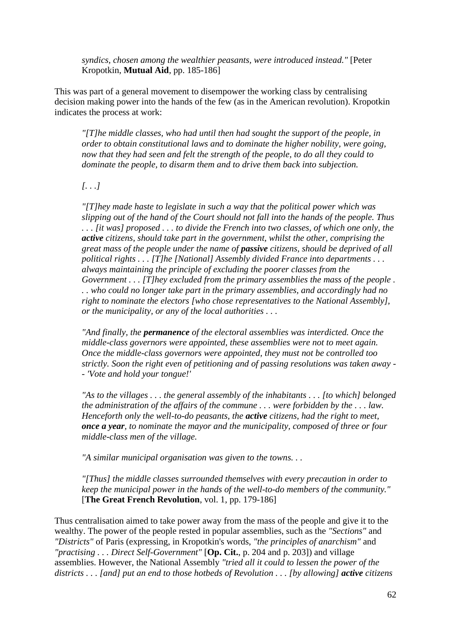*syndics, chosen among the wealthier peasants, were introduced instead."* [Peter Kropotkin, **Mutual Aid**, pp. 185-186]

This was part of a general movement to disempower the working class by centralising decision making power into the hands of the few (as in the American revolution). Kropotkin indicates the process at work:

*"[T]he middle classes, who had until then had sought the support of the people, in order to obtain constitutional laws and to dominate the higher nobility, were going, now that they had seen and felt the strength of the people, to do all they could to dominate the people, to disarm them and to drive them back into subjection.*

*[. . .]*

*"[T]hey made haste to legislate in such a way that the political power which was slipping out of the hand of the Court should not fall into the hands of the people. Thus . . . [it was] proposed . . . to divide the French into two classes, of which one only, the active citizens, should take part in the government, whilst the other, comprising the great mass of the people under the name of passive citizens, should be deprived of all political rights . . . [T]he [National] Assembly divided France into departments . . . always maintaining the principle of excluding the poorer classes from the Government . . . [T]hey excluded from the primary assemblies the mass of the people . . . who could no longer take part in the primary assemblies, and accordingly had no right to nominate the electors [who chose representatives to the National Assembly], or the municipality, or any of the local authorities . . .*

*"And finally, the permanence of the electoral assemblies was interdicted. Once the middle-class governors were appointed, these assemblies were not to meet again. Once the middle-class governors were appointed, they must not be controlled too strictly. Soon the right even of petitioning and of passing resolutions was taken away - - 'Vote and hold your tongue!'*

*"As to the villages . . . the general assembly of the inhabitants . . . [to which] belonged the administration of the affairs of the commune . . . were forbidden by the . . . law. Henceforth only the well-to-do peasants, the active citizens, had the right to meet, once a year, to nominate the mayor and the municipality, composed of three or four middle-class men of the village.*

*"A similar municipal organisation was given to the towns. . .*

*"[Thus] the middle classes surrounded themselves with every precaution in order to keep the municipal power in the hands of the well-to-do members of the community."* [**The Great French Revolution**, vol. 1, pp. 179-186]

Thus centralisation aimed to take power away from the mass of the people and give it to the wealthy. The power of the people rested in popular assemblies, such as the *"Sections"* and *"Districts"* of Paris (expressing, in Kropotkin's words, *"the principles of anarchism"* and *"practising . . . Direct Self-Government"* [**Op. Cit.**, p. 204 and p. 203]) and village assemblies. However, the National Assembly *"tried all it could to lessen the power of the districts . . . [and] put an end to those hotbeds of Revolution . . . [by allowing] active citizens*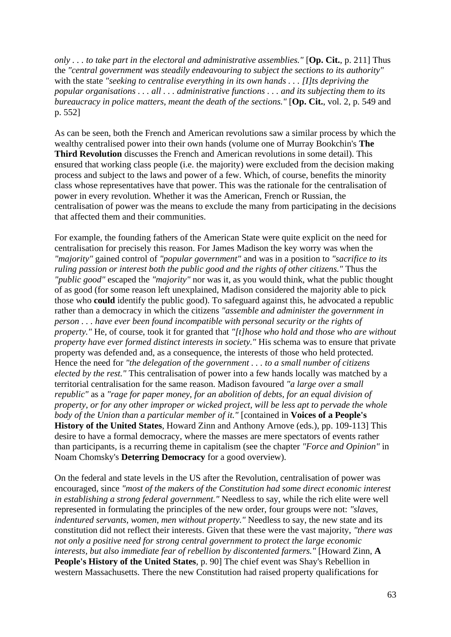*only . . . to take part in the electoral and administrative assemblies."* [**Op. Cit.**, p. 211] Thus the *"central government was steadily endeavouring to subject the sections to its authority"* with the state *"seeking to centralise everything in its own hands . . . [I]ts depriving the popular organisations . . . all . . . administrative functions . . . and its subjecting them to its bureaucracy in police matters, meant the death of the sections."* [**Op. Cit.**, vol. 2, p. 549 and p. 552]

As can be seen, both the French and American revolutions saw a similar process by which the wealthy centralised power into their own hands (volume one of Murray Bookchin's **The Third Revolution** discusses the French and American revolutions in some detail). This ensured that working class people (i.e. the majority) were excluded from the decision making process and subject to the laws and power of a few. Which, of course, benefits the minority class whose representatives have that power. This was the rationale for the centralisation of power in every revolution. Whether it was the American, French or Russian, the centralisation of power was the means to exclude the many from participating in the decisions that affected them and their communities.

For example, the founding fathers of the American State were quite explicit on the need for centralisation for precisely this reason. For James Madison the key worry was when the *"majority"* gained control of *"popular government"* and was in a position to *"sacrifice to its ruling passion or interest both the public good and the rights of other citizens."* Thus the *"public good"* escaped the *"majority"* nor was it, as you would think, what the public thought of as good (for some reason left unexplained, Madison considered the majority able to pick those who **could** identify the public good). To safeguard against this, he advocated a republic rather than a democracy in which the citizens *"assemble and administer the government in person . . . have ever been found incompatible with personal security or the rights of property."* He, of course, took it for granted that *"[t]hose who hold and those who are without property have ever formed distinct interests in society."* His schema was to ensure that private property was defended and, as a consequence, the interests of those who held protected. Hence the need for *"the delegation of the government . . . to a small number of citizens elected by the rest."* This centralisation of power into a few hands locally was matched by a territorial centralisation for the same reason. Madison favoured *"a large over a small republic"* as a *"rage for paper money, for an abolition of debts, for an equal division of property, or for any other improper or wicked project, will be less apt to pervade the whole body of the Union than a particular member of it."* [contained in **Voices of a People's History of the United States**, Howard Zinn and Anthony Arnove (eds.), pp. 109-113] This desire to have a formal democracy, where the masses are mere spectators of events rather than participants, is a recurring theme in capitalism (see the chapter *"Force and Opinion"* in Noam Chomsky's **Deterring Democracy** for a good overview).

On the federal and state levels in the US after the Revolution, centralisation of power was encouraged, since *"most of the makers of the Constitution had some direct economic interest in establishing a strong federal government."* Needless to say, while the rich elite were well represented in formulating the principles of the new order, four groups were not: *"slaves, indentured servants, women, men without property."* Needless to say, the new state and its constitution did not reflect their interests. Given that these were the vast majority, *"there was not only a positive need for strong central government to protect the large economic interests, but also immediate fear of rebellion by discontented farmers."* [Howard Zinn, **A People's History of the United States**, p. 90] The chief event was Shay's Rebellion in western Massachusetts. There the new Constitution had raised property qualifications for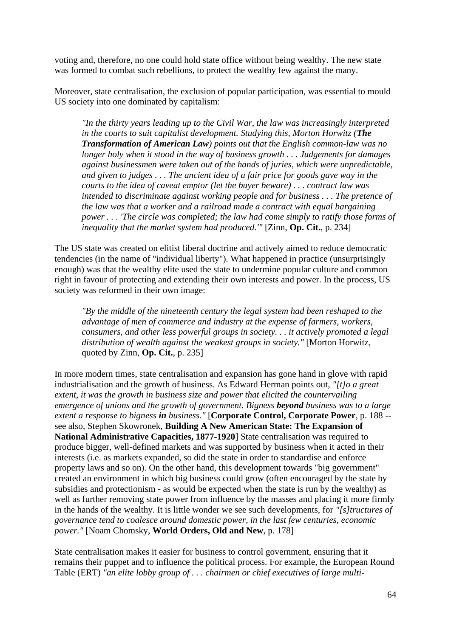voting and, therefore, no one could hold state office without being wealthy. The new state was formed to combat such rebellions, to protect the wealthy few against the many.

Moreover, state centralisation, the exclusion of popular participation, was essential to mould US society into one dominated by capitalism:

*"In the thirty years leading up to the Civil War, the law was increasingly interpreted in the courts to suit capitalist development. Studying this, Morton Horwitz (The Transformation of American Law) points out that the English common-law was no longer holy when it stood in the way of business growth . . . Judgements for damages against businessmen were taken out of the hands of juries, which were unpredictable, and given to judges . . . The ancient idea of a fair price for goods gave way in the courts to the idea of caveat emptor (let the buyer beware) . . . contract law was intended to discriminate against working people and for business . . . The pretence of the law was that a worker and a railroad made a contract with equal bargaining power . . . 'The circle was completed; the law had come simply to ratify those forms of inequality that the market system had produced.'"* [Zinn, **Op. Cit.**, p. 234]

The US state was created on elitist liberal doctrine and actively aimed to reduce democratic tendencies (in the name of "individual liberty"). What happened in practice (unsurprisingly enough) was that the wealthy elite used the state to undermine popular culture and common right in favour of protecting and extending their own interests and power. In the process, US society was reformed in their own image:

*"By the middle of the nineteenth century the legal system had been reshaped to the advantage of men of commerce and industry at the expense of farmers, workers, consumers, and other less powerful groups in society. . . it actively promoted a legal distribution of wealth against the weakest groups in society."* [Morton Horwitz, quoted by Zinn, **Op. Cit.**, p. 235]

In more modern times, state centralisation and expansion has gone hand in glove with rapid industrialisation and the growth of business. As Edward Herman points out, *"[t]o a great extent, it was the growth in business size and power that elicited the countervailing emergence of unions and the growth of government. Bigness beyond business was to a large extent a response to bigness in business."* [**Corporate Control, Corporate Power**, p. 188 - see also, Stephen Skowronek, **Building A New American State: The Expansion of National Administrative Capacities, 1877-1920**] State centralisation was required to produce bigger, well-defined markets and was supported by business when it acted in their interests (i.e. as markets expanded, so did the state in order to standardise and enforce property laws and so on). On the other hand, this development towards "big government" created an environment in which big business could grow (often encouraged by the state by subsidies and protectionism - as would be expected when the state is run by the wealthy) as well as further removing state power from influence by the masses and placing it more firmly in the hands of the wealthy. It is little wonder we see such developments, for *"[s]tructures of governance tend to coalesce around domestic power, in the last few centuries, economic power."* [Noam Chomsky, **World Orders, Old and New**, p. 178]

State centralisation makes it easier for business to control government, ensuring that it remains their puppet and to influence the political process. For example, the European Round Table (ERT) *"an elite lobby group of . . . chairmen or chief executives of large multi-*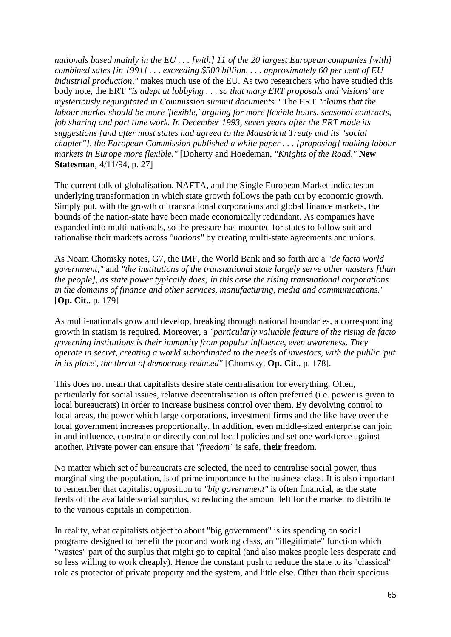*nationals based mainly in the EU . . . [with] 11 of the 20 largest European companies [with] combined sales [in 1991] . . . exceeding \$500 billion, . . . approximately 60 per cent of EU industrial production,"* makes much use of the EU. As two researchers who have studied this body note, the ERT *"is adept at lobbying . . . so that many ERT proposals and 'visions' are mysteriously regurgitated in Commission summit documents."* The ERT *"claims that the labour market should be more 'flexible,' arguing for more flexible hours, seasonal contracts, job sharing and part time work. In December 1993, seven years after the ERT made its suggestions [and after most states had agreed to the Maastricht Treaty and its "social chapter"], the European Commission published a white paper . . . [proposing] making labour markets in Europe more flexible."* [Doherty and Hoedeman, *"Knights of the Road,"* **New Statesman**, 4/11/94, p. 27]

The current talk of globalisation, NAFTA, and the Single European Market indicates an underlying transformation in which state growth follows the path cut by economic growth. Simply put, with the growth of transnational corporations and global finance markets, the bounds of the nation-state have been made economically redundant. As companies have expanded into multi-nationals, so the pressure has mounted for states to follow suit and rationalise their markets across *"nations"* by creating multi-state agreements and unions.

As Noam Chomsky notes, G7, the IMF, the World Bank and so forth are a *"de facto world government,"* and *"the institutions of the transnational state largely serve other masters [than the people], as state power typically does; in this case the rising transnational corporations in the domains of finance and other services, manufacturing, media and communications."* [**Op. Cit.**, p. 179]

As multi-nationals grow and develop, breaking through national boundaries, a corresponding growth in statism is required. Moreover, a *"particularly valuable feature of the rising de facto governing institutions is their immunity from popular influence, even awareness. They operate in secret, creating a world subordinated to the needs of investors, with the public 'put in its place', the threat of democracy reduced"* [Chomsky, **Op. Cit.**, p. 178].

This does not mean that capitalists desire state centralisation for everything. Often, particularly for social issues, relative decentralisation is often preferred (i.e. power is given to local bureaucrats) in order to increase business control over them. By devolving control to local areas, the power which large corporations, investment firms and the like have over the local government increases proportionally. In addition, even middle-sized enterprise can join in and influence, constrain or directly control local policies and set one workforce against another. Private power can ensure that *"freedom"* is safe, **their** freedom.

No matter which set of bureaucrats are selected, the need to centralise social power, thus marginalising the population, is of prime importance to the business class. It is also important to remember that capitalist opposition to *"big government"* is often financial, as the state feeds off the available social surplus, so reducing the amount left for the market to distribute to the various capitals in competition.

In reality, what capitalists object to about "big government" is its spending on social programs designed to benefit the poor and working class, an "illegitimate" function which "wastes" part of the surplus that might go to capital (and also makes people less desperate and so less willing to work cheaply). Hence the constant push to reduce the state to its "classical" role as protector of private property and the system, and little else. Other than their specious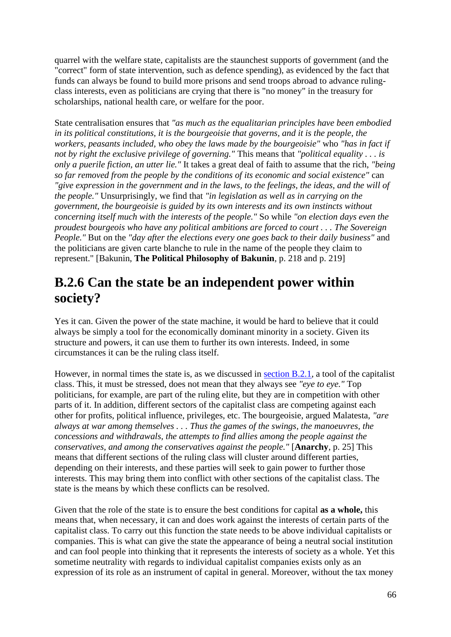quarrel with the welfare state, capitalists are the staunchest supports of government (and the "correct" form of state intervention, such as defence spending), as evidenced by the fact that funds can always be found to build more prisons and send troops abroad to advance rulingclass interests, even as politicians are crying that there is "no money" in the treasury for scholarships, national health care, or welfare for the poor.

State centralisation ensures that *"as much as the equalitarian principles have been embodied in its political constitutions, it is the bourgeoisie that governs, and it is the people, the workers, peasants included, who obey the laws made by the bourgeoisie"* who *"has in fact if not by right the exclusive privilege of governing."* This means that *"political equality . . . is only a puerile fiction, an utter lie."* It takes a great deal of faith to assume that the rich, *"being so far removed from the people by the conditions of its economic and social existence"* can *"give expression in the government and in the laws, to the feelings, the ideas, and the will of the people."* Unsurprisingly, we find that *"in legislation as well as in carrying on the government, the bourgeoisie is guided by its own interests and its own instincts without concerning itself much with the interests of the people."* So while *"on election days even the proudest bourgeois who have any political ambitions are forced to court . . . The Sovereign People."* But on the *"day after the elections every one goes back to their daily business"* and the politicians are given carte blanche to rule in the name of the people they claim to represent." [Bakunin, **The Political Philosophy of Bakunin**, p. 218 and p. 219]

### **B.2.6 Can the state be an independent power within society?**

Yes it can. Given the power of the state machine, it would be hard to believe that it could always be simply a tool for the economically dominant minority in a society. Given its structure and powers, it can use them to further its own interests. Indeed, in some circumstances it can be the ruling class itself.

However, in normal times the state is, as we discussed in [section B.2.1,](sectionB.html#secb21) a tool of the capitalist class. This, it must be stressed, does not mean that they always see *"eye to eye."* Top politicians, for example, are part of the ruling elite, but they are in competition with other parts of it. In addition, different sectors of the capitalist class are competing against each other for profits, political influence, privileges, etc. The bourgeoisie, argued Malatesta, *"are always at war among themselves . . . Thus the games of the swings, the manoeuvres, the concessions and withdrawals, the attempts to find allies among the people against the conservatives, and among the conservatives against the people."* [**Anarchy**, p. 25] This means that different sections of the ruling class will cluster around different parties, depending on their interests, and these parties will seek to gain power to further those interests. This may bring them into conflict with other sections of the capitalist class. The state is the means by which these conflicts can be resolved.

Given that the role of the state is to ensure the best conditions for capital **as a whole,** this means that, when necessary, it can and does work against the interests of certain parts of the capitalist class. To carry out this function the state needs to be above individual capitalists or companies. This is what can give the state the appearance of being a neutral social institution and can fool people into thinking that it represents the interests of society as a whole. Yet this sometime neutrality with regards to individual capitalist companies exists only as an expression of its role as an instrument of capital in general. Moreover, without the tax money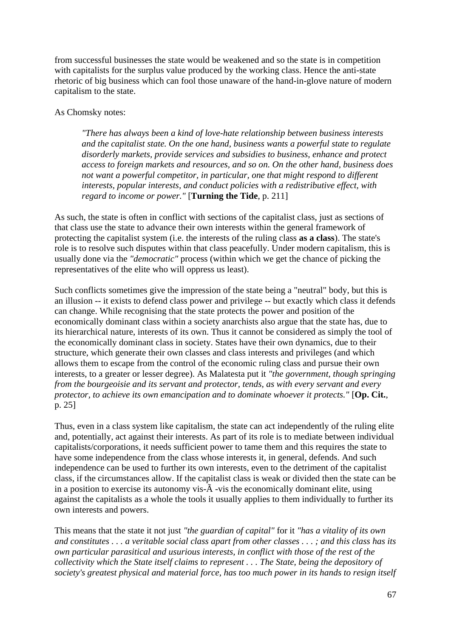from successful businesses the state would be weakened and so the state is in competition with capitalists for the surplus value produced by the working class. Hence the anti-state rhetoric of big business which can fool those unaware of the hand-in-glove nature of modern capitalism to the state.

#### As Chomsky notes:

*"There has always been a kind of love-hate relationship between business interests and the capitalist state. On the one hand, business wants a powerful state to regulate disorderly markets, provide services and subsidies to business, enhance and protect access to foreign markets and resources, and so on. On the other hand, business does not want a powerful competitor, in particular, one that might respond to different interests, popular interests, and conduct policies with a redistributive effect, with regard to income or power."* [**Turning the Tide**, p. 211]

As such, the state is often in conflict with sections of the capitalist class, just as sections of that class use the state to advance their own interests within the general framework of protecting the capitalist system (i.e. the interests of the ruling class **as a class**). The state's role is to resolve such disputes within that class peacefully. Under modern capitalism, this is usually done via the *"democratic"* process (within which we get the chance of picking the representatives of the elite who will oppress us least).

Such conflicts sometimes give the impression of the state being a "neutral" body, but this is an illusion -- it exists to defend class power and privilege -- but exactly which class it defends can change. While recognising that the state protects the power and position of the economically dominant class within a society anarchists also argue that the state has, due to its hierarchical nature, interests of its own. Thus it cannot be considered as simply the tool of the economically dominant class in society. States have their own dynamics, due to their structure, which generate their own classes and class interests and privileges (and which allows them to escape from the control of the economic ruling class and pursue their own interests, to a greater or lesser degree). As Malatesta put it *"the government, though springing from the bourgeoisie and its servant and protector, tends, as with every servant and every protector, to achieve its own emancipation and to dominate whoever it protects."* [**Op. Cit.**, p. 25]

Thus, even in a class system like capitalism, the state can act independently of the ruling elite and, potentially, act against their interests. As part of its role is to mediate between individual capitalists/corporations, it needs sufficient power to tame them and this requires the state to have some independence from the class whose interests it, in general, defends. And such independence can be used to further its own interests, even to the detriment of the capitalist class, if the circumstances allow. If the capitalist class is weak or divided then the state can be in a position to exercise its autonomy vis- $\tilde{A}$  -vis the economically dominant elite, using against the capitalists as a whole the tools it usually applies to them individually to further its own interests and powers.

This means that the state it not just *"the guardian of capital"* for it *"has a vitality of its own and constitutes . . . a veritable social class apart from other classes . . . ; and this class has its own particular parasitical and usurious interests, in conflict with those of the rest of the collectivity which the State itself claims to represent . . . The State, being the depository of society's greatest physical and material force, has too much power in its hands to resign itself*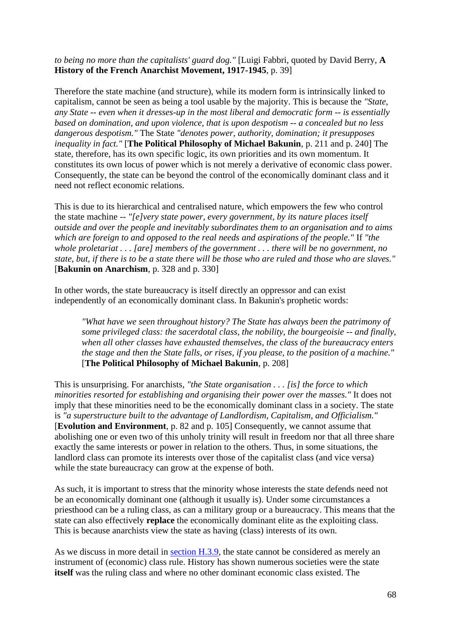#### *to being no more than the capitalists' guard dog."* [Luigi Fabbri, quoted by David Berry, **A History of the French Anarchist Movement, 1917-1945**, p. 39]

Therefore the state machine (and structure), while its modern form is intrinsically linked to capitalism, cannot be seen as being a tool usable by the majority. This is because the *"State, any State -- even when it dresses-up in the most liberal and democratic form -- is essentially based on domination, and upon violence, that is upon despotism -- a concealed but no less dangerous despotism."* The State *"denotes power, authority, domination; it presupposes inequality in fact."* [**The Political Philosophy of Michael Bakunin**, p. 211 and p. 240] The state, therefore, has its own specific logic, its own priorities and its own momentum. It constitutes its own locus of power which is not merely a derivative of economic class power. Consequently, the state can be beyond the control of the economically dominant class and it need not reflect economic relations.

This is due to its hierarchical and centralised nature, which empowers the few who control the state machine -- *"[e]very state power, every government, by its nature places itself outside and over the people and inevitably subordinates them to an organisation and to aims which are foreign to and opposed to the real needs and aspirations of the people."* If *"the whole proletariat . . . [are] members of the government . . . there will be no government, no state, but, if there is to be a state there will be those who are ruled and those who are slaves."* [**Bakunin on Anarchism**, p. 328 and p. 330]

In other words, the state bureaucracy is itself directly an oppressor and can exist independently of an economically dominant class. In Bakunin's prophetic words:

*"What have we seen throughout history? The State has always been the patrimony of some privileged class: the sacerdotal class, the nobility, the bourgeoisie -- and finally, when all other classes have exhausted themselves, the class of the bureaucracy enters the stage and then the State falls, or rises, if you please, to the position of a machine."* [**The Political Philosophy of Michael Bakunin**, p. 208]

This is unsurprising. For anarchists, *"the State organisation . . . [is] the force to which minorities resorted for establishing and organising their power over the masses."* It does not imply that these minorities need to be the economically dominant class in a society. The state is *"a superstructure built to the advantage of Landlordism, Capitalism, and Officialism."* [**Evolution and Environment**, p. 82 and p. 105] Consequently, we cannot assume that abolishing one or even two of this unholy trinity will result in freedom nor that all three share exactly the same interests or power in relation to the others. Thus, in some situations, the landlord class can promote its interests over those of the capitalist class (and vice versa) while the state bureaucracy can grow at the expense of both.

As such, it is important to stress that the minority whose interests the state defends need not be an economically dominant one (although it usually is). Under some circumstances a priesthood can be a ruling class, as can a military group or a bureaucracy. This means that the state can also effectively **replace** the economically dominant elite as the exploiting class. This is because anarchists view the state as having (class) interests of its own.

As we discuss in more detail in [section H.3.9,](sectionH.html#sech39) the state cannot be considered as merely an instrument of (economic) class rule. History has shown numerous societies were the state **itself** was the ruling class and where no other dominant economic class existed. The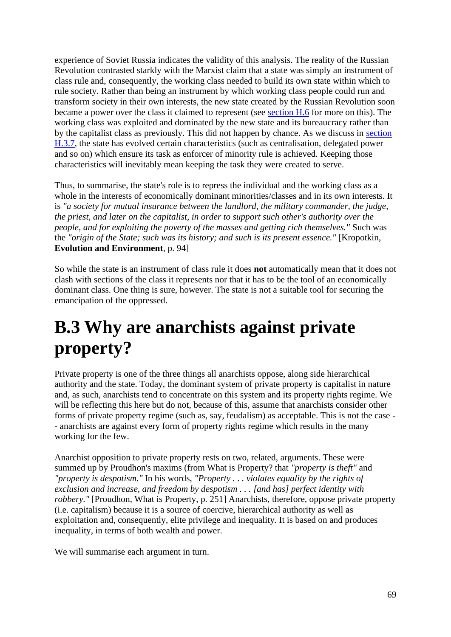experience of Soviet Russia indicates the validity of this analysis. The reality of the Russian Revolution contrasted starkly with the Marxist claim that a state was simply an instrument of class rule and, consequently, the working class needed to build its own state within which to rule society. Rather than being an instrument by which working class people could run and transform society in their own interests, the new state created by the Russian Revolution soon became a power over the class it claimed to represent (see [section H.6](sectionH.html#sech6) for more on this). The working class was exploited and dominated by the new state and its bureaucracy rather than by the capitalist class as previously. This did not happen by chance. As we discuss in [section](sectionH.html#sech37)  [H.3.7,](sectionH.html#sech37) the state has evolved certain characteristics (such as centralisation, delegated power and so on) which ensure its task as enforcer of minority rule is achieved. Keeping those characteristics will inevitably mean keeping the task they were created to serve.

Thus, to summarise, the state's role is to repress the individual and the working class as a whole in the interests of economically dominant minorities/classes and in its own interests. It is *"a society for mutual insurance between the landlord, the military commander, the judge, the priest, and later on the capitalist, in order to support such other's authority over the people, and for exploiting the poverty of the masses and getting rich themselves."* Such was the *"origin of the State; such was its history; and such is its present essence."* [Kropotkin, **Evolution and Environment**, p. 94]

So while the state is an instrument of class rule it does **not** automatically mean that it does not clash with sections of the class it represents nor that it has to be the tool of an economically dominant class. One thing is sure, however. The state is not a suitable tool for securing the emancipation of the oppressed.

# **B.3 Why are anarchists against private property?**

Private property is one of the three things all anarchists oppose, along side hierarchical authority and the state. Today, the dominant system of private property is capitalist in nature and, as such, anarchists tend to concentrate on this system and its property rights regime. We will be reflecting this here but do not, because of this, assume that anarchists consider other forms of private property regime (such as, say, feudalism) as acceptable. This is not the case - - anarchists are against every form of property rights regime which results in the many working for the few.

Anarchist opposition to private property rests on two, related, arguments. These were summed up by Proudhon's maxims (from What is Property? that *"property is theft"* and *"property is despotism."* In his words, *"Property . . . violates equality by the rights of exclusion and increase, and freedom by despotism . . . [and has] perfect identity with robbery.*" [Proudhon, What is Property, p. 251] Anarchists, therefore, oppose private property (i.e. capitalism) because it is a source of coercive, hierarchical authority as well as exploitation and, consequently, elite privilege and inequality. It is based on and produces inequality, in terms of both wealth and power.

We will summarise each argument in turn.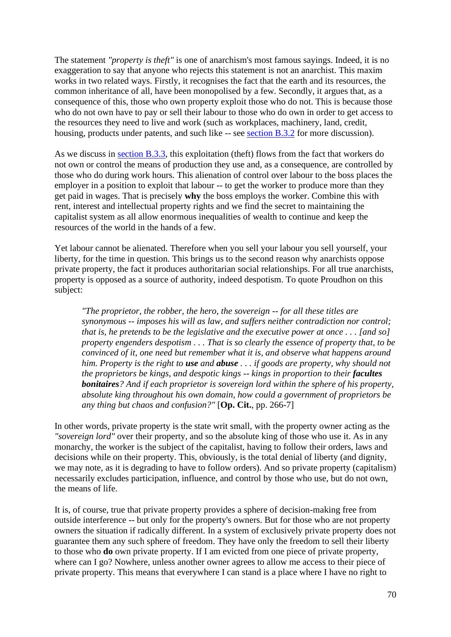The statement *"property is theft"* is one of anarchism's most famous sayings. Indeed, it is no exaggeration to say that anyone who rejects this statement is not an anarchist. This maxim works in two related ways. Firstly, it recognises the fact that the earth and its resources, the common inheritance of all, have been monopolised by a few. Secondly, it argues that, as a consequence of this, those who own property exploit those who do not. This is because those who do not own have to pay or sell their labour to those who do own in order to get access to the resources they need to live and work (such as workplaces, machinery, land, credit, housing, products under patents, and such like -- see [section B.3.2](sectionB.html#secb32) for more discussion).

As we discuss in [section B.3.3,](sectionB.html#secb33) this exploitation (theft) flows from the fact that workers do not own or control the means of production they use and, as a consequence, are controlled by those who do during work hours. This alienation of control over labour to the boss places the employer in a position to exploit that labour -- to get the worker to produce more than they get paid in wages. That is precisely **why** the boss employs the worker. Combine this with rent, interest and intellectual property rights and we find the secret to maintaining the capitalist system as all allow enormous inequalities of wealth to continue and keep the resources of the world in the hands of a few.

Yet labour cannot be alienated. Therefore when you sell your labour you sell yourself, your liberty, for the time in question. This brings us to the second reason why anarchists oppose private property, the fact it produces authoritarian social relationships. For all true anarchists, property is opposed as a source of authority, indeed despotism. To quote Proudhon on this subject:

*"The proprietor, the robber, the hero, the sovereign -- for all these titles are synonymous -- imposes his will as law, and suffers neither contradiction nor control; that is, he pretends to be the legislative and the executive power at once . . . [and so] property engenders despotism . . . That is so clearly the essence of property that, to be convinced of it, one need but remember what it is, and observe what happens around him. Property is the right to use and abuse . . . if goods are property, why should not the proprietors be kings, and despotic kings -- kings in proportion to their facultes bonitaires? And if each proprietor is sovereign lord within the sphere of his property, absolute king throughout his own domain, how could a government of proprietors be any thing but chaos and confusion?"* [**Op. Cit.**, pp. 266-7]

In other words, private property is the state writ small, with the property owner acting as the *"sovereign lord"* over their property, and so the absolute king of those who use it. As in any monarchy, the worker is the subject of the capitalist, having to follow their orders, laws and decisions while on their property. This, obviously, is the total denial of liberty (and dignity, we may note, as it is degrading to have to follow orders). And so private property (capitalism) necessarily excludes participation, influence, and control by those who use, but do not own, the means of life.

It is, of course, true that private property provides a sphere of decision-making free from outside interference -- but only for the property's owners. But for those who are not property owners the situation if radically different. In a system of exclusively private property does not guarantee them any such sphere of freedom. They have only the freedom to sell their liberty to those who **do** own private property. If I am evicted from one piece of private property, where can I go? Nowhere, unless another owner agrees to allow me access to their piece of private property. This means that everywhere I can stand is a place where I have no right to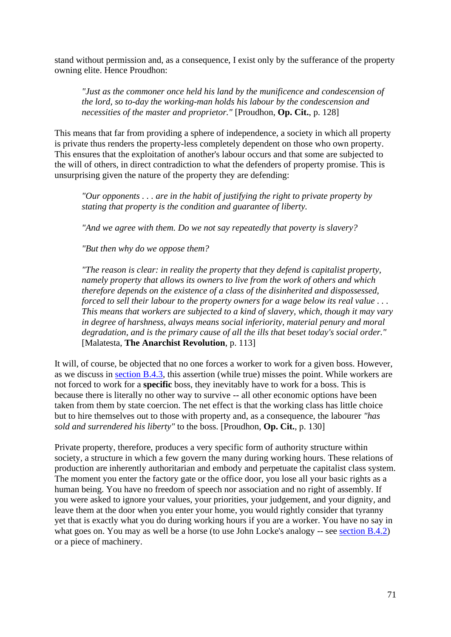stand without permission and, as a consequence, I exist only by the sufferance of the property owning elite. Hence Proudhon:

*"Just as the commoner once held his land by the munificence and condescension of the lord, so to-day the working-man holds his labour by the condescension and necessities of the master and proprietor."* [Proudhon, **Op. Cit.**, p. 128]

This means that far from providing a sphere of independence, a society in which all property is private thus renders the property-less completely dependent on those who own property. This ensures that the exploitation of another's labour occurs and that some are subjected to the will of others, in direct contradiction to what the defenders of property promise. This is unsurprising given the nature of the property they are defending:

*"Our opponents . . . are in the habit of justifying the right to private property by stating that property is the condition and guarantee of liberty.*

*"And we agree with them. Do we not say repeatedly that poverty is slavery?*

*"But then why do we oppose them?*

*"The reason is clear: in reality the property that they defend is capitalist property, namely property that allows its owners to live from the work of others and which therefore depends on the existence of a class of the disinherited and dispossessed, forced to sell their labour to the property owners for a wage below its real value . . . This means that workers are subjected to a kind of slavery, which, though it may vary in degree of harshness, always means social inferiority, material penury and moral degradation, and is the primary cause of all the ills that beset today's social order."* [Malatesta, **The Anarchist Revolution**, p. 113]

It will, of course, be objected that no one forces a worker to work for a given boss. However, as we discuss in [section B.4.3,](sectionB.html#secb43) this assertion (while true) misses the point. While workers are not forced to work for a **specific** boss, they inevitably have to work for a boss. This is because there is literally no other way to survive -- all other economic options have been taken from them by state coercion. The net effect is that the working class has little choice but to hire themselves out to those with property and, as a consequence, the labourer *"has sold and surrendered his liberty"* to the boss. [Proudhon, **Op. Cit.**, p. 130]

Private property, therefore, produces a very specific form of authority structure within society, a structure in which a few govern the many during working hours. These relations of production are inherently authoritarian and embody and perpetuate the capitalist class system. The moment you enter the factory gate or the office door, you lose all your basic rights as a human being. You have no freedom of speech nor association and no right of assembly. If you were asked to ignore your values, your priorities, your judgement, and your dignity, and leave them at the door when you enter your home, you would rightly consider that tyranny yet that is exactly what you do during working hours if you are a worker. You have no say in what goes on. You may as well be a horse (to use John Locke's analogy -- see [section B.4.2\)](sectionB.html#secb42) or a piece of machinery.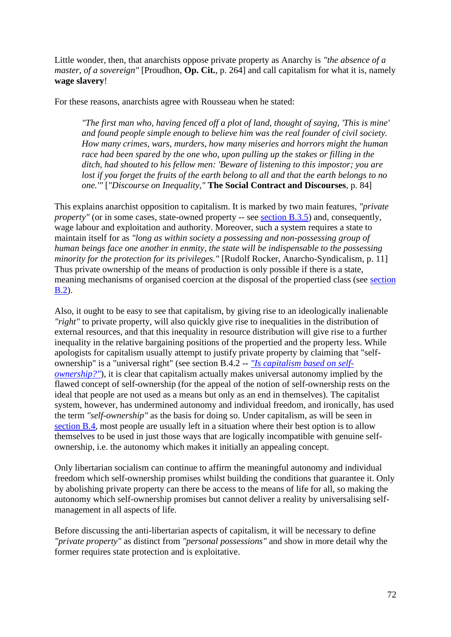Little wonder, then, that anarchists oppose private property as Anarchy is *"the absence of a master, of a sovereign"* [Proudhon, **Op. Cit.**, p. 264] and call capitalism for what it is, namely **wage slavery**!

For these reasons, anarchists agree with Rousseau when he stated:

*"The first man who, having fenced off a plot of land, thought of saying, 'This is mine' and found people simple enough to believe him was the real founder of civil society. How many crimes, wars, murders, how many miseries and horrors might the human race had been spared by the one who, upon pulling up the stakes or filling in the ditch, had shouted to his fellow men: 'Beware of listening to this impostor; you are lost if you forget the fruits of the earth belong to all and that the earth belongs to no one.'"* [*"Discourse on Inequality,"* **The Social Contract and Discourses**, p. 84]

This explains anarchist opposition to capitalism. It is marked by two main features, *"private property"* (or in some cases, state-owned property -- see **section B.3.5**) and, consequently, wage labour and exploitation and authority. Moreover, such a system requires a state to maintain itself for as *"long as within society a possessing and non-possessing group of human beings face one another in enmity, the state will be indispensable to the possessing minority for the protection for its privileges."* [Rudolf Rocker, Anarcho-Syndicalism, p. 11] Thus private ownership of the means of production is only possible if there is a state, meaning mechanisms of organised coercion at the disposal of the propertied class (see [section](sectionB.html#secb2)  [B.2\)](sectionB.html#secb2).

Also, it ought to be easy to see that capitalism, by giving rise to an ideologically inalienable *"right"* to private property, will also quickly give rise to inequalities in the distribution of external resources, and that this inequality in resource distribution will give rise to a further inequality in the relative bargaining positions of the propertied and the property less. While apologists for capitalism usually attempt to justify private property by claiming that "selfownership" is a "universal right" (see section B.4.2 -- *["Is capitalism based on self](sectionB.html#secb42)[ownership?"](sectionB.html#secb42)*), it is clear that capitalism actually makes universal autonomy implied by the flawed concept of self-ownership (for the appeal of the notion of self-ownership rests on the ideal that people are not used as a means but only as an end in themselves). The capitalist system, however, has undermined autonomy and individual freedom, and ironically, has used the term *"self-ownership"* as the basis for doing so. Under capitalism, as will be seen in [section B.4,](sectionB.html#secb4) most people are usually left in a situation where their best option is to allow themselves to be used in just those ways that are logically incompatible with genuine selfownership, i.e. the autonomy which makes it initially an appealing concept.

Only libertarian socialism can continue to affirm the meaningful autonomy and individual freedom which self-ownership promises whilst building the conditions that guarantee it. Only by abolishing private property can there be access to the means of life for all, so making the autonomy which self-ownership promises but cannot deliver a reality by universalising selfmanagement in all aspects of life.

Before discussing the anti-libertarian aspects of capitalism, it will be necessary to define *"private property"* as distinct from *"personal possessions"* and show in more detail why the former requires state protection and is exploitative.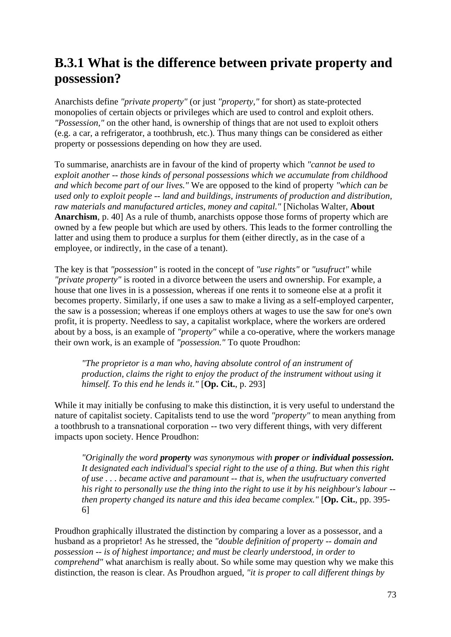#### **B.3.1 What is the difference between private property and possession?**

Anarchists define *"private property"* (or just *"property,"* for short) as state-protected monopolies of certain objects or privileges which are used to control and exploit others. *"Possession,"* on the other hand, is ownership of things that are not used to exploit others (e.g. a car, a refrigerator, a toothbrush, etc.). Thus many things can be considered as either property or possessions depending on how they are used.

To summarise, anarchists are in favour of the kind of property which *"cannot be used to exploit another -- those kinds of personal possessions which we accumulate from childhood and which become part of our lives."* We are opposed to the kind of property *"which can be used only to exploit people -- land and buildings, instruments of production and distribution, raw materials and manufactured articles, money and capital."* [Nicholas Walter, **About Anarchism**, p. 40] As a rule of thumb, anarchists oppose those forms of property which are owned by a few people but which are used by others. This leads to the former controlling the latter and using them to produce a surplus for them (either directly, as in the case of a employee, or indirectly, in the case of a tenant).

The key is that *"possession"* is rooted in the concept of *"use rights"* or *"usufruct"* while *"private property"* is rooted in a divorce between the users and ownership. For example, a house that one lives in is a possession, whereas if one rents it to someone else at a profit it becomes property. Similarly, if one uses a saw to make a living as a self-employed carpenter, the saw is a possession; whereas if one employs others at wages to use the saw for one's own profit, it is property. Needless to say, a capitalist workplace, where the workers are ordered about by a boss, is an example of *"property"* while a co-operative, where the workers manage their own work, is an example of *"possession."* To quote Proudhon:

*"The proprietor is a man who, having absolute control of an instrument of production, claims the right to enjoy the product of the instrument without using it himself. To this end he lends it."* [**Op. Cit.**, p. 293]

While it may initially be confusing to make this distinction, it is very useful to understand the nature of capitalist society. Capitalists tend to use the word *"property"* to mean anything from a toothbrush to a transnational corporation -- two very different things, with very different impacts upon society. Hence Proudhon:

*"Originally the word property was synonymous with proper or individual possession. It designated each individual's special right to the use of a thing. But when this right of use . . . became active and paramount -- that is, when the usufructuary converted his right to personally use the thing into the right to use it by his neighbour's labour - then property changed its nature and this idea became complex."* [**Op. Cit.**, pp. 395- 6]

Proudhon graphically illustrated the distinction by comparing a lover as a possessor, and a husband as a proprietor! As he stressed, the *"double definition of property -- domain and possession -- is of highest importance; and must be clearly understood, in order to comprehend"* what anarchism is really about. So while some may question why we make this distinction, the reason is clear. As Proudhon argued, *"it is proper to call different things by*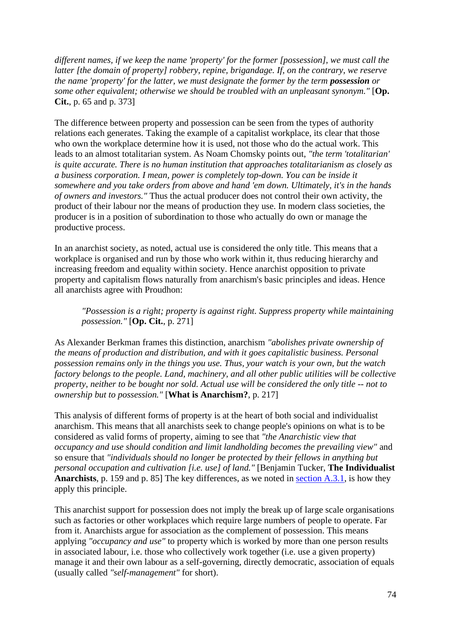*different names, if we keep the name 'property' for the former [possession], we must call the latter [the domain of property] robbery, repine, brigandage. If, on the contrary, we reserve the name 'property' for the latter, we must designate the former by the term possession or some other equivalent; otherwise we should be troubled with an unpleasant synonym."* [**Op. Cit.**, p. 65 and p. 373]

The difference between property and possession can be seen from the types of authority relations each generates. Taking the example of a capitalist workplace, its clear that those who own the workplace determine how it is used, not those who do the actual work. This leads to an almost totalitarian system. As Noam Chomsky points out, *"the term 'totalitarian' is quite accurate. There is no human institution that approaches totalitarianism as closely as a business corporation. I mean, power is completely top-down. You can be inside it somewhere and you take orders from above and hand 'em down. Ultimately, it's in the hands of owners and investors."* Thus the actual producer does not control their own activity, the product of their labour nor the means of production they use. In modern class societies, the producer is in a position of subordination to those who actually do own or manage the productive process.

In an anarchist society, as noted, actual use is considered the only title. This means that a workplace is organised and run by those who work within it, thus reducing hierarchy and increasing freedom and equality within society. Hence anarchist opposition to private property and capitalism flows naturally from anarchism's basic principles and ideas. Hence all anarchists agree with Proudhon:

*"Possession is a right; property is against right. Suppress property while maintaining possession."* [**Op. Cit.**, p. 271]

As Alexander Berkman frames this distinction, anarchism *"abolishes private ownership of the means of production and distribution, and with it goes capitalistic business. Personal possession remains only in the things you use. Thus, your watch is your own, but the watch factory belongs to the people. Land, machinery, and all other public utilities will be collective property, neither to be bought nor sold. Actual use will be considered the only title -- not to ownership but to possession."* [**What is Anarchism?**, p. 217]

This analysis of different forms of property is at the heart of both social and individualist anarchism. This means that all anarchists seek to change people's opinions on what is to be considered as valid forms of property, aiming to see that *"the Anarchistic view that occupancy and use should condition and limit landholding becomes the prevailing view"* and so ensure that *"individuals should no longer be protected by their fellows in anything but personal occupation and cultivation [i.e. use] of land."* [Benjamin Tucker, **The Individualist Anarchists**, p. 159 and p. 85] The key differences, as we noted in [section A.3.1,](sectionA.html#seca31) is how they apply this principle.

This anarchist support for possession does not imply the break up of large scale organisations such as factories or other workplaces which require large numbers of people to operate. Far from it. Anarchists argue for association as the complement of possession. This means applying *"occupancy and use"* to property which is worked by more than one person results in associated labour, i.e. those who collectively work together (i.e. use a given property) manage it and their own labour as a self-governing, directly democratic, association of equals (usually called *"self-management"* for short).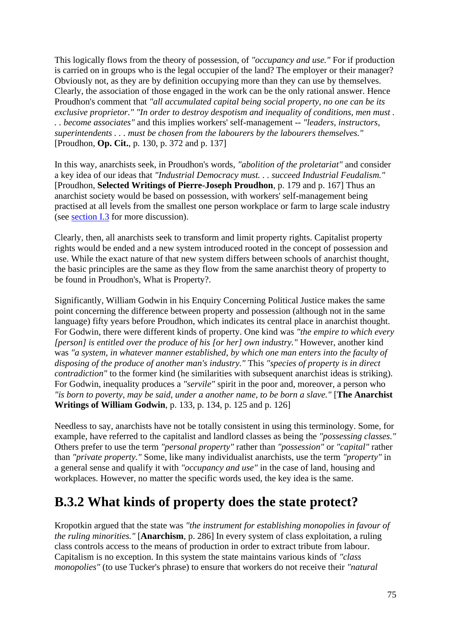This logically flows from the theory of possession, of *"occupancy and use."* For if production is carried on in groups who is the legal occupier of the land? The employer or their manager? Obviously not, as they are by definition occupying more than they can use by themselves. Clearly, the association of those engaged in the work can be the only rational answer. Hence Proudhon's comment that *"all accumulated capital being social property, no one can be its exclusive proprietor." "In order to destroy despotism and inequality of conditions, men must . . . become associates"* and this implies workers' self-management -- *"leaders, instructors, superintendents . . . must be chosen from the labourers by the labourers themselves."* [Proudhon, **Op. Cit.**, p. 130, p. 372 and p. 137]

In this way, anarchists seek, in Proudhon's words, *"abolition of the proletariat"* and consider a key idea of our ideas that *"Industrial Democracy must. . . succeed Industrial Feudalism."* [Proudhon, **Selected Writings of Pierre-Joseph Proudhon**, p. 179 and p. 167] Thus an anarchist society would be based on possession, with workers' self-management being practised at all levels from the smallest one person workplace or farm to large scale industry (see [section I.3](sectionI.html#seci3) for more discussion).

Clearly, then, all anarchists seek to transform and limit property rights. Capitalist property rights would be ended and a new system introduced rooted in the concept of possession and use. While the exact nature of that new system differs between schools of anarchist thought, the basic principles are the same as they flow from the same anarchist theory of property to be found in Proudhon's, What is Property?.

Significantly, William Godwin in his Enquiry Concerning Political Justice makes the same point concerning the difference between property and possession (although not in the same language) fifty years before Proudhon, which indicates its central place in anarchist thought. For Godwin, there were different kinds of property. One kind was *"the empire to which every [person] is entitled over the produce of his [or her] own industry."* However, another kind was *"a system, in whatever manner established, by which one man enters into the faculty of disposing of the produce of another man's industry."* This *"species of property is in direct contradiction*" to the former kind (he similarities with subsequent anarchist ideas is striking). For Godwin, inequality produces a *"servile"* spirit in the poor and, moreover, a person who *"is born to poverty, may be said, under a another name, to be born a slave."* [**The Anarchist Writings of William Godwin**, p. 133, p. 134, p. 125 and p. 126]

Needless to say, anarchists have not be totally consistent in using this terminology. Some, for example, have referred to the capitalist and landlord classes as being the *"possessing classes."* Others prefer to use the term *"personal property"* rather than *"possession"* or *"capital"* rather than *"private property."* Some, like many individualist anarchists, use the term *"property"* in a general sense and qualify it with *"occupancy and use"* in the case of land, housing and workplaces. However, no matter the specific words used, the key idea is the same.

#### **B.3.2 What kinds of property does the state protect?**

Kropotkin argued that the state was *"the instrument for establishing monopolies in favour of the ruling minorities."* [**Anarchism**, p. 286] In every system of class exploitation, a ruling class controls access to the means of production in order to extract tribute from labour. Capitalism is no exception. In this system the state maintains various kinds of *"class monopolies"* (to use Tucker's phrase) to ensure that workers do not receive their *"natural*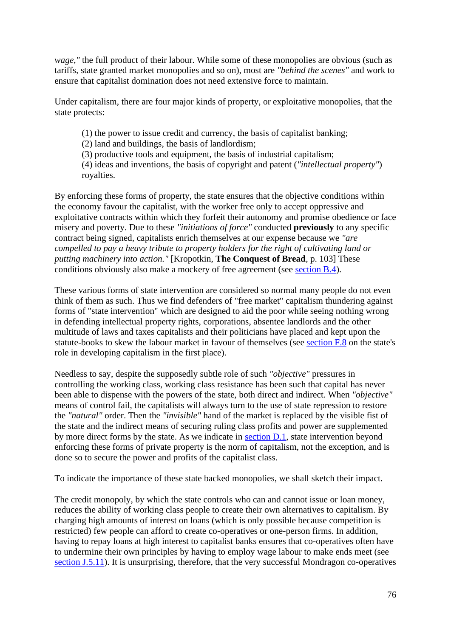*wage,"* the full product of their labour. While some of these monopolies are obvious (such as tariffs, state granted market monopolies and so on), most are *"behind the scenes"* and work to ensure that capitalist domination does not need extensive force to maintain.

Under capitalism, there are four major kinds of property, or exploitative monopolies, that the state protects:

(1) the power to issue credit and currency, the basis of capitalist banking;

(2) land and buildings, the basis of landlordism;

(3) productive tools and equipment, the basis of industrial capitalism;

(4) ideas and inventions, the basis of copyright and patent (*"intellectual property"*) royalties.

By enforcing these forms of property, the state ensures that the objective conditions within the economy favour the capitalist, with the worker free only to accept oppressive and exploitative contracts within which they forfeit their autonomy and promise obedience or face misery and poverty. Due to these *"initiations of force"* conducted **previously** to any specific contract being signed, capitalists enrich themselves at our expense because we *"are compelled to pay a heavy tribute to property holders for the right of cultivating land or putting machinery into action."* [Kropotkin, **The Conquest of Bread**, p. 103] These conditions obviously also make a mockery of free agreement (see [section B.4\)](sectionB.html#secb4).

These various forms of state intervention are considered so normal many people do not even think of them as such. Thus we find defenders of "free market" capitalism thundering against forms of "state intervention" which are designed to aid the poor while seeing nothing wrong in defending intellectual property rights, corporations, absentee landlords and the other multitude of laws and taxes capitalists and their politicians have placed and kept upon the statute-books to skew the labour market in favour of themselves (see [section F.8](sectionF.html#secf8) on the state's role in developing capitalism in the first place).

Needless to say, despite the supposedly subtle role of such *"objective"* pressures in controlling the working class, working class resistance has been such that capital has never been able to dispense with the powers of the state, both direct and indirect. When *"objective"* means of control fail, the capitalists will always turn to the use of state repression to restore the *"natural"* order. Then the *"invisible"* hand of the market is replaced by the visible fist of the state and the indirect means of securing ruling class profits and power are supplemented by more direct forms by the state. As we indicate in [section D.1,](sectionD.html#secd1) state intervention beyond enforcing these forms of private property is the norm of capitalism, not the exception, and is done so to secure the power and profits of the capitalist class.

To indicate the importance of these state backed monopolies, we shall sketch their impact.

The credit monopoly, by which the state controls who can and cannot issue or loan money, reduces the ability of working class people to create their own alternatives to capitalism. By charging high amounts of interest on loans (which is only possible because competition is restricted) few people can afford to create co-operatives or one-person firms. In addition, having to repay loans at high interest to capitalist banks ensures that co-operatives often have to undermine their own principles by having to employ wage labour to make ends meet (see [section J.5.11\)](sectionJ.html#secj511). It is unsurprising, therefore, that the very successful Mondragon co-operatives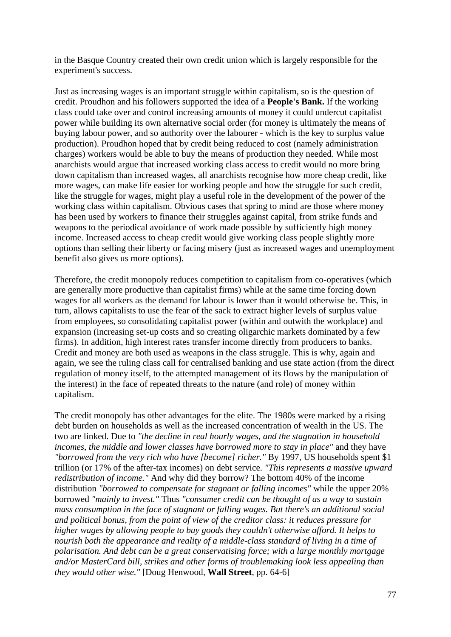in the Basque Country created their own credit union which is largely responsible for the experiment's success.

Just as increasing wages is an important struggle within capitalism, so is the question of credit. Proudhon and his followers supported the idea of a **People's Bank.** If the working class could take over and control increasing amounts of money it could undercut capitalist power while building its own alternative social order (for money is ultimately the means of buying labour power, and so authority over the labourer - which is the key to surplus value production). Proudhon hoped that by credit being reduced to cost (namely administration charges) workers would be able to buy the means of production they needed. While most anarchists would argue that increased working class access to credit would no more bring down capitalism than increased wages, all anarchists recognise how more cheap credit, like more wages, can make life easier for working people and how the struggle for such credit, like the struggle for wages, might play a useful role in the development of the power of the working class within capitalism. Obvious cases that spring to mind are those where money has been used by workers to finance their struggles against capital, from strike funds and weapons to the periodical avoidance of work made possible by sufficiently high money income. Increased access to cheap credit would give working class people slightly more options than selling their liberty or facing misery (just as increased wages and unemployment benefit also gives us more options).

Therefore, the credit monopoly reduces competition to capitalism from co-operatives (which are generally more productive than capitalist firms) while at the same time forcing down wages for all workers as the demand for labour is lower than it would otherwise be. This, in turn, allows capitalists to use the fear of the sack to extract higher levels of surplus value from employees, so consolidating capitalist power (within and outwith the workplace) and expansion (increasing set-up costs and so creating oligarchic markets dominated by a few firms). In addition, high interest rates transfer income directly from producers to banks. Credit and money are both used as weapons in the class struggle. This is why, again and again, we see the ruling class call for centralised banking and use state action (from the direct regulation of money itself, to the attempted management of its flows by the manipulation of the interest) in the face of repeated threats to the nature (and role) of money within capitalism.

The credit monopoly has other advantages for the elite. The 1980s were marked by a rising debt burden on households as well as the increased concentration of wealth in the US. The two are linked. Due to *"the decline in real hourly wages, and the stagnation in household incomes, the middle and lower classes have borrowed more to stay in place"* and they have *"borrowed from the very rich who have [become] richer."* By 1997, US households spent \$1 trillion (or 17% of the after-tax incomes) on debt service. *"This represents a massive upward redistribution of income."* And why did they borrow? The bottom 40% of the income distribution *"borrowed to compensate for stagnant or falling incomes"* while the upper 20% borrowed *"mainly to invest."* Thus *"consumer credit can be thought of as a way to sustain mass consumption in the face of stagnant or falling wages. But there's an additional social and political bonus, from the point of view of the creditor class: it reduces pressure for higher wages by allowing people to buy goods they couldn't otherwise afford. It helps to nourish both the appearance and reality of a middle-class standard of living in a time of polarisation. And debt can be a great conservatising force; with a large monthly mortgage and/or MasterCard bill, strikes and other forms of troublemaking look less appealing than they would other wise."* [Doug Henwood, **Wall Street**, pp. 64-6]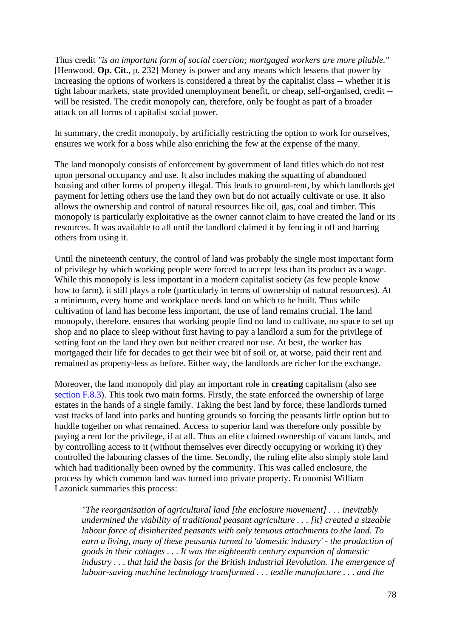Thus credit *"is an important form of social coercion; mortgaged workers are more pliable."* [Henwood, **Op. Cit.**, p. 232] Money is power and any means which lessens that power by increasing the options of workers is considered a threat by the capitalist class -- whether it is tight labour markets, state provided unemployment benefit, or cheap, self-organised, credit - will be resisted. The credit monopoly can, therefore, only be fought as part of a broader attack on all forms of capitalist social power.

In summary, the credit monopoly, by artificially restricting the option to work for ourselves, ensures we work for a boss while also enriching the few at the expense of the many.

The land monopoly consists of enforcement by government of land titles which do not rest upon personal occupancy and use. It also includes making the squatting of abandoned housing and other forms of property illegal. This leads to ground-rent, by which landlords get payment for letting others use the land they own but do not actually cultivate or use. It also allows the ownership and control of natural resources like oil, gas, coal and timber. This monopoly is particularly exploitative as the owner cannot claim to have created the land or its resources. It was available to all until the landlord claimed it by fencing it off and barring others from using it.

Until the nineteenth century, the control of land was probably the single most important form of privilege by which working people were forced to accept less than its product as a wage. While this monopoly is less important in a modern capitalist society (as few people know how to farm), it still plays a role (particularly in terms of ownership of natural resources). At a minimum, every home and workplace needs land on which to be built. Thus while cultivation of land has become less important, the use of land remains crucial. The land monopoly, therefore, ensures that working people find no land to cultivate, no space to set up shop and no place to sleep without first having to pay a landlord a sum for the privilege of setting foot on the land they own but neither created nor use. At best, the worker has mortgaged their life for decades to get their wee bit of soil or, at worse, paid their rent and remained as property-less as before. Either way, the landlords are richer for the exchange.

Moreover, the land monopoly did play an important role in **creating** capitalism (also see [section F.8.3\)](sectionF.html#secf83). This took two main forms. Firstly, the state enforced the ownership of large estates in the hands of a single family. Taking the best land by force, these landlords turned vast tracks of land into parks and hunting grounds so forcing the peasants little option but to huddle together on what remained. Access to superior land was therefore only possible by paying a rent for the privilege, if at all. Thus an elite claimed ownership of vacant lands, and by controlling access to it (without themselves ever directly occupying or working it) they controlled the labouring classes of the time. Secondly, the ruling elite also simply stole land which had traditionally been owned by the community. This was called enclosure, the process by which common land was turned into private property. Economist William Lazonick summaries this process:

*"The reorganisation of agricultural land [the enclosure movement] . . . inevitably undermined the viability of traditional peasant agriculture . . . [it] created a sizeable labour force of disinherited peasants with only tenuous attachments to the land. To earn a living, many of these peasants turned to 'domestic industry' - the production of goods in their cottages . . . It was the eighteenth century expansion of domestic industry . . . that laid the basis for the British Industrial Revolution. The emergence of labour-saving machine technology transformed . . . textile manufacture . . . and the*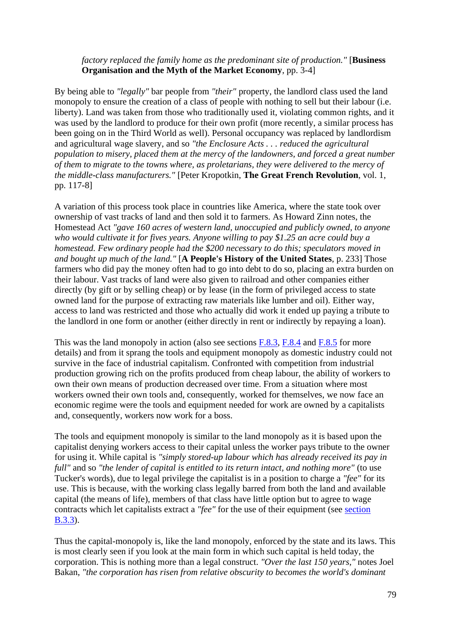#### *factory replaced the family home as the predominant site of production."* [**Business Organisation and the Myth of the Market Economy**, pp. 3-4]

By being able to *"legally"* bar people from *"their"* property, the landlord class used the land monopoly to ensure the creation of a class of people with nothing to sell but their labour (i.e. liberty). Land was taken from those who traditionally used it, violating common rights, and it was used by the landlord to produce for their own profit (more recently, a similar process has been going on in the Third World as well). Personal occupancy was replaced by landlordism and agricultural wage slavery, and so *"the Enclosure Acts . . . reduced the agricultural population to misery, placed them at the mercy of the landowners, and forced a great number of them to migrate to the towns where, as proletarians, they were delivered to the mercy of the middle-class manufacturers."* [Peter Kropotkin, **The Great French Revolution**, vol. 1, pp. 117-8]

A variation of this process took place in countries like America, where the state took over ownership of vast tracks of land and then sold it to farmers. As Howard Zinn notes, the Homestead Act *"gave 160 acres of western land, unoccupied and publicly owned, to anyone who would cultivate it for fives years. Anyone willing to pay \$1.25 an acre could buy a homestead. Few ordinary people had the \$200 necessary to do this; speculators moved in and bought up much of the land."* [**A People's History of the United States**, p. 233] Those farmers who did pay the money often had to go into debt to do so, placing an extra burden on their labour. Vast tracks of land were also given to railroad and other companies either directly (by gift or by selling cheap) or by lease (in the form of privileged access to state owned land for the purpose of extracting raw materials like lumber and oil). Either way, access to land was restricted and those who actually did work it ended up paying a tribute to the landlord in one form or another (either directly in rent or indirectly by repaying a loan).

This was the land monopoly in action (also see sections [F.8.3,](sectionF.html#secf83) [F.8.4](sectionF.html#secf84) and [F.8.5](sectionF.html#secf85) for more details) and from it sprang the tools and equipment monopoly as domestic industry could not survive in the face of industrial capitalism. Confronted with competition from industrial production growing rich on the profits produced from cheap labour, the ability of workers to own their own means of production decreased over time. From a situation where most workers owned their own tools and, consequently, worked for themselves, we now face an economic regime were the tools and equipment needed for work are owned by a capitalists and, consequently, workers now work for a boss.

The tools and equipment monopoly is similar to the land monopoly as it is based upon the capitalist denying workers access to their capital unless the worker pays tribute to the owner for using it. While capital is *"simply stored-up labour which has already received its pay in full"* and so *"the lender of capital is entitled to its return intact, and nothing more"* (to use Tucker's words), due to legal privilege the capitalist is in a position to charge a *"fee"* for its use. This is because, with the working class legally barred from both the land and available capital (the means of life), members of that class have little option but to agree to wage contracts which let capitalists extract a "fee" for the use of their equipment (see section [B.3.3\)](sectionB.html#secb33).

Thus the capital-monopoly is, like the land monopoly, enforced by the state and its laws. This is most clearly seen if you look at the main form in which such capital is held today, the corporation. This is nothing more than a legal construct. *"Over the last 150 years,"* notes Joel Bakan, *"the corporation has risen from relative obscurity to becomes the world's dominant*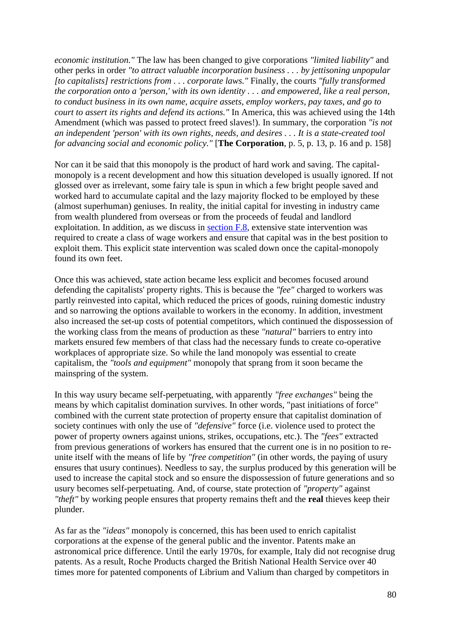*economic institution."* The law has been changed to give corporations *"limited liability"* and other perks in order *"to attract valuable incorporation business . . . by jettisoning unpopular [to capitalists] restrictions from . . . corporate laws."* Finally, the courts *"fully transformed the corporation onto a 'person,' with its own identity . . . and empowered, like a real person, to conduct business in its own name, acquire assets, employ workers, pay taxes, and go to court to assert its rights and defend its actions."* In America, this was achieved using the 14th Amendment (which was passed to protect freed slaves!). In summary, the corporation *"is not an independent 'person' with its own rights, needs, and desires . . . It is a state-created tool for advancing social and economic policy."* [**The Corporation**, p. 5, p. 13, p. 16 and p. 158]

Nor can it be said that this monopoly is the product of hard work and saving. The capitalmonopoly is a recent development and how this situation developed is usually ignored. If not glossed over as irrelevant, some fairy tale is spun in which a few bright people saved and worked hard to accumulate capital and the lazy majority flocked to be employed by these (almost superhuman) geniuses. In reality, the initial capital for investing in industry came from wealth plundered from overseas or from the proceeds of feudal and landlord exploitation. In addition, as we discuss in [section F.8,](sectionF.html#secf8) extensive state intervention was required to create a class of wage workers and ensure that capital was in the best position to exploit them. This explicit state intervention was scaled down once the capital-monopoly found its own feet.

Once this was achieved, state action became less explicit and becomes focused around defending the capitalists' property rights. This is because the *"fee"* charged to workers was partly reinvested into capital, which reduced the prices of goods, ruining domestic industry and so narrowing the options available to workers in the economy. In addition, investment also increased the set-up costs of potential competitors, which continued the dispossession of the working class from the means of production as these *"natural"* barriers to entry into markets ensured few members of that class had the necessary funds to create co-operative workplaces of appropriate size. So while the land monopoly was essential to create capitalism, the *"tools and equipment"* monopoly that sprang from it soon became the mainspring of the system.

In this way usury became self-perpetuating, with apparently *"free exchanges"* being the means by which capitalist domination survives. In other words, "past initiations of force" combined with the current state protection of property ensure that capitalist domination of society continues with only the use of *"defensive"* force (i.e. violence used to protect the power of property owners against unions, strikes, occupations, etc.). The *"fees"* extracted from previous generations of workers has ensured that the current one is in no position to reunite itself with the means of life by *"free competition"* (in other words, the paying of usury ensures that usury continues). Needless to say, the surplus produced by this generation will be used to increase the capital stock and so ensure the dispossession of future generations and so usury becomes self-perpetuating. And, of course, state protection of *"property"* against *"theft"* by working people ensures that property remains theft and the **real** thieves keep their plunder.

As far as the *"ideas"* monopoly is concerned, this has been used to enrich capitalist corporations at the expense of the general public and the inventor. Patents make an astronomical price difference. Until the early 1970s, for example, Italy did not recognise drug patents. As a result, Roche Products charged the British National Health Service over 40 times more for patented components of Librium and Valium than charged by competitors in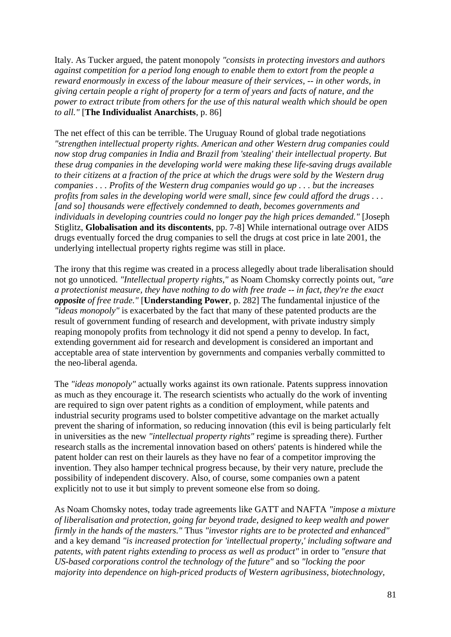Italy. As Tucker argued, the patent monopoly *"consists in protecting investors and authors against competition for a period long enough to enable them to extort from the people a reward enormously in excess of the labour measure of their services, -- in other words, in giving certain people a right of property for a term of years and facts of nature, and the power to extract tribute from others for the use of this natural wealth which should be open to all."* [**The Individualist Anarchists**, p. 86]

The net effect of this can be terrible. The Uruguay Round of global trade negotiations *"strengthen intellectual property rights. American and other Western drug companies could now stop drug companies in India and Brazil from 'stealing' their intellectual property. But these drug companies in the developing world were making these life-saving drugs available to their citizens at a fraction of the price at which the drugs were sold by the Western drug companies . . . Profits of the Western drug companies would go up . . . but the increases profits from sales in the developing world were small, since few could afford the drugs . . . [and so] thousands were effectively condemned to death, becomes governments and individuals in developing countries could no longer pay the high prices demanded."* [Joseph Stiglitz, **Globalisation and its discontents**, pp. 7-8] While international outrage over AIDS drugs eventually forced the drug companies to sell the drugs at cost price in late 2001, the underlying intellectual property rights regime was still in place.

The irony that this regime was created in a process allegedly about trade liberalisation should not go unnoticed. *"Intellectual property rights,"* as Noam Chomsky correctly points out, *"are a protectionist measure, they have nothing to do with free trade -- in fact, they're the exact opposite of free trade."* [**Understanding Power**, p. 282] The fundamental injustice of the *"ideas monopoly"* is exacerbated by the fact that many of these patented products are the result of government funding of research and development, with private industry simply reaping monopoly profits from technology it did not spend a penny to develop. In fact, extending government aid for research and development is considered an important and acceptable area of state intervention by governments and companies verbally committed to the neo-liberal agenda.

The *"ideas monopoly"* actually works against its own rationale. Patents suppress innovation as much as they encourage it. The research scientists who actually do the work of inventing are required to sign over patent rights as a condition of employment, while patents and industrial security programs used to bolster competitive advantage on the market actually prevent the sharing of information, so reducing innovation (this evil is being particularly felt in universities as the new *"intellectual property rights"* regime is spreading there). Further research stalls as the incremental innovation based on others' patents is hindered while the patent holder can rest on their laurels as they have no fear of a competitor improving the invention. They also hamper technical progress because, by their very nature, preclude the possibility of independent discovery. Also, of course, some companies own a patent explicitly not to use it but simply to prevent someone else from so doing.

As Noam Chomsky notes, today trade agreements like GATT and NAFTA *"impose a mixture of liberalisation and protection, going far beyond trade, designed to keep wealth and power firmly in the hands of the masters."* Thus *"investor rights are to be protected and enhanced"* and a key demand *"is increased protection for 'intellectual property,' including software and patents, with patent rights extending to process as well as product"* in order to *"ensure that US-based corporations control the technology of the future"* and so *"locking the poor majority into dependence on high-priced products of Western agribusiness, biotechnology,*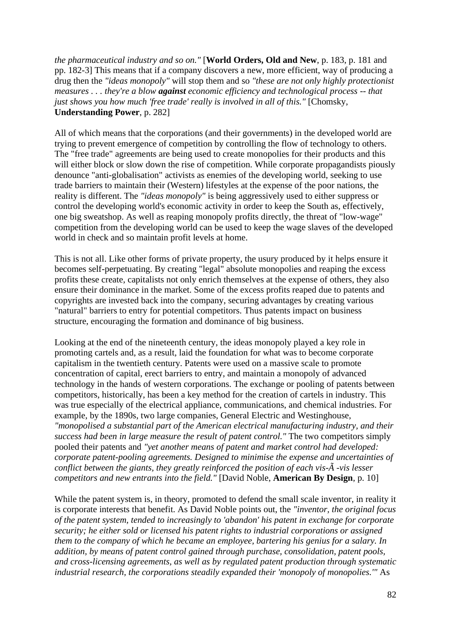*the pharmaceutical industry and so on."* [**World Orders, Old and New**, p. 183, p. 181 and pp. 182-3] This means that if a company discovers a new, more efficient, way of producing a drug then the *"ideas monopoly"* will stop them and so *"these are not only highly protectionist measures . . . they're a blow against economic efficiency and technological process -- that just shows you how much 'free trade' really is involved in all of this."* [Chomsky, **Understanding Power**, p. 282]

All of which means that the corporations (and their governments) in the developed world are trying to prevent emergence of competition by controlling the flow of technology to others. The "free trade" agreements are being used to create monopolies for their products and this will either block or slow down the rise of competition. While corporate propagandists piously denounce "anti-globalisation" activists as enemies of the developing world, seeking to use trade barriers to maintain their (Western) lifestyles at the expense of the poor nations, the reality is different. The *"ideas monopoly"* is being aggressively used to either suppress or control the developing world's economic activity in order to keep the South as, effectively, one big sweatshop. As well as reaping monopoly profits directly, the threat of "low-wage" competition from the developing world can be used to keep the wage slaves of the developed world in check and so maintain profit levels at home.

This is not all. Like other forms of private property, the usury produced by it helps ensure it becomes self-perpetuating. By creating "legal" absolute monopolies and reaping the excess profits these create, capitalists not only enrich themselves at the expense of others, they also ensure their dominance in the market. Some of the excess profits reaped due to patents and copyrights are invested back into the company, securing advantages by creating various "natural" barriers to entry for potential competitors. Thus patents impact on business structure, encouraging the formation and dominance of big business.

Looking at the end of the nineteenth century, the ideas monopoly played a key role in promoting cartels and, as a result, laid the foundation for what was to become corporate capitalism in the twentieth century. Patents were used on a massive scale to promote concentration of capital, erect barriers to entry, and maintain a monopoly of advanced technology in the hands of western corporations. The exchange or pooling of patents between competitors, historically, has been a key method for the creation of cartels in industry. This was true especially of the electrical appliance, communications, and chemical industries. For example, by the 1890s, two large companies, General Electric and Westinghouse, *"monopolised a substantial part of the American electrical manufacturing industry, and their success had been in large measure the result of patent control."* The two competitors simply pooled their patents and *"yet another means of patent and market control had developed: corporate patent-pooling agreements. Designed to minimise the expense and uncertainties of conflict between the giants, they greatly reinforced the position of each vis-Ã -vis lesser competitors and new entrants into the field."* [David Noble, **American By Design**, p. 10]

While the patent system is, in theory, promoted to defend the small scale inventor, in reality it is corporate interests that benefit. As David Noble points out, the *"inventor, the original focus of the patent system, tended to increasingly to 'abandon' his patent in exchange for corporate security; he either sold or licensed his patent rights to industrial corporations or assigned them to the company of which he became an employee, bartering his genius for a salary. In addition, by means of patent control gained through purchase, consolidation, patent pools, and cross-licensing agreements, as well as by regulated patent production through systematic industrial research, the corporations steadily expanded their 'monopoly of monopolies.'"* As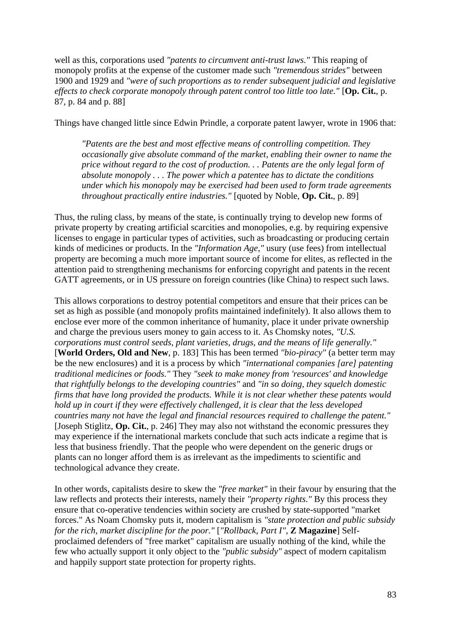well as this, corporations used *"patents to circumvent anti-trust laws."* This reaping of monopoly profits at the expense of the customer made such *"tremendous strides"* between 1900 and 1929 and *"were of such proportions as to render subsequent judicial and legislative effects to check corporate monopoly through patent control too little too late."* [**Op. Cit.**, p. 87, p. 84 and p. 88]

Things have changed little since Edwin Prindle, a corporate patent lawyer, wrote in 1906 that:

*"Patents are the best and most effective means of controlling competition. They occasionally give absolute command of the market, enabling their owner to name the price without regard to the cost of production. . . Patents are the only legal form of absolute monopoly . . . The power which a patentee has to dictate the conditions under which his monopoly may be exercised had been used to form trade agreements throughout practically entire industries."* [quoted by Noble, **Op. Cit.**, p. 89]

Thus, the ruling class, by means of the state, is continually trying to develop new forms of private property by creating artificial scarcities and monopolies, e.g. by requiring expensive licenses to engage in particular types of activities, such as broadcasting or producing certain kinds of medicines or products. In the *"Information Age,"* usury (use fees) from intellectual property are becoming a much more important source of income for elites, as reflected in the attention paid to strengthening mechanisms for enforcing copyright and patents in the recent GATT agreements, or in US pressure on foreign countries (like China) to respect such laws.

This allows corporations to destroy potential competitors and ensure that their prices can be set as high as possible (and monopoly profits maintained indefinitely). It also allows them to enclose ever more of the common inheritance of humanity, place it under private ownership and charge the previous users money to gain access to it. As Chomsky notes, *"U.S. corporations must control seeds, plant varieties, drugs, and the means of life generally."* [**World Orders, Old and New**, p. 183] This has been termed *"bio-piracy"* (a better term may be the new enclosures) and it is a process by which *"international companies [are] patenting traditional medicines or foods."* They *"seek to make money from 'resources' and knowledge that rightfully belongs to the developing countries"* and *"in so doing, they squelch domestic firms that have long provided the products. While it is not clear whether these patents would hold up in court if they were effectively challenged, it is clear that the less developed countries many not have the legal and financial resources required to challenge the patent."* [Joseph Stiglitz, **Op. Cit.**, p. 246] They may also not withstand the economic pressures they may experience if the international markets conclude that such acts indicate a regime that is less that business friendly. That the people who were dependent on the generic drugs or plants can no longer afford them is as irrelevant as the impediments to scientific and technological advance they create.

In other words, capitalists desire to skew the *"free market"* in their favour by ensuring that the law reflects and protects their interests, namely their *"property rights."* By this process they ensure that co-operative tendencies within society are crushed by state-supported "market forces." As Noam Chomsky puts it, modern capitalism is *"state protection and public subsidy for the rich, market discipline for the poor."* [*"Rollback, Part I"*, **Z Magazine**] Selfproclaimed defenders of "free market" capitalism are usually nothing of the kind, while the few who actually support it only object to the *"public subsidy"* aspect of modern capitalism and happily support state protection for property rights.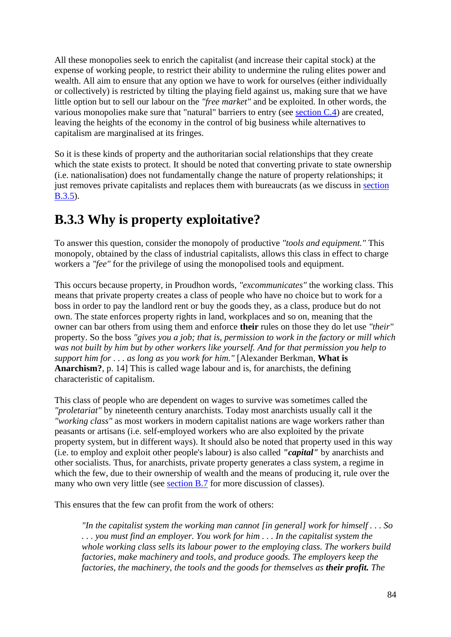All these monopolies seek to enrich the capitalist (and increase their capital stock) at the expense of working people, to restrict their ability to undermine the ruling elites power and wealth. All aim to ensure that any option we have to work for ourselves (either individually or collectively) is restricted by tilting the playing field against us, making sure that we have little option but to sell our labour on the *"free market"* and be exploited. In other words, the various monopolies make sure that "natural" barriers to entry (see [section C.4\)](sectionC.html#secc4) are created, leaving the heights of the economy in the control of big business while alternatives to capitalism are marginalised at its fringes.

So it is these kinds of property and the authoritarian social relationships that they create which the state exists to protect. It should be noted that converting private to state ownership (i.e. nationalisation) does not fundamentally change the nature of property relationships; it just removes private capitalists and replaces them with bureaucrats (as we discuss in section [B.3.5\)](sectionB.html#secb35).

### **B.3.3 Why is property exploitative?**

To answer this question, consider the monopoly of productive *"tools and equipment."* This monopoly, obtained by the class of industrial capitalists, allows this class in effect to charge workers a *"fee"* for the privilege of using the monopolised tools and equipment.

This occurs because property, in Proudhon words, *"excommunicates"* the working class. This means that private property creates a class of people who have no choice but to work for a boss in order to pay the landlord rent or buy the goods they, as a class, produce but do not own. The state enforces property rights in land, workplaces and so on, meaning that the owner can bar others from using them and enforce **their** rules on those they do let use *"their"* property. So the boss *"gives you a job; that is, permission to work in the factory or mill which was not built by him but by other workers like yourself. And for that permission you help to support him for . . . as long as you work for him."* [Alexander Berkman, **What is Anarchism?**, p. 14] This is called wage labour and is, for anarchists, the defining characteristic of capitalism.

This class of people who are dependent on wages to survive was sometimes called the *"proletariat"* by nineteenth century anarchists. Today most anarchists usually call it the *"working class"* as most workers in modern capitalist nations are wage workers rather than peasants or artisans (i.e. self-employed workers who are also exploited by the private property system, but in different ways). It should also be noted that property used in this way (i.e. to employ and exploit other people's labour) is also called *"capital"* by anarchists and other socialists. Thus, for anarchists, private property generates a class system, a regime in which the few, due to their ownership of wealth and the means of producing it, rule over the many who own very little (see [section B.7](sectionB.html#secb7) for more discussion of classes).

This ensures that the few can profit from the work of others:

*"In the capitalist system the working man cannot [in general] work for himself . . . So . . . you must find an employer. You work for him . . . In the capitalist system the whole working class sells its labour power to the employing class. The workers build factories, make machinery and tools, and produce goods. The employers keep the factories, the machinery, the tools and the goods for themselves as their profit. The*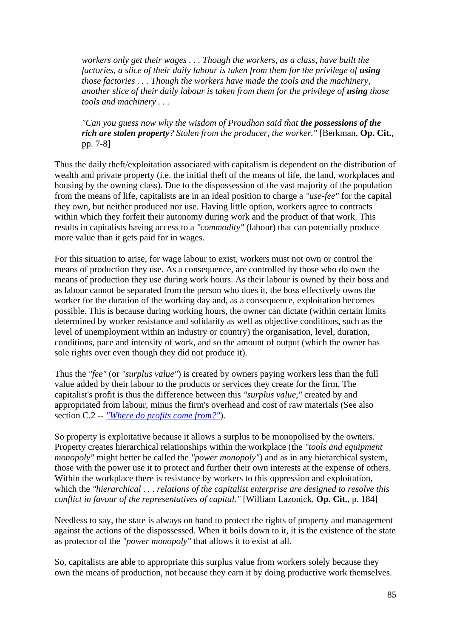*workers only get their wages . . . Though the workers, as a class, have built the factories, a slice of their daily labour is taken from them for the privilege of using those factories . . . Though the workers have made the tools and the machinery, another slice of their daily labour is taken from them for the privilege of using those tools and machinery . . .*

*"Can you guess now why the wisdom of Proudhon said that the possessions of the rich are stolen property? Stolen from the producer, the worker."* [Berkman, **Op. Cit.**, pp. 7-8]

Thus the daily theft/exploitation associated with capitalism is dependent on the distribution of wealth and private property (i.e. the initial theft of the means of life, the land, workplaces and housing by the owning class). Due to the dispossession of the vast majority of the population from the means of life, capitalists are in an ideal position to charge a *"use-fee"* for the capital they own, but neither produced nor use. Having little option, workers agree to contracts within which they forfeit their autonomy during work and the product of that work. This results in capitalists having access to a *"commodity"* (labour) that can potentially produce more value than it gets paid for in wages.

For this situation to arise, for wage labour to exist, workers must not own or control the means of production they use. As a consequence, are controlled by those who do own the means of production they use during work hours. As their labour is owned by their boss and as labour cannot be separated from the person who does it, the boss effectively owns the worker for the duration of the working day and, as a consequence, exploitation becomes possible. This is because during working hours, the owner can dictate (within certain limits determined by worker resistance and solidarity as well as objective conditions, such as the level of unemployment within an industry or country) the organisation, level, duration, conditions, pace and intensity of work, and so the amount of output (which the owner has sole rights over even though they did not produce it).

Thus the *"fee"* (or *"surplus value"*) is created by owners paying workers less than the full value added by their labour to the products or services they create for the firm. The capitalist's profit is thus the difference between this *"surplus value,"* created by and appropriated from labour, minus the firm's overhead and cost of raw materials (See also section C.2 -- *["Where do profits come from?"](sectionC.html#secc2)*).

So property is exploitative because it allows a surplus to be monopolised by the owners. Property creates hierarchical relationships within the workplace (the *"tools and equipment monopoly"* might better be called the *"power monopoly"*) and as in any hierarchical system, those with the power use it to protect and further their own interests at the expense of others. Within the workplace there is resistance by workers to this oppression and exploitation, which the *"hierarchical . . . relations of the capitalist enterprise are designed to resolve this conflict in favour of the representatives of capital."* [William Lazonick, **Op. Cit.**, p. 184]

Needless to say, the state is always on hand to protect the rights of property and management against the actions of the dispossessed. When it boils down to it, it is the existence of the state as protector of the *"power monopoly"* that allows it to exist at all.

So, capitalists are able to appropriate this surplus value from workers solely because they own the means of production, not because they earn it by doing productive work themselves.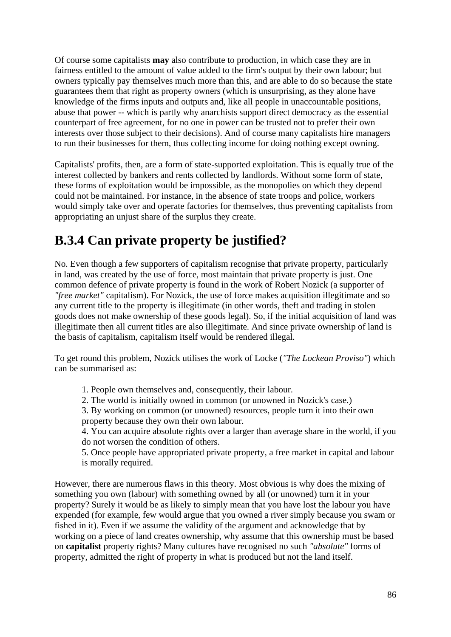Of course some capitalists **may** also contribute to production, in which case they are in fairness entitled to the amount of value added to the firm's output by their own labour; but owners typically pay themselves much more than this, and are able to do so because the state guarantees them that right as property owners (which is unsurprising, as they alone have knowledge of the firms inputs and outputs and, like all people in unaccountable positions, abuse that power -- which is partly why anarchists support direct democracy as the essential counterpart of free agreement, for no one in power can be trusted not to prefer their own interests over those subject to their decisions). And of course many capitalists hire managers to run their businesses for them, thus collecting income for doing nothing except owning.

Capitalists' profits, then, are a form of state-supported exploitation. This is equally true of the interest collected by bankers and rents collected by landlords. Without some form of state, these forms of exploitation would be impossible, as the monopolies on which they depend could not be maintained. For instance, in the absence of state troops and police, workers would simply take over and operate factories for themselves, thus preventing capitalists from appropriating an unjust share of the surplus they create.

## **B.3.4 Can private property be justified?**

No. Even though a few supporters of capitalism recognise that private property, particularly in land, was created by the use of force, most maintain that private property is just. One common defence of private property is found in the work of Robert Nozick (a supporter of *"free market"* capitalism). For Nozick, the use of force makes acquisition illegitimate and so any current title to the property is illegitimate (in other words, theft and trading in stolen goods does not make ownership of these goods legal). So, if the initial acquisition of land was illegitimate then all current titles are also illegitimate. And since private ownership of land is the basis of capitalism, capitalism itself would be rendered illegal.

To get round this problem, Nozick utilises the work of Locke (*"The Lockean Proviso"*) which can be summarised as:

1. People own themselves and, consequently, their labour.

2. The world is initially owned in common (or unowned in Nozick's case.)

3. By working on common (or unowned) resources, people turn it into their own property because they own their own labour.

4. You can acquire absolute rights over a larger than average share in the world, if you do not worsen the condition of others.

5. Once people have appropriated private property, a free market in capital and labour is morally required.

However, there are numerous flaws in this theory. Most obvious is why does the mixing of something you own (labour) with something owned by all (or unowned) turn it in your property? Surely it would be as likely to simply mean that you have lost the labour you have expended (for example, few would argue that you owned a river simply because you swam or fished in it). Even if we assume the validity of the argument and acknowledge that by working on a piece of land creates ownership, why assume that this ownership must be based on **capitalist** property rights? Many cultures have recognised no such *"absolute"* forms of property, admitted the right of property in what is produced but not the land itself.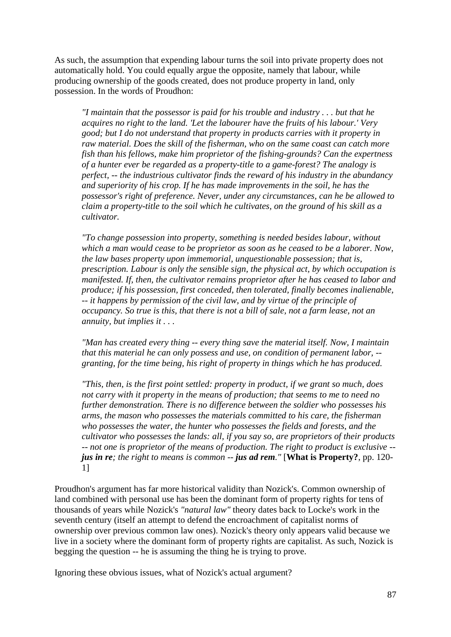As such, the assumption that expending labour turns the soil into private property does not automatically hold. You could equally argue the opposite, namely that labour, while producing ownership of the goods created, does not produce property in land, only possession. In the words of Proudhon:

*"I maintain that the possessor is paid for his trouble and industry . . . but that he acquires no right to the land. 'Let the labourer have the fruits of his labour.' Very good; but I do not understand that property in products carries with it property in raw material. Does the skill of the fisherman, who on the same coast can catch more fish than his fellows, make him proprietor of the fishing-grounds? Can the expertness of a hunter ever be regarded as a property-title to a game-forest? The analogy is perfect, -- the industrious cultivator finds the reward of his industry in the abundancy and superiority of his crop. If he has made improvements in the soil, he has the possessor's right of preference. Never, under any circumstances, can he be allowed to claim a property-title to the soil which he cultivates, on the ground of his skill as a cultivator.*

*"To change possession into property, something is needed besides labour, without which a man would cease to be proprietor as soon as he ceased to be a laborer. Now, the law bases property upon immemorial, unquestionable possession; that is, prescription. Labour is only the sensible sign, the physical act, by which occupation is manifested. If, then, the cultivator remains proprietor after he has ceased to labor and produce; if his possession, first conceded, then tolerated, finally becomes inalienable, -- it happens by permission of the civil law, and by virtue of the principle of occupancy. So true is this, that there is not a bill of sale, not a farm lease, not an annuity, but implies it . . .*

*"Man has created every thing -- every thing save the material itself. Now, I maintain that this material he can only possess and use, on condition of permanent labor, - granting, for the time being, his right of property in things which he has produced.*

*"This, then, is the first point settled: property in product, if we grant so much, does not carry with it property in the means of production; that seems to me to need no further demonstration. There is no difference between the soldier who possesses his arms, the mason who possesses the materials committed to his care, the fisherman who possesses the water, the hunter who possesses the fields and forests, and the cultivator who possesses the lands: all, if you say so, are proprietors of their products -- not one is proprietor of the means of production. The right to product is exclusive - jus in re; the right to means is common -- jus ad rem."* [**What is Property?**, pp. 120- 1]

Proudhon's argument has far more historical validity than Nozick's. Common ownership of land combined with personal use has been the dominant form of property rights for tens of thousands of years while Nozick's *"natural law"* theory dates back to Locke's work in the seventh century (itself an attempt to defend the encroachment of capitalist norms of ownership over previous common law ones). Nozick's theory only appears valid because we live in a society where the dominant form of property rights are capitalist. As such, Nozick is begging the question -- he is assuming the thing he is trying to prove.

Ignoring these obvious issues, what of Nozick's actual argument?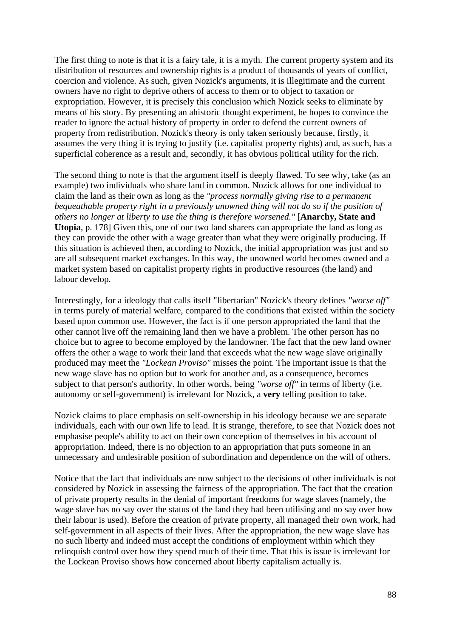The first thing to note is that it is a fairy tale, it is a myth. The current property system and its distribution of resources and ownership rights is a product of thousands of years of conflict, coercion and violence. As such, given Nozick's arguments, it is illegitimate and the current owners have no right to deprive others of access to them or to object to taxation or expropriation. However, it is precisely this conclusion which Nozick seeks to eliminate by means of his story. By presenting an ahistoric thought experiment, he hopes to convince the reader to ignore the actual history of property in order to defend the current owners of property from redistribution. Nozick's theory is only taken seriously because, firstly, it assumes the very thing it is trying to justify (i.e. capitalist property rights) and, as such, has a superficial coherence as a result and, secondly, it has obvious political utility for the rich.

The second thing to note is that the argument itself is deeply flawed. To see why, take (as an example) two individuals who share land in common. Nozick allows for one individual to claim the land as their own as long as the *"process normally giving rise to a permanent bequeathable property right in a previously unowned thing will not do so if the position of others no longer at liberty to use the thing is therefore worsened."* [**Anarchy, State and Utopia**, p. 178] Given this, one of our two land sharers can appropriate the land as long as they can provide the other with a wage greater than what they were originally producing. If this situation is achieved then, according to Nozick, the initial appropriation was just and so are all subsequent market exchanges. In this way, the unowned world becomes owned and a market system based on capitalist property rights in productive resources (the land) and labour develop.

Interestingly, for a ideology that calls itself "libertarian" Nozick's theory defines *"worse off"* in terms purely of material welfare, compared to the conditions that existed within the society based upon common use. However, the fact is if one person appropriated the land that the other cannot live off the remaining land then we have a problem. The other person has no choice but to agree to become employed by the landowner. The fact that the new land owner offers the other a wage to work their land that exceeds what the new wage slave originally produced may meet the *"Lockean Proviso"* misses the point. The important issue is that the new wage slave has no option but to work for another and, as a consequence, becomes subject to that person's authority. In other words, being *"worse off"* in terms of liberty (i.e. autonomy or self-government) is irrelevant for Nozick, a **very** telling position to take.

Nozick claims to place emphasis on self-ownership in his ideology because we are separate individuals, each with our own life to lead. It is strange, therefore, to see that Nozick does not emphasise people's ability to act on their own conception of themselves in his account of appropriation. Indeed, there is no objection to an appropriation that puts someone in an unnecessary and undesirable position of subordination and dependence on the will of others.

Notice that the fact that individuals are now subject to the decisions of other individuals is not considered by Nozick in assessing the fairness of the appropriation. The fact that the creation of private property results in the denial of important freedoms for wage slaves (namely, the wage slave has no say over the status of the land they had been utilising and no say over how their labour is used). Before the creation of private property, all managed their own work, had self-government in all aspects of their lives. After the appropriation, the new wage slave has no such liberty and indeed must accept the conditions of employment within which they relinquish control over how they spend much of their time. That this is issue is irrelevant for the Lockean Proviso shows how concerned about liberty capitalism actually is.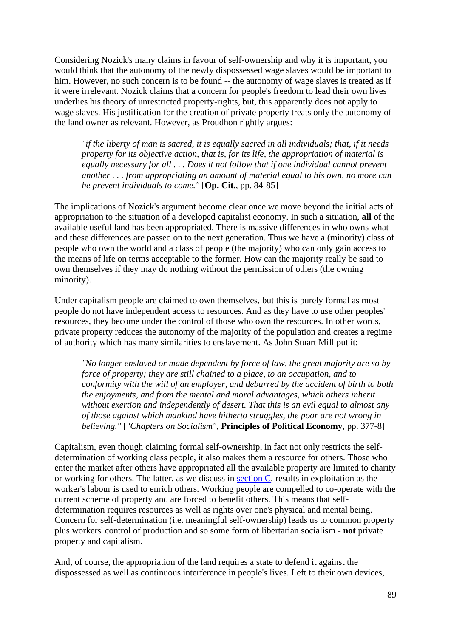Considering Nozick's many claims in favour of self-ownership and why it is important, you would think that the autonomy of the newly dispossessed wage slaves would be important to him. However, no such concern is to be found -- the autonomy of wage slaves is treated as if it were irrelevant. Nozick claims that a concern for people's freedom to lead their own lives underlies his theory of unrestricted property-rights, but, this apparently does not apply to wage slaves. His justification for the creation of private property treats only the autonomy of the land owner as relevant. However, as Proudhon rightly argues:

*"if the liberty of man is sacred, it is equally sacred in all individuals; that, if it needs property for its objective action, that is, for its life, the appropriation of material is equally necessary for all . . . Does it not follow that if one individual cannot prevent another . . . from appropriating an amount of material equal to his own, no more can he prevent individuals to come."* [**Op. Cit.**, pp. 84-85]

The implications of Nozick's argument become clear once we move beyond the initial acts of appropriation to the situation of a developed capitalist economy. In such a situation, **all** of the available useful land has been appropriated. There is massive differences in who owns what and these differences are passed on to the next generation. Thus we have a (minority) class of people who own the world and a class of people (the majority) who can only gain access to the means of life on terms acceptable to the former. How can the majority really be said to own themselves if they may do nothing without the permission of others (the owning minority).

Under capitalism people are claimed to own themselves, but this is purely formal as most people do not have independent access to resources. And as they have to use other peoples' resources, they become under the control of those who own the resources. In other words, private property reduces the autonomy of the majority of the population and creates a regime of authority which has many similarities to enslavement. As John Stuart Mill put it:

*"No longer enslaved or made dependent by force of law, the great majority are so by force of property; they are still chained to a place, to an occupation, and to conformity with the will of an employer, and debarred by the accident of birth to both the enjoyments, and from the mental and moral advantages, which others inherit without exertion and independently of desert. That this is an evil equal to almost any of those against which mankind have hitherto struggles, the poor are not wrong in believing."* [*"Chapters on Socialism"*, **Principles of Political Economy**, pp. 377-8]

Capitalism, even though claiming formal self-ownership, in fact not only restricts the selfdetermination of working class people, it also makes them a resource for others. Those who enter the market after others have appropriated all the available property are limited to charity or working for others. The latter, as we discuss in [section C,](sectionC.html) results in exploitation as the worker's labour is used to enrich others. Working people are compelled to co-operate with the current scheme of property and are forced to benefit others. This means that selfdetermination requires resources as well as rights over one's physical and mental being. Concern for self-determination (i.e. meaningful self-ownership) leads us to common property plus workers' control of production and so some form of libertarian socialism - **not** private property and capitalism.

And, of course, the appropriation of the land requires a state to defend it against the dispossessed as well as continuous interference in people's lives. Left to their own devices,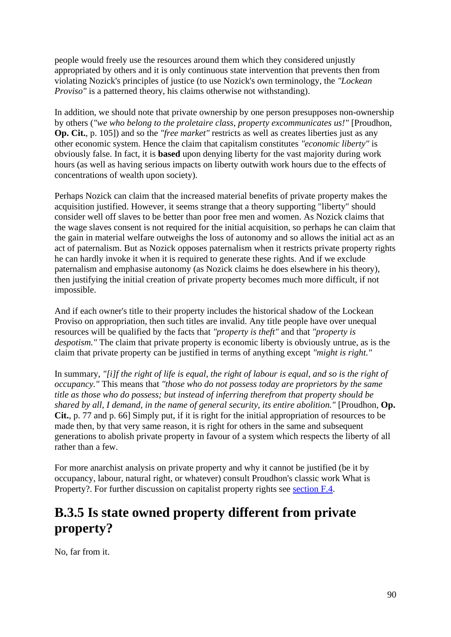people would freely use the resources around them which they considered unjustly appropriated by others and it is only continuous state intervention that prevents then from violating Nozick's principles of justice (to use Nozick's own terminology, the *"Lockean Proviso"* is a patterned theory, his claims otherwise not withstanding).

In addition, we should note that private ownership by one person presupposes non-ownership by others (*"we who belong to the proletaire class, property excommunicates us!"* [Proudhon, **Op. Cit.**, p. 105]) and so the *"free market"* restricts as well as creates liberties just as any other economic system. Hence the claim that capitalism constitutes *"economic liberty"* is obviously false. In fact, it is **based** upon denying liberty for the vast majority during work hours (as well as having serious impacts on liberty outwith work hours due to the effects of concentrations of wealth upon society).

Perhaps Nozick can claim that the increased material benefits of private property makes the acquisition justified. However, it seems strange that a theory supporting "liberty" should consider well off slaves to be better than poor free men and women. As Nozick claims that the wage slaves consent is not required for the initial acquisition, so perhaps he can claim that the gain in material welfare outweighs the loss of autonomy and so allows the initial act as an act of paternalism. But as Nozick opposes paternalism when it restricts private property rights he can hardly invoke it when it is required to generate these rights. And if we exclude paternalism and emphasise autonomy (as Nozick claims he does elsewhere in his theory), then justifying the initial creation of private property becomes much more difficult, if not impossible.

And if each owner's title to their property includes the historical shadow of the Lockean Proviso on appropriation, then such titles are invalid. Any title people have over unequal resources will be qualified by the facts that *"property is theft"* and that *"property is despotism."* The claim that private property is economic liberty is obviously untrue, as is the claim that private property can be justified in terms of anything except *"might is right."*

In summary, *"[i]f the right of life is equal, the right of labour is equal, and so is the right of occupancy."* This means that *"those who do not possess today are proprietors by the same title as those who do possess; but instead of inferring therefrom that property should be shared by all, I demand, in the name of general security, its entire abolition."* [Proudhon, **Op. Cit.**, p. 77 and p. 66] Simply put, if it is right for the initial appropriation of resources to be made then, by that very same reason, it is right for others in the same and subsequent generations to abolish private property in favour of a system which respects the liberty of all rather than a few.

For more anarchist analysis on private property and why it cannot be justified (be it by occupancy, labour, natural right, or whatever) consult Proudhon's classic work What is Property?. For further discussion on capitalist property rights see [section F.4.](sectionF.html#secf4)

#### **B.3.5 Is state owned property different from private property?**

No, far from it.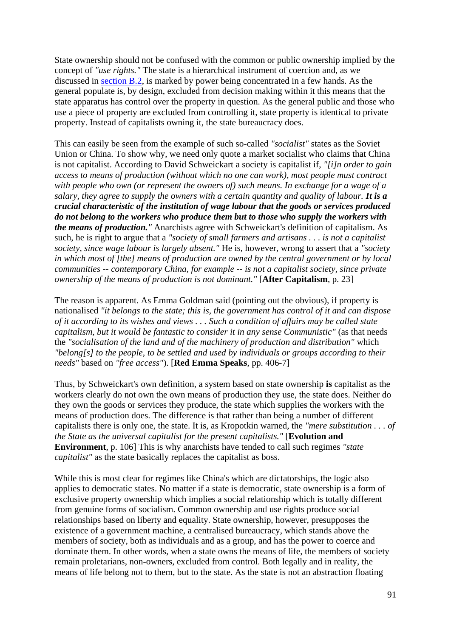State ownership should not be confused with the common or public ownership implied by the concept of *"use rights."* The state is a hierarchical instrument of coercion and, as we discussed in [section B.2,](sectionB.html#secb2) is marked by power being concentrated in a few hands. As the general populate is, by design, excluded from decision making within it this means that the state apparatus has control over the property in question. As the general public and those who use a piece of property are excluded from controlling it, state property is identical to private property. Instead of capitalists owning it, the state bureaucracy does.

This can easily be seen from the example of such so-called *"socialist"* states as the Soviet Union or China. To show why, we need only quote a market socialist who claims that China is not capitalist. According to David Schweickart a society is capitalist if, *"[i]n order to gain access to means of production (without which no one can work), most people must contract with people who own (or represent the owners of) such means. In exchange for a wage of a salary, they agree to supply the owners with a certain quantity and quality of labour. It is a crucial characteristic of the institution of wage labour that the goods or services produced do not belong to the workers who produce them but to those who supply the workers with the means of production."* Anarchists agree with Schweickart's definition of capitalism. As such, he is right to argue that a *"society of small farmers and artisans . . . is not a capitalist society, since wage labour is largely absent."* He is, however, wrong to assert that a *"society in which most of [the] means of production are owned by the central government or by local communities -- contemporary China, for example -- is not a capitalist society, since private ownership of the means of production is not dominant."* [**After Capitalism**, p. 23]

The reason is apparent. As Emma Goldman said (pointing out the obvious), if property is nationalised *"it belongs to the state; this is, the government has control of it and can dispose of it according to its wishes and views . . . Such a condition of affairs may be called state capitalism, but it would be fantastic to consider it in any sense Communistic"* (as that needs the *"socialisation of the land and of the machinery of production and distribution"* which *"belong[s] to the people, to be settled and used by individuals or groups according to their needs"* based on *"free access"*). [**Red Emma Speaks**, pp. 406-7]

Thus, by Schweickart's own definition, a system based on state ownership **is** capitalist as the workers clearly do not own the own means of production they use, the state does. Neither do they own the goods or services they produce, the state which supplies the workers with the means of production does. The difference is that rather than being a number of different capitalists there is only one, the state. It is, as Kropotkin warned, the *"mere substitution . . . of the State as the universal capitalist for the present capitalists."* [**Evolution and Environment**, p. 106] This is why anarchists have tended to call such regimes *"state capitalist"* as the state basically replaces the capitalist as boss.

While this is most clear for regimes like China's which are dictatorships, the logic also applies to democratic states. No matter if a state is democratic, state ownership is a form of exclusive property ownership which implies a social relationship which is totally different from genuine forms of socialism. Common ownership and use rights produce social relationships based on liberty and equality. State ownership, however, presupposes the existence of a government machine, a centralised bureaucracy, which stands above the members of society, both as individuals and as a group, and has the power to coerce and dominate them. In other words, when a state owns the means of life, the members of society remain proletarians, non-owners, excluded from control. Both legally and in reality, the means of life belong not to them, but to the state. As the state is not an abstraction floating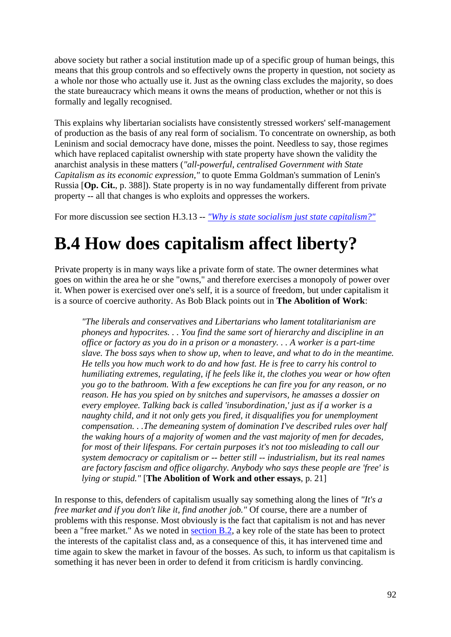above society but rather a social institution made up of a specific group of human beings, this means that this group controls and so effectively owns the property in question, not society as a whole nor those who actually use it. Just as the owning class excludes the majority, so does the state bureaucracy which means it owns the means of production, whether or not this is formally and legally recognised.

This explains why libertarian socialists have consistently stressed workers' self-management of production as the basis of any real form of socialism. To concentrate on ownership, as both Leninism and social democracy have done, misses the point. Needless to say, those regimes which have replaced capitalist ownership with state property have shown the validity the anarchist analysis in these matters (*"all-powerful, centralised Government with State Capitalism as its economic expression,"* to quote Emma Goldman's summation of Lenin's Russia [**Op. Cit.**, p. 388]). State property is in no way fundamentally different from private property -- all that changes is who exploits and oppresses the workers.

For more discussion see section H.3.13 -- *["Why is state socialism just state capitalism?"](sectionH.html#sech313)*

# **B.4 How does capitalism affect liberty?**

Private property is in many ways like a private form of state. The owner determines what goes on within the area he or she "owns," and therefore exercises a monopoly of power over it. When power is exercised over one's self, it is a source of freedom, but under capitalism it is a source of coercive authority. As Bob Black points out in **The Abolition of Work**:

*"The liberals and conservatives and Libertarians who lament totalitarianism are phoneys and hypocrites. . . You find the same sort of hierarchy and discipline in an office or factory as you do in a prison or a monastery. . . A worker is a part-time slave. The boss says when to show up, when to leave, and what to do in the meantime. He tells you how much work to do and how fast. He is free to carry his control to humiliating extremes, regulating, if he feels like it, the clothes you wear or how often you go to the bathroom. With a few exceptions he can fire you for any reason, or no reason. He has you spied on by snitches and supervisors, he amasses a dossier on every employee. Talking back is called 'insubordination,' just as if a worker is a naughty child, and it not only gets you fired, it disqualifies you for unemployment compensation. . .The demeaning system of domination I've described rules over half the waking hours of a majority of women and the vast majority of men for decades, for most of their lifespans. For certain purposes it's not too misleading to call our system democracy or capitalism or -- better still -- industrialism, but its real names are factory fascism and office oligarchy. Anybody who says these people are 'free' is lying or stupid."* [**The Abolition of Work and other essays**, p. 21]

In response to this, defenders of capitalism usually say something along the lines of *"It's a free market and if you don't like it, find another job."* Of course, there are a number of problems with this response. Most obviously is the fact that capitalism is not and has never been a "free market." As we noted in [section B.2,](sectionB.html#secb2) a key role of the state has been to protect the interests of the capitalist class and, as a consequence of this, it has intervened time and time again to skew the market in favour of the bosses. As such, to inform us that capitalism is something it has never been in order to defend it from criticism is hardly convincing.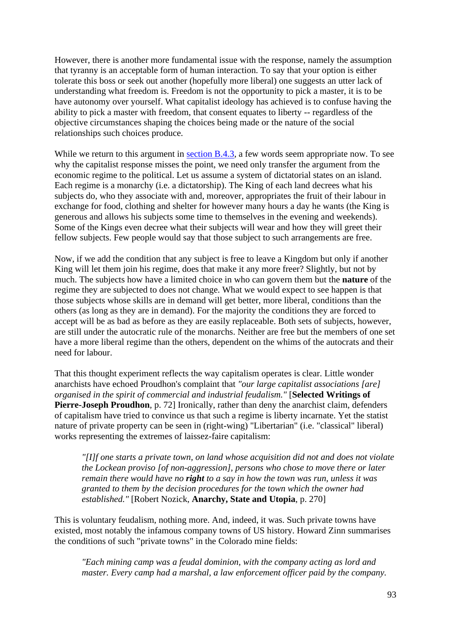However, there is another more fundamental issue with the response, namely the assumption that tyranny is an acceptable form of human interaction. To say that your option is either tolerate this boss or seek out another (hopefully more liberal) one suggests an utter lack of understanding what freedom is. Freedom is not the opportunity to pick a master, it is to be have autonomy over yourself. What capitalist ideology has achieved is to confuse having the ability to pick a master with freedom, that consent equates to liberty -- regardless of the objective circumstances shaping the choices being made or the nature of the social relationships such choices produce.

While we return to this argument in [section B.4.3,](sectionB.html#secb43) a few words seem appropriate now. To see why the capitalist response misses the point, we need only transfer the argument from the economic regime to the political. Let us assume a system of dictatorial states on an island. Each regime is a monarchy (i.e. a dictatorship). The King of each land decrees what his subjects do, who they associate with and, moreover, appropriates the fruit of their labour in exchange for food, clothing and shelter for however many hours a day he wants (the King is generous and allows his subjects some time to themselves in the evening and weekends). Some of the Kings even decree what their subjects will wear and how they will greet their fellow subjects. Few people would say that those subject to such arrangements are free.

Now, if we add the condition that any subject is free to leave a Kingdom but only if another King will let them join his regime, does that make it any more freer? Slightly, but not by much. The subjects how have a limited choice in who can govern them but the **nature** of the regime they are subjected to does not change. What we would expect to see happen is that those subjects whose skills are in demand will get better, more liberal, conditions than the others (as long as they are in demand). For the majority the conditions they are forced to accept will be as bad as before as they are easily replaceable. Both sets of subjects, however, are still under the autocratic rule of the monarchs. Neither are free but the members of one set have a more liberal regime than the others, dependent on the whims of the autocrats and their need for labour.

That this thought experiment reflects the way capitalism operates is clear. Little wonder anarchists have echoed Proudhon's complaint that *"our large capitalist associations [are] organised in the spirit of commercial and industrial feudalism."* [**Selected Writings of Pierre-Joseph Proudhon**, p. 72] Ironically, rather than deny the anarchist claim, defenders of capitalism have tried to convince us that such a regime is liberty incarnate. Yet the statist nature of private property can be seen in (right-wing) "Libertarian" (i.e. "classical" liberal) works representing the extremes of laissez-faire capitalism:

*"[I]f one starts a private town, on land whose acquisition did not and does not violate the Lockean proviso [of non-aggression], persons who chose to move there or later remain there would have no right to a say in how the town was run, unless it was granted to them by the decision procedures for the town which the owner had established."* [Robert Nozick, **Anarchy, State and Utopia**, p. 270]

This is voluntary feudalism, nothing more. And, indeed, it was. Such private towns have existed, most notably the infamous company towns of US history. Howard Zinn summarises the conditions of such "private towns" in the Colorado mine fields:

*"Each mining camp was a feudal dominion, with the company acting as lord and master. Every camp had a marshal, a law enforcement officer paid by the company.*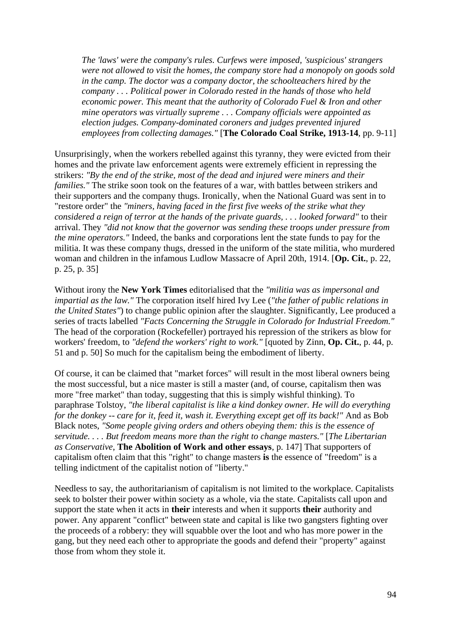*The 'laws' were the company's rules. Curfews were imposed, 'suspicious' strangers were not allowed to visit the homes, the company store had a monopoly on goods sold in the camp. The doctor was a company doctor, the schoolteachers hired by the company . . . Political power in Colorado rested in the hands of those who held economic power. This meant that the authority of Colorado Fuel & Iron and other mine operators was virtually supreme . . . Company officials were appointed as election judges. Company-dominated coroners and judges prevented injured employees from collecting damages."* [**The Colorado Coal Strike, 1913-14**, pp. 9-11]

Unsurprisingly, when the workers rebelled against this tyranny, they were evicted from their homes and the private law enforcement agents were extremely efficient in repressing the strikers: *"By the end of the strike, most of the dead and injured were miners and their families."* The strike soon took on the features of a war, with battles between strikers and their supporters and the company thugs. Ironically, when the National Guard was sent in to "restore order" the *"miners, having faced in the first five weeks of the strike what they considered a reign of terror at the hands of the private guards, . . . looked forward"* to their arrival. They *"did not know that the governor was sending these troops under pressure from the mine operators."* Indeed, the banks and corporations lent the state funds to pay for the militia. It was these company thugs, dressed in the uniform of the state militia, who murdered woman and children in the infamous Ludlow Massacre of April 20th, 1914. [**Op. Cit.**, p. 22, p. 25, p. 35]

Without irony the **New York Times** editorialised that the *"militia was as impersonal and impartial as the law."* The corporation itself hired Ivy Lee (*"the father of public relations in the United States"*) to change public opinion after the slaughter. Significantly, Lee produced a series of tracts labelled *"Facts Concerning the Struggle in Colorado for Industrial Freedom."* The head of the corporation (Rockefeller) portrayed his repression of the strikers as blow for workers' freedom, to *"defend the workers' right to work."* [quoted by Zinn, **Op. Cit.**, p. 44, p. 51 and p. 50] So much for the capitalism being the embodiment of liberty.

Of course, it can be claimed that "market forces" will result in the most liberal owners being the most successful, but a nice master is still a master (and, of course, capitalism then was more "free market" than today, suggesting that this is simply wishful thinking). To paraphrase Tolstoy, *"the liberal capitalist is like a kind donkey owner. He will do everything for the donkey -- care for it, feed it, wash it. Everything except get off its back!"* And as Bob Black notes, *"Some people giving orders and others obeying them: this is the essence of servitude. . . . But freedom means more than the right to change masters."* [*The Libertarian as Conservative*, **The Abolition of Work and other essays**, p. 147] That supporters of capitalism often claim that this "right" to change masters **is** the essence of "freedom" is a telling indictment of the capitalist notion of "liberty."

Needless to say, the authoritarianism of capitalism is not limited to the workplace. Capitalists seek to bolster their power within society as a whole, via the state. Capitalists call upon and support the state when it acts in **their** interests and when it supports **their** authority and power. Any apparent "conflict" between state and capital is like two gangsters fighting over the proceeds of a robbery: they will squabble over the loot and who has more power in the gang, but they need each other to appropriate the goods and defend their "property" against those from whom they stole it.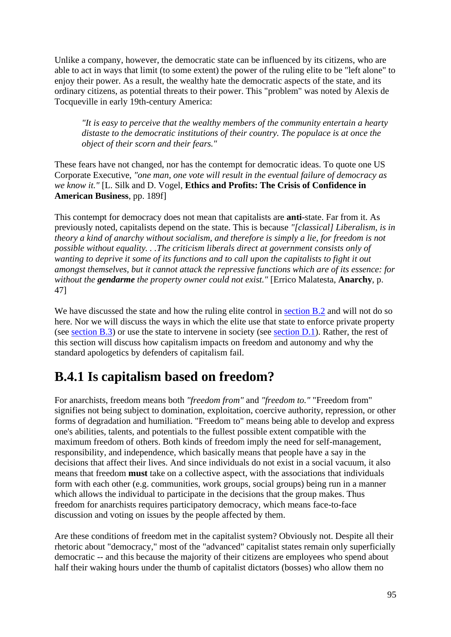Unlike a company, however, the democratic state can be influenced by its citizens, who are able to act in ways that limit (to some extent) the power of the ruling elite to be "left alone" to enjoy their power. As a result, the wealthy hate the democratic aspects of the state, and its ordinary citizens, as potential threats to their power. This "problem" was noted by Alexis de Tocqueville in early 19th-century America:

*"It is easy to perceive that the wealthy members of the community entertain a hearty distaste to the democratic institutions of their country. The populace is at once the object of their scorn and their fears."*

These fears have not changed, nor has the contempt for democratic ideas. To quote one US Corporate Executive, *"one man, one vote will result in the eventual failure of democracy as we know it."* [L. Silk and D. Vogel, **Ethics and Profits: The Crisis of Confidence in American Business**, pp. 189f]

This contempt for democracy does not mean that capitalists are **anti**-state. Far from it. As previously noted, capitalists depend on the state. This is because *"[classical] Liberalism, is in theory a kind of anarchy without socialism, and therefore is simply a lie, for freedom is not possible without equality. . .The criticism liberals direct at government consists only of wanting to deprive it some of its functions and to call upon the capitalists to fight it out amongst themselves, but it cannot attack the repressive functions which are of its essence: for without the gendarme the property owner could not exist."* [Errico Malatesta, **Anarchy**, p. 47]

We have discussed the state and how the ruling elite control in [section B.2](sectionB.html#secb2) and will not do so here. Nor we will discuss the ways in which the elite use that state to enforce private property (see [section B.3\)](sectionB.html#secb3) or use the state to intervene in society (see [section D.1\)](sectionD.html#secd1). Rather, the rest of this section will discuss how capitalism impacts on freedom and autonomy and why the standard apologetics by defenders of capitalism fail.

#### **B.4.1 Is capitalism based on freedom?**

For anarchists, freedom means both *"freedom from"* and *"freedom to."* "Freedom from" signifies not being subject to domination, exploitation, coercive authority, repression, or other forms of degradation and humiliation. "Freedom to" means being able to develop and express one's abilities, talents, and potentials to the fullest possible extent compatible with the maximum freedom of others. Both kinds of freedom imply the need for self-management, responsibility, and independence, which basically means that people have a say in the decisions that affect their lives. And since individuals do not exist in a social vacuum, it also means that freedom **must** take on a collective aspect, with the associations that individuals form with each other (e.g. communities, work groups, social groups) being run in a manner which allows the individual to participate in the decisions that the group makes. Thus freedom for anarchists requires participatory democracy, which means face-to-face discussion and voting on issues by the people affected by them.

Are these conditions of freedom met in the capitalist system? Obviously not. Despite all their rhetoric about "democracy," most of the "advanced" capitalist states remain only superficially democratic -- and this because the majority of their citizens are employees who spend about half their waking hours under the thumb of capitalist dictators (bosses) who allow them no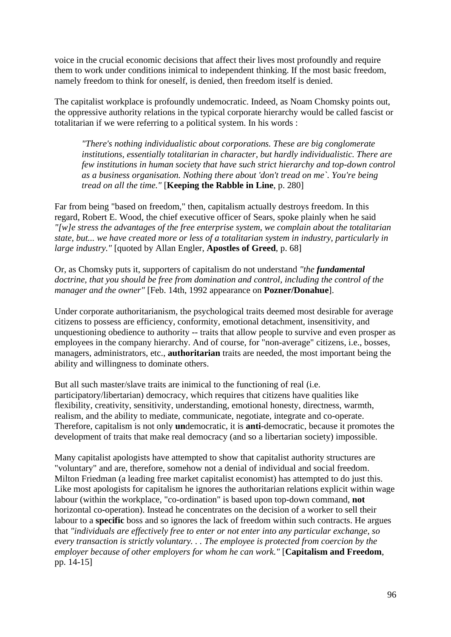voice in the crucial economic decisions that affect their lives most profoundly and require them to work under conditions inimical to independent thinking. If the most basic freedom, namely freedom to think for oneself, is denied, then freedom itself is denied.

The capitalist workplace is profoundly undemocratic. Indeed, as Noam Chomsky points out, the oppressive authority relations in the typical corporate hierarchy would be called fascist or totalitarian if we were referring to a political system. In his words :

*"There's nothing individualistic about corporations. These are big conglomerate institutions, essentially totalitarian in character, but hardly individualistic. There are few institutions in human society that have such strict hierarchy and top-down control as a business organisation. Nothing there about 'don't tread on me`. You're being tread on all the time."* [**Keeping the Rabble in Line**, p. 280]

Far from being "based on freedom," then, capitalism actually destroys freedom. In this regard, Robert E. Wood, the chief executive officer of Sears, spoke plainly when he said *"[w]e stress the advantages of the free enterprise system, we complain about the totalitarian state, but... we have created more or less of a totalitarian system in industry, particularly in large industry."* [quoted by Allan Engler, **Apostles of Greed**, p. 68]

Or, as Chomsky puts it, supporters of capitalism do not understand *"the fundamental doctrine, that you should be free from domination and control, including the control of the manager and the owner"* [Feb. 14th, 1992 appearance on **Pozner/Donahue**].

Under corporate authoritarianism, the psychological traits deemed most desirable for average citizens to possess are efficiency, conformity, emotional detachment, insensitivity, and unquestioning obedience to authority -- traits that allow people to survive and even prosper as employees in the company hierarchy. And of course, for "non-average" citizens, i.e., bosses, managers, administrators, etc., **authoritarian** traits are needed, the most important being the ability and willingness to dominate others.

But all such master/slave traits are inimical to the functioning of real (i.e. participatory/libertarian) democracy, which requires that citizens have qualities like flexibility, creativity, sensitivity, understanding, emotional honesty, directness, warmth, realism, and the ability to mediate, communicate, negotiate, integrate and co-operate. Therefore, capitalism is not only **un**democratic, it is **anti**-democratic, because it promotes the development of traits that make real democracy (and so a libertarian society) impossible.

Many capitalist apologists have attempted to show that capitalist authority structures are "voluntary" and are, therefore, somehow not a denial of individual and social freedom. Milton Friedman (a leading free market capitalist economist) has attempted to do just this. Like most apologists for capitalism he ignores the authoritarian relations explicit within wage labour (within the workplace, "co-ordination" is based upon top-down command, **not** horizontal co-operation). Instead he concentrates on the decision of a worker to sell their labour to a **specific** boss and so ignores the lack of freedom within such contracts. He argues that *"individuals are effectively free to enter or not enter into any particular exchange, so every transaction is strictly voluntary. . . The employee is protected from coercion by the employer because of other employers for whom he can work."* [**Capitalism and Freedom**, pp. 14-15]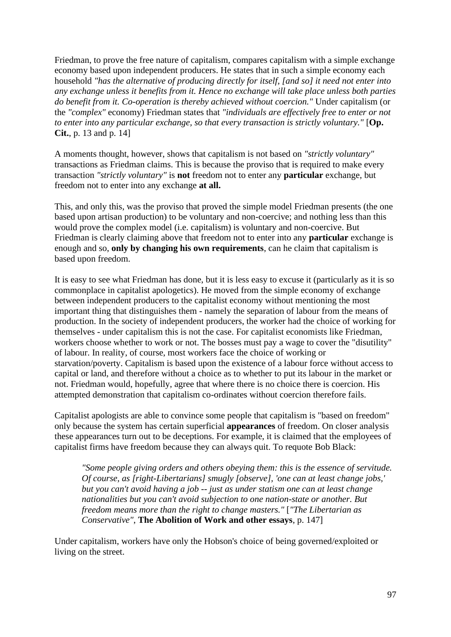Friedman, to prove the free nature of capitalism, compares capitalism with a simple exchange economy based upon independent producers. He states that in such a simple economy each household *"has the alternative of producing directly for itself, [and so] it need not enter into any exchange unless it benefits from it. Hence no exchange will take place unless both parties do benefit from it. Co-operation is thereby achieved without coercion."* Under capitalism (or the *"complex"* economy) Friedman states that *"individuals are effectively free to enter or not to enter into any particular exchange, so that every transaction is strictly voluntary."* [**Op. Cit.**, p. 13 and p. 14]

A moments thought, however, shows that capitalism is not based on *"strictly voluntary"* transactions as Friedman claims. This is because the proviso that is required to make every transaction *"strictly voluntary"* is **not** freedom not to enter any **particular** exchange, but freedom not to enter into any exchange **at all.**

This, and only this, was the proviso that proved the simple model Friedman presents (the one based upon artisan production) to be voluntary and non-coercive; and nothing less than this would prove the complex model (i.e. capitalism) is voluntary and non-coercive. But Friedman is clearly claiming above that freedom not to enter into any **particular** exchange is enough and so, **only by changing his own requirements**, can he claim that capitalism is based upon freedom.

It is easy to see what Friedman has done, but it is less easy to excuse it (particularly as it is so commonplace in capitalist apologetics). He moved from the simple economy of exchange between independent producers to the capitalist economy without mentioning the most important thing that distinguishes them - namely the separation of labour from the means of production. In the society of independent producers, the worker had the choice of working for themselves - under capitalism this is not the case. For capitalist economists like Friedman, workers choose whether to work or not. The bosses must pay a wage to cover the "disutility" of labour. In reality, of course, most workers face the choice of working or starvation/poverty. Capitalism is based upon the existence of a labour force without access to capital or land, and therefore without a choice as to whether to put its labour in the market or not. Friedman would, hopefully, agree that where there is no choice there is coercion. His attempted demonstration that capitalism co-ordinates without coercion therefore fails.

Capitalist apologists are able to convince some people that capitalism is "based on freedom" only because the system has certain superficial **appearances** of freedom. On closer analysis these appearances turn out to be deceptions. For example, it is claimed that the employees of capitalist firms have freedom because they can always quit. To requote Bob Black:

*"Some people giving orders and others obeying them: this is the essence of servitude. Of course, as [right-Libertarians] smugly [observe], 'one can at least change jobs,' but you can't avoid having a job -- just as under statism one can at least change nationalities but you can't avoid subjection to one nation-state or another. But freedom means more than the right to change masters."* [*"The Libertarian as Conservative"*, **The Abolition of Work and other essays**, p. 147]

Under capitalism, workers have only the Hobson's choice of being governed/exploited or living on the street.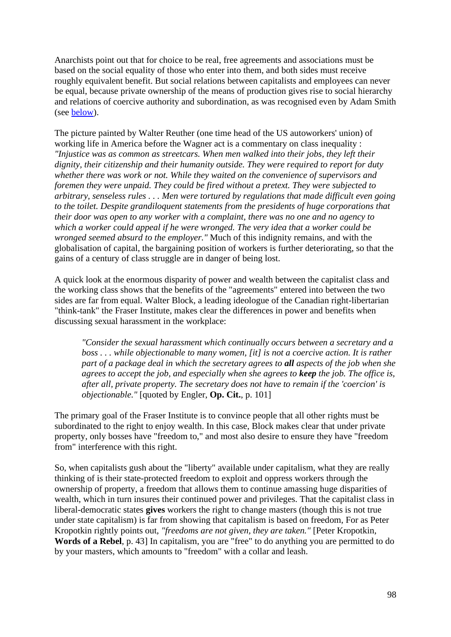Anarchists point out that for choice to be real, free agreements and associations must be based on the social equality of those who enter into them, and both sides must receive roughly equivalent benefit. But social relations between capitalists and employees can never be equal, because private ownership of the means of production gives rise to social hierarchy and relations of coercive authority and subordination, as was recognised even by Adam Smith (see [below\)](sectionB.html#secb43).

The picture painted by Walter Reuther (one time head of the US autoworkers' union) of working life in America before the Wagner act is a commentary on class inequality : *"Injustice was as common as streetcars. When men walked into their jobs, they left their dignity, their citizenship and their humanity outside. They were required to report for duty whether there was work or not. While they waited on the convenience of supervisors and foremen they were unpaid. They could be fired without a pretext. They were subjected to arbitrary, senseless rules . . . Men were tortured by regulations that made difficult even going to the toilet. Despite grandiloquent statements from the presidents of huge corporations that their door was open to any worker with a complaint, there was no one and no agency to which a worker could appeal if he were wronged. The very idea that a worker could be wronged seemed absurd to the employer."* Much of this indignity remains, and with the globalisation of capital, the bargaining position of workers is further deteriorating, so that the gains of a century of class struggle are in danger of being lost.

A quick look at the enormous disparity of power and wealth between the capitalist class and the working class shows that the benefits of the "agreements" entered into between the two sides are far from equal. Walter Block, a leading ideologue of the Canadian right-libertarian "think-tank" the Fraser Institute, makes clear the differences in power and benefits when discussing sexual harassment in the workplace:

*"Consider the sexual harassment which continually occurs between a secretary and a boss . . . while objectionable to many women, [it] is not a coercive action. It is rather part of a package deal in which the secretary agrees to all aspects of the job when she agrees to accept the job, and especially when she agrees to keep the job. The office is, after all, private property. The secretary does not have to remain if the 'coercion' is objectionable."* [quoted by Engler, **Op. Cit.**, p. 101]

The primary goal of the Fraser Institute is to convince people that all other rights must be subordinated to the right to enjoy wealth. In this case, Block makes clear that under private property, only bosses have "freedom to," and most also desire to ensure they have "freedom from" interference with this right.

So, when capitalists gush about the "liberty" available under capitalism, what they are really thinking of is their state-protected freedom to exploit and oppress workers through the ownership of property, a freedom that allows them to continue amassing huge disparities of wealth, which in turn insures their continued power and privileges. That the capitalist class in liberal-democratic states **gives** workers the right to change masters (though this is not true under state capitalism) is far from showing that capitalism is based on freedom, For as Peter Kropotkin rightly points out, *"freedoms are not given, they are taken."* [Peter Kropotkin, **Words of a Rebel**, p. 43] In capitalism, you are "free" to do anything you are permitted to do by your masters, which amounts to "freedom" with a collar and leash.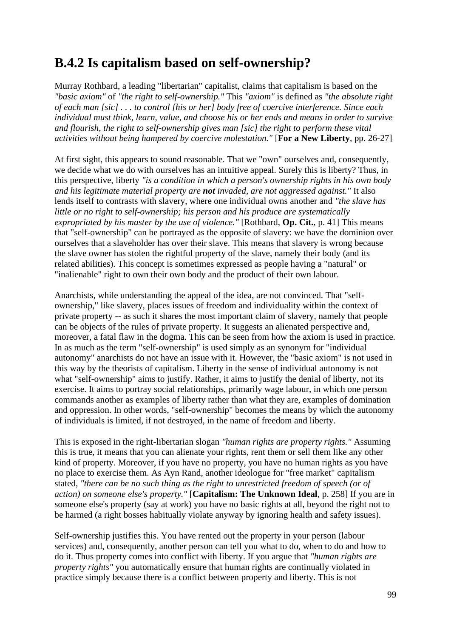#### **B.4.2 Is capitalism based on self-ownership?**

Murray Rothbard, a leading "libertarian" capitalist, claims that capitalism is based on the *"basic axiom"* of *"the right to self-ownership."* This *"axiom"* is defined as *"the absolute right of each man [sic] . . . to control [his or her] body free of coercive interference. Since each individual must think, learn, value, and choose his or her ends and means in order to survive and flourish, the right to self-ownership gives man [sic] the right to perform these vital activities without being hampered by coercive molestation."* [**For a New Liberty**, pp. 26-27]

At first sight, this appears to sound reasonable. That we "own" ourselves and, consequently, we decide what we do with ourselves has an intuitive appeal. Surely this is liberty? Thus, in this perspective, liberty *"is a condition in which a person's ownership rights in his own body and his legitimate material property are not invaded, are not aggressed against."* It also lends itself to contrasts with slavery, where one individual owns another and *"the slave has little or no right to self-ownership; his person and his produce are systematically expropriated by his master by the use of violence."* [Rothbard, **Op. Cit.**, p. 41] This means that "self-ownership" can be portrayed as the opposite of slavery: we have the dominion over ourselves that a slaveholder has over their slave. This means that slavery is wrong because the slave owner has stolen the rightful property of the slave, namely their body (and its related abilities). This concept is sometimes expressed as people having a "natural" or "inalienable" right to own their own body and the product of their own labour.

Anarchists, while understanding the appeal of the idea, are not convinced. That "selfownership," like slavery, places issues of freedom and individuality within the context of private property -- as such it shares the most important claim of slavery, namely that people can be objects of the rules of private property. It suggests an alienated perspective and, moreover, a fatal flaw in the dogma. This can be seen from how the axiom is used in practice. In as much as the term "self-ownership" is used simply as an synonym for "individual autonomy" anarchists do not have an issue with it. However, the "basic axiom" is not used in this way by the theorists of capitalism. Liberty in the sense of individual autonomy is not what "self-ownership" aims to justify. Rather, it aims to justify the denial of liberty, not its exercise. It aims to portray social relationships, primarily wage labour, in which one person commands another as examples of liberty rather than what they are, examples of domination and oppression. In other words, "self-ownership" becomes the means by which the autonomy of individuals is limited, if not destroyed, in the name of freedom and liberty.

This is exposed in the right-libertarian slogan *"human rights are property rights."* Assuming this is true, it means that you can alienate your rights, rent them or sell them like any other kind of property. Moreover, if you have no property, you have no human rights as you have no place to exercise them. As Ayn Rand, another ideologue for "free market" capitalism stated, *"there can be no such thing as the right to unrestricted freedom of speech (or of action) on someone else's property."* [**Capitalism: The Unknown Ideal**, p. 258] If you are in someone else's property (say at work) you have no basic rights at all, beyond the right not to be harmed (a right bosses habitually violate anyway by ignoring health and safety issues).

Self-ownership justifies this. You have rented out the property in your person (labour services) and, consequently, another person can tell you what to do, when to do and how to do it. Thus property comes into conflict with liberty. If you argue that *"human rights are property rights"* you automatically ensure that human rights are continually violated in practice simply because there is a conflict between property and liberty. This is not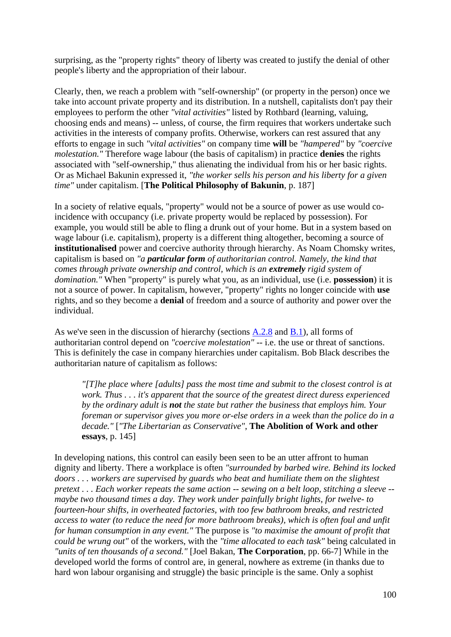surprising, as the "property rights" theory of liberty was created to justify the denial of other people's liberty and the appropriation of their labour.

Clearly, then, we reach a problem with "self-ownership" (or property in the person) once we take into account private property and its distribution. In a nutshell, capitalists don't pay their employees to perform the other *"vital activities"* listed by Rothbard (learning, valuing, choosing ends and means) -- unless, of course, the firm requires that workers undertake such activities in the interests of company profits. Otherwise, workers can rest assured that any efforts to engage in such *"vital activities"* on company time **will** be *"hampered"* by *"coercive molestation."* Therefore wage labour (the basis of capitalism) in practice **denies** the rights associated with "self-ownership," thus alienating the individual from his or her basic rights. Or as Michael Bakunin expressed it, *"the worker sells his person and his liberty for a given time"* under capitalism. [**The Political Philosophy of Bakunin**, p. 187]

In a society of relative equals, "property" would not be a source of power as use would coincidence with occupancy (i.e. private property would be replaced by possession). For example, you would still be able to fling a drunk out of your home. But in a system based on wage labour (i.e. capitalism), property is a different thing altogether, becoming a source of **institutionalised** power and coercive authority through hierarchy. As Noam Chomsky writes, capitalism is based on *"a particular form of authoritarian control. Namely, the kind that comes through private ownership and control, which is an extremely rigid system of domination."* When "property" is purely what you, as an individual, use (i.e. **possession**) it is not a source of power. In capitalism, however, "property" rights no longer coincide with **use** rights, and so they become a **denial** of freedom and a source of authority and power over the individual.

As we've seen in the discussion of hierarchy (sections  $A.2.8$  and  $B.1$ ), all forms of authoritarian control depend on *"coercive molestation"* -- i.e. the use or threat of sanctions. This is definitely the case in company hierarchies under capitalism. Bob Black describes the authoritarian nature of capitalism as follows:

*"[T]he place where [adults] pass the most time and submit to the closest control is at work. Thus . . . it's apparent that the source of the greatest direct duress experienced by the ordinary adult is not the state but rather the business that employs him. Your foreman or supervisor gives you more or-else orders in a week than the police do in a decade."* [*"The Libertarian as Conservative"*, **The Abolition of Work and other essays**, p. 145]

In developing nations, this control can easily been seen to be an utter affront to human dignity and liberty. There a workplace is often *"surrounded by barbed wire. Behind its locked doors . . . workers are supervised by guards who beat and humiliate them on the slightest pretext . . . Each worker repeats the same action -- sewing on a belt loop, stitching a sleeve - maybe two thousand times a day. They work under painfully bright lights, for twelve- to fourteen-hour shifts, in overheated factories, with too few bathroom breaks, and restricted access to water (to reduce the need for more bathroom breaks), which is often foul and unfit for human consumption in any event."* The purpose is *"to maximise the amount of profit that could be wrung out"* of the workers, with the *"time allocated to each task"* being calculated in *"units of ten thousands of a second."* [Joel Bakan, **The Corporation**, pp. 66-7] While in the developed world the forms of control are, in general, nowhere as extreme (in thanks due to hard won labour organising and struggle) the basic principle is the same. Only a sophist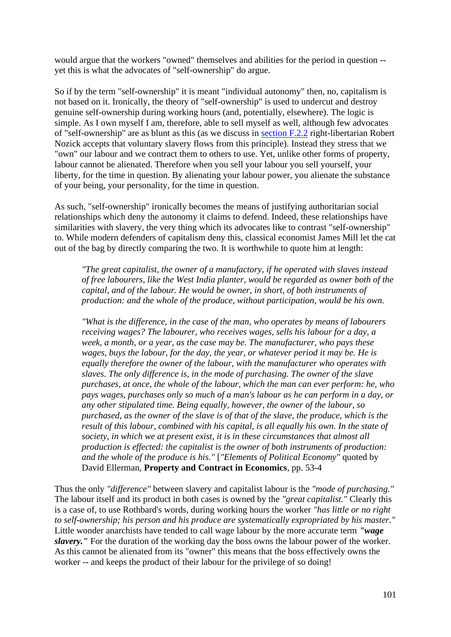would argue that the workers "owned" themselves and abilities for the period in question - yet this is what the advocates of "self-ownership" do argue.

So if by the term "self-ownership" it is meant "individual autonomy" then, no, capitalism is not based on it. Ironically, the theory of "self-ownership" is used to undercut and destroy genuine self-ownership during working hours (and, potentially, elsewhere). The logic is simple. As I own myself I am, therefore, able to sell myself as well, although few advocates of "self-ownership" are as blunt as this (as we discuss in [section F.2.2](sectionF.html#secf22) right-libertarian Robert Nozick accepts that voluntary slavery flows from this principle). Instead they stress that we "own" our labour and we contract them to others to use. Yet, unlike other forms of property, labour cannot be alienated. Therefore when you sell your labour you sell yourself, your liberty, for the time in question. By alienating your labour power, you alienate the substance of your being, your personality, for the time in question.

As such, "self-ownership" ironically becomes the means of justifying authoritarian social relationships which deny the autonomy it claims to defend. Indeed, these relationships have similarities with slavery, the very thing which its advocates like to contrast "self-ownership" to. While modern defenders of capitalism deny this, classical economist James Mill let the cat out of the bag by directly comparing the two. It is worthwhile to quote him at length:

*"The great capitalist, the owner of a manufactory, if he operated with slaves instead of free labourers, like the West India planter, would be regarded as owner both of the capital, and of the labour. He would be owner, in short, of both instruments of production: and the whole of the produce, without participation, would be his own.*

*"What is the difference, in the case of the man, who operates by means of labourers receiving wages? The labourer, who receives wages, sells his labour for a day, a week, a month, or a year, as the case may be. The manufacturer, who pays these wages, buys the labour, for the day, the year, or whatever period it may be. He is equally therefore the owner of the labour, with the manufacturer who operates with slaves. The only difference is, in the mode of purchasing. The owner of the slave purchases, at once, the whole of the labour, which the man can ever perform: he, who pays wages, purchases only so much of a man's labour as he can perform in a day, or any other stipulated time. Being equally, however, the owner of the labour, so purchased, as the owner of the slave is of that of the slave, the produce, which is the result of this labour, combined with his capital, is all equally his own. In the state of society, in which we at present exist, it is in these circumstances that almost all production is effected: the capitalist is the owner of both instruments of production: and the whole of the produce is his."* [*"Elements of Political Economy"* quoted by David Ellerman, **Property and Contract in Economics**, pp. 53-4

Thus the only *"difference"* between slavery and capitalist labour is the *"mode of purchasing."* The labour itself and its product in both cases is owned by the *"great capitalist."* Clearly this is a case of, to use Rothbard's words, during working hours the worker *"has little or no right to self-ownership; his person and his produce are systematically expropriated by his master."* Little wonder anarchists have tended to call wage labour by the more accurate term *"wage slavery."* For the duration of the working day the boss owns the labour power of the worker. As this cannot be alienated from its "owner" this means that the boss effectively owns the worker -- and keeps the product of their labour for the privilege of so doing!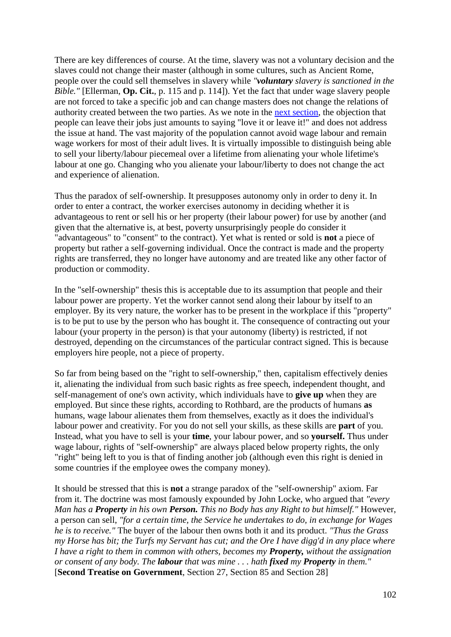There are key differences of course. At the time, slavery was not a voluntary decision and the slaves could not change their master (although in some cultures, such as Ancient Rome, people over the could sell themselves in slavery while *"voluntary slavery is sanctioned in the Bible."* [Ellerman, **Op. Cit.**, p. 115 and p. 114]). Yet the fact that under wage slavery people are not forced to take a specific job and can change masters does not change the relations of authority created between the two parties. As we note in the [next section,](sectionB.html#secb43) the objection that people can leave their jobs just amounts to saying "love it or leave it!" and does not address the issue at hand. The vast majority of the population cannot avoid wage labour and remain wage workers for most of their adult lives. It is virtually impossible to distinguish being able to sell your liberty/labour piecemeal over a lifetime from alienating your whole lifetime's labour at one go. Changing who you alienate your labour/liberty to does not change the act and experience of alienation.

Thus the paradox of self-ownership. It presupposes autonomy only in order to deny it. In order to enter a contract, the worker exercises autonomy in deciding whether it is advantageous to rent or sell his or her property (their labour power) for use by another (and given that the alternative is, at best, poverty unsurprisingly people do consider it "advantageous" to "consent" to the contract). Yet what is rented or sold is **not** a piece of property but rather a self-governing individual. Once the contract is made and the property rights are transferred, they no longer have autonomy and are treated like any other factor of production or commodity.

In the "self-ownership" thesis this is acceptable due to its assumption that people and their labour power are property. Yet the worker cannot send along their labour by itself to an employer. By its very nature, the worker has to be present in the workplace if this "property" is to be put to use by the person who has bought it. The consequence of contracting out your labour (your property in the person) is that your autonomy (liberty) is restricted, if not destroyed, depending on the circumstances of the particular contract signed. This is because employers hire people, not a piece of property.

So far from being based on the "right to self-ownership," then, capitalism effectively denies it, alienating the individual from such basic rights as free speech, independent thought, and self-management of one's own activity, which individuals have to **give up** when they are employed. But since these rights, according to Rothbard, are the products of humans **as** humans, wage labour alienates them from themselves, exactly as it does the individual's labour power and creativity. For you do not sell your skills, as these skills are **part** of you. Instead, what you have to sell is your **time**, your labour power, and so **yourself.** Thus under wage labour, rights of "self-ownership" are always placed below property rights, the only "right" being left to you is that of finding another job (although even this right is denied in some countries if the employee owes the company money).

It should be stressed that this is **not** a strange paradox of the "self-ownership" axiom. Far from it. The doctrine was most famously expounded by John Locke, who argued that *"every Man has a Property in his own Person. This no Body has any Right to but himself."* However, a person can sell, *"for a certain time, the Service he undertakes to do, in exchange for Wages he is to receive."* The buyer of the labour then owns both it and its product. *"Thus the Grass my Horse has bit; the Turfs my Servant has cut; and the Ore I have digg'd in any place where I have a right to them in common with others, becomes my Property, without the assignation or consent of any body. The labour that was mine . . . hath fixed my Property in them."* [**Second Treatise on Government**, Section 27, Section 85 and Section 28]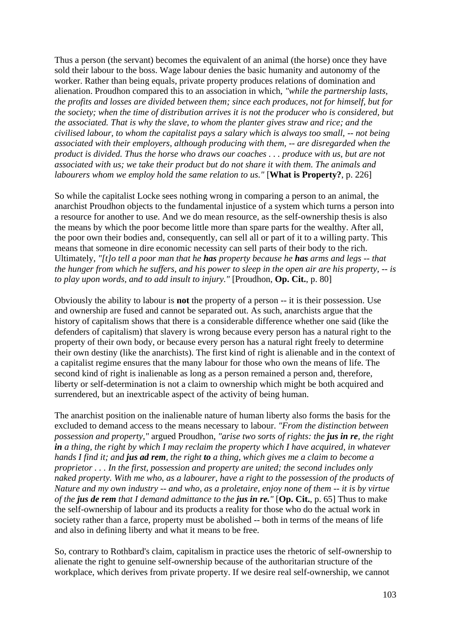Thus a person (the servant) becomes the equivalent of an animal (the horse) once they have sold their labour to the boss. Wage labour denies the basic humanity and autonomy of the worker. Rather than being equals, private property produces relations of domination and alienation. Proudhon compared this to an association in which, *"while the partnership lasts, the profits and losses are divided between them; since each produces, not for himself, but for the society; when the time of distribution arrives it is not the producer who is considered, but the associated. That is why the slave, to whom the planter gives straw and rice; and the civilised labour, to whom the capitalist pays a salary which is always too small, -- not being associated with their employers, although producing with them, -- are disregarded when the product is divided. Thus the horse who draws our coaches . . . produce with us, but are not associated with us; we take their product but do not share it with them. The animals and labourers whom we employ hold the same relation to us."* [**What is Property?**, p. 226]

So while the capitalist Locke sees nothing wrong in comparing a person to an animal, the anarchist Proudhon objects to the fundamental injustice of a system which turns a person into a resource for another to use. And we do mean resource, as the self-ownership thesis is also the means by which the poor become little more than spare parts for the wealthy. After all, the poor own their bodies and, consequently, can sell all or part of it to a willing party. This means that someone in dire economic necessity can sell parts of their body to the rich. Ultimately, *"[t]o tell a poor man that he has property because he has arms and legs -- that the hunger from which he suffers, and his power to sleep in the open air are his property, -- is to play upon words, and to add insult to injury."* [Proudhon, **Op. Cit.**, p. 80]

Obviously the ability to labour is **not** the property of a person -- it is their possession. Use and ownership are fused and cannot be separated out. As such, anarchists argue that the history of capitalism shows that there is a considerable difference whether one said (like the defenders of capitalism) that slavery is wrong because every person has a natural right to the property of their own body, or because every person has a natural right freely to determine their own destiny (like the anarchists). The first kind of right is alienable and in the context of a capitalist regime ensures that the many labour for those who own the means of life. The second kind of right is inalienable as long as a person remained a person and, therefore, liberty or self-determination is not a claim to ownership which might be both acquired and surrendered, but an inextricable aspect of the activity of being human.

The anarchist position on the inalienable nature of human liberty also forms the basis for the excluded to demand access to the means necessary to labour. *"From the distinction between possession and property,"* argued Proudhon, *"arise two sorts of rights: the jus in re, the right in a thing, the right by which I may reclaim the property which I have acquired, in whatever hands I find it; and jus ad rem, the right to a thing, which gives me a claim to become a proprietor . . . In the first, possession and property are united; the second includes only naked property. With me who, as a labourer, have a right to the possession of the products of Nature and my own industry -- and who, as a proletaire, enjoy none of them -- it is by virtue of the jus de rem that I demand admittance to the jus in re."* [**Op. Cit.**, p. 65] Thus to make the self-ownership of labour and its products a reality for those who do the actual work in society rather than a farce, property must be abolished -- both in terms of the means of life and also in defining liberty and what it means to be free.

So, contrary to Rothbard's claim, capitalism in practice uses the rhetoric of self-ownership to alienate the right to genuine self-ownership because of the authoritarian structure of the workplace, which derives from private property. If we desire real self-ownership, we cannot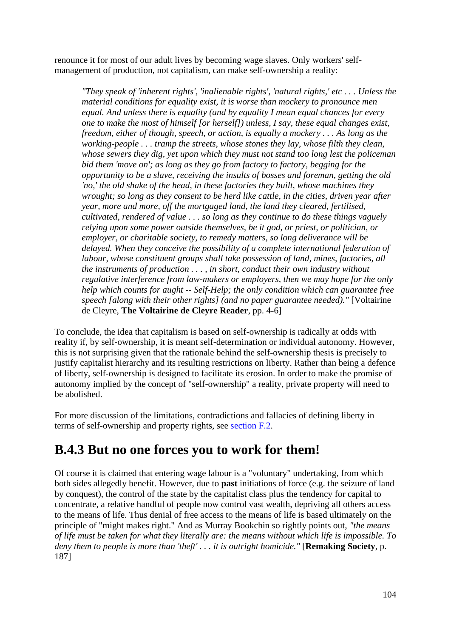renounce it for most of our adult lives by becoming wage slaves. Only workers' selfmanagement of production, not capitalism, can make self-ownership a reality:

*"They speak of 'inherent rights', 'inalienable rights', 'natural rights,' etc . . . Unless the material conditions for equality exist, it is worse than mockery to pronounce men equal. And unless there is equality (and by equality I mean equal chances for every one to make the most of himself [or herself]) unless, I say, these equal changes exist, freedom, either of though, speech, or action, is equally a mockery . . . As long as the working-people . . . tramp the streets, whose stones they lay, whose filth they clean, whose sewers they dig, yet upon which they must not stand too long lest the policeman bid them 'move on'; as long as they go from factory to factory, begging for the opportunity to be a slave, receiving the insults of bosses and foreman, getting the old 'no,' the old shake of the head, in these factories they built, whose machines they wrought; so long as they consent to be herd like cattle, in the cities, driven year after year, more and more, off the mortgaged land, the land they cleared, fertilised, cultivated, rendered of value . . . so long as they continue to do these things vaguely relying upon some power outside themselves, be it god, or priest, or politician, or employer, or charitable society, to remedy matters, so long deliverance will be delayed. When they conceive the possibility of a complete international federation of labour, whose constituent groups shall take possession of land, mines, factories, all the instruments of production . . . , in short, conduct their own industry without regulative interference from law-makers or employers, then we may hope for the only help which counts for aught -- Self-Help; the only condition which can guarantee free speech [along with their other rights] (and no paper guarantee needed)."* [Voltairine de Cleyre, **The Voltairine de Cleyre Reader**, pp. 4-6]

To conclude, the idea that capitalism is based on self-ownership is radically at odds with reality if, by self-ownership, it is meant self-determination or individual autonomy. However, this is not surprising given that the rationale behind the self-ownership thesis is precisely to justify capitalist hierarchy and its resulting restrictions on liberty. Rather than being a defence of liberty, self-ownership is designed to facilitate its erosion. In order to make the promise of autonomy implied by the concept of "self-ownership" a reality, private property will need to be abolished.

For more discussion of the limitations, contradictions and fallacies of defining liberty in terms of self-ownership and property rights, see [section F.2.](sectionF.html#secf2)

#### **B.4.3 But no one forces you to work for them!**

Of course it is claimed that entering wage labour is a "voluntary" undertaking, from which both sides allegedly benefit. However, due to **past** initiations of force (e.g. the seizure of land by conquest), the control of the state by the capitalist class plus the tendency for capital to concentrate, a relative handful of people now control vast wealth, depriving all others access to the means of life. Thus denial of free access to the means of life is based ultimately on the principle of "might makes right." And as Murray Bookchin so rightly points out, *"the means of life must be taken for what they literally are: the means without which life is impossible. To deny them to people is more than 'theft' . . . it is outright homicide."* [**Remaking Society**, p. 187]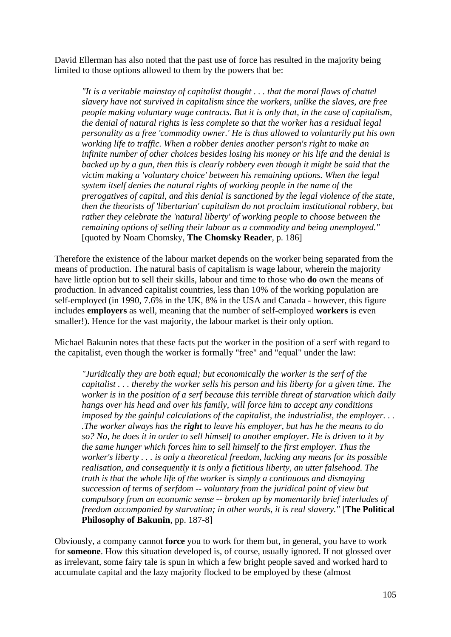David Ellerman has also noted that the past use of force has resulted in the majority being limited to those options allowed to them by the powers that be:

*"It is a veritable mainstay of capitalist thought . . . that the moral flaws of chattel slavery have not survived in capitalism since the workers, unlike the slaves, are free people making voluntary wage contracts. But it is only that, in the case of capitalism, the denial of natural rights is less complete so that the worker has a residual legal personality as a free 'commodity owner.' He is thus allowed to voluntarily put his own working life to traffic. When a robber denies another person's right to make an infinite number of other choices besides losing his money or his life and the denial is backed up by a gun, then this is clearly robbery even though it might be said that the victim making a 'voluntary choice' between his remaining options. When the legal system itself denies the natural rights of working people in the name of the prerogatives of capital, and this denial is sanctioned by the legal violence of the state, then the theorists of 'libertarian' capitalism do not proclaim institutional robbery, but rather they celebrate the 'natural liberty' of working people to choose between the remaining options of selling their labour as a commodity and being unemployed."* [quoted by Noam Chomsky, **The Chomsky Reader**, p. 186]

Therefore the existence of the labour market depends on the worker being separated from the means of production. The natural basis of capitalism is wage labour, wherein the majority have little option but to sell their skills, labour and time to those who **do** own the means of production. In advanced capitalist countries, less than 10% of the working population are self-employed (in 1990, 7.6% in the UK, 8% in the USA and Canada - however, this figure includes **employers** as well, meaning that the number of self-employed **workers** is even smaller!). Hence for the vast majority, the labour market is their only option.

Michael Bakunin notes that these facts put the worker in the position of a serf with regard to the capitalist, even though the worker is formally "free" and "equal" under the law:

*"Juridically they are both equal; but economically the worker is the serf of the capitalist . . . thereby the worker sells his person and his liberty for a given time. The worker is in the position of a serf because this terrible threat of starvation which daily hangs over his head and over his family, will force him to accept any conditions imposed by the gainful calculations of the capitalist, the industrialist, the employer... .The worker always has the right to leave his employer, but has he the means to do so? No, he does it in order to sell himself to another employer. He is driven to it by the same hunger which forces him to sell himself to the first employer. Thus the worker's liberty . . . is only a theoretical freedom, lacking any means for its possible realisation, and consequently it is only a fictitious liberty, an utter falsehood. The truth is that the whole life of the worker is simply a continuous and dismaying succession of terms of serfdom -- voluntary from the juridical point of view but compulsory from an economic sense -- broken up by momentarily brief interludes of freedom accompanied by starvation; in other words, it is real slavery."* [**The Political Philosophy of Bakunin**, pp. 187-8]

Obviously, a company cannot **force** you to work for them but, in general, you have to work for **someone**. How this situation developed is, of course, usually ignored. If not glossed over as irrelevant, some fairy tale is spun in which a few bright people saved and worked hard to accumulate capital and the lazy majority flocked to be employed by these (almost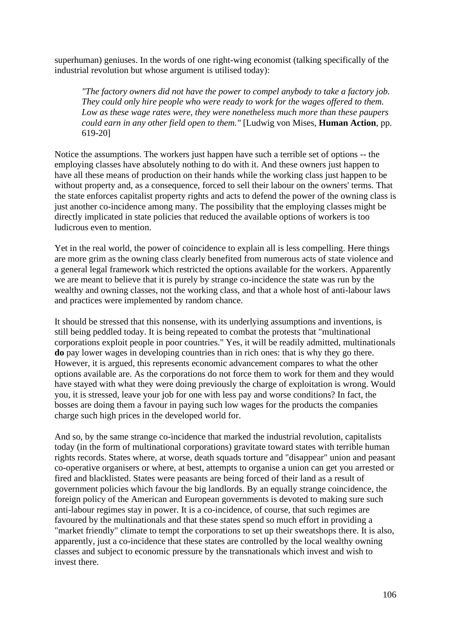superhuman) geniuses. In the words of one right-wing economist (talking specifically of the industrial revolution but whose argument is utilised today):

*"The factory owners did not have the power to compel anybody to take a factory job. They could only hire people who were ready to work for the wages offered to them. Low as these wage rates were, they were nonetheless much more than these paupers could earn in any other field open to them."* [Ludwig von Mises, **Human Action**, pp. 619-20]

Notice the assumptions. The workers just happen have such a terrible set of options -- the employing classes have absolutely nothing to do with it. And these owners just happen to have all these means of production on their hands while the working class just happen to be without property and, as a consequence, forced to sell their labour on the owners' terms. That the state enforces capitalist property rights and acts to defend the power of the owning class is just another co-incidence among many. The possibility that the employing classes might be directly implicated in state policies that reduced the available options of workers is too ludicrous even to mention.

Yet in the real world, the power of coincidence to explain all is less compelling. Here things are more grim as the owning class clearly benefited from numerous acts of state violence and a general legal framework which restricted the options available for the workers. Apparently we are meant to believe that it is purely by strange co-incidence the state was run by the wealthy and owning classes, not the working class, and that a whole host of anti-labour laws and practices were implemented by random chance.

It should be stressed that this nonsense, with its underlying assumptions and inventions, is still being peddled today. It is being repeated to combat the protests that "multinational corporations exploit people in poor countries." Yes, it will be readily admitted, multinationals **do** pay lower wages in developing countries than in rich ones: that is why they go there. However, it is argued, this represents economic advancement compares to what the other options available are. As the corporations do not force them to work for them and they would have stayed with what they were doing previously the charge of exploitation is wrong. Would you, it is stressed, leave your job for one with less pay and worse conditions? In fact, the bosses are doing them a favour in paying such low wages for the products the companies charge such high prices in the developed world for.

And so, by the same strange co-incidence that marked the industrial revolution, capitalists today (in the form of multinational corporations) gravitate toward states with terrible human rights records. States where, at worse, death squads torture and "disappear" union and peasant co-operative organisers or where, at best, attempts to organise a union can get you arrested or fired and blacklisted. States were peasants are being forced of their land as a result of government policies which favour the big landlords. By an equally strange coincidence, the foreign policy of the American and European governments is devoted to making sure such anti-labour regimes stay in power. It is a co-incidence, of course, that such regimes are favoured by the multinationals and that these states spend so much effort in providing a "market friendly" climate to tempt the corporations to set up their sweatshops there. It is also, apparently, just a co-incidence that these states are controlled by the local wealthy owning classes and subject to economic pressure by the transnationals which invest and wish to invest there.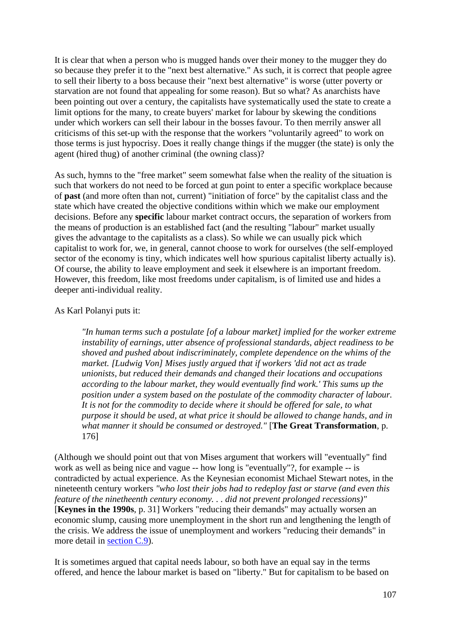It is clear that when a person who is mugged hands over their money to the mugger they do so because they prefer it to the "next best alternative." As such, it is correct that people agree to sell their liberty to a boss because their "next best alternative" is worse (utter poverty or starvation are not found that appealing for some reason). But so what? As anarchists have been pointing out over a century, the capitalists have systematically used the state to create a limit options for the many, to create buyers' market for labour by skewing the conditions under which workers can sell their labour in the bosses favour. To then merrily answer all criticisms of this set-up with the response that the workers "voluntarily agreed" to work on those terms is just hypocrisy. Does it really change things if the mugger (the state) is only the agent (hired thug) of another criminal (the owning class)?

As such, hymns to the "free market" seem somewhat false when the reality of the situation is such that workers do not need to be forced at gun point to enter a specific workplace because of **past** (and more often than not, current) "initiation of force" by the capitalist class and the state which have created the objective conditions within which we make our employment decisions. Before any **specific** labour market contract occurs, the separation of workers from the means of production is an established fact (and the resulting "labour" market usually gives the advantage to the capitalists as a class). So while we can usually pick which capitalist to work for, we, in general, cannot choose to work for ourselves (the self-employed sector of the economy is tiny, which indicates well how spurious capitalist liberty actually is). Of course, the ability to leave employment and seek it elsewhere is an important freedom. However, this freedom, like most freedoms under capitalism, is of limited use and hides a deeper anti-individual reality.

As Karl Polanyi puts it:

*"In human terms such a postulate [of a labour market] implied for the worker extreme instability of earnings, utter absence of professional standards, abject readiness to be shoved and pushed about indiscriminately, complete dependence on the whims of the market. [Ludwig Von] Mises justly argued that if workers 'did not act as trade unionists, but reduced their demands and changed their locations and occupations according to the labour market, they would eventually find work.' This sums up the position under a system based on the postulate of the commodity character of labour. It is not for the commodity to decide where it should be offered for sale, to what purpose it should be used, at what price it should be allowed to change hands, and in what manner it should be consumed or destroyed."* [**The Great Transformation**, p. 176]

(Although we should point out that von Mises argument that workers will "eventually" find work as well as being nice and vague -- how long is "eventually"?, for example -- is contradicted by actual experience. As the Keynesian economist Michael Stewart notes, in the nineteenth century workers *"who lost their jobs had to redeploy fast or starve (and even this feature of the ninetheenth century economy. . . did not prevent prolonged recessions)"* [**Keynes in the 1990s**, p. 31] Workers "reducing their demands" may actually worsen an economic slump, causing more unemployment in the short run and lengthening the length of the crisis. We address the issue of unemployment and workers "reducing their demands" in more detail in [section C.9\)](sectionC.html#secc9).

It is sometimes argued that capital needs labour, so both have an equal say in the terms offered, and hence the labour market is based on "liberty." But for capitalism to be based on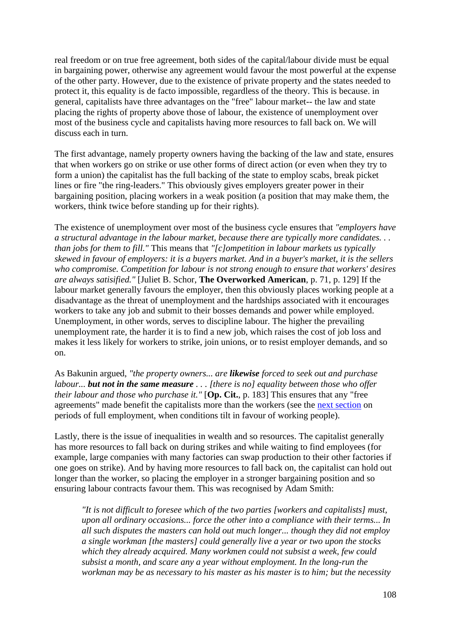real freedom or on true free agreement, both sides of the capital/labour divide must be equal in bargaining power, otherwise any agreement would favour the most powerful at the expense of the other party. However, due to the existence of private property and the states needed to protect it, this equality is de facto impossible, regardless of the theory. This is because. in general, capitalists have three advantages on the "free" labour market-- the law and state placing the rights of property above those of labour, the existence of unemployment over most of the business cycle and capitalists having more resources to fall back on. We will discuss each in turn.

The first advantage, namely property owners having the backing of the law and state, ensures that when workers go on strike or use other forms of direct action (or even when they try to form a union) the capitalist has the full backing of the state to employ scabs, break picket lines or fire "the ring-leaders." This obviously gives employers greater power in their bargaining position, placing workers in a weak position (a position that may make them, the workers, think twice before standing up for their rights).

The existence of unemployment over most of the business cycle ensures that *"employers have a structural advantage in the labour market, because there are typically more candidates. . . than jobs for them to fill."* This means that *"[c]ompetition in labour markets us typically skewed in favour of employers: it is a buyers market. And in a buyer's market, it is the sellers who compromise. Competition for labour is not strong enough to ensure that workers' desires are always satisified."* [Juliet B. Schor, **The Overworked American**, p. 71, p. 129] If the labour market generally favours the employer, then this obviously places working people at a disadvantage as the threat of unemployment and the hardships associated with it encourages workers to take any job and submit to their bosses demands and power while employed. Unemployment, in other words, serves to discipline labour. The higher the prevailing unemployment rate, the harder it is to find a new job, which raises the cost of job loss and makes it less likely for workers to strike, join unions, or to resist employer demands, and so on.

As Bakunin argued, *"the property owners... are likewise forced to seek out and purchase labour... but not in the same measure . . . [there is no] equality between those who offer their labour and those who purchase it."* [**Op. Cit.**, p. 183] This ensures that any "free agreements" made benefit the capitalists more than the workers (see the [next section](sectionB.html#secb44) on periods of full employment, when conditions tilt in favour of working people).

Lastly, there is the issue of inequalities in wealth and so resources. The capitalist generally has more resources to fall back on during strikes and while waiting to find employees (for example, large companies with many factories can swap production to their other factories if one goes on strike). And by having more resources to fall back on, the capitalist can hold out longer than the worker, so placing the employer in a stronger bargaining position and so ensuring labour contracts favour them. This was recognised by Adam Smith:

*"It is not difficult to foresee which of the two parties [workers and capitalists] must, upon all ordinary occasions... force the other into a compliance with their terms... In all such disputes the masters can hold out much longer... though they did not employ a single workman [the masters] could generally live a year or two upon the stocks which they already acquired. Many workmen could not subsist a week, few could subsist a month, and scare any a year without employment. In the long-run the workman may be as necessary to his master as his master is to him; but the necessity*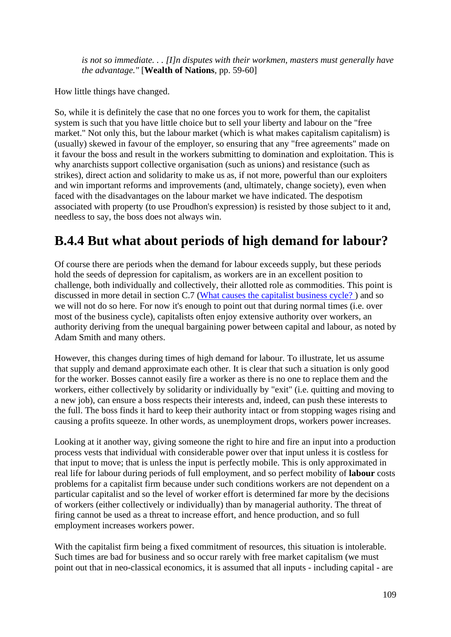*is not so immediate. . . [I]n disputes with their workmen, masters must generally have the advantage."* [**Wealth of Nations**, pp. 59-60]

How little things have changed.

So, while it is definitely the case that no one forces you to work for them, the capitalist system is such that you have little choice but to sell your liberty and labour on the "free market." Not only this, but the labour market (which is what makes capitalism capitalism) is (usually) skewed in favour of the employer, so ensuring that any "free agreements" made on it favour the boss and result in the workers submitting to domination and exploitation. This is why anarchists support collective organisation (such as unions) and resistance (such as strikes), direct action and solidarity to make us as, if not more, powerful than our exploiters and win important reforms and improvements (and, ultimately, change society), even when faced with the disadvantages on the labour market we have indicated. The despotism associated with property (to use Proudhon's expression) is resisted by those subject to it and, needless to say, the boss does not always win.

### **B.4.4 But what about periods of high demand for labour?**

Of course there are periods when the demand for labour exceeds supply, but these periods hold the seeds of depression for capitalism, as workers are in an excellent position to challenge, both individually and collectively, their allotted role as commodities. This point is discussed in more detail in section C.7 [\(What causes the capitalist business cycle? \)](sectionC.html#secc7) and so we will not do so here. For now it's enough to point out that during normal times (i.e. over most of the business cycle), capitalists often enjoy extensive authority over workers, an authority deriving from the unequal bargaining power between capital and labour, as noted by Adam Smith and many others.

However, this changes during times of high demand for labour. To illustrate, let us assume that supply and demand approximate each other. It is clear that such a situation is only good for the worker. Bosses cannot easily fire a worker as there is no one to replace them and the workers, either collectively by solidarity or individually by "exit" (i.e. quitting and moving to a new job), can ensure a boss respects their interests and, indeed, can push these interests to the full. The boss finds it hard to keep their authority intact or from stopping wages rising and causing a profits squeeze. In other words, as unemployment drops, workers power increases.

Looking at it another way, giving someone the right to hire and fire an input into a production process vests that individual with considerable power over that input unless it is costless for that input to move; that is unless the input is perfectly mobile. This is only approximated in real life for labour during periods of full employment, and so perfect mobility of **labour** costs problems for a capitalist firm because under such conditions workers are not dependent on a particular capitalist and so the level of worker effort is determined far more by the decisions of workers (either collectively or individually) than by managerial authority. The threat of firing cannot be used as a threat to increase effort, and hence production, and so full employment increases workers power.

With the capitalist firm being a fixed commitment of resources, this situation is intolerable. Such times are bad for business and so occur rarely with free market capitalism (we must point out that in neo-classical economics, it is assumed that all inputs - including capital - are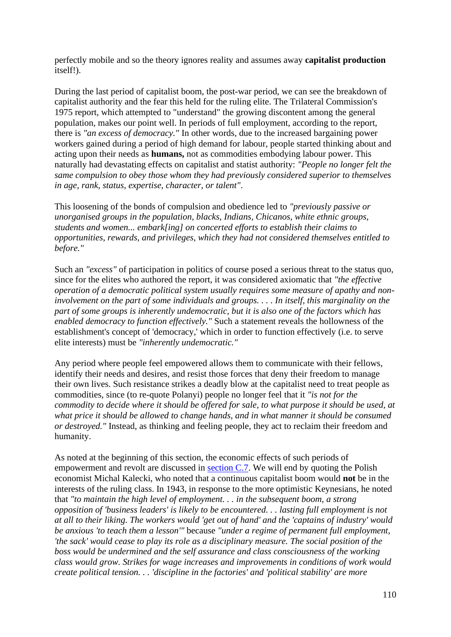perfectly mobile and so the theory ignores reality and assumes away **capitalist production** itself!).

During the last period of capitalist boom, the post-war period, we can see the breakdown of capitalist authority and the fear this held for the ruling elite. The Trilateral Commission's 1975 report, which attempted to "understand" the growing discontent among the general population, makes our point well. In periods of full employment, according to the report, there is *"an excess of democracy."* In other words, due to the increased bargaining power workers gained during a period of high demand for labour, people started thinking about and acting upon their needs as **humans,** not as commodities embodying labour power. This naturally had devastating effects on capitalist and statist authority: *"People no longer felt the same compulsion to obey those whom they had previously considered superior to themselves in age, rank, status, expertise, character, or talent"*.

This loosening of the bonds of compulsion and obedience led to *"previously passive or unorganised groups in the population, blacks, Indians, Chicanos, white ethnic groups, students and women... embark[ing] on concerted efforts to establish their claims to opportunities, rewards, and privileges, which they had not considered themselves entitled to before."*

Such an *"excess"* of participation in politics of course posed a serious threat to the status quo, since for the elites who authored the report, it was considered axiomatic that *"the effective operation of a democratic political system usually requires some measure of apathy and noninvolvement on the part of some individuals and groups. . . . In itself, this marginality on the part of some groups is inherently undemocratic, but it is also one of the factors which has enabled democracy to function effectively."* Such a statement reveals the hollowness of the establishment's concept of 'democracy,' which in order to function effectively (i.e. to serve elite interests) must be *"inherently undemocratic."*

Any period where people feel empowered allows them to communicate with their fellows, identify their needs and desires, and resist those forces that deny their freedom to manage their own lives. Such resistance strikes a deadly blow at the capitalist need to treat people as commodities, since (to re-quote Polanyi) people no longer feel that it *"is not for the commodity to decide where it should be offered for sale, to what purpose it should be used, at what price it should be allowed to change hands, and in what manner it should be consumed or destroyed."* Instead, as thinking and feeling people, they act to reclaim their freedom and humanity.

As noted at the beginning of this section, the economic effects of such periods of empowerment and revolt are discussed in [section C.7.](sectionC.html#secc7) We will end by quoting the Polish economist Michal Kalecki, who noted that a continuous capitalist boom would **not** be in the interests of the ruling class. In 1943, in response to the more optimistic Keynesians, he noted that *"to maintain the high level of employment. . . in the subsequent boom, a strong opposition of 'business leaders' is likely to be encountered. . . lasting full employment is not at all to their liking. The workers would 'get out of hand' and the 'captains of industry' would be anxious 'to teach them a lesson'"* because *"under a regime of permanent full employment, 'the sack' would cease to play its role as a disciplinary measure. The social position of the boss would be undermined and the self assurance and class consciousness of the working class would grow. Strikes for wage increases and improvements in conditions of work would create political tension. . . 'discipline in the factories' and 'political stability' are more*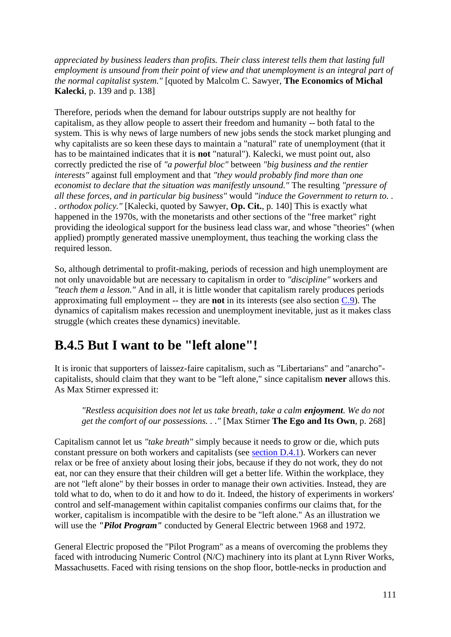*appreciated by business leaders than profits. Their class interest tells them that lasting full employment is unsound from their point of view and that unemployment is an integral part of the normal capitalist system."* [quoted by Malcolm C. Sawyer, **The Economics of Michal Kalecki**, p. 139 and p. 138]

Therefore, periods when the demand for labour outstrips supply are not healthy for capitalism, as they allow people to assert their freedom and humanity -- both fatal to the system. This is why news of large numbers of new jobs sends the stock market plunging and why capitalists are so keen these days to maintain a "natural" rate of unemployment (that it has to be maintained indicates that it is **not** "natural"). Kalecki, we must point out, also correctly predicted the rise of *"a powerful bloc"* between *"big business and the rentier interests"* against full employment and that *"they would probably find more than one economist to declare that the situation was manifestly unsound."* The resulting *"pressure of all these forces, and in particular big business"* would *"induce the Government to return to. . . orthodox policy."* [Kalecki, quoted by Sawyer, **Op. Cit.**, p. 140] This is exactly what happened in the 1970s, with the monetarists and other sections of the "free market" right providing the ideological support for the business lead class war, and whose "theories" (when applied) promptly generated massive unemployment, thus teaching the working class the required lesson.

So, although detrimental to profit-making, periods of recession and high unemployment are not only unavoidable but are necessary to capitalism in order to *"discipline"* workers and *"teach them a lesson."* And in all, it is little wonder that capitalism rarely produces periods approximating full employment -- they are **not** in its interests (see also section [C.9\)](sectionC.html#secc9). The dynamics of capitalism makes recession and unemployment inevitable, just as it makes class struggle (which creates these dynamics) inevitable.

### **B.4.5 But I want to be "left alone"!**

It is ironic that supporters of laissez-faire capitalism, such as "Libertarians" and "anarcho" capitalists, should claim that they want to be "left alone," since capitalism **never** allows this. As Max Stirner expressed it:

*"Restless acquisition does not let us take breath, take a calm enjoyment. We do not get the comfort of our possessions. . ."* [Max Stirner **The Ego and Its Own**, p. 268]

Capitalism cannot let us *"take breath"* simply because it needs to grow or die, which puts constant pressure on both workers and capitalists (see [section D.4.1\)](sectionD.html#secd41). Workers can never relax or be free of anxiety about losing their jobs, because if they do not work, they do not eat, nor can they ensure that their children will get a better life. Within the workplace, they are not "left alone" by their bosses in order to manage their own activities. Instead, they are told what to do, when to do it and how to do it. Indeed, the history of experiments in workers' control and self-management within capitalist companies confirms our claims that, for the worker, capitalism is incompatible with the desire to be "left alone." As an illustration we will use the *"Pilot Program"* conducted by General Electric between 1968 and 1972.

General Electric proposed the "Pilot Program" as a means of overcoming the problems they faced with introducing Numeric Control (N/C) machinery into its plant at Lynn River Works, Massachusetts. Faced with rising tensions on the shop floor, bottle-necks in production and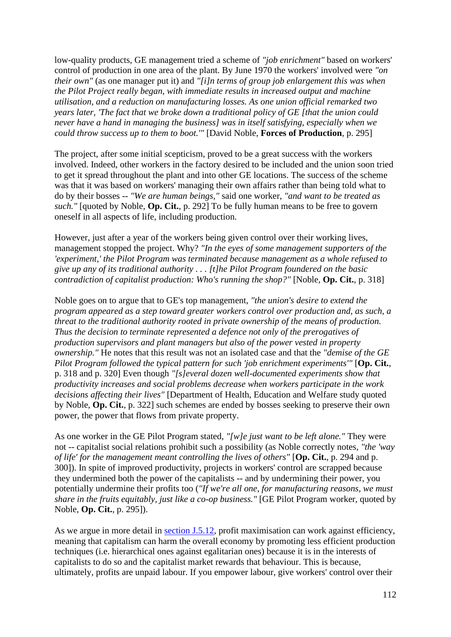low-quality products, GE management tried a scheme of *"job enrichment"* based on workers' control of production in one area of the plant. By June 1970 the workers' involved were *"on their own"* (as one manager put it) and *"[i]n terms of group job enlargement this was when the Pilot Project really began, with immediate results in increased output and machine utilisation, and a reduction on manufacturing losses. As one union official remarked two years later, 'The fact that we broke down a traditional policy of GE [that the union could never have a hand in managing the business] was in itself satisfying, especially when we could throw success up to them to boot.'"* [David Noble, **Forces of Production**, p. 295]

The project, after some initial scepticism, proved to be a great success with the workers involved. Indeed, other workers in the factory desired to be included and the union soon tried to get it spread throughout the plant and into other GE locations. The success of the scheme was that it was based on workers' managing their own affairs rather than being told what to do by their bosses -- *"We are human beings,"* said one worker, *"and want to be treated as such."* [quoted by Noble, **Op. Cit.**, p. 292] To be fully human means to be free to govern oneself in all aspects of life, including production.

However, just after a year of the workers being given control over their working lives, management stopped the project. Why? *"In the eyes of some management supporters of the 'experiment,' the Pilot Program was terminated because management as a whole refused to give up any of its traditional authority . . . [t]he Pilot Program foundered on the basic contradiction of capitalist production: Who's running the shop?"* [Noble, **Op. Cit.**, p. 318]

Noble goes on to argue that to GE's top management, *"the union's desire to extend the program appeared as a step toward greater workers control over production and, as such, a threat to the traditional authority rooted in private ownership of the means of production. Thus the decision to terminate represented a defence not only of the prerogatives of production supervisors and plant managers but also of the power vested in property ownership."* He notes that this result was not an isolated case and that the *"demise of the GE Pilot Program followed the typical pattern for such 'job enrichment experiments'"* [**Op. Cit.**, p. 318 and p. 320] Even though *"[s]everal dozen well-documented experiments show that productivity increases and social problems decrease when workers participate in the work decisions affecting their lives"* [Department of Health, Education and Welfare study quoted by Noble, **Op. Cit.**, p. 322] such schemes are ended by bosses seeking to preserve their own power, the power that flows from private property.

As one worker in the GE Pilot Program stated, *"[w]e just want to be left alone."* They were not -- capitalist social relations prohibit such a possibility (as Noble correctly notes, *"the 'way of life' for the management meant controlling the lives of others"* [**Op. Cit.**, p. 294 and p. 300]). In spite of improved productivity, projects in workers' control are scrapped because they undermined both the power of the capitalists -- and by undermining their power, you potentially undermine their profits too (*"If we're all one, for manufacturing reasons, we must share in the fruits equitably, just like a co-op business."* [GE Pilot Program worker, quoted by Noble, **Op. Cit.**, p. 295]).

As we argue in more detail in **section J.5.12**, profit maximisation can work against efficiency, meaning that capitalism can harm the overall economy by promoting less efficient production techniques (i.e. hierarchical ones against egalitarian ones) because it is in the interests of capitalists to do so and the capitalist market rewards that behaviour. This is because, ultimately, profits are unpaid labour. If you empower labour, give workers' control over their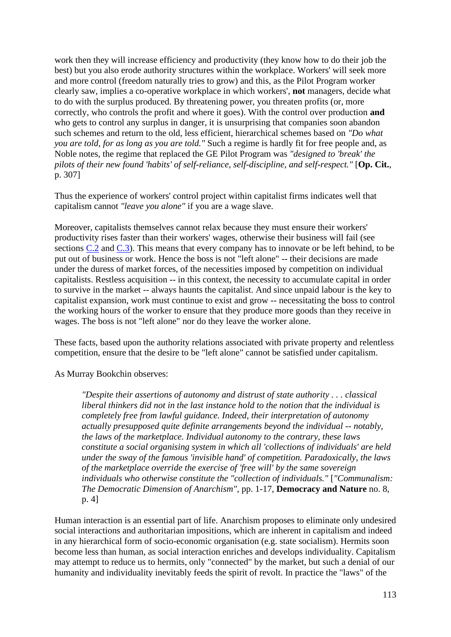work then they will increase efficiency and productivity (they know how to do their job the best) but you also erode authority structures within the workplace. Workers' will seek more and more control (freedom naturally tries to grow) and this, as the Pilot Program worker clearly saw, implies a co-operative workplace in which workers', **not** managers, decide what to do with the surplus produced. By threatening power, you threaten profits (or, more correctly, who controls the profit and where it goes). With the control over production **and** who gets to control any surplus in danger, it is unsurprising that companies soon abandon such schemes and return to the old, less efficient, hierarchical schemes based on *"Do what you are told, for as long as you are told."* Such a regime is hardly fit for free people and, as Noble notes, the regime that replaced the GE Pilot Program was *"designed to 'break' the pilots of their new found 'habits' of self-reliance, self-discipline, and self-respect."* [**Op. Cit.**, p. 307]

Thus the experience of workers' control project within capitalist firms indicates well that capitalism cannot *"leave you alone"* if you are a wage slave.

Moreover, capitalists themselves cannot relax because they must ensure their workers' productivity rises faster than their workers' wages, otherwise their business will fail (see sections [C.2](sectionC.html#secc2) and [C.3\)](sectionC.html#secc3). This means that every company has to innovate or be left behind, to be put out of business or work. Hence the boss is not "left alone" -- their decisions are made under the duress of market forces, of the necessities imposed by competition on individual capitalists. Restless acquisition -- in this context, the necessity to accumulate capital in order to survive in the market -- always haunts the capitalist. And since unpaid labour is the key to capitalist expansion, work must continue to exist and grow -- necessitating the boss to control the working hours of the worker to ensure that they produce more goods than they receive in wages. The boss is not "left alone" nor do they leave the worker alone.

These facts, based upon the authority relations associated with private property and relentless competition, ensure that the desire to be "left alone" cannot be satisfied under capitalism.

As Murray Bookchin observes:

*"Despite their assertions of autonomy and distrust of state authority . . . classical liberal thinkers did not in the last instance hold to the notion that the individual is completely free from lawful guidance. Indeed, their interpretation of autonomy actually presupposed quite definite arrangements beyond the individual -- notably, the laws of the marketplace. Individual autonomy to the contrary, these laws constitute a social organising system in which all 'collections of individuals' are held under the sway of the famous 'invisible hand' of competition. Paradoxically, the laws of the marketplace override the exercise of 'free will' by the same sovereign individuals who otherwise constitute the "collection of individuals."* [*"Communalism: The Democratic Dimension of Anarchism"*, pp. 1-17, **Democracy and Nature** no. 8, p. 4]

Human interaction is an essential part of life. Anarchism proposes to eliminate only undesired social interactions and authoritarian impositions, which are inherent in capitalism and indeed in any hierarchical form of socio-economic organisation (e.g. state socialism). Hermits soon become less than human, as social interaction enriches and develops individuality. Capitalism may attempt to reduce us to hermits, only "connected" by the market, but such a denial of our humanity and individuality inevitably feeds the spirit of revolt. In practice the "laws" of the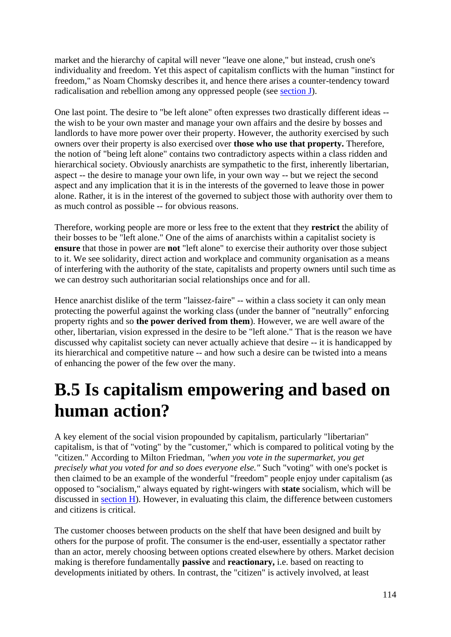market and the hierarchy of capital will never "leave one alone," but instead, crush one's individuality and freedom. Yet this aspect of capitalism conflicts with the human "instinct for freedom," as Noam Chomsky describes it, and hence there arises a counter-tendency toward radicalisation and rebellion among any oppressed people (see [section J\)](sectionJ.html).

One last point. The desire to "be left alone" often expresses two drastically different ideas - the wish to be your own master and manage your own affairs and the desire by bosses and landlords to have more power over their property. However, the authority exercised by such owners over their property is also exercised over **those who use that property.** Therefore, the notion of "being left alone" contains two contradictory aspects within a class ridden and hierarchical society. Obviously anarchists are sympathetic to the first, inherently libertarian, aspect -- the desire to manage your own life, in your own way -- but we reject the second aspect and any implication that it is in the interests of the governed to leave those in power alone. Rather, it is in the interest of the governed to subject those with authority over them to as much control as possible -- for obvious reasons.

Therefore, working people are more or less free to the extent that they **restrict** the ability of their bosses to be "left alone." One of the aims of anarchists within a capitalist society is **ensure** that those in power are **not** "left alone" to exercise their authority over those subject to it. We see solidarity, direct action and workplace and community organisation as a means of interfering with the authority of the state, capitalists and property owners until such time as we can destroy such authoritarian social relationships once and for all.

Hence anarchist dislike of the term "laissez-faire" -- within a class society it can only mean protecting the powerful against the working class (under the banner of "neutrally" enforcing property rights and so **the power derived from them**). However, we are well aware of the other, libertarian, vision expressed in the desire to be "left alone." That is the reason we have discussed why capitalist society can never actually achieve that desire -- it is handicapped by its hierarchical and competitive nature -- and how such a desire can be twisted into a means of enhancing the power of the few over the many.

## **B.5 Is capitalism empowering and based on human action?**

A key element of the social vision propounded by capitalism, particularly "libertarian" capitalism, is that of "voting" by the "customer," which is compared to political voting by the "citizen." According to Milton Friedman, *"when you vote in the supermarket, you get precisely what you voted for and so does everyone else."* Such "voting" with one's pocket is then claimed to be an example of the wonderful "freedom" people enjoy under capitalism (as opposed to "socialism," always equated by right-wingers with **state** socialism, which will be discussed in [section H\)](sectionH.html). However, in evaluating this claim, the difference between customers and citizens is critical.

The customer chooses between products on the shelf that have been designed and built by others for the purpose of profit. The consumer is the end-user, essentially a spectator rather than an actor, merely choosing between options created elsewhere by others. Market decision making is therefore fundamentally **passive** and **reactionary,** i.e. based on reacting to developments initiated by others. In contrast, the "citizen" is actively involved, at least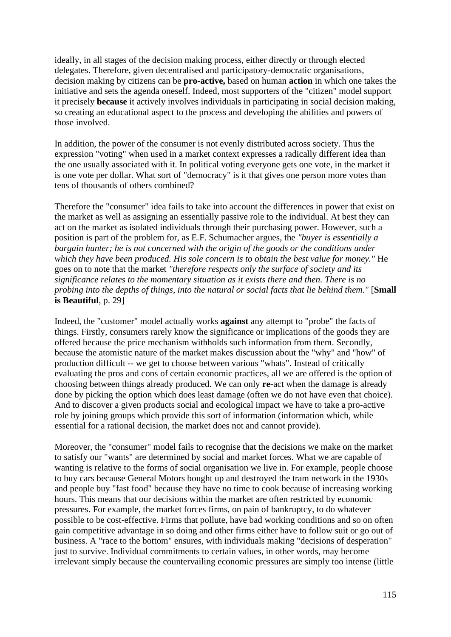ideally, in all stages of the decision making process, either directly or through elected delegates. Therefore, given decentralised and participatory-democratic organisations, decision making by citizens can be **pro-active,** based on human **action** in which one takes the initiative and sets the agenda oneself. Indeed, most supporters of the "citizen" model support it precisely **because** it actively involves individuals in participating in social decision making, so creating an educational aspect to the process and developing the abilities and powers of those involved.

In addition, the power of the consumer is not evenly distributed across society. Thus the expression "voting" when used in a market context expresses a radically different idea than the one usually associated with it. In political voting everyone gets one vote, in the market it is one vote per dollar. What sort of "democracy" is it that gives one person more votes than tens of thousands of others combined?

Therefore the "consumer" idea fails to take into account the differences in power that exist on the market as well as assigning an essentially passive role to the individual. At best they can act on the market as isolated individuals through their purchasing power. However, such a position is part of the problem for, as E.F. Schumacher argues, the *"buyer is essentially a bargain hunter; he is not concerned with the origin of the goods or the conditions under which they have been produced. His sole concern is to obtain the best value for money."* He goes on to note that the market *"therefore respects only the surface of society and its significance relates to the momentary situation as it exists there and then. There is no probing into the depths of things, into the natural or social facts that lie behind them."* [**Small is Beautiful**, p. 29]

Indeed, the "customer" model actually works **against** any attempt to "probe" the facts of things. Firstly, consumers rarely know the significance or implications of the goods they are offered because the price mechanism withholds such information from them. Secondly, because the atomistic nature of the market makes discussion about the "why" and "how" of production difficult -- we get to choose between various "whats". Instead of critically evaluating the pros and cons of certain economic practices, all we are offered is the option of choosing between things already produced. We can only **re**-act when the damage is already done by picking the option which does least damage (often we do not have even that choice). And to discover a given products social and ecological impact we have to take a pro-active role by joining groups which provide this sort of information (information which, while essential for a rational decision, the market does not and cannot provide).

Moreover, the "consumer" model fails to recognise that the decisions we make on the market to satisfy our "wants" are determined by social and market forces. What we are capable of wanting is relative to the forms of social organisation we live in. For example, people choose to buy cars because General Motors bought up and destroyed the tram network in the 1930s and people buy "fast food" because they have no time to cook because of increasing working hours. This means that our decisions within the market are often restricted by economic pressures. For example, the market forces firms, on pain of bankruptcy, to do whatever possible to be cost-effective. Firms that pollute, have bad working conditions and so on often gain competitive advantage in so doing and other firms either have to follow suit or go out of business. A "race to the bottom" ensures, with individuals making "decisions of desperation" just to survive. Individual commitments to certain values, in other words, may become irrelevant simply because the countervailing economic pressures are simply too intense (little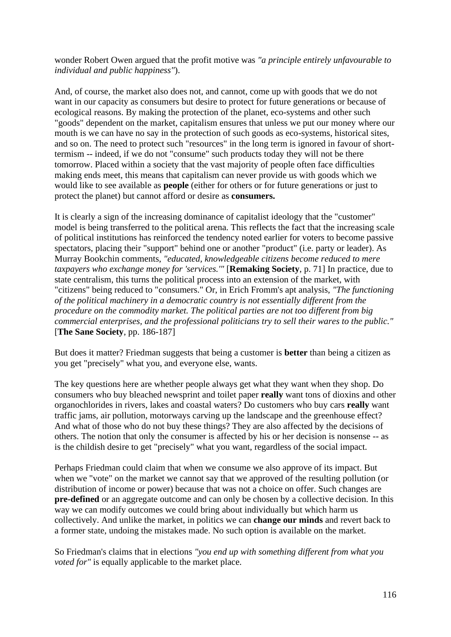wonder Robert Owen argued that the profit motive was *"a principle entirely unfavourable to individual and public happiness"*).

And, of course, the market also does not, and cannot, come up with goods that we do not want in our capacity as consumers but desire to protect for future generations or because of ecological reasons. By making the protection of the planet, eco-systems and other such "goods" dependent on the market, capitalism ensures that unless we put our money where our mouth is we can have no say in the protection of such goods as eco-systems, historical sites, and so on. The need to protect such "resources" in the long term is ignored in favour of shorttermism -- indeed, if we do not "consume" such products today they will not be there tomorrow. Placed within a society that the vast majority of people often face difficulties making ends meet, this means that capitalism can never provide us with goods which we would like to see available as **people** (either for others or for future generations or just to protect the planet) but cannot afford or desire as **consumers.**

It is clearly a sign of the increasing dominance of capitalist ideology that the "customer" model is being transferred to the political arena. This reflects the fact that the increasing scale of political institutions has reinforced the tendency noted earlier for voters to become passive spectators, placing their "support" behind one or another "product" (i.e. party or leader). As Murray Bookchin comments, *"educated, knowledgeable citizens become reduced to mere taxpayers who exchange money for 'services.'"* [**Remaking Society**, p. 71] In practice, due to state centralism, this turns the political process into an extension of the market, with "citizens" being reduced to "consumers." Or, in Erich Fromm's apt analysis, *"The functioning of the political machinery in a democratic country is not essentially different from the procedure on the commodity market. The political parties are not too different from big commercial enterprises, and the professional politicians try to sell their wares to the public."* [**The Sane Society**, pp. 186-187]

But does it matter? Friedman suggests that being a customer is **better** than being a citizen as you get "precisely" what you, and everyone else, wants.

The key questions here are whether people always get what they want when they shop. Do consumers who buy bleached newsprint and toilet paper **really** want tons of dioxins and other organochlorides in rivers, lakes and coastal waters? Do customers who buy cars **really** want traffic jams, air pollution, motorways carving up the landscape and the greenhouse effect? And what of those who do not buy these things? They are also affected by the decisions of others. The notion that only the consumer is affected by his or her decision is nonsense -- as is the childish desire to get "precisely" what you want, regardless of the social impact.

Perhaps Friedman could claim that when we consume we also approve of its impact. But when we "vote" on the market we cannot say that we approved of the resulting pollution (or distribution of income or power) because that was not a choice on offer. Such changes are **pre-defined** or an aggregate outcome and can only be chosen by a collective decision. In this way we can modify outcomes we could bring about individually but which harm us collectively. And unlike the market, in politics we can **change our minds** and revert back to a former state, undoing the mistakes made. No such option is available on the market.

So Friedman's claims that in elections *"you end up with something different from what you voted for*" is equally applicable to the market place.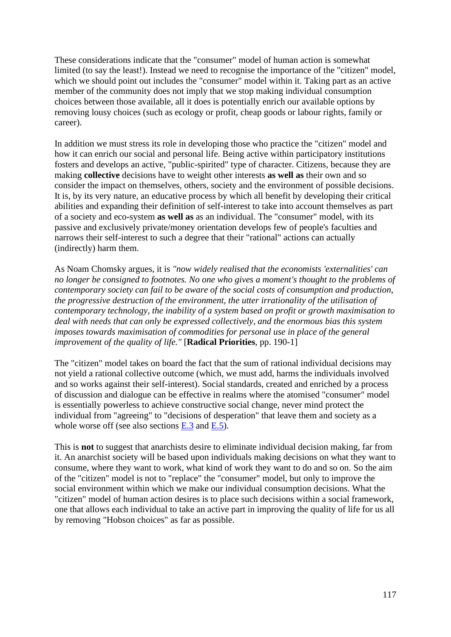These considerations indicate that the "consumer" model of human action is somewhat limited (to say the least!). Instead we need to recognise the importance of the "citizen" model, which we should point out includes the "consumer" model within it. Taking part as an active member of the community does not imply that we stop making individual consumption choices between those available, all it does is potentially enrich our available options by removing lousy choices (such as ecology or profit, cheap goods or labour rights, family or career).

In addition we must stress its role in developing those who practice the "citizen" model and how it can enrich our social and personal life. Being active within participatory institutions fosters and develops an active, "public-spirited" type of character. Citizens, because they are making **collective** decisions have to weight other interests **as well as** their own and so consider the impact on themselves, others, society and the environment of possible decisions. It is, by its very nature, an educative process by which all benefit by developing their critical abilities and expanding their definition of self-interest to take into account themselves as part of a society and eco-system **as well as** as an individual. The "consumer" model, with its passive and exclusively private/money orientation develops few of people's faculties and narrows their self-interest to such a degree that their "rational" actions can actually (indirectly) harm them.

As Noam Chomsky argues, it is *"now widely realised that the economists 'externalities' can no longer be consigned to footnotes. No one who gives a moment's thought to the problems of contemporary society can fail to be aware of the social costs of consumption and production, the progressive destruction of the environment, the utter irrationality of the utilisation of contemporary technology, the inability of a system based on profit or growth maximisation to deal with needs that can only be expressed collectively, and the enormous bias this system imposes towards maximisation of commodities for personal use in place of the general improvement of the quality of life."* [**Radical Priorities**, pp. 190-1]

The "citizen" model takes on board the fact that the sum of rational individual decisions may not yield a rational collective outcome (which, we must add, harms the individuals involved and so works against their self-interest). Social standards, created and enriched by a process of discussion and dialogue can be effective in realms where the atomised "consumer" model is essentially powerless to achieve constructive social change, never mind protect the individual from "agreeing" to "decisions of desperation" that leave them and society as a whole worse off (see also sections [E.3](sectionE.html#sece3) and [E.5\)](sectionE.html#sece5).

This is **not** to suggest that anarchists desire to eliminate individual decision making, far from it. An anarchist society will be based upon individuals making decisions on what they want to consume, where they want to work, what kind of work they want to do and so on. So the aim of the "citizen" model is not to "replace" the "consumer" model, but only to improve the social environment within which we make our individual consumption decisions. What the "citizen" model of human action desires is to place such decisions within a social framework, one that allows each individual to take an active part in improving the quality of life for us all by removing "Hobson choices" as far as possible.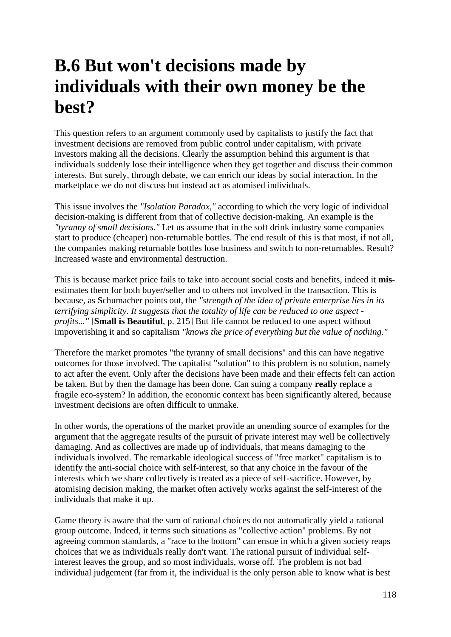# **B.6 But won't decisions made by individuals with their own money be the best?**

This question refers to an argument commonly used by capitalists to justify the fact that investment decisions are removed from public control under capitalism, with private investors making all the decisions. Clearly the assumption behind this argument is that individuals suddenly lose their intelligence when they get together and discuss their common interests. But surely, through debate, we can enrich our ideas by social interaction. In the marketplace we do not discuss but instead act as atomised individuals.

This issue involves the *"Isolation Paradox,"* according to which the very logic of individual decision-making is different from that of collective decision-making. An example is the *"tyranny of small decisions."* Let us assume that in the soft drink industry some companies start to produce (cheaper) non-returnable bottles. The end result of this is that most, if not all, the companies making returnable bottles lose business and switch to non-returnables. Result? Increased waste and environmental destruction.

This is because market price fails to take into account social costs and benefits, indeed it **mis**estimates them for both buyer/seller and to others not involved in the transaction. This is because, as Schumacher points out, the *"strength of the idea of private enterprise lies in its terrifying simplicity. It suggests that the totality of life can be reduced to one aspect profits..."* [**Small is Beautiful**, p. 215] But life cannot be reduced to one aspect without impoverishing it and so capitalism *"knows the price of everything but the value of nothing."*

Therefore the market promotes "the tyranny of small decisions" and this can have negative outcomes for those involved. The capitalist "solution" to this problem is no solution, namely to act after the event. Only after the decisions have been made and their effects felt can action be taken. But by then the damage has been done. Can suing a company **really** replace a fragile eco-system? In addition, the economic context has been significantly altered, because investment decisions are often difficult to unmake.

In other words, the operations of the market provide an unending source of examples for the argument that the aggregate results of the pursuit of private interest may well be collectively damaging. And as collectives are made up of individuals, that means damaging to the individuals involved. The remarkable ideological success of "free market" capitalism is to identify the anti-social choice with self-interest, so that any choice in the favour of the interests which we share collectively is treated as a piece of self-sacrifice. However, by atomising decision making, the market often actively works against the self-interest of the individuals that make it up.

Game theory is aware that the sum of rational choices do not automatically yield a rational group outcome. Indeed, it terms such situations as "collective action" problems. By not agreeing common standards, a "race to the bottom" can ensue in which a given society reaps choices that we as individuals really don't want. The rational pursuit of individual selfinterest leaves the group, and so most individuals, worse off. The problem is not bad individual judgement (far from it, the individual is the only person able to know what is best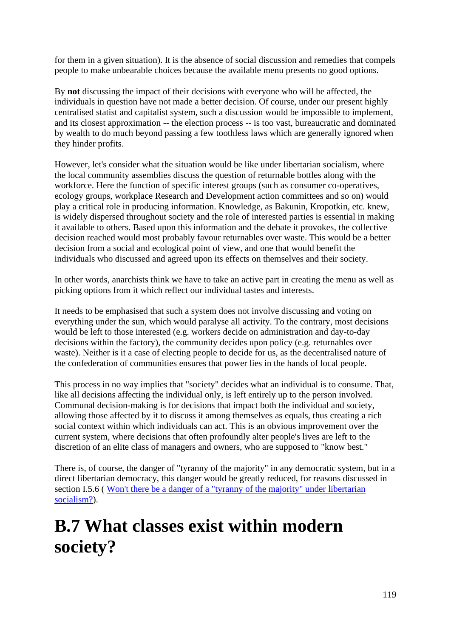for them in a given situation). It is the absence of social discussion and remedies that compels people to make unbearable choices because the available menu presents no good options.

By **not** discussing the impact of their decisions with everyone who will be affected, the individuals in question have not made a better decision. Of course, under our present highly centralised statist and capitalist system, such a discussion would be impossible to implement, and its closest approximation -- the election process -- is too vast, bureaucratic and dominated by wealth to do much beyond passing a few toothless laws which are generally ignored when they hinder profits.

However, let's consider what the situation would be like under libertarian socialism, where the local community assemblies discuss the question of returnable bottles along with the workforce. Here the function of specific interest groups (such as consumer co-operatives, ecology groups, workplace Research and Development action committees and so on) would play a critical role in producing information. Knowledge, as Bakunin, Kropotkin, etc. knew, is widely dispersed throughout society and the role of interested parties is essential in making it available to others. Based upon this information and the debate it provokes, the collective decision reached would most probably favour returnables over waste. This would be a better decision from a social and ecological point of view, and one that would benefit the individuals who discussed and agreed upon its effects on themselves and their society.

In other words, anarchists think we have to take an active part in creating the menu as well as picking options from it which reflect our individual tastes and interests.

It needs to be emphasised that such a system does not involve discussing and voting on everything under the sun, which would paralyse all activity. To the contrary, most decisions would be left to those interested (e.g. workers decide on administration and day-to-day decisions within the factory), the community decides upon policy (e.g. returnables over waste). Neither is it a case of electing people to decide for us, as the decentralised nature of the confederation of communities ensures that power lies in the hands of local people.

This process in no way implies that "society" decides what an individual is to consume. That, like all decisions affecting the individual only, is left entirely up to the person involved. Communal decision-making is for decisions that impact both the individual and society, allowing those affected by it to discuss it among themselves as equals, thus creating a rich social context within which individuals can act. This is an obvious improvement over the current system, where decisions that often profoundly alter people's lives are left to the discretion of an elite class of managers and owners, who are supposed to "know best."

There is, of course, the danger of "tyranny of the majority" in any democratic system, but in a direct libertarian democracy, this danger would be greatly reduced, for reasons discussed in section I.5.6 ( [Won't there be a danger of a "tyranny of the majority" under libertarian](sectionI.html#seci56)  [socialism?\)](sectionI.html#seci56).

# **B.7 What classes exist within modern society?**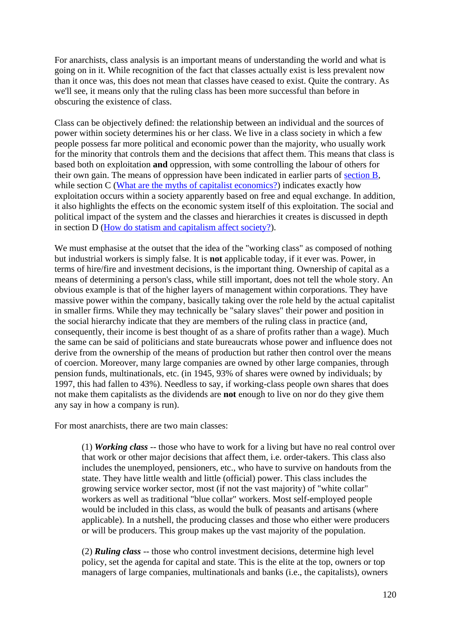For anarchists, class analysis is an important means of understanding the world and what is going on in it. While recognition of the fact that classes actually exist is less prevalent now than it once was, this does not mean that classes have ceased to exist. Quite the contrary. As we'll see, it means only that the ruling class has been more successful than before in obscuring the existence of class.

Class can be objectively defined: the relationship between an individual and the sources of power within society determines his or her class. We live in a class society in which a few people possess far more political and economic power than the majority, who usually work for the minority that controls them and the decisions that affect them. This means that class is based both on exploitation **and** oppression, with some controlling the labour of others for their own gain. The means of oppression have been indicated in earlier parts of [section B,](sectionB.html) while section C [\(What are the myths of capitalist economics?\)](sectionC.html) indicates exactly how exploitation occurs within a society apparently based on free and equal exchange. In addition, it also highlights the effects on the economic system itself of this exploitation. The social and political impact of the system and the classes and hierarchies it creates is discussed in depth in section D [\(How do statism and capitalism affect society?\)](sectionD.html).

We must emphasise at the outset that the idea of the "working class" as composed of nothing but industrial workers is simply false. It is **not** applicable today, if it ever was. Power, in terms of hire/fire and investment decisions, is the important thing. Ownership of capital as a means of determining a person's class, while still important, does not tell the whole story. An obvious example is that of the higher layers of management within corporations. They have massive power within the company, basically taking over the role held by the actual capitalist in smaller firms. While they may technically be "salary slaves" their power and position in the social hierarchy indicate that they are members of the ruling class in practice (and, consequently, their income is best thought of as a share of profits rather than a wage). Much the same can be said of politicians and state bureaucrats whose power and influence does not derive from the ownership of the means of production but rather then control over the means of coercion. Moreover, many large companies are owned by other large companies, through pension funds, multinationals, etc. (in 1945, 93% of shares were owned by individuals; by 1997, this had fallen to 43%). Needless to say, if working-class people own shares that does not make them capitalists as the dividends are **not** enough to live on nor do they give them any say in how a company is run).

For most anarchists, there are two main classes:

(1) *Working class* -- those who have to work for a living but have no real control over that work or other major decisions that affect them, i.e. order-takers. This class also includes the unemployed, pensioners, etc., who have to survive on handouts from the state. They have little wealth and little (official) power. This class includes the growing service worker sector, most (if not the vast majority) of "white collar" workers as well as traditional "blue collar" workers. Most self-employed people would be included in this class, as would the bulk of peasants and artisans (where applicable). In a nutshell, the producing classes and those who either were producers or will be producers. This group makes up the vast majority of the population.

(2) *Ruling class* -- those who control investment decisions, determine high level policy, set the agenda for capital and state. This is the elite at the top, owners or top managers of large companies, multinationals and banks (i.e., the capitalists), owners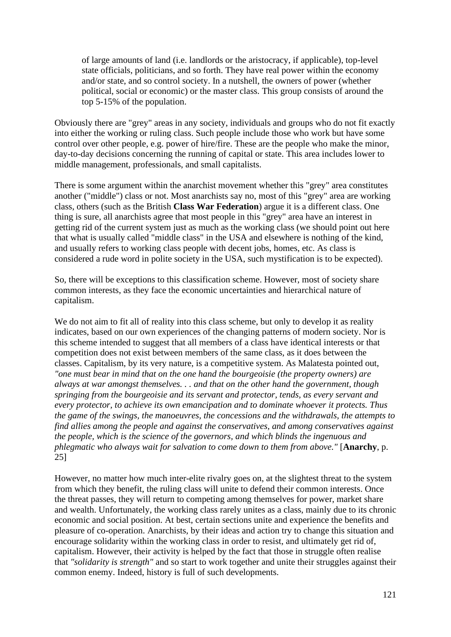of large amounts of land (i.e. landlords or the aristocracy, if applicable), top-level state officials, politicians, and so forth. They have real power within the economy and/or state, and so control society. In a nutshell, the owners of power (whether political, social or economic) or the master class. This group consists of around the top 5-15% of the population.

Obviously there are "grey" areas in any society, individuals and groups who do not fit exactly into either the working or ruling class. Such people include those who work but have some control over other people, e.g. power of hire/fire. These are the people who make the minor, day-to-day decisions concerning the running of capital or state. This area includes lower to middle management, professionals, and small capitalists.

There is some argument within the anarchist movement whether this "grey" area constitutes another ("middle") class or not. Most anarchists say no, most of this "grey" area are working class, others (such as the British **Class War Federation**) argue it is a different class. One thing is sure, all anarchists agree that most people in this "grey" area have an interest in getting rid of the current system just as much as the working class (we should point out here that what is usually called "middle class" in the USA and elsewhere is nothing of the kind, and usually refers to working class people with decent jobs, homes, etc. As class is considered a rude word in polite society in the USA, such mystification is to be expected).

So, there will be exceptions to this classification scheme. However, most of society share common interests, as they face the economic uncertainties and hierarchical nature of capitalism.

We do not aim to fit all of reality into this class scheme, but only to develop it as reality indicates, based on our own experiences of the changing patterns of modern society. Nor is this scheme intended to suggest that all members of a class have identical interests or that competition does not exist between members of the same class, as it does between the classes. Capitalism, by its very nature, is a competitive system. As Malatesta pointed out, *"one must bear in mind that on the one hand the bourgeoisie (the property owners) are always at war amongst themselves. . . and that on the other hand the government, though springing from the bourgeoisie and its servant and protector, tends, as every servant and every protector, to achieve its own emancipation and to dominate whoever it protects. Thus the game of the swings, the manoeuvres, the concessions and the withdrawals, the attempts to find allies among the people and against the conservatives, and among conservatives against the people, which is the science of the governors, and which blinds the ingenuous and phlegmatic who always wait for salvation to come down to them from above."* [**Anarchy**, p. 25]

However, no matter how much inter-elite rivalry goes on, at the slightest threat to the system from which they benefit, the ruling class will unite to defend their common interests. Once the threat passes, they will return to competing among themselves for power, market share and wealth. Unfortunately, the working class rarely unites as a class, mainly due to its chronic economic and social position. At best, certain sections unite and experience the benefits and pleasure of co-operation. Anarchists, by their ideas and action try to change this situation and encourage solidarity within the working class in order to resist, and ultimately get rid of, capitalism. However, their activity is helped by the fact that those in struggle often realise that *"solidarity is strength"* and so start to work together and unite their struggles against their common enemy. Indeed, history is full of such developments.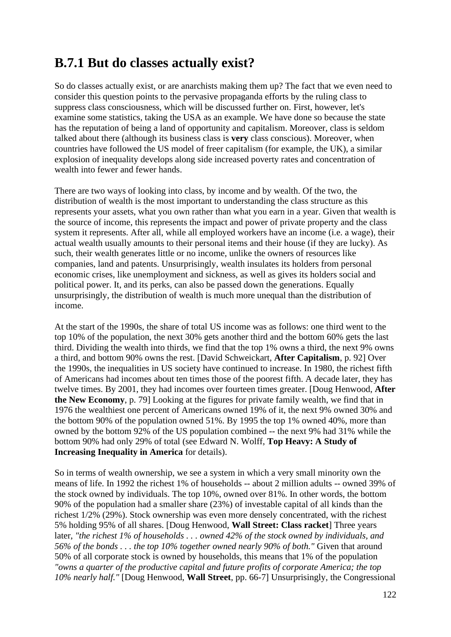#### **B.7.1 But do classes actually exist?**

So do classes actually exist, or are anarchists making them up? The fact that we even need to consider this question points to the pervasive propaganda efforts by the ruling class to suppress class consciousness, which will be discussed further on. First, however, let's examine some statistics, taking the USA as an example. We have done so because the state has the reputation of being a land of opportunity and capitalism. Moreover, class is seldom talked about there (although its business class is **very** class conscious). Moreover, when countries have followed the US model of freer capitalism (for example, the UK), a similar explosion of inequality develops along side increased poverty rates and concentration of wealth into fewer and fewer hands.

There are two ways of looking into class, by income and by wealth. Of the two, the distribution of wealth is the most important to understanding the class structure as this represents your assets, what you own rather than what you earn in a year. Given that wealth is the source of income, this represents the impact and power of private property and the class system it represents. After all, while all employed workers have an income (i.e. a wage), their actual wealth usually amounts to their personal items and their house (if they are lucky). As such, their wealth generates little or no income, unlike the owners of resources like companies, land and patents. Unsurprisingly, wealth insulates its holders from personal economic crises, like unemployment and sickness, as well as gives its holders social and political power. It, and its perks, can also be passed down the generations. Equally unsurprisingly, the distribution of wealth is much more unequal than the distribution of income.

At the start of the 1990s, the share of total US income was as follows: one third went to the top 10% of the population, the next 30% gets another third and the bottom 60% gets the last third. Dividing the wealth into thirds, we find that the top 1% owns a third, the next 9% owns a third, and bottom 90% owns the rest. [David Schweickart, **After Capitalism**, p. 92] Over the 1990s, the inequalities in US society have continued to increase. In 1980, the richest fifth of Americans had incomes about ten times those of the poorest fifth. A decade later, they has twelve times. By 2001, they had incomes over fourteen times greater. [Doug Henwood, **After the New Economy**, p. 79] Looking at the figures for private family wealth, we find that in 1976 the wealthiest one percent of Americans owned 19% of it, the next 9% owned 30% and the bottom 90% of the population owned 51%. By 1995 the top 1% owned 40%, more than owned by the bottom 92% of the US population combined -- the next 9% had 31% while the bottom 90% had only 29% of total (see Edward N. Wolff, **Top Heavy: A Study of Increasing Inequality in America** for details).

So in terms of wealth ownership, we see a system in which a very small minority own the means of life. In 1992 the richest 1% of households -- about 2 million adults -- owned 39% of the stock owned by individuals. The top 10%, owned over 81%. In other words, the bottom 90% of the population had a smaller share (23%) of investable capital of all kinds than the richest 1/2% (29%). Stock ownership was even more densely concentrated, with the richest 5% holding 95% of all shares. [Doug Henwood, **Wall Street: Class racket**] Three years later, *"the richest 1% of households . . . owned 42% of the stock owned by individuals, and 56% of the bonds . . . the top 10% together owned nearly 90% of both."* Given that around 50% of all corporate stock is owned by households, this means that 1% of the population *"owns a quarter of the productive capital and future profits of corporate America; the top 10% nearly half."* [Doug Henwood, **Wall Street**, pp. 66-7] Unsurprisingly, the Congressional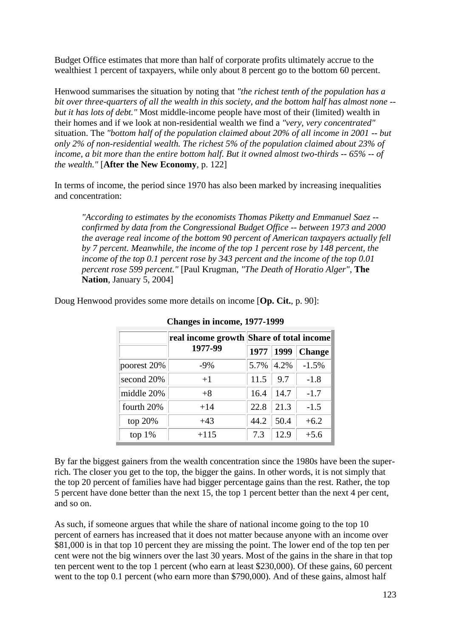Budget Office estimates that more than half of corporate profits ultimately accrue to the wealthiest 1 percent of taxpayers, while only about 8 percent go to the bottom 60 percent.

Henwood summarises the situation by noting that *"the richest tenth of the population has a bit over three-quarters of all the wealth in this society, and the bottom half has almost none - but it has lots of debt."* Most middle-income people have most of their (limited) wealth in their homes and if we look at non-residential wealth we find a *"very, very concentrated"* situation. The *"bottom half of the population claimed about 20% of all income in 2001 -- but only 2% of non-residential wealth. The richest 5% of the population claimed about 23% of income, a bit more than the entire bottom half. But it owned almost two-thirds -- 65% -- of the wealth."* [**After the New Economy**, p. 122]

In terms of income, the period since 1970 has also been marked by increasing inequalities and concentration:

*"According to estimates by the economists Thomas Piketty and Emmanuel Saez - confirmed by data from the Congressional Budget Office -- between 1973 and 2000 the average real income of the bottom 90 percent of American taxpayers actually fell by 7 percent. Meanwhile, the income of the top 1 percent rose by 148 percent, the income of the top 0.1 percent rose by 343 percent and the income of the top 0.01 percent rose 599 percent."* [Paul Krugman, *"The Death of Horatio Alger"*, **The Nation**, January 5, 2004]

Doug Henwood provides some more details on income [**Op. Cit.**, p. 90]:

|             | 1977-99 | real income growth Share of total income |      |               |
|-------------|---------|------------------------------------------|------|---------------|
|             |         | 1977                                     | 1999 | <b>Change</b> |
| poorest 20% | $-9\%$  | 5.7%                                     | 4.2% | $-1.5%$       |
| second 20%  | $+1$    | 11.5                                     | 9.7  | $-1.8$        |
| middle 20%  | $+8$    | 16.4                                     | 14.7 | $-1.7$        |
| fourth 20%  | $+14$   | 22.8                                     | 21.3 | $-1.5$        |
| top 20%     | $+43$   | 44.2                                     | 50.4 | $+6.2$        |
| top $1\%$   | $+115$  | 7.3                                      | 12.9 | $+5.6$        |

**Changes in income, 1977-1999**

By far the biggest gainers from the wealth concentration since the 1980s have been the superrich. The closer you get to the top, the bigger the gains. In other words, it is not simply that the top 20 percent of families have had bigger percentage gains than the rest. Rather, the top 5 percent have done better than the next 15, the top 1 percent better than the next 4 per cent, and so on.

As such, if someone argues that while the share of national income going to the top 10 percent of earners has increased that it does not matter because anyone with an income over \$81,000 is in that top 10 percent they are missing the point. The lower end of the top ten per cent were not the big winners over the last 30 years. Most of the gains in the share in that top ten percent went to the top 1 percent (who earn at least \$230,000). Of these gains, 60 percent went to the top 0.1 percent (who earn more than \$790,000). And of these gains, almost half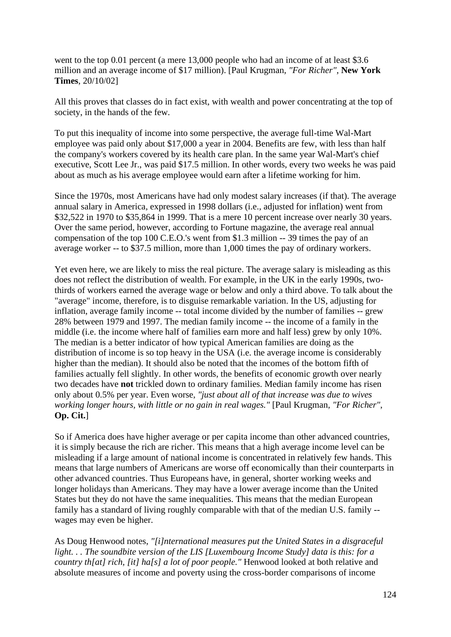went to the top 0.01 percent (a mere 13,000 people who had an income of at least \$3.6 million and an average income of \$17 million). [Paul Krugman, *"For Richer"*, **New York Times**, 20/10/02]

All this proves that classes do in fact exist, with wealth and power concentrating at the top of society, in the hands of the few.

To put this inequality of income into some perspective, the average full-time Wal-Mart employee was paid only about \$17,000 a year in 2004. Benefits are few, with less than half the company's workers covered by its health care plan. In the same year Wal-Mart's chief executive, Scott Lee Jr., was paid \$17.5 million. In other words, every two weeks he was paid about as much as his average employee would earn after a lifetime working for him.

Since the 1970s, most Americans have had only modest salary increases (if that). The average annual salary in America, expressed in 1998 dollars (i.e., adjusted for inflation) went from \$32,522 in 1970 to \$35,864 in 1999. That is a mere 10 percent increase over nearly 30 years. Over the same period, however, according to Fortune magazine, the average real annual compensation of the top 100 C.E.O.'s went from \$1.3 million -- 39 times the pay of an average worker -- to \$37.5 million, more than 1,000 times the pay of ordinary workers.

Yet even here, we are likely to miss the real picture. The average salary is misleading as this does not reflect the distribution of wealth. For example, in the UK in the early 1990s, twothirds of workers earned the average wage or below and only a third above. To talk about the "average" income, therefore, is to disguise remarkable variation. In the US, adjusting for inflation, average family income -- total income divided by the number of families -- grew 28% between 1979 and 1997. The median family income -- the income of a family in the middle (i.e. the income where half of families earn more and half less) grew by only 10%. The median is a better indicator of how typical American families are doing as the distribution of income is so top heavy in the USA (i.e. the average income is considerably higher than the median). It should also be noted that the incomes of the bottom fifth of families actually fell slightly. In other words, the benefits of economic growth over nearly two decades have **not** trickled down to ordinary families. Median family income has risen only about 0.5% per year. Even worse, *"just about all of that increase was due to wives working longer hours, with little or no gain in real wages."* [Paul Krugman, *"For Richer"*, **Op. Cit.**]

So if America does have higher average or per capita income than other advanced countries, it is simply because the rich are richer. This means that a high average income level can be misleading if a large amount of national income is concentrated in relatively few hands. This means that large numbers of Americans are worse off economically than their counterparts in other advanced countries. Thus Europeans have, in general, shorter working weeks and longer holidays than Americans. They may have a lower average income than the United States but they do not have the same inequalities. This means that the median European family has a standard of living roughly comparable with that of the median U.S. family - wages may even be higher.

As Doug Henwood notes, *"[i]nternational measures put the United States in a disgraceful light. . . The soundbite version of the LIS [Luxembourg Income Study] data is this: for a country th[at] rich, [it] ha[s] a lot of poor people."* Henwood looked at both relative and absolute measures of income and poverty using the cross-border comparisons of income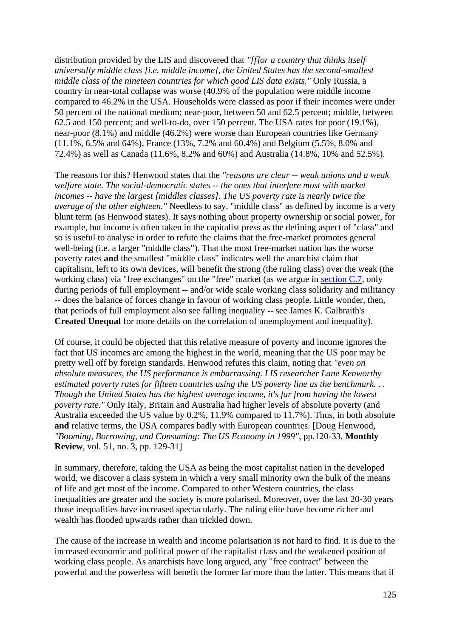distribution provided by the LIS and discovered that *"[f]or a country that thinks itself universally middle class [i.e. middle income], the United States has the second-smallest middle class of the nineteen countries for which good LIS data exists."* Only Russia, a country in near-total collapse was worse (40.9% of the population were middle income compared to 46.2% in the USA. Households were classed as poor if their incomes were under 50 percent of the national medium; near-poor, between 50 and 62.5 percent; middle, between 62.5 and 150 percent; and well-to-do, over 150 percent. The USA rates for poor (19.1%), near-poor (8.1%) and middle (46.2%) were worse than European countries like Germany (11.1%, 6.5% and 64%), France (13%, 7.2% and 60.4%) and Belgium (5.5%, 8.0% and 72.4%) as well as Canada (11.6%, 8.2% and 60%) and Australia (14.8%, 10% and 52.5%).

The reasons for this? Henwood states that the *"reasons are clear -- weak unions and a weak welfare state. The social-democratic states -- the ones that interfere most with market incomes -- have the largest [middles classes]. The US poverty rate is nearly twice the average of the other eighteen."* Needless to say, "middle class" as defined by income is a very blunt term (as Henwood states). It says nothing about property ownership or social power, for example, but income is often taken in the capitalist press as the defining aspect of "class" and so is useful to analyse in order to refute the claims that the free-market promotes general well-being (i.e. a larger "middle class"). That the most free-market nation has the worse poverty rates **and** the smallest "middle class" indicates well the anarchist claim that capitalism, left to its own devices, will benefit the strong (the ruling class) over the weak (the working class) via "free exchanges" on the "free" market (as we argue in [section C.7,](sectionC.html#secc7) only during periods of full employment -- and/or wide scale working class solidarity and militancy -- does the balance of forces change in favour of working class people. Little wonder, then, that periods of full employment also see falling inequality -- see James K. Galbraith's **Created Unequal** for more details on the correlation of unemployment and inequality).

Of course, it could be objected that this relative measure of poverty and income ignores the fact that US incomes are among the highest in the world, meaning that the US poor may be pretty well off by foreign standards. Henwood refutes this claim, noting that *"even on absolute measures, the US performance is embarrassing. LIS researcher Lane Kenworthy estimated poverty rates for fifteen countries using the US poverty line as the benchmark. . . Though the United States has the highest average income, it's far from having the lowest poverty rate."* Only Italy, Britain and Australia had higher levels of absolute poverty (and Australia exceeded the US value by 0.2%, 11.9% compared to 11.7%). Thus, in both absolute **and** relative terms, the USA compares badly with European countries. [Doug Henwood, *"Booming, Borrowing, and Consuming: The US Economy in 1999"*, pp.120-33, **Monthly Review**, vol. 51, no. 3, pp. 129-31]

In summary, therefore, taking the USA as being the most capitalist nation in the developed world, we discover a class system in which a very small minority own the bulk of the means of life and get most of the income. Compared to other Western countries, the class inequalities are greater and the society is more polarised. Moreover, over the last 20-30 years those inequalities have increased spectacularly. The ruling elite have become richer and wealth has flooded upwards rather than trickled down.

The cause of the increase in wealth and income polarisation is not hard to find. It is due to the increased economic and political power of the capitalist class and the weakened position of working class people. As anarchists have long argued, any "free contract" between the powerful and the powerless will benefit the former far more than the latter. This means that if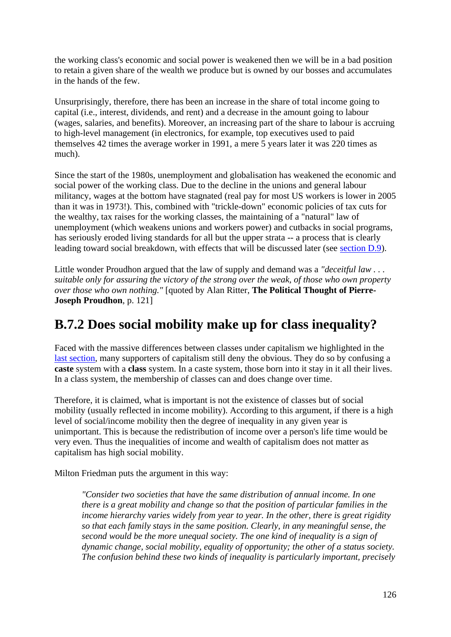the working class's economic and social power is weakened then we will be in a bad position to retain a given share of the wealth we produce but is owned by our bosses and accumulates in the hands of the few.

Unsurprisingly, therefore, there has been an increase in the share of total income going to capital (i.e., interest, dividends, and rent) and a decrease in the amount going to labour (wages, salaries, and benefits). Moreover, an increasing part of the share to labour is accruing to high-level management (in electronics, for example, top executives used to paid themselves 42 times the average worker in 1991, a mere 5 years later it was 220 times as much).

Since the start of the 1980s, unemployment and globalisation has weakened the economic and social power of the working class. Due to the decline in the unions and general labour militancy, wages at the bottom have stagnated (real pay for most US workers is lower in 2005 than it was in 1973!). This, combined with "trickle-down" economic policies of tax cuts for the wealthy, tax raises for the working classes, the maintaining of a "natural" law of unemployment (which weakens unions and workers power) and cutbacks in social programs, has seriously eroded living standards for all but the upper strata -- a process that is clearly leading toward social breakdown, with effects that will be discussed later (see [section D.9\)](sectionD.html#secd9).

Little wonder Proudhon argued that the law of supply and demand was a *"deceitful law . . . suitable only for assuring the victory of the strong over the weak, of those who own property over those who own nothing."* [quoted by Alan Ritter, **The Political Thought of Pierre-Joseph Proudhon**, p. 121]

### **B.7.2 Does social mobility make up for class inequality?**

Faced with the massive differences between classes under capitalism we highlighted in the [last section,](sectionB.html#secb71) many supporters of capitalism still deny the obvious. They do so by confusing a **caste** system with a **class** system. In a caste system, those born into it stay in it all their lives. In a class system, the membership of classes can and does change over time.

Therefore, it is claimed, what is important is not the existence of classes but of social mobility (usually reflected in income mobility). According to this argument, if there is a high level of social/income mobility then the degree of inequality in any given year is unimportant. This is because the redistribution of income over a person's life time would be very even. Thus the inequalities of income and wealth of capitalism does not matter as capitalism has high social mobility.

Milton Friedman puts the argument in this way:

*"Consider two societies that have the same distribution of annual income. In one there is a great mobility and change so that the position of particular families in the income hierarchy varies widely from year to year. In the other, there is great rigidity so that each family stays in the same position. Clearly, in any meaningful sense, the second would be the more unequal society. The one kind of inequality is a sign of dynamic change, social mobility, equality of opportunity; the other of a status society. The confusion behind these two kinds of inequality is particularly important, precisely*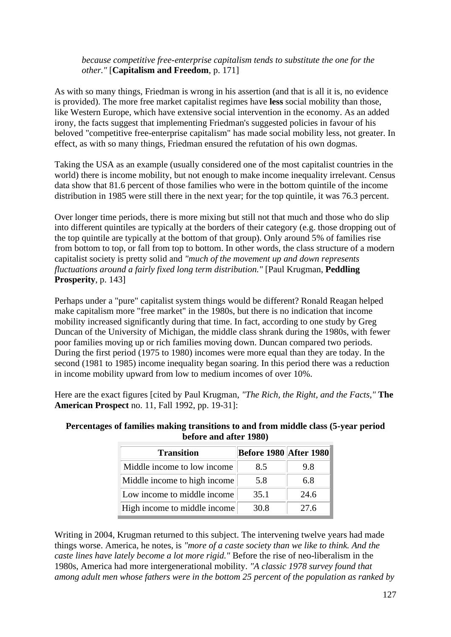#### *because competitive free-enterprise capitalism tends to substitute the one for the other."* [**Capitalism and Freedom**, p. 171]

As with so many things, Friedman is wrong in his assertion (and that is all it is, no evidence is provided). The more free market capitalist regimes have **less** social mobility than those, like Western Europe, which have extensive social intervention in the economy. As an added irony, the facts suggest that implementing Friedman's suggested policies in favour of his beloved "competitive free-enterprise capitalism" has made social mobility less, not greater. In effect, as with so many things, Friedman ensured the refutation of his own dogmas.

Taking the USA as an example (usually considered one of the most capitalist countries in the world) there is income mobility, but not enough to make income inequality irrelevant. Census data show that 81.6 percent of those families who were in the bottom quintile of the income distribution in 1985 were still there in the next year; for the top quintile, it was 76.3 percent.

Over longer time periods, there is more mixing but still not that much and those who do slip into different quintiles are typically at the borders of their category (e.g. those dropping out of the top quintile are typically at the bottom of that group). Only around 5% of families rise from bottom to top, or fall from top to bottom. In other words, the class structure of a modern capitalist society is pretty solid and *"much of the movement up and down represents fluctuations around a fairly fixed long term distribution."* [Paul Krugman, **Peddling Prosperity**, p. 143]

Perhaps under a "pure" capitalist system things would be different? Ronald Reagan helped make capitalism more "free market" in the 1980s, but there is no indication that income mobility increased significantly during that time. In fact, according to one study by Greg Duncan of the University of Michigan, the middle class shrank during the 1980s, with fewer poor families moving up or rich families moving down. Duncan compared two periods. During the first period (1975 to 1980) incomes were more equal than they are today. In the second (1981 to 1985) income inequality began soaring. In this period there was a reduction in income mobility upward from low to medium incomes of over 10%.

Here are the exact figures [cited by Paul Krugman, *"The Rich, the Right, and the Facts,"* **The American Prospect** no. 11, Fall 1992, pp. 19-31]:

| <b>Transition</b>            | <b>Before 1980 After 1980</b> |      |
|------------------------------|-------------------------------|------|
| Middle income to low income  | 8.5                           | 9.8  |
| Middle income to high income | 5.8                           | 6.8  |
| Low income to middle income  | 35.1                          | 24.6 |
| High income to middle income | 30.8                          | 27.6 |

#### **Percentages of families making transitions to and from middle class (5-year period before and after 1980)**

Writing in 2004, Krugman returned to this subject. The intervening twelve years had made things worse. America, he notes, is *"more of a caste society than we like to think. And the caste lines have lately become a lot more rigid."* Before the rise of neo-liberalism in the 1980s, America had more intergenerational mobility. *"A classic 1978 survey found that among adult men whose fathers were in the bottom 25 percent of the population as ranked by*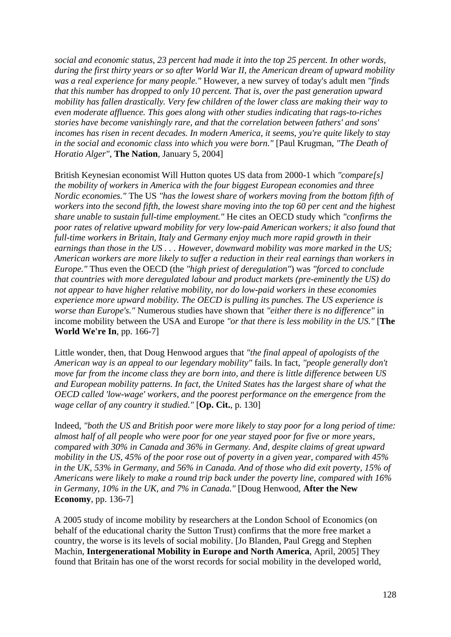*social and economic status, 23 percent had made it into the top 25 percent. In other words, during the first thirty years or so after World War II, the American dream of upward mobility was a real experience for many people."* However, a new survey of today's adult men *"finds that this number has dropped to only 10 percent. That is, over the past generation upward mobility has fallen drastically. Very few children of the lower class are making their way to even moderate affluence. This goes along with other studies indicating that rags-to-riches stories have become vanishingly rare, and that the correlation between fathers' and sons' incomes has risen in recent decades. In modern America, it seems, you're quite likely to stay in the social and economic class into which you were born."* [Paul Krugman, *"The Death of Horatio Alger"*, **The Nation**, January 5, 2004]

British Keynesian economist Will Hutton quotes US data from 2000-1 which *"compare[s] the mobility of workers in America with the four biggest European economies and three Nordic economies."* The US *"has the lowest share of workers moving from the bottom fifth of workers into the second fifth, the lowest share moving into the top 60 per cent and the highest share unable to sustain full-time employment."* He cites an OECD study which *"confirms the poor rates of relative upward mobility for very low-paid American workers; it also found that full-time workers in Britain, Italy and Germany enjoy much more rapid growth in their earnings than those in the US . . . However, downward mobility was more marked in the US; American workers are more likely to suffer a reduction in their real earnings than workers in Europe."* Thus even the OECD (the *"high priest of deregulation"*) was *"forced to conclude that countries with more deregulated labour and product markets (pre-eminently the US) do not appear to have higher relative mobility, nor do low-paid workers in these economies experience more upward mobility. The OECD is pulling its punches. The US experience is worse than Europe's."* Numerous studies have shown that *"either there is no difference"* in income mobility between the USA and Europe *"or that there is less mobility in the US."* [**The World We're In**, pp. 166-7]

Little wonder, then, that Doug Henwood argues that *"the final appeal of apologists of the American way is an appeal to our legendary mobility"* fails. In fact, *"people generally don't move far from the income class they are born into, and there is little difference between US and European mobility patterns. In fact, the United States has the largest share of what the OECD called 'low-wage' workers, and the poorest performance on the emergence from the wage cellar of any country it studied."* [**Op. Cit.**, p. 130]

Indeed, *"both the US and British poor were more likely to stay poor for a long period of time: almost half of all people who were poor for one year stayed poor for five or more years, compared with 30% in Canada and 36% in Germany. And, despite claims of great upward mobility in the US, 45% of the poor rose out of poverty in a given year, compared with 45% in the UK, 53% in Germany, and 56% in Canada. And of those who did exit poverty, 15% of Americans were likely to make a round trip back under the poverty line, compared with 16% in Germany, 10% in the UK, and 7% in Canada."* [Doug Henwood, **After the New Economy**, pp. 136-7]

A 2005 study of income mobility by researchers at the London School of Economics (on behalf of the educational charity the Sutton Trust) confirms that the more free market a country, the worse is its levels of social mobility. [Jo Blanden, Paul Gregg and Stephen Machin, **Intergenerational Mobility in Europe and North America**, April, 2005] They found that Britain has one of the worst records for social mobility in the developed world,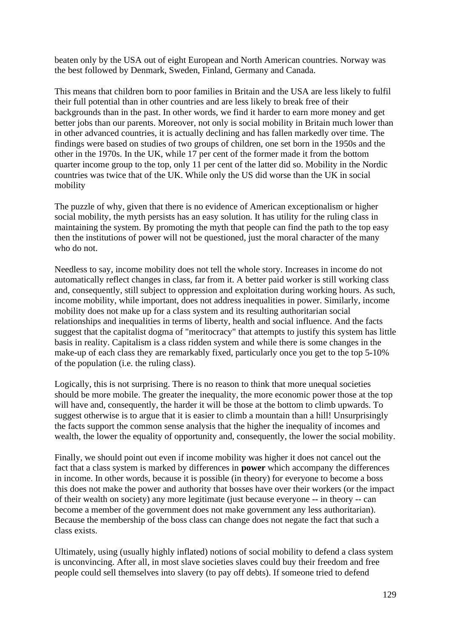beaten only by the USA out of eight European and North American countries. Norway was the best followed by Denmark, Sweden, Finland, Germany and Canada.

This means that children born to poor families in Britain and the USA are less likely to fulfil their full potential than in other countries and are less likely to break free of their backgrounds than in the past. In other words, we find it harder to earn more money and get better jobs than our parents. Moreover, not only is social mobility in Britain much lower than in other advanced countries, it is actually declining and has fallen markedly over time. The findings were based on studies of two groups of children, one set born in the 1950s and the other in the 1970s. In the UK, while 17 per cent of the former made it from the bottom quarter income group to the top, only 11 per cent of the latter did so. Mobility in the Nordic countries was twice that of the UK. While only the US did worse than the UK in social mobility

The puzzle of why, given that there is no evidence of American exceptionalism or higher social mobility, the myth persists has an easy solution. It has utility for the ruling class in maintaining the system. By promoting the myth that people can find the path to the top easy then the institutions of power will not be questioned, just the moral character of the many who do not.

Needless to say, income mobility does not tell the whole story. Increases in income do not automatically reflect changes in class, far from it. A better paid worker is still working class and, consequently, still subject to oppression and exploitation during working hours. As such, income mobility, while important, does not address inequalities in power. Similarly, income mobility does not make up for a class system and its resulting authoritarian social relationships and inequalities in terms of liberty, health and social influence. And the facts suggest that the capitalist dogma of "meritocracy" that attempts to justify this system has little basis in reality. Capitalism is a class ridden system and while there is some changes in the make-up of each class they are remarkably fixed, particularly once you get to the top 5-10% of the population (i.e. the ruling class).

Logically, this is not surprising. There is no reason to think that more unequal societies should be more mobile. The greater the inequality, the more economic power those at the top will have and, consequently, the harder it will be those at the bottom to climb upwards. To suggest otherwise is to argue that it is easier to climb a mountain than a hill! Unsurprisingly the facts support the common sense analysis that the higher the inequality of incomes and wealth, the lower the equality of opportunity and, consequently, the lower the social mobility.

Finally, we should point out even if income mobility was higher it does not cancel out the fact that a class system is marked by differences in **power** which accompany the differences in income. In other words, because it is possible (in theory) for everyone to become a boss this does not make the power and authority that bosses have over their workers (or the impact of their wealth on society) any more legitimate (just because everyone -- in theory -- can become a member of the government does not make government any less authoritarian). Because the membership of the boss class can change does not negate the fact that such a class exists.

Ultimately, using (usually highly inflated) notions of social mobility to defend a class system is unconvincing. After all, in most slave societies slaves could buy their freedom and free people could sell themselves into slavery (to pay off debts). If someone tried to defend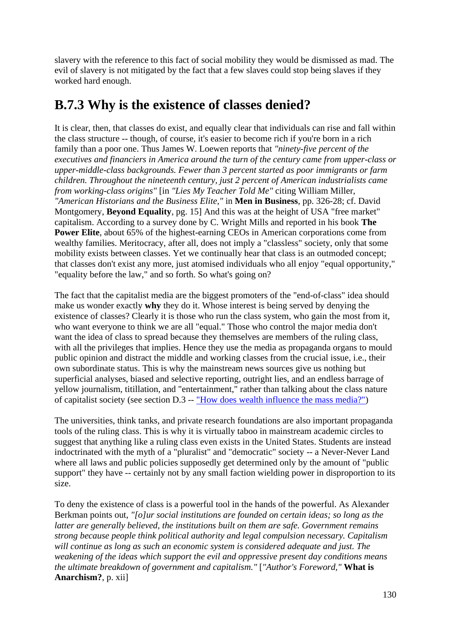slavery with the reference to this fact of social mobility they would be dismissed as mad. The evil of slavery is not mitigated by the fact that a few slaves could stop being slaves if they worked hard enough.

#### **B.7.3 Why is the existence of classes denied?**

It is clear, then, that classes do exist, and equally clear that individuals can rise and fall within the class structure -- though, of course, it's easier to become rich if you're born in a rich family than a poor one. Thus James W. Loewen reports that *"ninety-five percent of the executives and financiers in America around the turn of the century came from upper-class or upper-middle-class backgrounds. Fewer than 3 percent started as poor immigrants or farm children. Throughout the nineteenth century, just 2 percent of American industrialists came from working-class origins"* [in *"Lies My Teacher Told Me"* citing William Miller, *"American Historians and the Business Elite,"* in **Men in Business**, pp. 326-28; cf. David Montgomery, **Beyond Equality**, pg. 15] And this was at the height of USA "free market" capitalism. According to a survey done by C. Wright Mills and reported in his book **The Power Elite**, about 65% of the highest-earning CEOs in American corporations come from wealthy families. Meritocracy, after all, does not imply a "classless" society, only that some mobility exists between classes. Yet we continually hear that class is an outmoded concept; that classes don't exist any more, just atomised individuals who all enjoy "equal opportunity," "equality before the law," and so forth. So what's going on?

The fact that the capitalist media are the biggest promoters of the "end-of-class" idea should make us wonder exactly **why** they do it. Whose interest is being served by denying the existence of classes? Clearly it is those who run the class system, who gain the most from it, who want everyone to think we are all "equal." Those who control the major media don't want the idea of class to spread because they themselves are members of the ruling class, with all the privileges that implies. Hence they use the media as propaganda organs to mould public opinion and distract the middle and working classes from the crucial issue, i.e., their own subordinate status. This is why the mainstream news sources give us nothing but superficial analyses, biased and selective reporting, outright lies, and an endless barrage of yellow journalism, titillation, and "entertainment," rather than talking about the class nature of capitalist society (see section D.3 -- ["How does wealth influence the mass media?"\)](sectionD.html#secd3)

The universities, think tanks, and private research foundations are also important propaganda tools of the ruling class. This is why it is virtually taboo in mainstream academic circles to suggest that anything like a ruling class even exists in the United States. Students are instead indoctrinated with the myth of a "pluralist" and "democratic" society -- a Never-Never Land where all laws and public policies supposedly get determined only by the amount of "public support" they have -- certainly not by any small faction wielding power in disproportion to its size.

To deny the existence of class is a powerful tool in the hands of the powerful. As Alexander Berkman points out, *"[o]ur social institutions are founded on certain ideas; so long as the latter are generally believed, the institutions built on them are safe. Government remains strong because people think political authority and legal compulsion necessary. Capitalism will continue as long as such an economic system is considered adequate and just. The weakening of the ideas which support the evil and oppressive present day conditions means the ultimate breakdown of government and capitalism."* [*"Author's Foreword,"* **What is Anarchism?**, p. xii]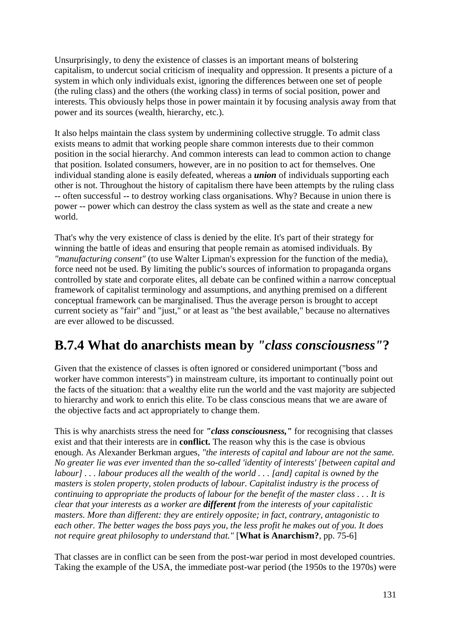Unsurprisingly, to deny the existence of classes is an important means of bolstering capitalism, to undercut social criticism of inequality and oppression. It presents a picture of a system in which only individuals exist, ignoring the differences between one set of people (the ruling class) and the others (the working class) in terms of social position, power and interests. This obviously helps those in power maintain it by focusing analysis away from that power and its sources (wealth, hierarchy, etc.).

It also helps maintain the class system by undermining collective struggle. To admit class exists means to admit that working people share common interests due to their common position in the social hierarchy. And common interests can lead to common action to change that position. Isolated consumers, however, are in no position to act for themselves. One individual standing alone is easily defeated, whereas a *union* of individuals supporting each other is not. Throughout the history of capitalism there have been attempts by the ruling class -- often successful -- to destroy working class organisations. Why? Because in union there is power -- power which can destroy the class system as well as the state and create a new world.

That's why the very existence of class is denied by the elite. It's part of their strategy for winning the battle of ideas and ensuring that people remain as atomised individuals. By *"manufacturing consent"* (to use Walter Lipman's expression for the function of the media), force need not be used. By limiting the public's sources of information to propaganda organs controlled by state and corporate elites, all debate can be confined within a narrow conceptual framework of capitalist terminology and assumptions, and anything premised on a different conceptual framework can be marginalised. Thus the average person is brought to accept current society as "fair" and "just," or at least as "the best available," because no alternatives are ever allowed to be discussed.

### **B.7.4 What do anarchists mean by** *"class consciousness"***?**

Given that the existence of classes is often ignored or considered unimportant ("boss and worker have common interests") in mainstream culture, its important to continually point out the facts of the situation: that a wealthy elite run the world and the vast majority are subjected to hierarchy and work to enrich this elite. To be class conscious means that we are aware of the objective facts and act appropriately to change them.

This is why anarchists stress the need for *"class consciousness,"* for recognising that classes exist and that their interests are in **conflict.** The reason why this is the case is obvious enough. As Alexander Berkman argues, *"the interests of capital and labour are not the same. No greater lie was ever invented than the so-called 'identity of interests' [between capital and labour] . . . labour produces all the wealth of the world . . . [and] capital is owned by the masters is stolen property, stolen products of labour. Capitalist industry is the process of continuing to appropriate the products of labour for the benefit of the master class . . . It is clear that your interests as a worker are different from the interests of your capitalistic masters. More than different: they are entirely opposite; in fact, contrary, antagonistic to each other. The better wages the boss pays you, the less profit he makes out of you. It does not require great philosophy to understand that."* [**What is Anarchism?**, pp. 75-6]

That classes are in conflict can be seen from the post-war period in most developed countries. Taking the example of the USA, the immediate post-war period (the 1950s to the 1970s) were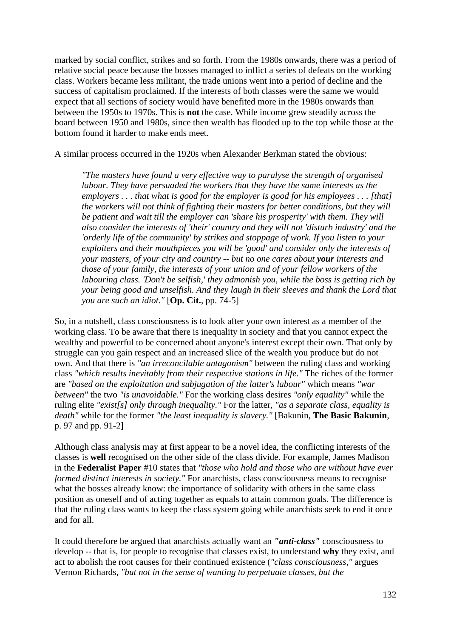marked by social conflict, strikes and so forth. From the 1980s onwards, there was a period of relative social peace because the bosses managed to inflict a series of defeats on the working class. Workers became less militant, the trade unions went into a period of decline and the success of capitalism proclaimed. If the interests of both classes were the same we would expect that all sections of society would have benefited more in the 1980s onwards than between the 1950s to 1970s. This is **not** the case. While income grew steadily across the board between 1950 and 1980s, since then wealth has flooded up to the top while those at the bottom found it harder to make ends meet.

A similar process occurred in the 1920s when Alexander Berkman stated the obvious:

*"The masters have found a very effective way to paralyse the strength of organised labour. They have persuaded the workers that they have the same interests as the employers . . . that what is good for the employer is good for his employees . . . [that] the workers will not think of fighting their masters for better conditions, but they will be patient and wait till the employer can 'share his prosperity' with them. They will also consider the interests of 'their' country and they will not 'disturb industry' and the 'orderly life of the community' by strikes and stoppage of work. If you listen to your exploiters and their mouthpieces you will be 'good' and consider only the interests of your masters, of your city and country -- but no one cares about your interests and those of your family, the interests of your union and of your fellow workers of the labouring class. 'Don't be selfish,' they admonish you, while the boss is getting rich by your being good and unselfish. And they laugh in their sleeves and thank the Lord that you are such an idiot."* [**Op. Cit.**, pp. 74-5]

So, in a nutshell, class consciousness is to look after your own interest as a member of the working class. To be aware that there is inequality in society and that you cannot expect the wealthy and powerful to be concerned about anyone's interest except their own. That only by struggle can you gain respect and an increased slice of the wealth you produce but do not own. And that there is *"an irreconcilable antagonism"* between the ruling class and working class *"which results inevitably from their respective stations in life."* The riches of the former are *"based on the exploitation and subjugation of the latter's labour"* which means *"war between"* the two *"is unavoidable."* For the working class desires *"only equality"* while the ruling elite *"exist[s] only through inequality."* For the latter, *"as a separate class, equality is death"* while for the former *"the least inequality is slavery."* [Bakunin, **The Basic Bakunin**, p. 97 and pp. 91-2]

Although class analysis may at first appear to be a novel idea, the conflicting interests of the classes is **well** recognised on the other side of the class divide. For example, James Madison in the **Federalist Paper** #10 states that *"those who hold and those who are without have ever formed distinct interests in society."* For anarchists, class consciousness means to recognise what the bosses already know: the importance of solidarity with others in the same class position as oneself and of acting together as equals to attain common goals. The difference is that the ruling class wants to keep the class system going while anarchists seek to end it once and for all.

It could therefore be argued that anarchists actually want an *"anti-class"* consciousness to develop -- that is, for people to recognise that classes exist, to understand **why** they exist, and act to abolish the root causes for their continued existence (*"class consciousness,"* argues Vernon Richards, *"but not in the sense of wanting to perpetuate classes, but the*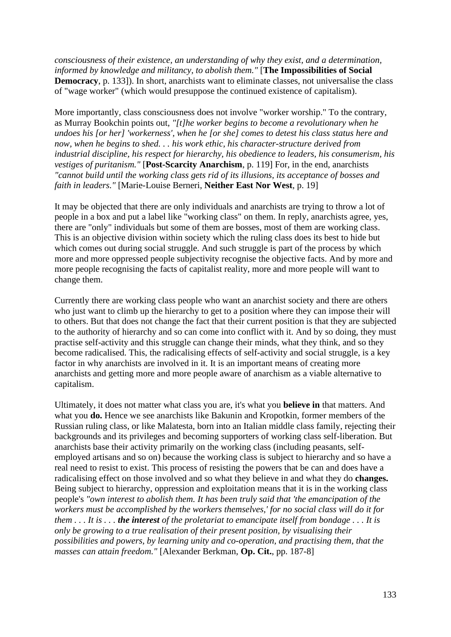*consciousness of their existence, an understanding of why they exist, and a determination, informed by knowledge and militancy, to abolish them."* [**The Impossibilities of Social Democracy**, p. 133]). In short, anarchists want to eliminate classes, not universalise the class of "wage worker" (which would presuppose the continued existence of capitalism).

More importantly, class consciousness does not involve "worker worship." To the contrary, as Murray Bookchin points out, *"[t]he worker begins to become a revolutionary when he undoes his [or her] 'workerness', when he [or she] comes to detest his class status here and now, when he begins to shed. . . his work ethic, his character-structure derived from industrial discipline, his respect for hierarchy, his obedience to leaders, his consumerism, his vestiges of puritanism."* [**Post-Scarcity Anarchism**, p. 119] For, in the end, anarchists *"cannot build until the working class gets rid of its illusions, its acceptance of bosses and faith in leaders."* [Marie-Louise Berneri, **Neither East Nor West**, p. 19]

It may be objected that there are only individuals and anarchists are trying to throw a lot of people in a box and put a label like "working class" on them. In reply, anarchists agree, yes, there are "only" individuals but some of them are bosses, most of them are working class. This is an objective division within society which the ruling class does its best to hide but which comes out during social struggle. And such struggle is part of the process by which more and more oppressed people subjectivity recognise the objective facts. And by more and more people recognising the facts of capitalist reality, more and more people will want to change them.

Currently there are working class people who want an anarchist society and there are others who just want to climb up the hierarchy to get to a position where they can impose their will to others. But that does not change the fact that their current position is that they are subjected to the authority of hierarchy and so can come into conflict with it. And by so doing, they must practise self-activity and this struggle can change their minds, what they think, and so they become radicalised. This, the radicalising effects of self-activity and social struggle, is a key factor in why anarchists are involved in it. It is an important means of creating more anarchists and getting more and more people aware of anarchism as a viable alternative to capitalism.

Ultimately, it does not matter what class you are, it's what you **believe in** that matters. And what you **do.** Hence we see anarchists like Bakunin and Kropotkin, former members of the Russian ruling class, or like Malatesta, born into an Italian middle class family, rejecting their backgrounds and its privileges and becoming supporters of working class self-liberation. But anarchists base their activity primarily on the working class (including peasants, selfemployed artisans and so on) because the working class is subject to hierarchy and so have a real need to resist to exist. This process of resisting the powers that be can and does have a radicalising effect on those involved and so what they believe in and what they do **changes.** Being subject to hierarchy, oppression and exploitation means that it is in the working class people's *"own interest to abolish them. It has been truly said that 'the emancipation of the workers must be accomplished by the workers themselves,' for no social class will do it for them . . . It is . . . the interest of the proletariat to emancipate itself from bondage . . . It is only be growing to a true realisation of their present position, by visualising their possibilities and powers, by learning unity and co-operation, and practising them, that the masses can attain freedom."* [Alexander Berkman, **Op. Cit.**, pp. 187-8]